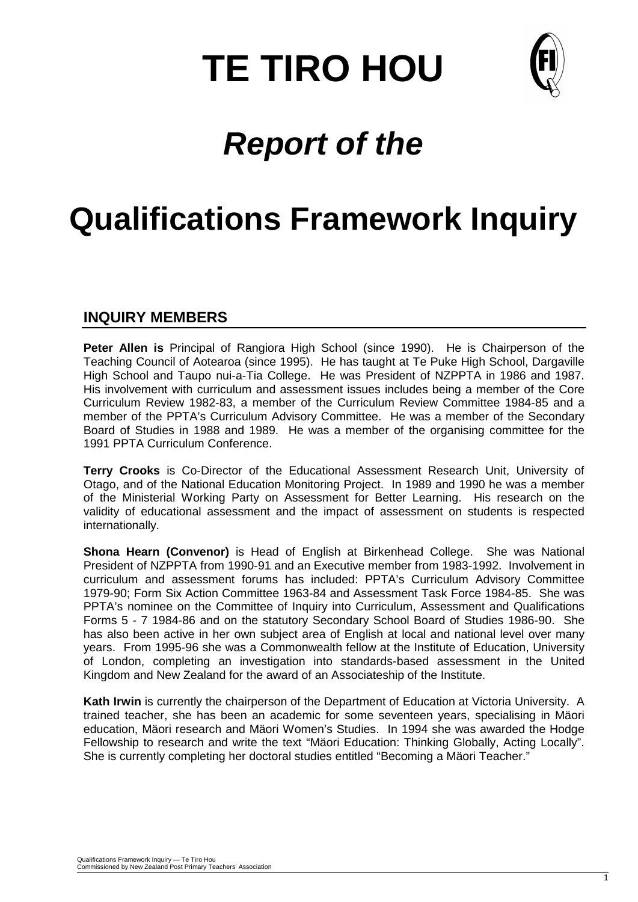# **TE TIRO HOU**



# *Report of the*

# **Qualifications Framework Inquiry**

## **INQUIRY MEMBERS**

**Peter Allen is** Principal of Rangiora High School (since 1990). He is Chairperson of the Teaching Council of Aotearoa (since 1995). He has taught at Te Puke High School, Dargaville High School and Taupo nui-a-Tia College. He was President of NZPPTA in 1986 and 1987. His involvement with curriculum and assessment issues includes being a member of the Core Curriculum Review 1982-83, a member of the Curriculum Review Committee 1984-85 and a member of the PPTA's Curriculum Advisory Committee. He was a member of the Secondary Board of Studies in 1988 and 1989. He was a member of the organising committee for the 1991 PPTA Curriculum Conference.

**Terry Crooks** is Co-Director of the Educational Assessment Research Unit, University of Otago, and of the National Education Monitoring Project. In 1989 and 1990 he was a member of the Ministerial Working Party on Assessment for Better Learning. His research on the validity of educational assessment and the impact of assessment on students is respected internationally.

**Shona Hearn (Convenor)** is Head of English at Birkenhead College. She was National President of NZPPTA from 1990-91 and an Executive member from 1983-1992. Involvement in curriculum and assessment forums has included: PPTA's Curriculum Advisory Committee 1979-90; Form Six Action Committee 1963-84 and Assessment Task Force 1984-85. She was PPTA's nominee on the Committee of Inquiry into Curriculum, Assessment and Qualifications Forms 5 - 7 1984-86 and on the statutory Secondary School Board of Studies 1986-90. She has also been active in her own subject area of English at local and national level over many years. From 1995-96 she was a Commonwealth fellow at the Institute of Education, University of London, completing an investigation into standards-based assessment in the United Kingdom and New Zealand for the award of an Associateship of the Institute.

**Kath Irwin** is currently the chairperson of the Department of Education at Victoria University. A trained teacher, she has been an academic for some seventeen years, specialising in Mäori education, Mäori research and Mäori Women's Studies. In 1994 she was awarded the Hodge Fellowship to research and write the text "Mäori Education: Thinking Globally, Acting Locally". She is currently completing her doctoral studies entitled "Becoming a Mäori Teacher."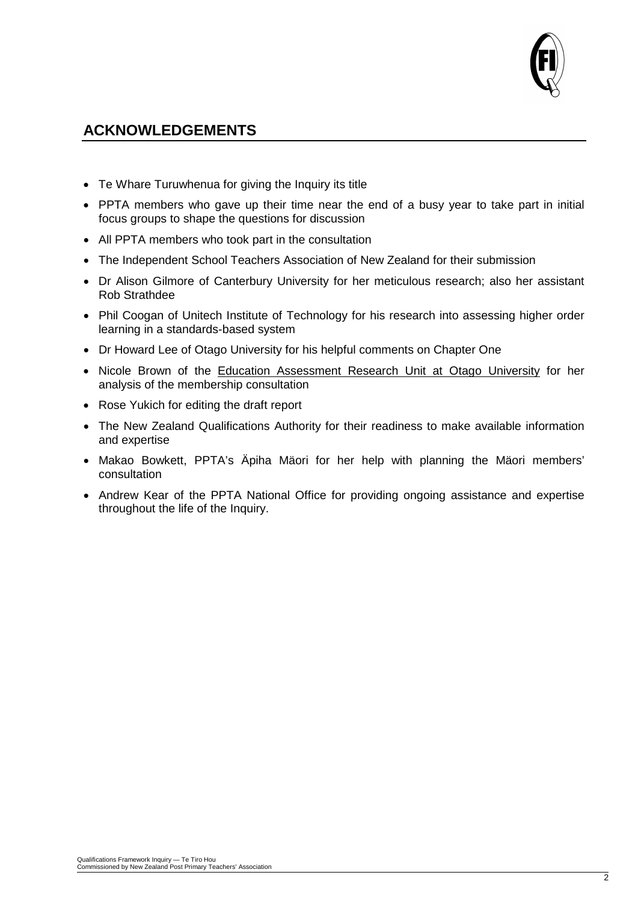

# **ACKNOWLEDGEMENTS**

- Te Whare Turuwhenua for giving the Inquiry its title
- PPTA members who gave up their time near the end of a busy year to take part in initial focus groups to shape the questions for discussion
- All PPTA members who took part in the consultation
- The Independent School Teachers Association of New Zealand for their submission
- Dr Alison Gilmore of Canterbury University for her meticulous research; also her assistant Rob Strathdee
- Phil Coogan of Unitech Institute of Technology for his research into assessing higher order learning in a standards-based system
- Dr Howard Lee of Otago University for his helpful comments on Chapter One
- Nicole Brown of the Education Assessment Research Unit at Otago University for her analysis of the membership consultation
- Rose Yukich for editing the draft report
- The New Zealand Qualifications Authority for their readiness to make available information and expertise
- Makao Bowkett, PPTA's Äpiha Mäori for her help with planning the Mäori members' consultation
- Andrew Kear of the PPTA National Office for providing ongoing assistance and expertise throughout the life of the Inquiry.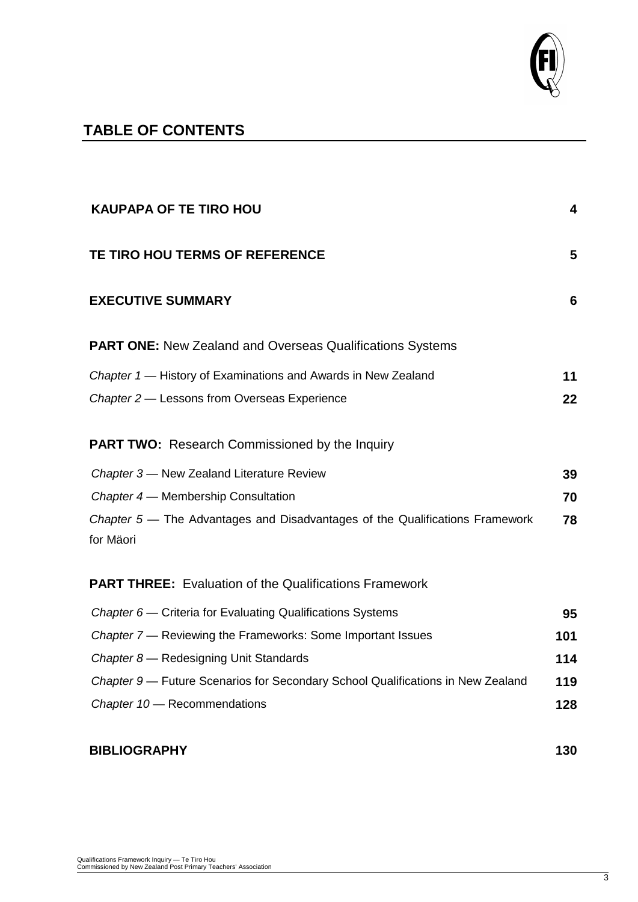

# **TABLE OF CONTENTS**

| <b>KAUPAPA OF TE TIRO HOU</b>                                                             | 4   |
|-------------------------------------------------------------------------------------------|-----|
| TE TIRO HOU TERMS OF REFERENCE                                                            | 5   |
| <b>EXECUTIVE SUMMARY</b>                                                                  | 6   |
| <b>PART ONE: New Zealand and Overseas Qualifications Systems</b>                          |     |
| Chapter 1 - History of Examinations and Awards in New Zealand                             | 11  |
| Chapter 2 - Lessons from Overseas Experience                                              | 22  |
| <b>PART TWO:</b> Research Commissioned by the Inquiry                                     |     |
| Chapter 3 - New Zealand Literature Review                                                 | 39  |
| Chapter 4 – Membership Consultation                                                       | 70  |
| Chapter 5 - The Advantages and Disadvantages of the Qualifications Framework<br>for Mäori | 78  |
| <b>PART THREE:</b> Evaluation of the Qualifications Framework                             |     |
| Chapter 6 – Criteria for Evaluating Qualifications Systems                                | 95  |
| Chapter 7 — Reviewing the Frameworks: Some Important Issues                               | 101 |
| Chapter 8 - Redesigning Unit Standards                                                    | 114 |
| Chapter 9 - Future Scenarios for Secondary School Qualifications in New Zealand           | 119 |
| Chapter 10 - Recommendations                                                              | 128 |
| <b>BIBLIOGRAPHY</b>                                                                       | 130 |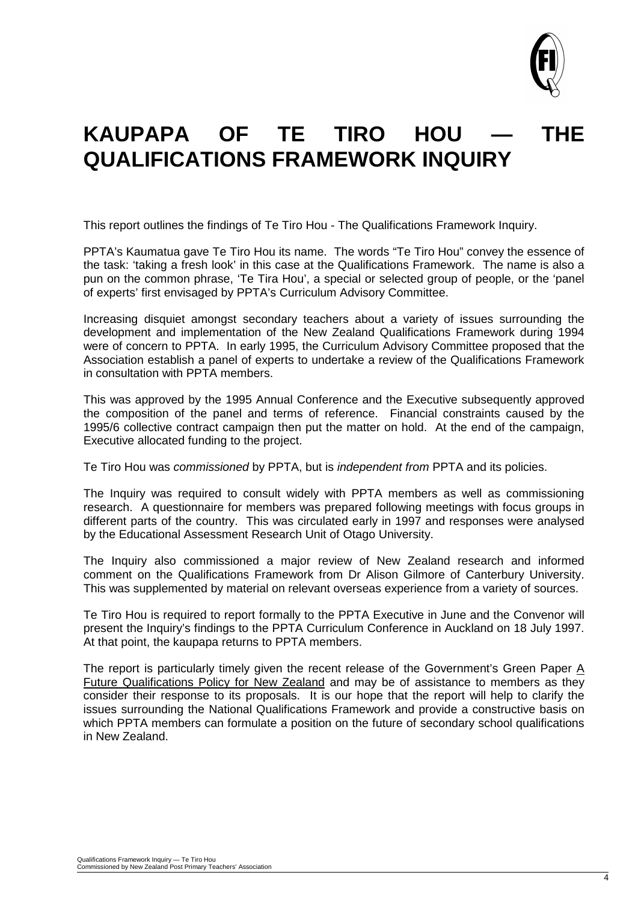

# KAUPAPA OF TE TIRO HOU -**QUALIFICATIONS FRAMEWORK INQUIRY**

This report outlines the findings of Te Tiro Hou - The Qualifications Framework Inquiry.

PPTA's Kaumatua gave Te Tiro Hou its name. The words "Te Tiro Hou" convey the essence of the task: 'taking a fresh look' in this case at the Qualifications Framework. The name is also a pun on the common phrase, 'Te Tira Hou', a special or selected group of people, or the 'panel of experts' first envisaged by PPTA's Curriculum Advisory Committee.

Increasing disquiet amongst secondary teachers about a variety of issues surrounding the development and implementation of the New Zealand Qualifications Framework during 1994 were of concern to PPTA. In early 1995, the Curriculum Advisory Committee proposed that the Association establish a panel of experts to undertake a review of the Qualifications Framework in consultation with PPTA members.

This was approved by the 1995 Annual Conference and the Executive subsequently approved the composition of the panel and terms of reference. Financial constraints caused by the 1995/6 collective contract campaign then put the matter on hold. At the end of the campaign, Executive allocated funding to the project.

Te Tiro Hou was *commissioned* by PPTA, but is *independent from* PPTA and its policies.

The Inquiry was required to consult widely with PPTA members as well as commissioning research. A questionnaire for members was prepared following meetings with focus groups in different parts of the country. This was circulated early in 1997 and responses were analysed by the Educational Assessment Research Unit of Otago University.

The Inquiry also commissioned a major review of New Zealand research and informed comment on the Qualifications Framework from Dr Alison Gilmore of Canterbury University. This was supplemented by material on relevant overseas experience from a variety of sources.

Te Tiro Hou is required to report formally to the PPTA Executive in June and the Convenor will present the Inquiry's findings to the PPTA Curriculum Conference in Auckland on 18 July 1997. At that point, the kaupapa returns to PPTA members.

The report is particularly timely given the recent release of the Government's Green Paper A Future Qualifications Policy for New Zealand and may be of assistance to members as they consider their response to its proposals. It is our hope that the report will help to clarify the issues surrounding the National Qualifications Framework and provide a constructive basis on which PPTA members can formulate a position on the future of secondary school qualifications in New Zealand.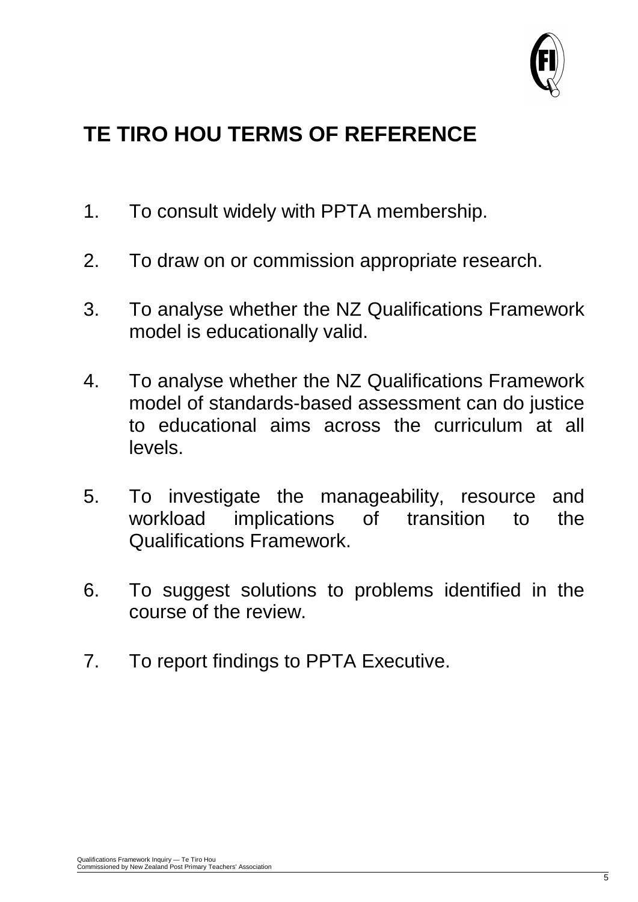

# **TE TIRO HOU TERMS OF REFERENCE**

- 1. To consult widely with PPTA membership.
- 2. To draw on or commission appropriate research.
- 3. To analyse whether the NZ Qualifications Framework model is educationally valid.
- 4. To analyse whether the NZ Qualifications Framework model of standards-based assessment can do justice to educational aims across the curriculum at all levels.
- 5. To investigate the manageability, resource and workload implications of transition to the Qualifications Framework.
- 6. To suggest solutions to problems identified in the course of the review.
- 7. To report findings to PPTA Executive.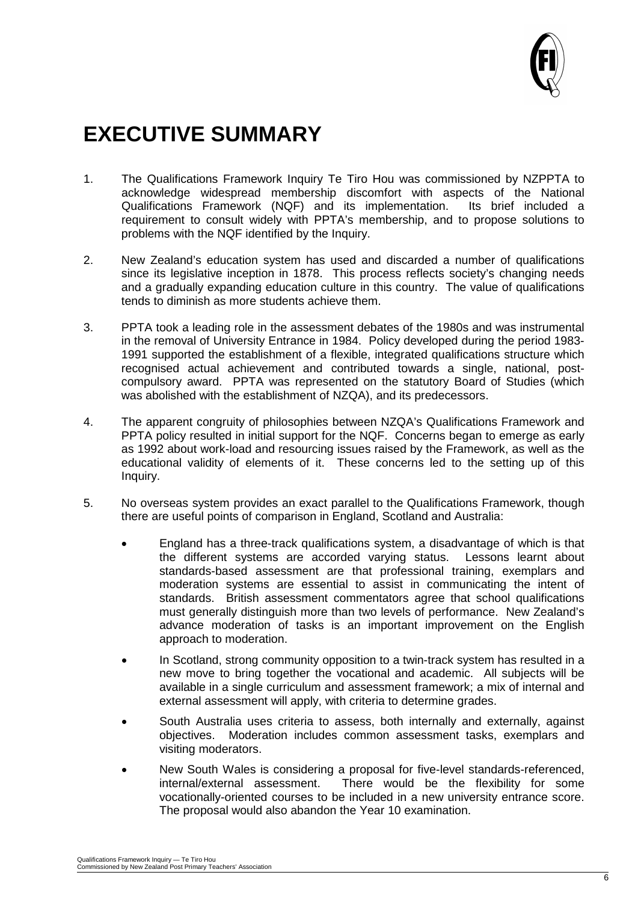

# **EXECUTIVE SUMMARY**

- 1. The Qualifications Framework Inquiry Te Tiro Hou was commissioned by NZPPTA to acknowledge widespread membership discomfort with aspects of the National acknowledge widespread membership discomfort with aspects of the National Qualifications Framework (NQF) and its implementation. Its brief included Qualifications Framework (NQF) and its implementation. requirement to consult widely with PPTA's membership, and to propose solutions to problems with the NQF identified by the Inquiry.
- 2. New Zealand's education system has used and discarded a number of qualifications since its legislative inception in 1878. This process reflects society's changing needs and a gradually expanding education culture in this country. The value of qualifications tends to diminish as more students achieve them.
- 3. PPTA took a leading role in the assessment debates of the 1980s and was instrumental in the removal of University Entrance in 1984. Policy developed during the period 1983- 1991 supported the establishment of a flexible, integrated qualifications structure which recognised actual achievement and contributed towards a single, national, postcompulsory award. PPTA was represented on the statutory Board of Studies (which was abolished with the establishment of NZQA), and its predecessors.
- 4. The apparent congruity of philosophies between NZQA's Qualifications Framework and PPTA policy resulted in initial support for the NQF. Concerns began to emerge as early as 1992 about work-load and resourcing issues raised by the Framework, as well as the educational validity of elements of it. These concerns led to the setting up of this Inquiry.
- 5. No overseas system provides an exact parallel to the Qualifications Framework, though there are useful points of comparison in England, Scotland and Australia:
	- England has a three-track qualifications system, a disadvantage of which is that the different systems are accorded varying status. Lessons learnt about standards-based assessment are that professional training, exemplars and moderation systems are essential to assist in communicating the intent of standards. British assessment commentators agree that school qualifications must generally distinguish more than two levels of performance. New Zealand's advance moderation of tasks is an important improvement on the English approach to moderation.
	- In Scotland, strong community opposition to a twin-track system has resulted in a new move to bring together the vocational and academic. All subjects will be available in a single curriculum and assessment framework; a mix of internal and external assessment will apply, with criteria to determine grades.
	- South Australia uses criteria to assess, both internally and externally, against objectives. Moderation includes common assessment tasks, exemplars and visiting moderators.
	- New South Wales is considering a proposal for five-level standards-referenced, internal/external assessment. There would be the flexibility for some There would be the flexibility for some vocationally-oriented courses to be included in a new university entrance score. The proposal would also abandon the Year 10 examination.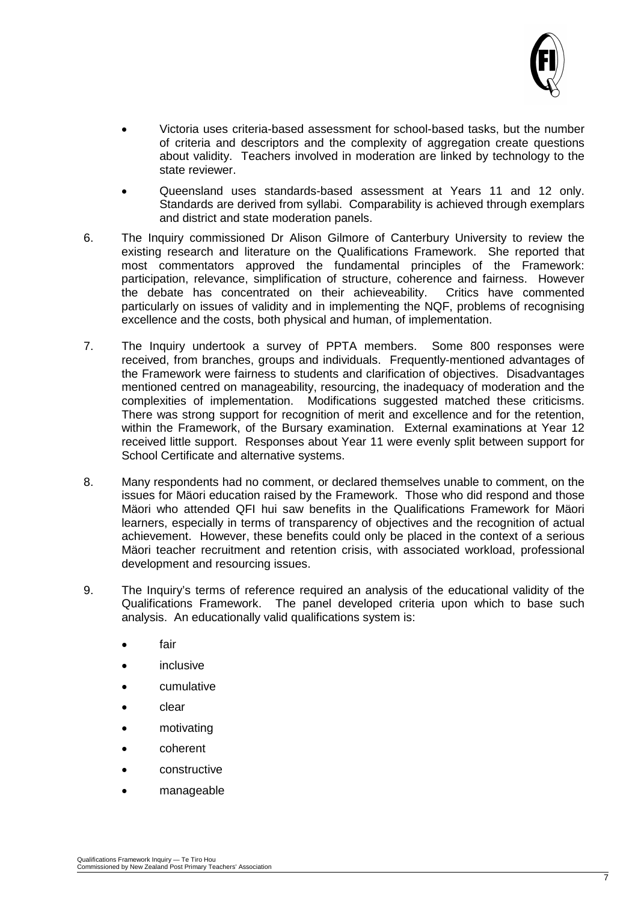

- Victoria uses criteria-based assessment for school-based tasks, but the number of criteria and descriptors and the complexity of aggregation create questions about validity. Teachers involved in moderation are linked by technology to the state reviewer.
- Queensland uses standards-based assessment at Years 11 and 12 only. Standards are derived from syllabi. Comparability is achieved through exemplars and district and state moderation panels.
- 6. The Inquiry commissioned Dr Alison Gilmore of Canterbury University to review the existing research and literature on the Qualifications Framework. She reported that most commentators approved the fundamental principles of the Framework: participation, relevance, simplification of structure, coherence and fairness. However<br>the debate has concentrated on their achieveability. Critics have commented the debate has concentrated on their achieveability. particularly on issues of validity and in implementing the NQF, problems of recognising excellence and the costs, both physical and human, of implementation.
- 7. The Inquiry undertook a survey of PPTA members. Some 800 responses were received, from branches, groups and individuals. Frequently-mentioned advantages of the Framework were fairness to students and clarification of objectives. Disadvantages mentioned centred on manageability, resourcing, the inadequacy of moderation and the complexities of implementation. Modifications suggested matched these criticisms. There was strong support for recognition of merit and excellence and for the retention, within the Framework, of the Bursary examination. External examinations at Year 12 received little support. Responses about Year 11 were evenly split between support for School Certificate and alternative systems.
- 8. Many respondents had no comment, or declared themselves unable to comment, on the issues for Mäori education raised by the Framework. Those who did respond and those Mäori who attended QFI hui saw benefits in the Qualifications Framework for Mäori learners, especially in terms of transparency of objectives and the recognition of actual achievement. However, these benefits could only be placed in the context of a serious Mäori teacher recruitment and retention crisis, with associated workload, professional development and resourcing issues.
- 9. The Inquiry's terms of reference required an analysis of the educational validity of the Qualifications Framework. The panel developed criteria upon which to base such analysis. An educationally valid qualifications system is:
	- fair
	- inclusive
	- cumulative
	- clear
	- motivating
	- coherent
	- constructive
	- manageable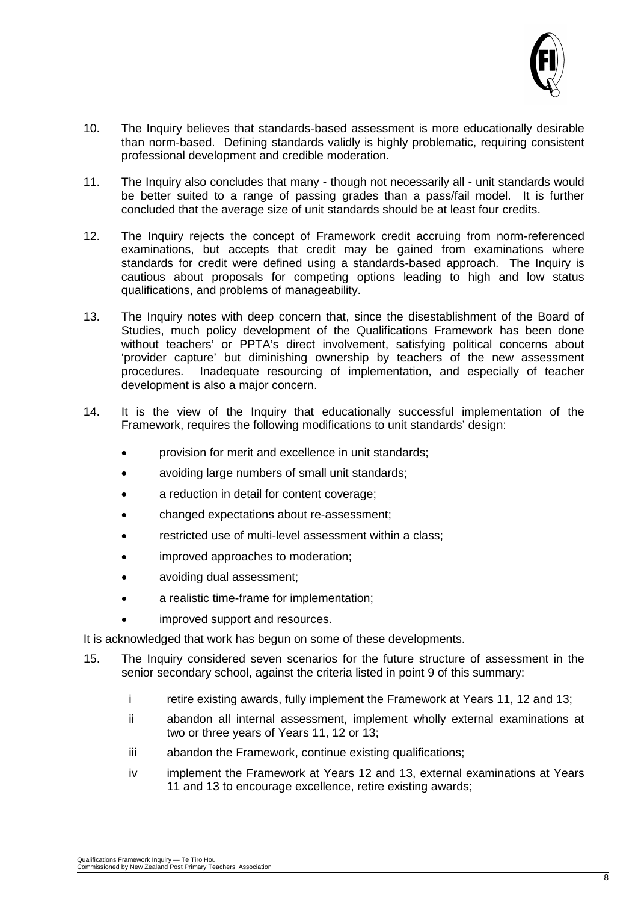

- 10. The Inquiry believes that standards-based assessment is more educationally desirable than norm-based. Defining standards validly is highly problematic, requiring consistent professional development and credible moderation.
- 11. The Inquiry also concludes that many though not necessarily all unit standards would be better suited to a range of passing grades than a pass/fail model. It is further concluded that the average size of unit standards should be at least four credits.
- 12. The Inquiry rejects the concept of Framework credit accruing from norm-referenced examinations, but accepts that credit may be gained from examinations where standards for credit were defined using a standards-based approach. The Inquiry is cautious about proposals for competing options leading to high and low status qualifications, and problems of manageability.
- 13. The Inquiry notes with deep concern that, since the disestablishment of the Board of Studies, much policy development of the Qualifications Framework has been done without teachers' or PPTA's direct involvement, satisfying political concerns about 'provider capture' but diminishing ownership by teachers of the new assessment procedures. Inadequate resourcing of implementation, and especially of teacher development is also a major concern.
- 14. It is the view of the Inquiry that educationally successful implementation of the Framework, requires the following modifications to unit standards' design:
	- provision for merit and excellence in unit standards;
	- avoiding large numbers of small unit standards;
	- a reduction in detail for content coverage;
	- changed expectations about re-assessment;
	- restricted use of multi-level assessment within a class;
	- improved approaches to moderation;
	- avoiding dual assessment;
	- a realistic time-frame for implementation;
	- improved support and resources.

It is acknowledged that work has begun on some of these developments.

- 15. The Inquiry considered seven scenarios for the future structure of assessment in the senior secondary school, against the criteria listed in point 9 of this summary:
	- i retire existing awards, fully implement the Framework at Years 11, 12 and 13;
	- ii abandon all internal assessment, implement wholly external examinations at two or three years of Years 11, 12 or 13;
	- iii abandon the Framework, continue existing qualifications;
	- iv implement the Framework at Years 12 and 13, external examinations at Years 11 and 13 to encourage excellence, retire existing awards;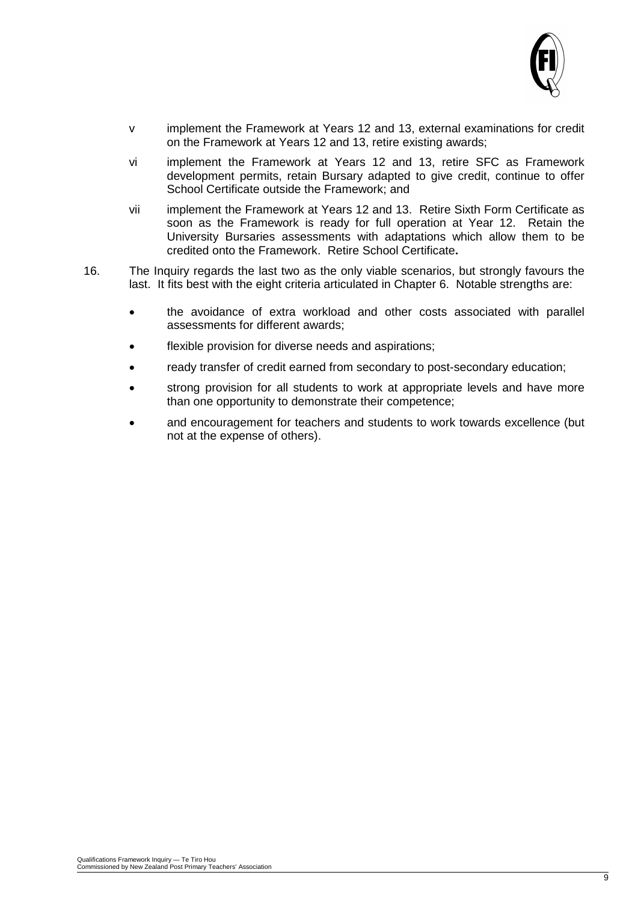

- v implement the Framework at Years 12 and 13, external examinations for credit on the Framework at Years 12 and 13, retire existing awards;
- vi implement the Framework at Years 12 and 13, retire SFC as Framework development permits, retain Bursary adapted to give credit, continue to offer School Certificate outside the Framework; and
- vii implement the Framework at Years 12 and 13. Retire Sixth Form Certificate as soon as the Framework is ready for full operation at Year 12. Retain the University Bursaries assessments with adaptations which allow them to be credited onto the Framework. Retire School Certificate**.**
- 16. The Inquiry regards the last two as the only viable scenarios, but strongly favours the last. It fits best with the eight criteria articulated in Chapter 6. Notable strengths are:
	- the avoidance of extra workload and other costs associated with parallel assessments for different awards;
	- flexible provision for diverse needs and aspirations;
	- ready transfer of credit earned from secondary to post-secondary education;
	- strong provision for all students to work at appropriate levels and have more than one opportunity to demonstrate their competence;
	- and encouragement for teachers and students to work towards excellence (but not at the expense of others).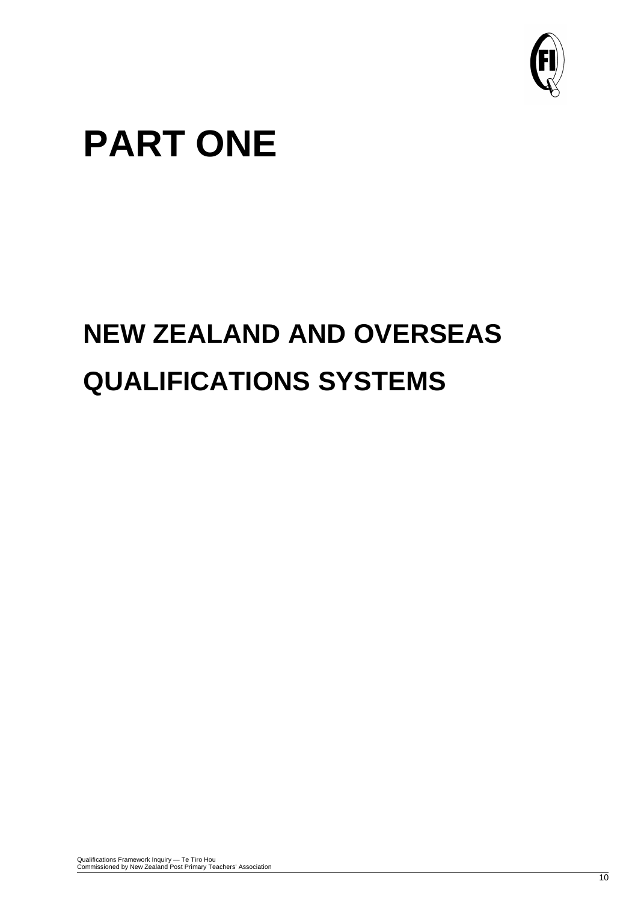

# **PART ONE**

# **NEW ZEALAND AND OVERSEAS QUALIFICATIONS SYSTEMS**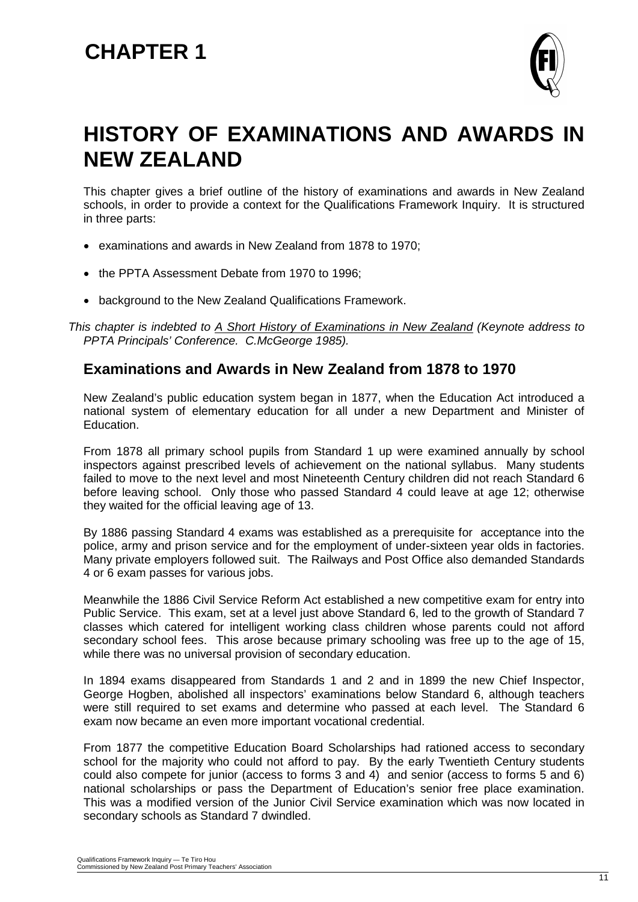

# **HISTORY OF EXAMINATIONS AND AWARDS IN NEW ZEALAND**

This chapter gives a brief outline of the history of examinations and awards in New Zealand schools, in order to provide a context for the Qualifications Framework Inquiry. It is structured in three parts:

- examinations and awards in New Zealand from 1878 to 1970;
- the PPTA Assessment Debate from 1970 to 1996;
- background to the New Zealand Qualifications Framework.

*This chapter is indebted to A Short History of Examinations in New Zealand (Keynote address to PPTA Principals' Conference. C.McGeorge 1985).*

### **Examinations and Awards in New Zealand from 1878 to 1970**

New Zealand's public education system began in 1877, when the Education Act introduced a national system of elementary education for all under a new Department and Minister of Education.

From 1878 all primary school pupils from Standard 1 up were examined annually by school inspectors against prescribed levels of achievement on the national syllabus. Many students failed to move to the next level and most Nineteenth Century children did not reach Standard 6 before leaving school. Only those who passed Standard 4 could leave at age 12; otherwise they waited for the official leaving age of 13.

By 1886 passing Standard 4 exams was established as a prerequisite for acceptance into the police, army and prison service and for the employment of under-sixteen year olds in factories. Many private employers followed suit. The Railways and Post Office also demanded Standards 4 or 6 exam passes for various jobs.

Meanwhile the 1886 Civil Service Reform Act established a new competitive exam for entry into Public Service. This exam, set at a level just above Standard 6, led to the growth of Standard 7 classes which catered for intelligent working class children whose parents could not afford secondary school fees. This arose because primary schooling was free up to the age of 15, while there was no universal provision of secondary education.

In 1894 exams disappeared from Standards 1 and 2 and in 1899 the new Chief Inspector, George Hogben, abolished all inspectors' examinations below Standard 6, although teachers were still required to set exams and determine who passed at each level. The Standard 6 exam now became an even more important vocational credential.

From 1877 the competitive Education Board Scholarships had rationed access to secondary school for the majority who could not afford to pay. By the early Twentieth Century students could also compete for junior (access to forms 3 and 4) and senior (access to forms 5 and 6) national scholarships or pass the Department of Education's senior free place examination. This was a modified version of the Junior Civil Service examination which was now located in secondary schools as Standard 7 dwindled.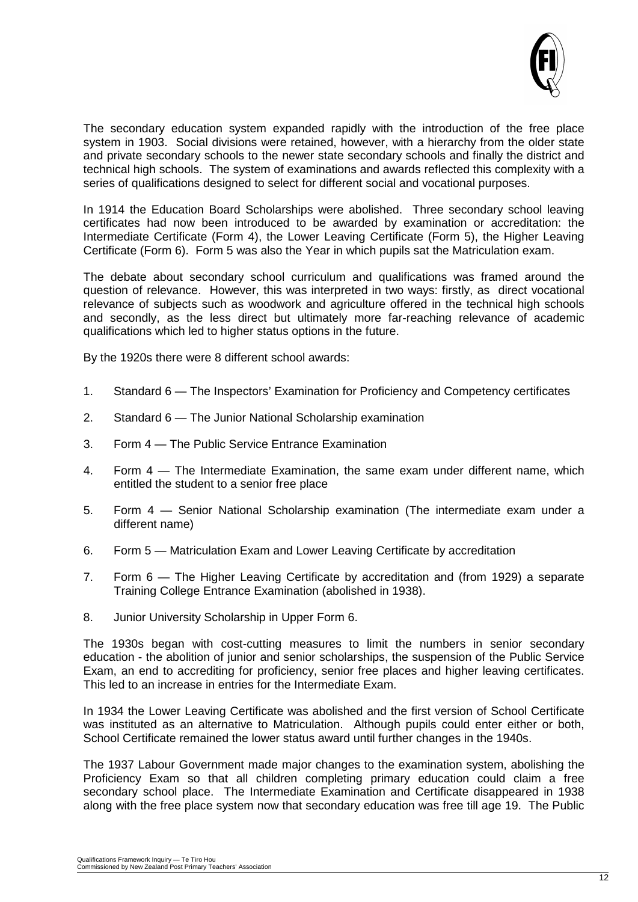

The secondary education system expanded rapidly with the introduction of the free place system in 1903. Social divisions were retained, however, with a hierarchy from the older state and private secondary schools to the newer state secondary schools and finally the district and technical high schools. The system of examinations and awards reflected this complexity with a series of qualifications designed to select for different social and vocational purposes.

In 1914 the Education Board Scholarships were abolished. Three secondary school leaving certificates had now been introduced to be awarded by examination or accreditation: the Intermediate Certificate (Form 4), the Lower Leaving Certificate (Form 5), the Higher Leaving Certificate (Form 6). Form 5 was also the Year in which pupils sat the Matriculation exam.

The debate about secondary school curriculum and qualifications was framed around the question of relevance. However, this was interpreted in two ways: firstly, as direct vocational relevance of subjects such as woodwork and agriculture offered in the technical high schools and secondly, as the less direct but ultimately more far-reaching relevance of academic qualifications which led to higher status options in the future.

By the 1920s there were 8 different school awards:

- 1. Standard 6 The Inspectors' Examination for Proficiency and Competency certificates
- 2. Standard 6 The Junior National Scholarship examination
- 3. Form 4 The Public Service Entrance Examination
- 4. Form 4 The Intermediate Examination, the same exam under different name, which entitled the student to a senior free place
- 5. Form 4 Senior National Scholarship examination (The intermediate exam under a different name)
- 6. Form 5 Matriculation Exam and Lower Leaving Certificate by accreditation
- 7. Form 6 The Higher Leaving Certificate by accreditation and (from 1929) a separate Training College Entrance Examination (abolished in 1938).
- 8. Junior University Scholarship in Upper Form 6.

The 1930s began with cost-cutting measures to limit the numbers in senior secondary education - the abolition of junior and senior scholarships, the suspension of the Public Service Exam, an end to accrediting for proficiency, senior free places and higher leaving certificates. This led to an increase in entries for the Intermediate Exam.

In 1934 the Lower Leaving Certificate was abolished and the first version of School Certificate was instituted as an alternative to Matriculation. Although pupils could enter either or both, School Certificate remained the lower status award until further changes in the 1940s.

The 1937 Labour Government made major changes to the examination system, abolishing the Proficiency Exam so that all children completing primary education could claim a free secondary school place. The Intermediate Examination and Certificate disappeared in 1938 along with the free place system now that secondary education was free till age 19. The Public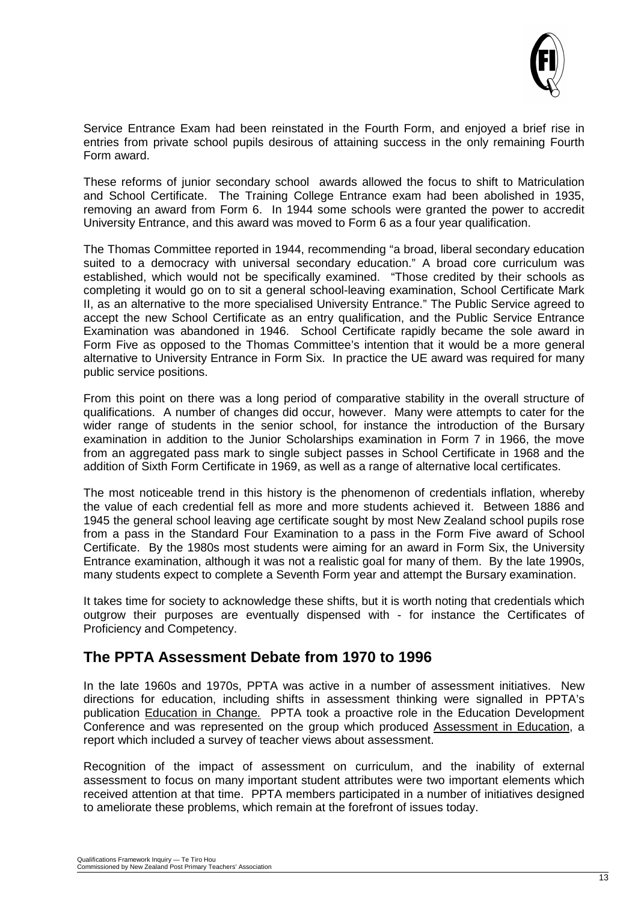

Service Entrance Exam had been reinstated in the Fourth Form, and enjoyed a brief rise in entries from private school pupils desirous of attaining success in the only remaining Fourth Form award.

These reforms of junior secondary school awards allowed the focus to shift to Matriculation and School Certificate. The Training College Entrance exam had been abolished in 1935, removing an award from Form 6. In 1944 some schools were granted the power to accredit University Entrance, and this award was moved to Form 6 as a four year qualification.

The Thomas Committee reported in 1944, recommending "a broad, liberal secondary education suited to a democracy with universal secondary education." A broad core curriculum was established, which would not be specifically examined. "Those credited by their schools as completing it would go on to sit a general school-leaving examination, School Certificate Mark II, as an alternative to the more specialised University Entrance." The Public Service agreed to accept the new School Certificate as an entry qualification, and the Public Service Entrance Examination was abandoned in 1946. School Certificate rapidly became the sole award in Form Five as opposed to the Thomas Committee's intention that it would be a more general alternative to University Entrance in Form Six. In practice the UE award was required for many public service positions.

From this point on there was a long period of comparative stability in the overall structure of qualifications. A number of changes did occur, however. Many were attempts to cater for the wider range of students in the senior school, for instance the introduction of the Bursary examination in addition to the Junior Scholarships examination in Form 7 in 1966, the move from an aggregated pass mark to single subject passes in School Certificate in 1968 and the addition of Sixth Form Certificate in 1969, as well as a range of alternative local certificates.

The most noticeable trend in this history is the phenomenon of credentials inflation, whereby the value of each credential fell as more and more students achieved it. Between 1886 and 1945 the general school leaving age certificate sought by most New Zealand school pupils rose from a pass in the Standard Four Examination to a pass in the Form Five award of School Certificate. By the 1980s most students were aiming for an award in Form Six, the University Entrance examination, although it was not a realistic goal for many of them. By the late 1990s, many students expect to complete a Seventh Form year and attempt the Bursary examination.

It takes time for society to acknowledge these shifts, but it is worth noting that credentials which outgrow their purposes are eventually dispensed with - for instance the Certificates of Proficiency and Competency.

## **The PPTA Assessment Debate from 1970 to 1996**

In the late 1960s and 1970s, PPTA was active in a number of assessment initiatives. New directions for education, including shifts in assessment thinking were signalled in PPTA's publication Education in Change*.* PPTA took a proactive role in the Education Development Conference and was represented on the group which produced Assessment in Education, a report which included a survey of teacher views about assessment.

Recognition of the impact of assessment on curriculum, and the inability of external assessment to focus on many important student attributes were two important elements which received attention at that time. PPTA members participated in a number of initiatives designed to ameliorate these problems, which remain at the forefront of issues today.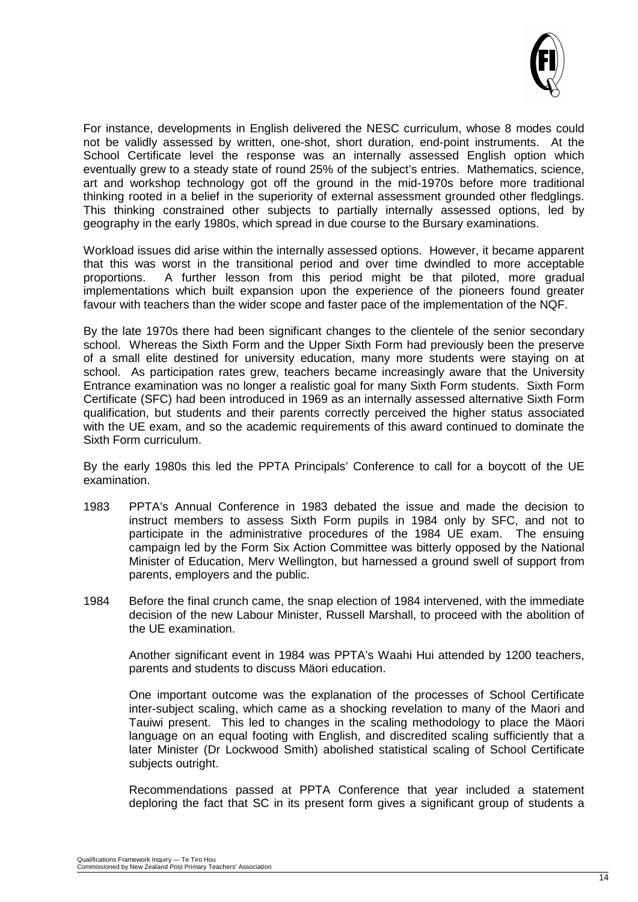

For instance, developments in English delivered the NESC curriculum, whose 8 modes could not be validly assessed by written, one-shot, short duration, end-point instruments. At the School Certificate level the response was an internally assessed English option which eventually grew to a steady state of round 25% of the subject's entries. Mathematics, science, art and workshop technology got off the ground in the mid-1970s before more traditional thinking rooted in a belief in the superiority of external assessment grounded other fledglings. This thinking constrained other subjects to partially internally assessed options, led by geography in the early 1980s, which spread in due course to the Bursary examinations.

Workload issues did arise within the internally assessed options. However, it became apparent that this was worst in the transitional period and over time dwindled to more acceptable proportions. A further lesson from this period might be that piloted, more gradual implementations which built expansion upon the experience of the pioneers found greater favour with teachers than the wider scope and faster pace of the implementation of the NQF.

By the late 1970s there had been significant changes to the clientele of the senior secondary school. Whereas the Sixth Form and the Upper Sixth Form had previously been the preserve of a small elite destined for university education, many more students were staying on at school. As participation rates grew, teachers became increasingly aware that the University Entrance examination was no longer a realistic goal for many Sixth Form students. Sixth Form Certificate (SFC) had been introduced in 1969 as an internally assessed alternative Sixth Form qualification, but students and their parents correctly perceived the higher status associated with the UE exam, and so the academic requirements of this award continued to dominate the Sixth Form curriculum.

By the early 1980s this led the PPTA Principals' Conference to call for a boycott of the UE examination.

- 1983 PPTA's Annual Conference in 1983 debated the issue and made the decision to instruct members to assess Sixth Form pupils in 1984 only by SFC, and not to participate in the administrative procedures of the 1984 UE exam. The ensuing campaign led by the Form Six Action Committee was bitterly opposed by the National Minister of Education, Merv Wellington, but harnessed a ground swell of support from parents, employers and the public.
- 1984 Before the final crunch came, the snap election of 1984 intervened, with the immediate decision of the new Labour Minister, Russell Marshall, to proceed with the abolition of the UE examination.

Another significant event in 1984 was PPTA's Waahi Hui attended by 1200 teachers, parents and students to discuss Mäori education.

One important outcome was the explanation of the processes of School Certificate inter-subject scaling, which came as a shocking revelation to many of the Maori and Tauiwi present. This led to changes in the scaling methodology to place the Mäori language on an equal footing with English, and discredited scaling sufficiently that a later Minister (Dr Lockwood Smith) abolished statistical scaling of School Certificate subjects outright.

Recommendations passed at PPTA Conference that year included a statement deploring the fact that SC in its present form gives a significant group of students a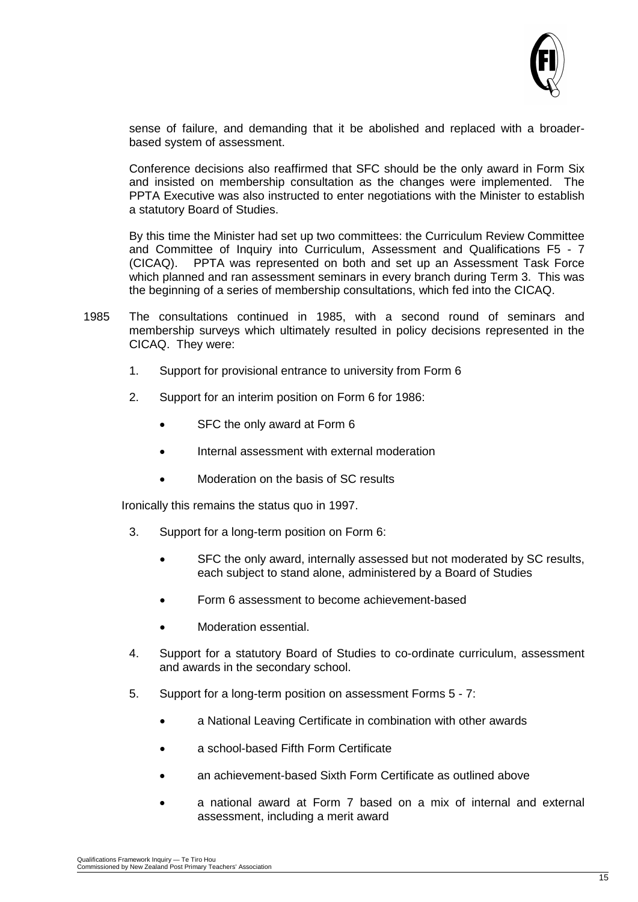

sense of failure, and demanding that it be abolished and replaced with a broaderbased system of assessment.

Conference decisions also reaffirmed that SFC should be the only award in Form Six and insisted on membership consultation as the changes were implemented. The PPTA Executive was also instructed to enter negotiations with the Minister to establish a statutory Board of Studies.

By this time the Minister had set up two committees: the Curriculum Review Committee and Committee of Inquiry into Curriculum, Assessment and Qualifications F5 - 7 (CICAQ). PPTA was represented on both and set up an Assessment Task Force which planned and ran assessment seminars in every branch during Term 3. This was the beginning of a series of membership consultations, which fed into the CICAQ.

- 1985 The consultations continued in 1985, with a second round of seminars and membership surveys which ultimately resulted in policy decisions represented in the CICAQ. They were:
	- 1. Support for provisional entrance to university from Form 6
	- 2. Support for an interim position on Form 6 for 1986:
		- SFC the only award at Form 6
		- Internal assessment with external moderation
		- Moderation on the basis of SC results

Ironically this remains the status quo in 1997.

- 3. Support for a long-term position on Form 6:
	- SFC the only award, internally assessed but not moderated by SC results, each subject to stand alone, administered by a Board of Studies
	- Form 6 assessment to become achievement-based
	- Moderation essential.
- 4. Support for a statutory Board of Studies to co-ordinate curriculum, assessment and awards in the secondary school.
- 5. Support for a long-term position on assessment Forms 5 7:
	- a National Leaving Certificate in combination with other awards
	- a school-based Fifth Form Certificate
	- an achievement-based Sixth Form Certificate as outlined above
	- a national award at Form 7 based on a mix of internal and external assessment, including a merit award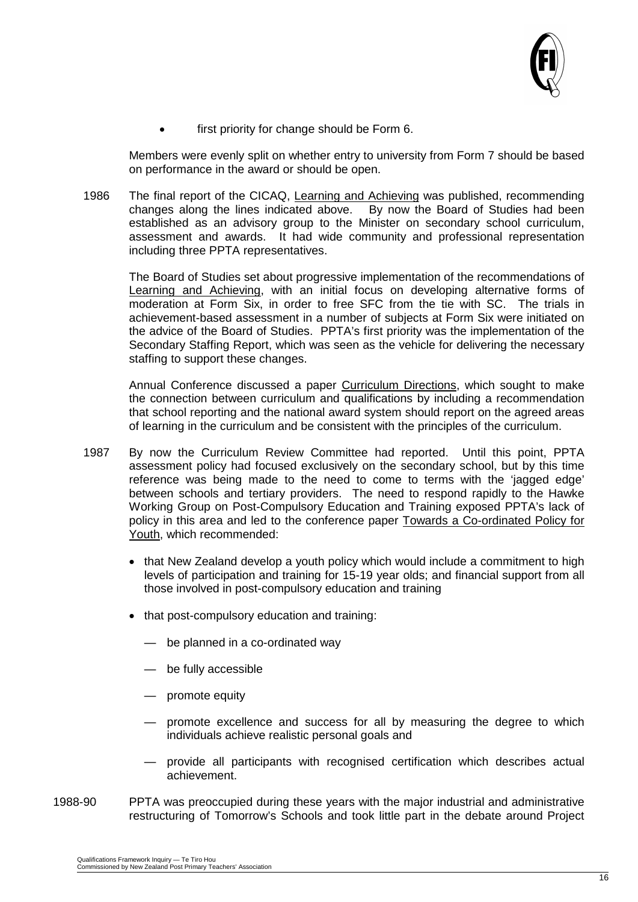

first priority for change should be Form 6.

Members were evenly split on whether entry to university from Form 7 should be based on performance in the award or should be open.

1986 The final report of the CICAQ, Learning and Achieving was published, recommending changes along the lines indicated above. By now the Board of Studies had been established as an advisory group to the Minister on secondary school curriculum, assessment and awards. It had wide community and professional representation including three PPTA representatives.

The Board of Studies set about progressive implementation of the recommendations of Learning and Achieving, with an initial focus on developing alternative forms of moderation at Form Six, in order to free SFC from the tie with SC. The trials in achievement-based assessment in a number of subjects at Form Six were initiated on the advice of the Board of Studies. PPTA's first priority was the implementation of the Secondary Staffing Report, which was seen as the vehicle for delivering the necessary staffing to support these changes.

Annual Conference discussed a paper Curriculum Directions, which sought to make the connection between curriculum and qualifications by including a recommendation that school reporting and the national award system should report on the agreed areas of learning in the curriculum and be consistent with the principles of the curriculum.

- 1987 By now the Curriculum Review Committee had reported. Until this point, PPTA assessment policy had focused exclusively on the secondary school, but by this time reference was being made to the need to come to terms with the 'jagged edge' between schools and tertiary providers. The need to respond rapidly to the Hawke Working Group on Post-Compulsory Education and Training exposed PPTA's lack of policy in this area and led to the conference paper Towards a Co-ordinated Policy for Youth, which recommended:
	- that New Zealand develop a youth policy which would include a commitment to high levels of participation and training for 15-19 year olds; and financial support from all those involved in post-compulsory education and training
	- that post-compulsory education and training:
		- be planned in a co-ordinated way
		- be fully accessible
		- promote equity
		- promote excellence and success for all by measuring the degree to which individuals achieve realistic personal goals and
		- provide all participants with recognised certification which describes actual achievement.
- 1988-90 PPTA was preoccupied during these years with the major industrial and administrative restructuring of Tomorrow's Schools and took little part in the debate around Project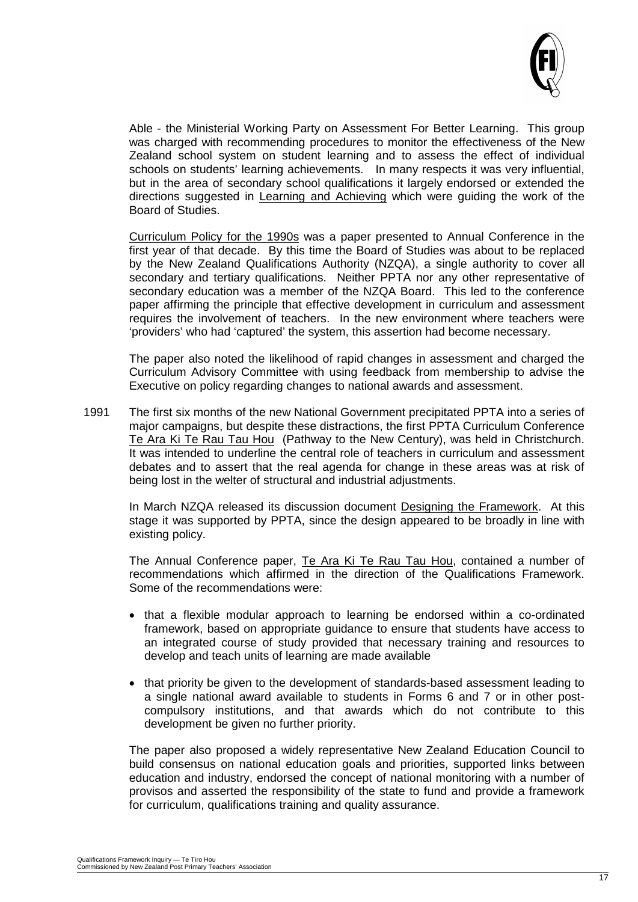

Able - the Ministerial Working Party on Assessment For Better Learning. This group was charged with recommending procedures to monitor the effectiveness of the New Zealand school system on student learning and to assess the effect of individual schools on students' learning achievements. In many respects it was very influential, but in the area of secondary school qualifications it largely endorsed or extended the directions suggested in Learning and Achieving which were guiding the work of the Board of Studies.

Curriculum Policy for the 1990s was a paper presented to Annual Conference in the first year of that decade. By this time the Board of Studies was about to be replaced by the New Zealand Qualifications Authority (NZQA), a single authority to cover all secondary and tertiary qualifications. Neither PPTA nor any other representative of secondary education was a member of the NZQA Board. This led to the conference paper affirming the principle that effective development in curriculum and assessment requires the involvement of teachers. In the new environment where teachers were 'providers' who had 'captured' the system, this assertion had become necessary.

The paper also noted the likelihood of rapid changes in assessment and charged the Curriculum Advisory Committee with using feedback from membership to advise the Executive on policy regarding changes to national awards and assessment.

1991 The first six months of the new National Government precipitated PPTA into a series of major campaigns, but despite these distractions, the first PPTA Curriculum Conference Te Ara Ki Te Rau Tau Hou (Pathway to the New Century), was held in Christchurch. It was intended to underline the central role of teachers in curriculum and assessment debates and to assert that the real agenda for change in these areas was at risk of being lost in the welter of structural and industrial adjustments.

In March NZQA released its discussion document Designing the Framework. At this stage it was supported by PPTA, since the design appeared to be broadly in line with existing policy.

The Annual Conference paper, Te Ara Ki Te Rau Tau Hou, contained a number of recommendations which affirmed in the direction of the Qualifications Framework. Some of the recommendations were:

- that a flexible modular approach to learning be endorsed within a co-ordinated framework, based on appropriate guidance to ensure that students have access to an integrated course of study provided that necessary training and resources to develop and teach units of learning are made available
- that priority be given to the development of standards-based assessment leading to a single national award available to students in Forms 6 and 7 or in other postcompulsory institutions, and that awards which do not contribute to this development be given no further priority.

The paper also proposed a widely representative New Zealand Education Council to build consensus on national education goals and priorities, supported links between education and industry, endorsed the concept of national monitoring with a number of provisos and asserted the responsibility of the state to fund and provide a framework for curriculum, qualifications training and quality assurance.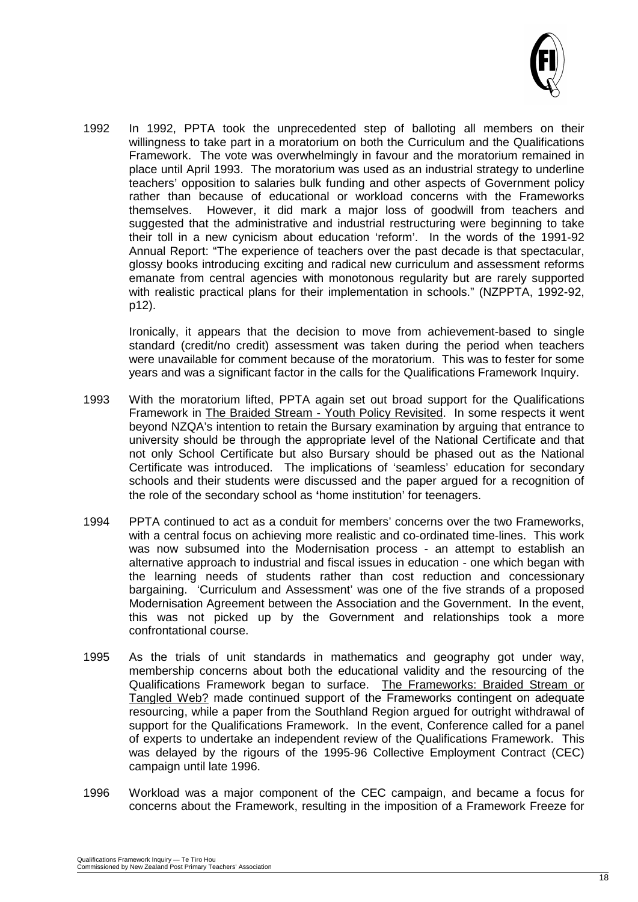

1992 In 1992, PPTA took the unprecedented step of balloting all members on their willingness to take part in a moratorium on both the Curriculum and the Qualifications Framework. The vote was overwhelmingly in favour and the moratorium remained in place until April 1993. The moratorium was used as an industrial strategy to underline teachers' opposition to salaries bulk funding and other aspects of Government policy rather than because of educational or workload concerns with the Frameworks themselves. However, it did mark a major loss of goodwill from teachers and suggested that the administrative and industrial restructuring were beginning to take their toll in a new cynicism about education 'reform'. In the words of the 1991-92 Annual Report: "The experience of teachers over the past decade is that spectacular, glossy books introducing exciting and radical new curriculum and assessment reforms emanate from central agencies with monotonous regularity but are rarely supported with realistic practical plans for their implementation in schools." (NZPPTA, 1992-92, p12).

Ironically, it appears that the decision to move from achievement-based to single standard (credit/no credit) assessment was taken during the period when teachers were unavailable for comment because of the moratorium. This was to fester for some years and was a significant factor in the calls for the Qualifications Framework Inquiry.

- 1993 With the moratorium lifted, PPTA again set out broad support for the Qualifications Framework in The Braided Stream - Youth Policy Revisited. In some respects it went beyond NZQA's intention to retain the Bursary examination by arguing that entrance to university should be through the appropriate level of the National Certificate and that not only School Certificate but also Bursary should be phased out as the National Certificate was introduced. The implications of 'seamless' education for secondary schools and their students were discussed and the paper argued for a recognition of the role of the secondary school as **'**home institution' for teenagers.
- 1994 PPTA continued to act as a conduit for members' concerns over the two Frameworks, with a central focus on achieving more realistic and co-ordinated time-lines. This work was now subsumed into the Modernisation process - an attempt to establish an alternative approach to industrial and fiscal issues in education - one which began with the learning needs of students rather than cost reduction and concessionary bargaining. 'Curriculum and Assessment' was one of the five strands of a proposed Modernisation Agreement between the Association and the Government. In the event, this was not picked up by the Government and relationships took a more confrontational course.
- 1995 As the trials of unit standards in mathematics and geography got under way, membership concerns about both the educational validity and the resourcing of the Qualifications Framework began to surface. The Frameworks: Braided Stream or Tangled Web? made continued support of the Frameworks contingent on adequate resourcing, while a paper from the Southland Region argued for outright withdrawal of support for the Qualifications Framework. In the event, Conference called for a panel of experts to undertake an independent review of the Qualifications Framework. This was delayed by the rigours of the 1995-96 Collective Employment Contract (CEC) campaign until late 1996.
- 1996 Workload was a major component of the CEC campaign, and became a focus for concerns about the Framework, resulting in the imposition of a Framework Freeze for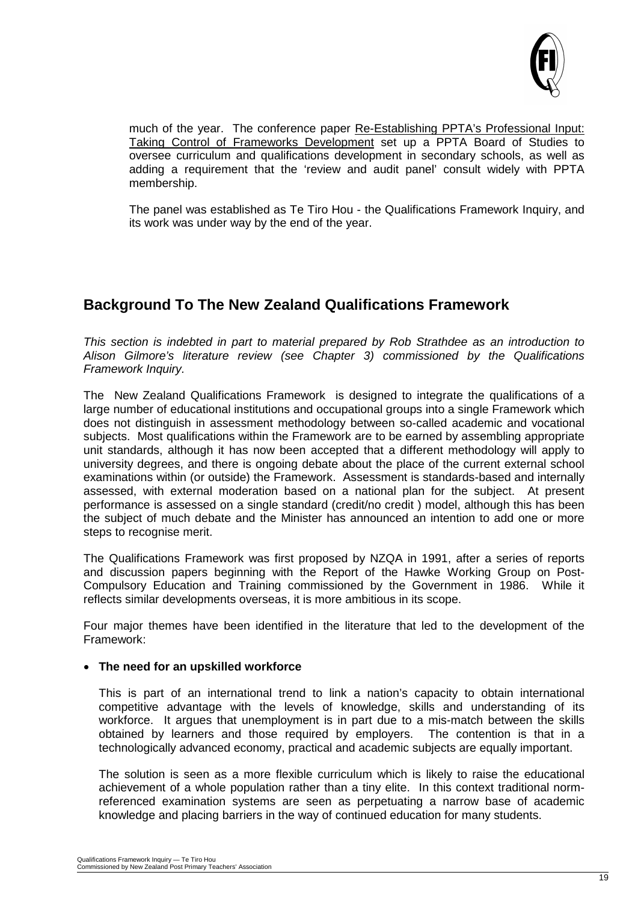

much of the year. The conference paper Re-Establishing PPTA's Professional Input: Taking Control of Frameworks Development set up a PPTA Board of Studies to oversee curriculum and qualifications development in secondary schools, as well as adding a requirement that the 'review and audit panel' consult widely with PPTA membership.

The panel was established as Te Tiro Hou - the Qualifications Framework Inquiry, and its work was under way by the end of the year.

# **Background To The New Zealand Qualifications Framework**

*This section is indebted in part to material prepared by Rob Strathdee as an introduction to Alison Gilmore's literature review (see Chapter 3) commissioned by the Qualifications Framework Inquiry.*

The New Zealand Qualifications Framework is designed to integrate the qualifications of a large number of educational institutions and occupational groups into a single Framework which does not distinguish in assessment methodology between so-called academic and vocational subjects. Most qualifications within the Framework are to be earned by assembling appropriate unit standards, although it has now been accepted that a different methodology will apply to university degrees, and there is ongoing debate about the place of the current external school examinations within (or outside) the Framework. Assessment is standards-based and internally assessed, with external moderation based on a national plan for the subject. At present performance is assessed on a single standard (credit/no credit ) model, although this has been the subject of much debate and the Minister has announced an intention to add one or more steps to recognise merit.

The Qualifications Framework was first proposed by NZQA in 1991, after a series of reports and discussion papers beginning with the Report of the Hawke Working Group on Post-Compulsory Education and Training commissioned by the Government in 1986. While it reflects similar developments overseas, it is more ambitious in its scope.

Four major themes have been identified in the literature that led to the development of the Framework:

#### • **The need for an upskilled workforce**

This is part of an international trend to link a nation's capacity to obtain international competitive advantage with the levels of knowledge, skills and understanding of its workforce. It argues that unemployment is in part due to a mis-match between the skills obtained by learners and those required by employers. The contention is that in a technologically advanced economy, practical and academic subjects are equally important.

The solution is seen as a more flexible curriculum which is likely to raise the educational achievement of a whole population rather than a tiny elite. In this context traditional normreferenced examination systems are seen as perpetuating a narrow base of academic knowledge and placing barriers in the way of continued education for many students.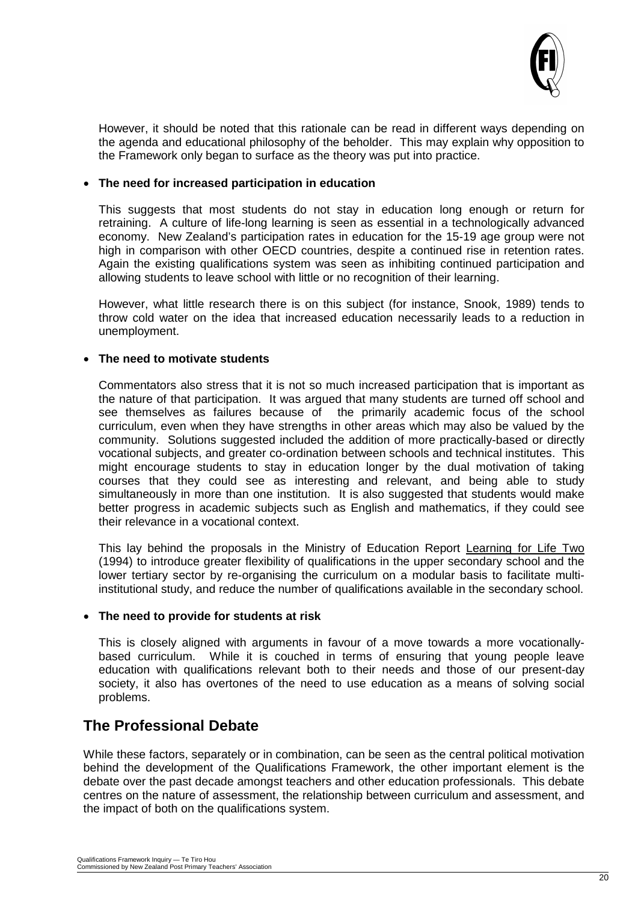

However, it should be noted that this rationale can be read in different ways depending on the agenda and educational philosophy of the beholder. This may explain why opposition to the Framework only began to surface as the theory was put into practice.

#### • **The need for increased participation in education**

This suggests that most students do not stay in education long enough or return for retraining. A culture of life-long learning is seen as essential in a technologically advanced economy. New Zealand's participation rates in education for the 15-19 age group were not high in comparison with other OECD countries, despite a continued rise in retention rates. Again the existing qualifications system was seen as inhibiting continued participation and allowing students to leave school with little or no recognition of their learning.

However, what little research there is on this subject (for instance, Snook, 1989) tends to throw cold water on the idea that increased education necessarily leads to a reduction in unemployment.

#### • **The need to motivate students**

Commentators also stress that it is not so much increased participation that is important as the nature of that participation. It was argued that many students are turned off school and see themselves as failures because of the primarily academic focus of the school curriculum, even when they have strengths in other areas which may also be valued by the community. Solutions suggested included the addition of more practically-based or directly vocational subjects, and greater co-ordination between schools and technical institutes. This might encourage students to stay in education longer by the dual motivation of taking courses that they could see as interesting and relevant, and being able to study simultaneously in more than one institution. It is also suggested that students would make better progress in academic subjects such as English and mathematics, if they could see their relevance in a vocational context.

This lay behind the proposals in the Ministry of Education Report Learning for Life Two (1994) to introduce greater flexibility of qualifications in the upper secondary school and the lower tertiary sector by re-organising the curriculum on a modular basis to facilitate multiinstitutional study, and reduce the number of qualifications available in the secondary school.

#### • **The need to provide for students at risk**

This is closely aligned with arguments in favour of a move towards a more vocationallybased curriculum. While it is couched in terms of ensuring that young people leave education with qualifications relevant both to their needs and those of our present-day society, it also has overtones of the need to use education as a means of solving social problems.

## **The Professional Debate**

While these factors, separately or in combination, can be seen as the central political motivation behind the development of the Qualifications Framework, the other important element is the debate over the past decade amongst teachers and other education professionals. This debate centres on the nature of assessment, the relationship between curriculum and assessment, and the impact of both on the qualifications system.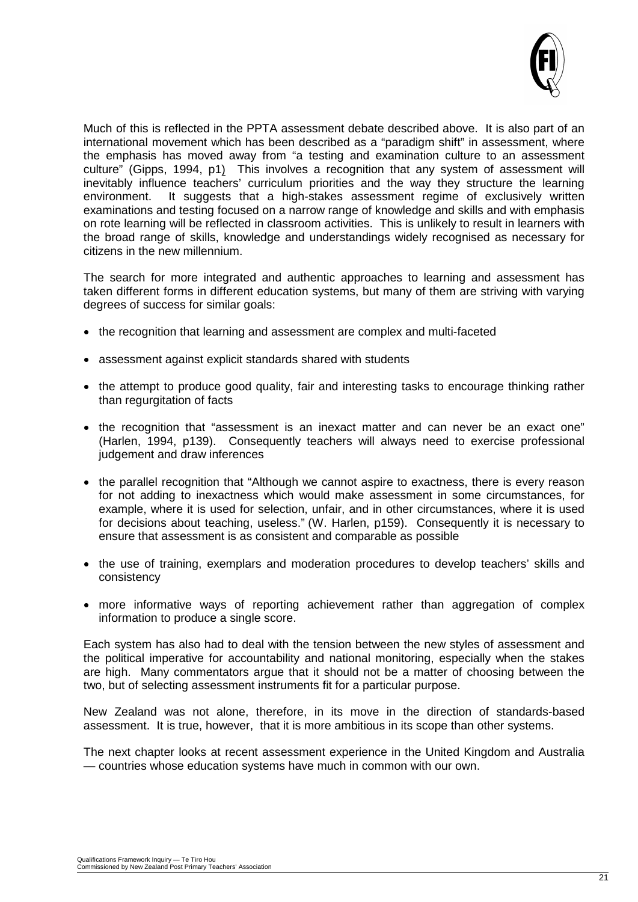

Much of this is reflected in the PPTA assessment debate described above. It is also part of an international movement which has been described as a "paradigm shift" in assessment, where the emphasis has moved away from "a testing and examination culture to an assessment culture" (Gipps, 1994, p1) This involves a recognition that any system of assessment will inevitably influence teachers' curriculum priorities and the way they structure the learning<br>environment. It suggests that a high-stakes assessment regime of exclusively written It suggests that a high-stakes assessment regime of exclusively written examinations and testing focused on a narrow range of knowledge and skills and with emphasis on rote learning will be reflected in classroom activities. This is unlikely to result in learners with the broad range of skills, knowledge and understandings widely recognised as necessary for citizens in the new millennium.

The search for more integrated and authentic approaches to learning and assessment has taken different forms in different education systems, but many of them are striving with varying degrees of success for similar goals:

- the recognition that learning and assessment are complex and multi-faceted
- assessment against explicit standards shared with students
- the attempt to produce good quality, fair and interesting tasks to encourage thinking rather than regurgitation of facts
- the recognition that "assessment is an inexact matter and can never be an exact one" (Harlen, 1994, p139). Consequently teachers will always need to exercise professional judgement and draw inferences
- the parallel recognition that "Although we cannot aspire to exactness, there is every reason for not adding to inexactness which would make assessment in some circumstances, for example, where it is used for selection, unfair, and in other circumstances, where it is used for decisions about teaching, useless." (W. Harlen, p159). Consequently it is necessary to ensure that assessment is as consistent and comparable as possible
- the use of training, exemplars and moderation procedures to develop teachers' skills and consistency
- more informative ways of reporting achievement rather than aggregation of complex information to produce a single score.

Each system has also had to deal with the tension between the new styles of assessment and the political imperative for accountability and national monitoring, especially when the stakes are high. Many commentators argue that it should not be a matter of choosing between the two, but of selecting assessment instruments fit for a particular purpose.

New Zealand was not alone, therefore, in its move in the direction of standards-based assessment. It is true, however, that it is more ambitious in its scope than other systems.

The next chapter looks at recent assessment experience in the United Kingdom and Australia — countries whose education systems have much in common with our own.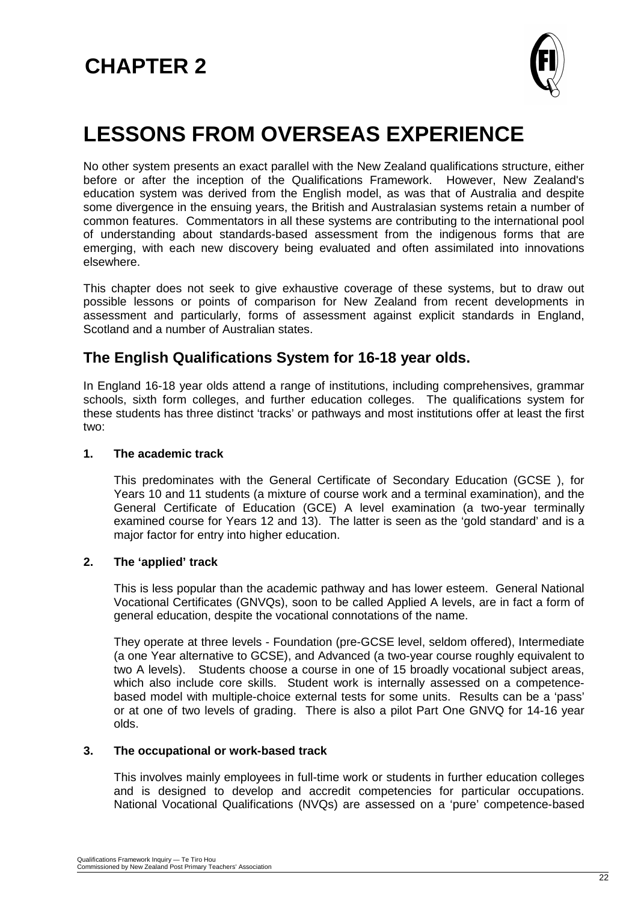

# **LESSONS FROM OVERSEAS EXPERIENCE**

No other system presents an exact parallel with the New Zealand qualifications structure, either before or after the inception of the Qualifications Framework. However, New Zealand's education system was derived from the English model, as was that of Australia and despite some divergence in the ensuing years, the British and Australasian systems retain a number of common features. Commentators in all these systems are contributing to the international pool of understanding about standards-based assessment from the indigenous forms that are emerging, with each new discovery being evaluated and often assimilated into innovations elsewhere.

This chapter does not seek to give exhaustive coverage of these systems, but to draw out possible lessons or points of comparison for New Zealand from recent developments in assessment and particularly, forms of assessment against explicit standards in England, Scotland and a number of Australian states.

## **The English Qualifications System for 16-18 year olds.**

In England 16-18 year olds attend a range of institutions, including comprehensives, grammar schools, sixth form colleges, and further education colleges. The qualifications system for these students has three distinct 'tracks' or pathways and most institutions offer at least the first two:

#### **1. The academic track**

This predominates with the General Certificate of Secondary Education (GCSE ), for Years 10 and 11 students (a mixture of course work and a terminal examination), and the General Certificate of Education (GCE) A level examination (a two-year terminally examined course for Years 12 and 13). The latter is seen as the 'gold standard' and is a major factor for entry into higher education.

#### **2. The 'applied' track**

This is less popular than the academic pathway and has lower esteem. General National Vocational Certificates (GNVQs), soon to be called Applied A levels, are in fact a form of general education, despite the vocational connotations of the name.

They operate at three levels - Foundation (pre-GCSE level, seldom offered), Intermediate (a one Year alternative to GCSE), and Advanced (a two-year course roughly equivalent to two A levels). Students choose a course in one of 15 broadly vocational subject areas, which also include core skills. Student work is internally assessed on a competencebased model with multiple-choice external tests for some units. Results can be a 'pass' or at one of two levels of grading. There is also a pilot Part One GNVQ for 14-16 year olds.

#### **3. The occupational or work-based track**

This involves mainly employees in full-time work or students in further education colleges and is designed to develop and accredit competencies for particular occupations. National Vocational Qualifications (NVQs) are assessed on a 'pure' competence-based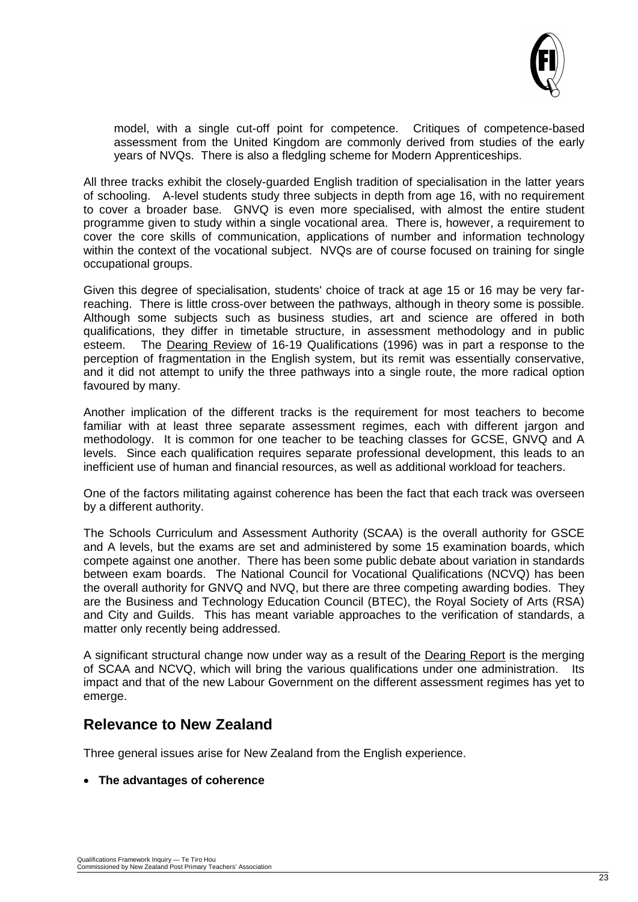

model, with a single cut-off point for competence. Critiques of competence-based assessment from the United Kingdom are commonly derived from studies of the early years of NVQs. There is also a fledgling scheme for Modern Apprenticeships.

All three tracks exhibit the closely-guarded English tradition of specialisation in the latter years of schooling. A-level students study three subjects in depth from age 16, with no requirement to cover a broader base. GNVQ is even more specialised, with almost the entire student programme given to study within a single vocational area. There is, however, a requirement to cover the core skills of communication, applications of number and information technology within the context of the vocational subject. NVQs are of course focused on training for single occupational groups.

Given this degree of specialisation, students' choice of track at age 15 or 16 may be very farreaching. There is little cross-over between the pathways, although in theory some is possible. Although some subjects such as business studies, art and science are offered in both qualifications, they differ in timetable structure, in assessment methodology and in public esteem. The Dearing Review of 16-19 Qualifications (1996) was in part a response to the perception of fragmentation in the English system, but its remit was essentially conservative, and it did not attempt to unify the three pathways into a single route, the more radical option favoured by many.

Another implication of the different tracks is the requirement for most teachers to become familiar with at least three separate assessment regimes, each with different jargon and methodology. It is common for one teacher to be teaching classes for GCSE, GNVQ and A levels. Since each qualification requires separate professional development, this leads to an inefficient use of human and financial resources, as well as additional workload for teachers.

One of the factors militating against coherence has been the fact that each track was overseen by a different authority.

The Schools Curriculum and Assessment Authority (SCAA) is the overall authority for GSCE and A levels, but the exams are set and administered by some 15 examination boards, which compete against one another. There has been some public debate about variation in standards between exam boards. The National Council for Vocational Qualifications (NCVQ) has been the overall authority for GNVQ and NVQ, but there are three competing awarding bodies. They are the Business and Technology Education Council (BTEC), the Royal Society of Arts (RSA) and City and Guilds. This has meant variable approaches to the verification of standards, a matter only recently being addressed.

A significant structural change now under way as a result of the Dearing Report is the merging of SCAA and NCVQ, which will bring the various qualifications under one administration. Its impact and that of the new Labour Government on the different assessment regimes has yet to emerge.

### **Relevance to New Zealand**

Three general issues arise for New Zealand from the English experience.

#### • **The advantages of coherence**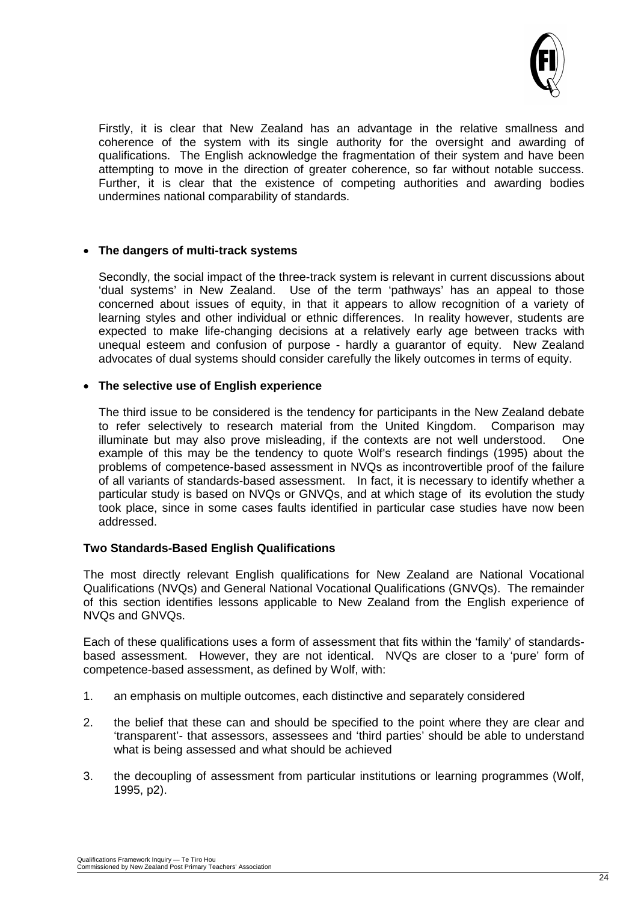

Firstly, it is clear that New Zealand has an advantage in the relative smallness and coherence of the system with its single authority for the oversight and awarding of qualifications. The English acknowledge the fragmentation of their system and have been attempting to move in the direction of greater coherence, so far without notable success. Further, it is clear that the existence of competing authorities and awarding bodies undermines national comparability of standards.

#### • **The dangers of multi-track systems**

Secondly, the social impact of the three-track system is relevant in current discussions about 'dual systems' in New Zealand. Use of the term 'pathways' has an appeal to those concerned about issues of equity, in that it appears to allow recognition of a variety of learning styles and other individual or ethnic differences. In reality however, students are expected to make life-changing decisions at a relatively early age between tracks with unequal esteem and confusion of purpose - hardly a guarantor of equity. New Zealand advocates of dual systems should consider carefully the likely outcomes in terms of equity.

#### • **The selective use of English experience**

The third issue to be considered is the tendency for participants in the New Zealand debate to refer selectively to research material from the United Kingdom. Comparison may illuminate but may also prove misleading, if the contexts are not well understood. One example of this may be the tendency to quote Wolf's research findings (1995) about the problems of competence-based assessment in NVQs as incontrovertible proof of the failure of all variants of standards-based assessment. In fact, it is necessary to identify whether a particular study is based on NVQs or GNVQs, and at which stage of its evolution the study took place, since in some cases faults identified in particular case studies have now been addressed.

#### **Two Standards-Based English Qualifications**

The most directly relevant English qualifications for New Zealand are National Vocational Qualifications (NVQs) and General National Vocational Qualifications (GNVQs). The remainder of this section identifies lessons applicable to New Zealand from the English experience of NVQs and GNVQs.

Each of these qualifications uses a form of assessment that fits within the 'family' of standardsbased assessment. However, they are not identical. NVQs are closer to a 'pure' form of competence-based assessment, as defined by Wolf, with:

- 1. an emphasis on multiple outcomes, each distinctive and separately considered
- 2. the belief that these can and should be specified to the point where they are clear and 'transparent'- that assessors, assessees and 'third parties' should be able to understand what is being assessed and what should be achieved
- 3. the decoupling of assessment from particular institutions or learning programmes (Wolf, 1995, p2).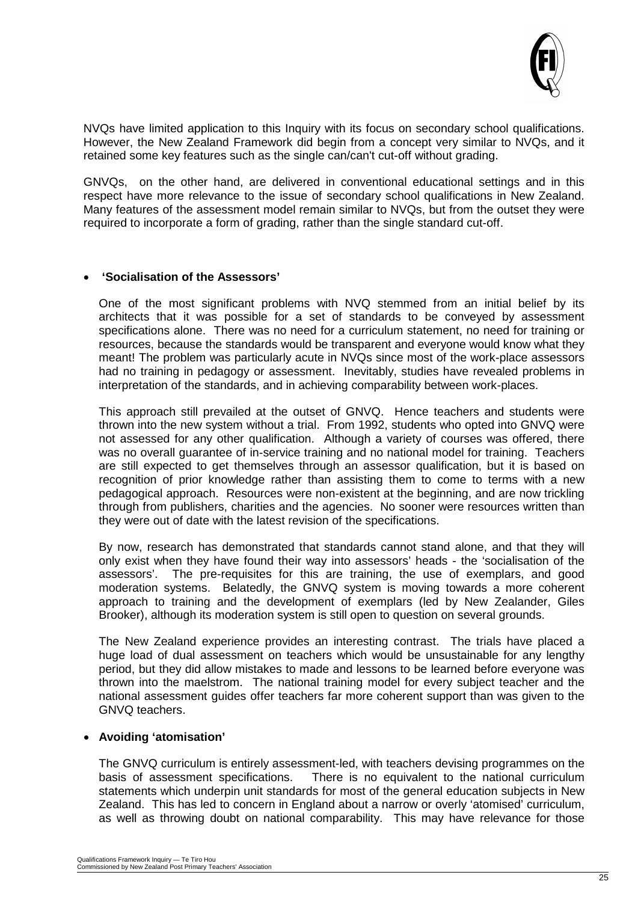

NVQs have limited application to this Inquiry with its focus on secondary school qualifications. However, the New Zealand Framework did begin from a concept very similar to NVQs, and it retained some key features such as the single can/can't cut-off without grading.

GNVQs, on the other hand, are delivered in conventional educational settings and in this respect have more relevance to the issue of secondary school qualifications in New Zealand. Many features of the assessment model remain similar to NVQs, but from the outset they were required to incorporate a form of grading, rather than the single standard cut-off.

#### • **'Socialisation of the Assessors'**

One of the most significant problems with NVQ stemmed from an initial belief by its architects that it was possible for a set of standards to be conveyed by assessment specifications alone. There was no need for a curriculum statement, no need for training or resources, because the standards would be transparent and everyone would know what they meant! The problem was particularly acute in NVQs since most of the work-place assessors had no training in pedagogy or assessment. Inevitably, studies have revealed problems in interpretation of the standards, and in achieving comparability between work-places.

This approach still prevailed at the outset of GNVQ. Hence teachers and students were thrown into the new system without a trial. From 1992, students who opted into GNVQ were not assessed for any other qualification. Although a variety of courses was offered, there was no overall guarantee of in-service training and no national model for training. Teachers are still expected to get themselves through an assessor qualification, but it is based on recognition of prior knowledge rather than assisting them to come to terms with a new pedagogical approach. Resources were non-existent at the beginning, and are now trickling through from publishers, charities and the agencies. No sooner were resources written than they were out of date with the latest revision of the specifications.

By now, research has demonstrated that standards cannot stand alone, and that they will only exist when they have found their way into assessors' heads - the 'socialisation of the assessors'. The pre-requisites for this are training, the use of exemplars, and good moderation systems. Belatedly, the GNVQ system is moving towards a more coherent approach to training and the development of exemplars (led by New Zealander, Giles Brooker), although its moderation system is still open to question on several grounds.

The New Zealand experience provides an interesting contrast. The trials have placed a huge load of dual assessment on teachers which would be unsustainable for any lengthy period, but they did allow mistakes to made and lessons to be learned before everyone was thrown into the maelstrom. The national training model for every subject teacher and the national assessment guides offer teachers far more coherent support than was given to the GNVQ teachers.

#### • **Avoiding 'atomisation'**

The GNVQ curriculum is entirely assessment-led, with teachers devising programmes on the basis of assessment specifications. There is no equivalent to the national curriculum statements which underpin unit standards for most of the general education subjects in New Zealand. This has led to concern in England about a narrow or overly 'atomised' curriculum, as well as throwing doubt on national comparability. This may have relevance for those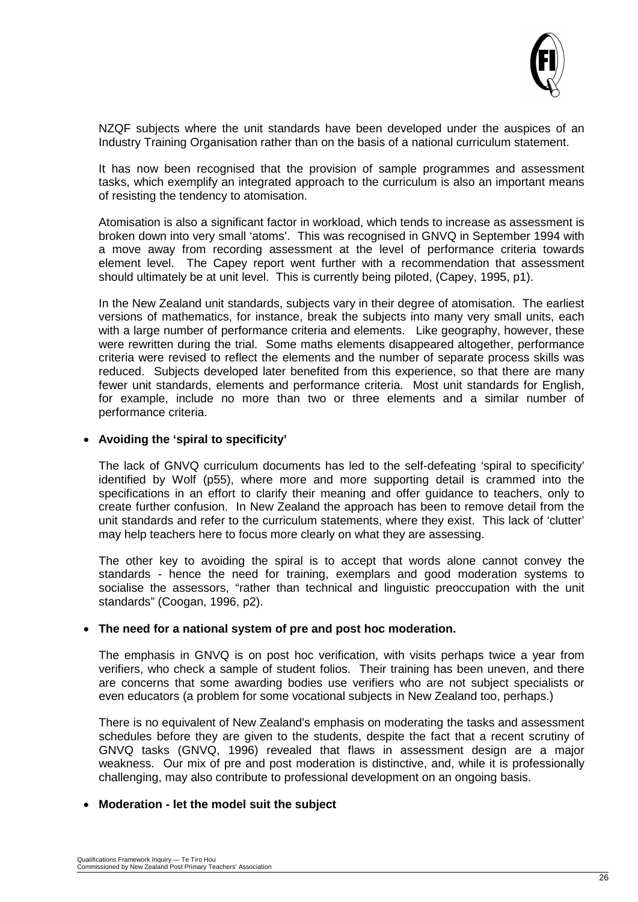

NZQF subjects where the unit standards have been developed under the auspices of an Industry Training Organisation rather than on the basis of a national curriculum statement.

It has now been recognised that the provision of sample programmes and assessment tasks, which exemplify an integrated approach to the curriculum is also an important means of resisting the tendency to atomisation.

Atomisation is also a significant factor in workload, which tends to increase as assessment is broken down into very small 'atoms'. This was recognised in GNVQ in September 1994 with a move away from recording assessment at the level of performance criteria towards element level. The Capey report went further with a recommendation that assessment should ultimately be at unit level. This is currently being piloted, (Capey, 1995, p1).

In the New Zealand unit standards, subjects vary in their degree of atomisation. The earliest versions of mathematics, for instance, break the subjects into many very small units, each with a large number of performance criteria and elements. Like geography, however, these were rewritten during the trial. Some maths elements disappeared altogether, performance criteria were revised to reflect the elements and the number of separate process skills was reduced. Subjects developed later benefited from this experience, so that there are many fewer unit standards, elements and performance criteria. Most unit standards for English, for example, include no more than two or three elements and a similar number of performance criteria.

#### • **Avoiding the 'spiral to specificity'**

The lack of GNVQ curriculum documents has led to the self-defeating 'spiral to specificity' identified by Wolf (p55), where more and more supporting detail is crammed into the specifications in an effort to clarify their meaning and offer guidance to teachers, only to create further confusion. In New Zealand the approach has been to remove detail from the unit standards and refer to the curriculum statements, where they exist. This lack of 'clutter' may help teachers here to focus more clearly on what they are assessing.

The other key to avoiding the spiral is to accept that words alone cannot convey the standards - hence the need for training, exemplars and good moderation systems to socialise the assessors, "rather than technical and linguistic preoccupation with the unit standards" (Coogan, 1996, p2).

#### • **The need for a national system of pre and post hoc moderation.**

The emphasis in GNVQ is on post hoc verification, with visits perhaps twice a year from verifiers, who check a sample of student folios. Their training has been uneven, and there are concerns that some awarding bodies use verifiers who are not subject specialists or even educators (a problem for some vocational subjects in New Zealand too, perhaps.)

There is no equivalent of New Zealand's emphasis on moderating the tasks and assessment schedules before they are given to the students, despite the fact that a recent scrutiny of GNVQ tasks (GNVQ, 1996) revealed that flaws in assessment design are a major weakness. Our mix of pre and post moderation is distinctive, and, while it is professionally challenging, may also contribute to professional development on an ongoing basis.

#### • **Moderation - let the model suit the subject**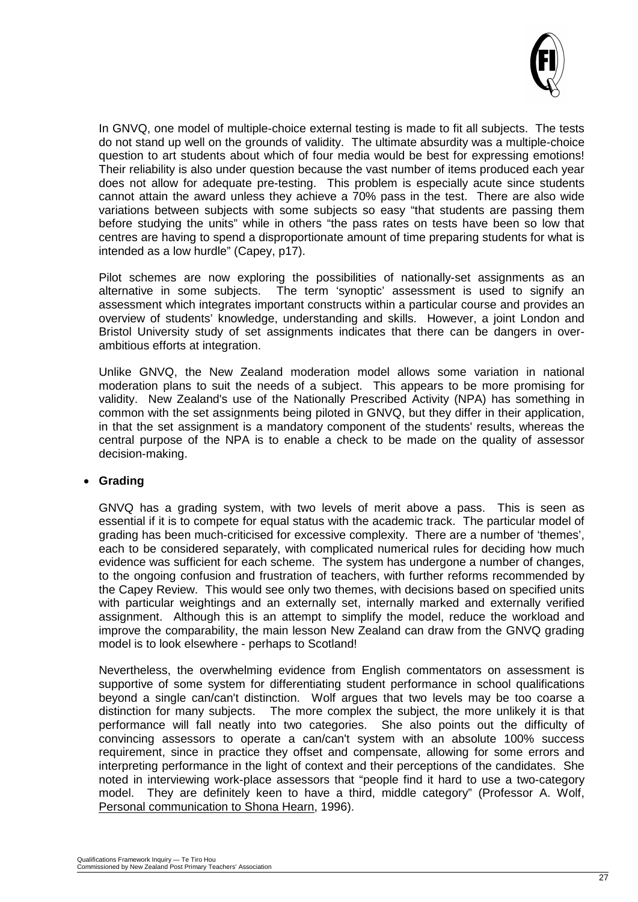

In GNVQ, one model of multiple-choice external testing is made to fit all subjects. The tests do not stand up well on the grounds of validity. The ultimate absurdity was a multiple-choice question to art students about which of four media would be best for expressing emotions! Their reliability is also under question because the vast number of items produced each year does not allow for adequate pre-testing. This problem is especially acute since students cannot attain the award unless they achieve a 70% pass in the test. There are also wide variations between subjects with some subjects so easy "that students are passing them before studying the units" while in others "the pass rates on tests have been so low that centres are having to spend a disproportionate amount of time preparing students for what is intended as a low hurdle" (Capey, p17).

Pilot schemes are now exploring the possibilities of nationally-set assignments as an alternative in some subjects. The term 'synoptic' assessment is used to signify an assessment which integrates important constructs within a particular course and provides an overview of students' knowledge, understanding and skills. However, a joint London and Bristol University study of set assignments indicates that there can be dangers in overambitious efforts at integration.

Unlike GNVQ, the New Zealand moderation model allows some variation in national moderation plans to suit the needs of a subject. This appears to be more promising for validity. New Zealand's use of the Nationally Prescribed Activity (NPA) has something in common with the set assignments being piloted in GNVQ, but they differ in their application, in that the set assignment is a mandatory component of the students' results, whereas the central purpose of the NPA is to enable a check to be made on the quality of assessor decision-making.

#### • **Grading**

GNVQ has a grading system, with two levels of merit above a pass. This is seen as essential if it is to compete for equal status with the academic track. The particular model of grading has been much-criticised for excessive complexity. There are a number of 'themes', each to be considered separately, with complicated numerical rules for deciding how much evidence was sufficient for each scheme. The system has undergone a number of changes, to the ongoing confusion and frustration of teachers, with further reforms recommended by the Capey Review. This would see only two themes, with decisions based on specified units with particular weightings and an externally set, internally marked and externally verified assignment. Although this is an attempt to simplify the model, reduce the workload and improve the comparability, the main lesson New Zealand can draw from the GNVQ grading model is to look elsewhere - perhaps to Scotland!

Nevertheless, the overwhelming evidence from English commentators on assessment is supportive of some system for differentiating student performance in school qualifications beyond a single can/can't distinction. Wolf argues that two levels may be too coarse a distinction for many subjects. The more complex the subject, the more unlikely it is that performance will fall neatly into two categories. She also points out the difficulty of convincing assessors to operate a can/can't system with an absolute 100% success requirement, since in practice they offset and compensate, allowing for some errors and interpreting performance in the light of context and their perceptions of the candidates. She noted in interviewing work-place assessors that "people find it hard to use a two-category model. They are definitely keen to have a third, middle category" (Professor A. Wolf, Personal communication to Shona Hearn, 1996).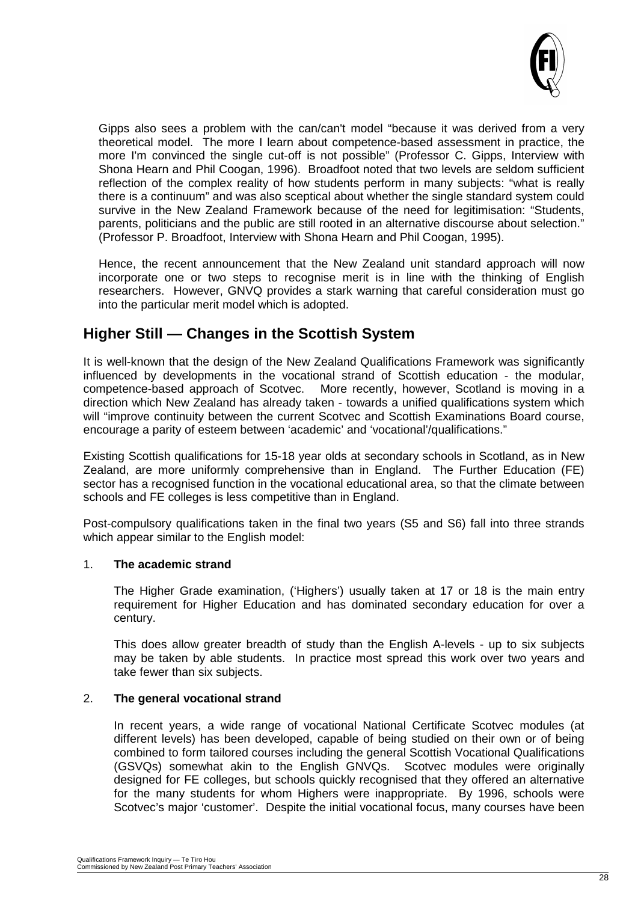

Gipps also sees a problem with the can/can't model "because it was derived from a very theoretical model. The more I learn about competence-based assessment in practice, the more I'm convinced the single cut-off is not possible" (Professor C. Gipps, Interview with Shona Hearn and Phil Coogan, 1996). Broadfoot noted that two levels are seldom sufficient reflection of the complex reality of how students perform in many subjects: "what is really there is a continuum" and was also sceptical about whether the single standard system could survive in the New Zealand Framework because of the need for legitimisation: "Students, parents, politicians and the public are still rooted in an alternative discourse about selection." (Professor P. Broadfoot, Interview with Shona Hearn and Phil Coogan, 1995).

Hence, the recent announcement that the New Zealand unit standard approach will now incorporate one or two steps to recognise merit is in line with the thinking of English researchers. However, GNVQ provides a stark warning that careful consideration must go into the particular merit model which is adopted.

# **Higher Still — Changes in the Scottish System**

It is well-known that the design of the New Zealand Qualifications Framework was significantly influenced by developments in the vocational strand of Scottish education - the modular, competence-based approach of Scotvec. More recently, however, Scotland is moving in a direction which New Zealand has already taken - towards a unified qualifications system which will "improve continuity between the current Scotvec and Scottish Examinations Board course, encourage a parity of esteem between 'academic' and 'vocational'/qualifications."

Existing Scottish qualifications for 15-18 year olds at secondary schools in Scotland, as in New Zealand, are more uniformly comprehensive than in England. The Further Education (FE) sector has a recognised function in the vocational educational area, so that the climate between schools and FE colleges is less competitive than in England.

Post-compulsory qualifications taken in the final two years (S5 and S6) fall into three strands which appear similar to the English model:

#### 1. **The academic strand**

The Higher Grade examination, ('Highers') usually taken at 17 or 18 is the main entry requirement for Higher Education and has dominated secondary education for over a century.

This does allow greater breadth of study than the English A-levels - up to six subjects may be taken by able students. In practice most spread this work over two years and take fewer than six subjects.

#### 2. **The general vocational strand**

In recent years, a wide range of vocational National Certificate Scotvec modules (at different levels) has been developed, capable of being studied on their own or of being combined to form tailored courses including the general Scottish Vocational Qualifications (GSVQs) somewhat akin to the English GNVQs. Scotvec modules were originally designed for FE colleges, but schools quickly recognised that they offered an alternative for the many students for whom Highers were inappropriate. By 1996, schools were Scotvec's major 'customer'. Despite the initial vocational focus, many courses have been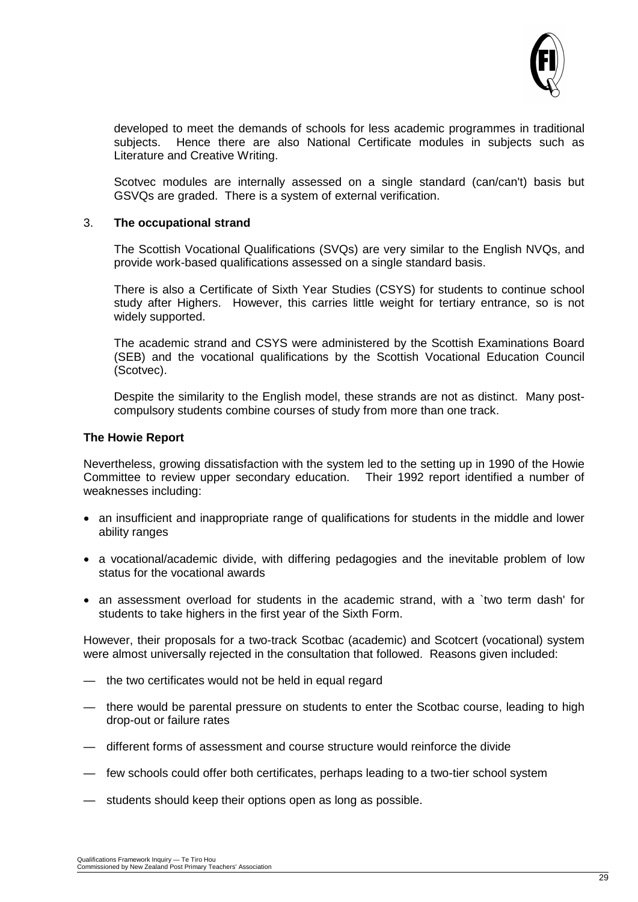

developed to meet the demands of schools for less academic programmes in traditional subjects. Hence there are also National Certificate modules in subjects such as Literature and Creative Writing.

Scotvec modules are internally assessed on a single standard (can/can't) basis but GSVQs are graded. There is a system of external verification.

#### 3. **The occupational strand**

The Scottish Vocational Qualifications (SVQs) are very similar to the English NVQs, and provide work-based qualifications assessed on a single standard basis.

There is also a Certificate of Sixth Year Studies (CSYS) for students to continue school study after Highers. However, this carries little weight for tertiary entrance, so is not widely supported.

The academic strand and CSYS were administered by the Scottish Examinations Board (SEB) and the vocational qualifications by the Scottish Vocational Education Council (Scotvec).

Despite the similarity to the English model, these strands are not as distinct. Many postcompulsory students combine courses of study from more than one track.

#### **The Howie Report**

Nevertheless, growing dissatisfaction with the system led to the setting up in 1990 of the Howie Committee to review upper secondary education. Their 1992 report identified a number of weaknesses including:

- an insufficient and inappropriate range of qualifications for students in the middle and lower ability ranges
- a vocational/academic divide, with differing pedagogies and the inevitable problem of low status for the vocational awards
- an assessment overload for students in the academic strand, with a `two term dash' for students to take highers in the first year of the Sixth Form.

However, their proposals for a two-track Scotbac (academic) and Scotcert (vocational) system were almost universally rejected in the consultation that followed. Reasons given included:

- the two certificates would not be held in equal regard
- there would be parental pressure on students to enter the Scotbac course, leading to high drop-out or failure rates
- different forms of assessment and course structure would reinforce the divide
- few schools could offer both certificates, perhaps leading to a two-tier school system
- students should keep their options open as long as possible.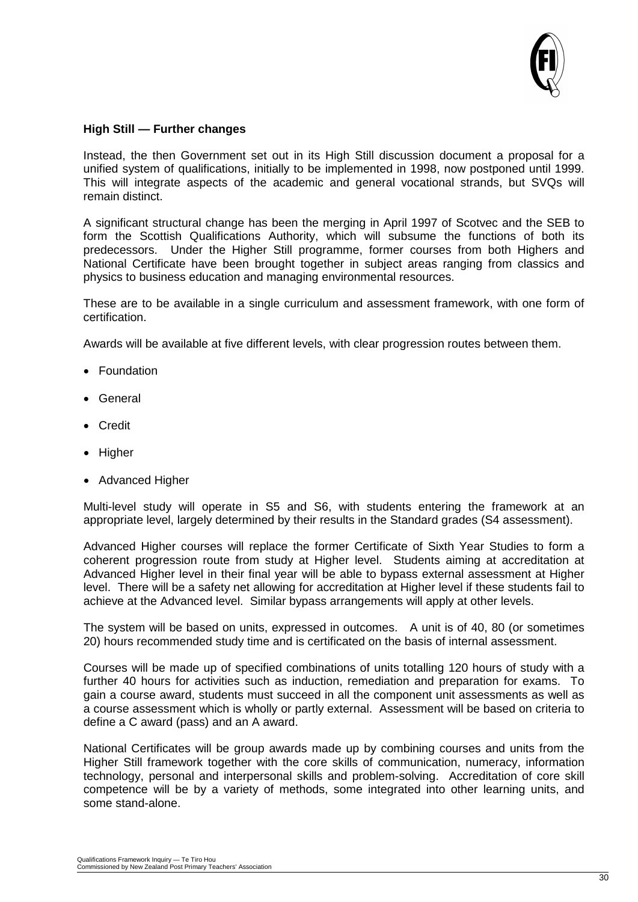

#### **High Still — Further changes**

Instead, the then Government set out in its High Still discussion document a proposal for a unified system of qualifications, initially to be implemented in 1998, now postponed until 1999. This will integrate aspects of the academic and general vocational strands, but SVQs will remain distinct.

A significant structural change has been the merging in April 1997 of Scotvec and the SEB to form the Scottish Qualifications Authority, which will subsume the functions of both its predecessors. Under the Higher Still programme, former courses from both Highers and National Certificate have been brought together in subject areas ranging from classics and physics to business education and managing environmental resources.

These are to be available in a single curriculum and assessment framework, with one form of certification.

Awards will be available at five different levels, with clear progression routes between them.

- Foundation
- General
- Credit
- Higher
- Advanced Higher

Multi-level study will operate in S5 and S6, with students entering the framework at an appropriate level, largely determined by their results in the Standard grades (S4 assessment).

Advanced Higher courses will replace the former Certificate of Sixth Year Studies to form a coherent progression route from study at Higher level. Students aiming at accreditation at Advanced Higher level in their final year will be able to bypass external assessment at Higher level. There will be a safety net allowing for accreditation at Higher level if these students fail to achieve at the Advanced level. Similar bypass arrangements will apply at other levels.

The system will be based on units, expressed in outcomes. A unit is of 40, 80 (or sometimes 20) hours recommended study time and is certificated on the basis of internal assessment.

Courses will be made up of specified combinations of units totalling 120 hours of study with a further 40 hours for activities such as induction, remediation and preparation for exams. To gain a course award, students must succeed in all the component unit assessments as well as a course assessment which is wholly or partly external. Assessment will be based on criteria to define a C award (pass) and an A award.

National Certificates will be group awards made up by combining courses and units from the Higher Still framework together with the core skills of communication, numeracy, information technology, personal and interpersonal skills and problem-solving. Accreditation of core skill competence will be by a variety of methods, some integrated into other learning units, and some stand-alone.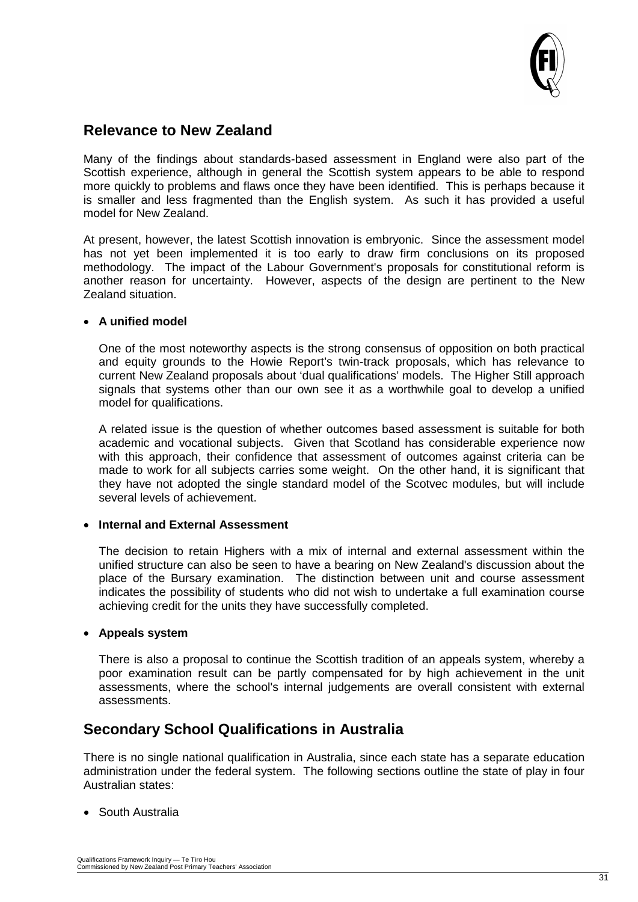

## **Relevance to New Zealand**

Many of the findings about standards-based assessment in England were also part of the Scottish experience, although in general the Scottish system appears to be able to respond more quickly to problems and flaws once they have been identified. This is perhaps because it is smaller and less fragmented than the English system. As such it has provided a useful model for New Zealand.

At present, however, the latest Scottish innovation is embryonic. Since the assessment model has not yet been implemented it is too early to draw firm conclusions on its proposed methodology. The impact of the Labour Government's proposals for constitutional reform is another reason for uncertainty. However, aspects of the design are pertinent to the New Zealand situation.

#### • **A unified model**

One of the most noteworthy aspects is the strong consensus of opposition on both practical and equity grounds to the Howie Report's twin-track proposals, which has relevance to current New Zealand proposals about 'dual qualifications' models. The Higher Still approach signals that systems other than our own see it as a worthwhile goal to develop a unified model for qualifications.

A related issue is the question of whether outcomes based assessment is suitable for both academic and vocational subjects. Given that Scotland has considerable experience now with this approach, their confidence that assessment of outcomes against criteria can be made to work for all subjects carries some weight. On the other hand, it is significant that they have not adopted the single standard model of the Scotvec modules, but will include several levels of achievement.

#### • **Internal and External Assessment**

The decision to retain Highers with a mix of internal and external assessment within the unified structure can also be seen to have a bearing on New Zealand's discussion about the place of the Bursary examination. The distinction between unit and course assessment indicates the possibility of students who did not wish to undertake a full examination course achieving credit for the units they have successfully completed.

#### • **Appeals system**

There is also a proposal to continue the Scottish tradition of an appeals system, whereby a poor examination result can be partly compensated for by high achievement in the unit assessments, where the school's internal judgements are overall consistent with external assessments.

# **Secondary School Qualifications in Australia**

There is no single national qualification in Australia, since each state has a separate education administration under the federal system. The following sections outline the state of play in four Australian states:

• South Australia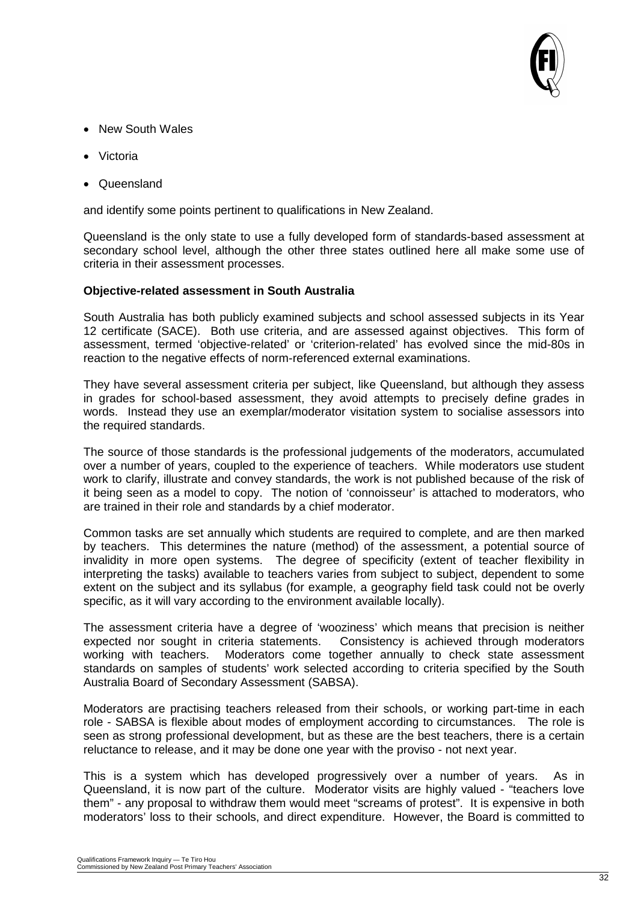

- New South Wales
- Victoria
- Queensland

and identify some points pertinent to qualifications in New Zealand.

Queensland is the only state to use a fully developed form of standards-based assessment at secondary school level, although the other three states outlined here all make some use of criteria in their assessment processes.

#### **Objective-related assessment in South Australia**

South Australia has both publicly examined subjects and school assessed subjects in its Year 12 certificate (SACE). Both use criteria, and are assessed against objectives. This form of assessment, termed 'objective-related' or 'criterion-related' has evolved since the mid-80s in reaction to the negative effects of norm-referenced external examinations.

They have several assessment criteria per subject, like Queensland, but although they assess in grades for school-based assessment, they avoid attempts to precisely define grades in words. Instead they use an exemplar/moderator visitation system to socialise assessors into the required standards.

The source of those standards is the professional judgements of the moderators, accumulated over a number of years, coupled to the experience of teachers. While moderators use student work to clarify, illustrate and convey standards, the work is not published because of the risk of it being seen as a model to copy. The notion of 'connoisseur' is attached to moderators, who are trained in their role and standards by a chief moderator.

Common tasks are set annually which students are required to complete, and are then marked by teachers. This determines the nature (method) of the assessment, a potential source of invalidity in more open systems. The degree of specificity (extent of teacher flexibility in interpreting the tasks) available to teachers varies from subject to subject, dependent to some extent on the subject and its syllabus (for example, a geography field task could not be overly specific, as it will vary according to the environment available locally).

The assessment criteria have a degree of 'wooziness' which means that precision is neither expected nor sought in criteria statements. Consistency is achieved through moderators working with teachers. Moderators come together annually to check state assessment standards on samples of students' work selected according to criteria specified by the South Australia Board of Secondary Assessment (SABSA).

Moderators are practising teachers released from their schools, or working part-time in each role - SABSA is flexible about modes of employment according to circumstances. The role is seen as strong professional development, but as these are the best teachers, there is a certain reluctance to release, and it may be done one year with the proviso - not next year.

This is a system which has developed progressively over a number of years. As in Queensland, it is now part of the culture. Moderator visits are highly valued - "teachers love them" - any proposal to withdraw them would meet "screams of protest". It is expensive in both moderators' loss to their schools, and direct expenditure. However, the Board is committed to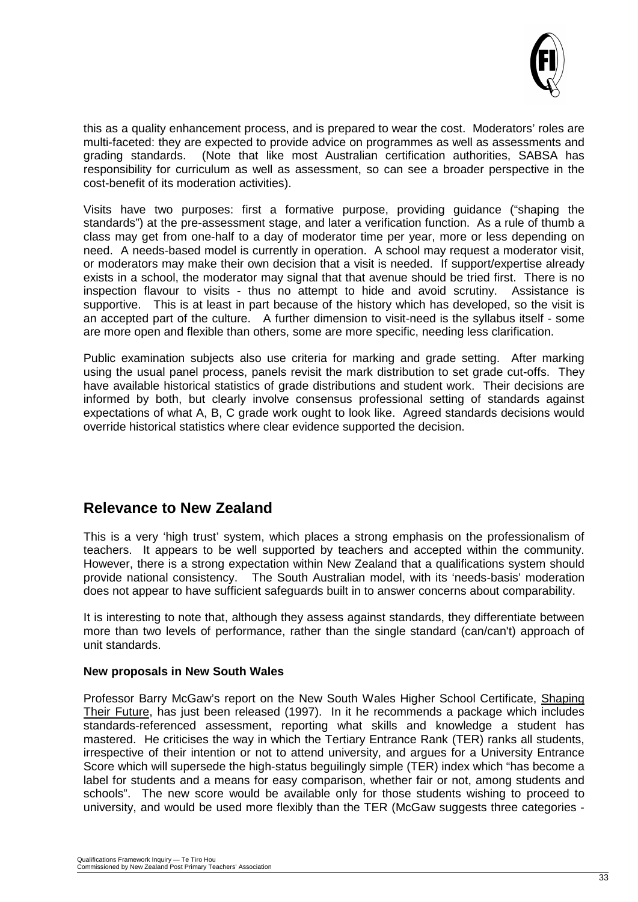

this as a quality enhancement process, and is prepared to wear the cost. Moderators' roles are multi-faceted: they are expected to provide advice on programmes as well as assessments and grading standards. (Note that like most Australian certification authorities, SABSA has responsibility for curriculum as well as assessment, so can see a broader perspective in the cost-benefit of its moderation activities).

Visits have two purposes: first a formative purpose, providing guidance ("shaping the standards") at the pre-assessment stage, and later a verification function. As a rule of thumb a class may get from one-half to a day of moderator time per year, more or less depending on need. A needs-based model is currently in operation. A school may request a moderator visit, or moderators may make their own decision that a visit is needed. If support/expertise already exists in a school, the moderator may signal that that avenue should be tried first. There is no inspection flavour to visits - thus no attempt to hide and avoid scrutiny. Assistance is supportive. This is at least in part because of the history which has developed, so the visit is an accepted part of the culture. A further dimension to visit-need is the syllabus itself - some are more open and flexible than others, some are more specific, needing less clarification.

Public examination subjects also use criteria for marking and grade setting. After marking using the usual panel process, panels revisit the mark distribution to set grade cut-offs. They have available historical statistics of grade distributions and student work. Their decisions are informed by both, but clearly involve consensus professional setting of standards against expectations of what A, B, C grade work ought to look like. Agreed standards decisions would override historical statistics where clear evidence supported the decision.

### **Relevance to New Zealand**

This is a very 'high trust' system, which places a strong emphasis on the professionalism of teachers. It appears to be well supported by teachers and accepted within the community. However, there is a strong expectation within New Zealand that a qualifications system should provide national consistency. The South Australian model, with its 'needs-basis' moderation does not appear to have sufficient safeguards built in to answer concerns about comparability.

It is interesting to note that, although they assess against standards, they differentiate between more than two levels of performance, rather than the single standard (can/can't) approach of unit standards.

#### **New proposals in New South Wales**

Professor Barry McGaw's report on the New South Wales Higher School Certificate, Shaping Their Future, has just been released (1997). In it he recommends a package which includes standards-referenced assessment, reporting what skills and knowledge a student has mastered. He criticises the way in which the Tertiary Entrance Rank (TER) ranks all students, irrespective of their intention or not to attend university, and argues for a University Entrance Score which will supersede the high-status beguilingly simple (TER) index which "has become a label for students and a means for easy comparison, whether fair or not, among students and schools". The new score would be available only for those students wishing to proceed to university, and would be used more flexibly than the TER (McGaw suggests three categories -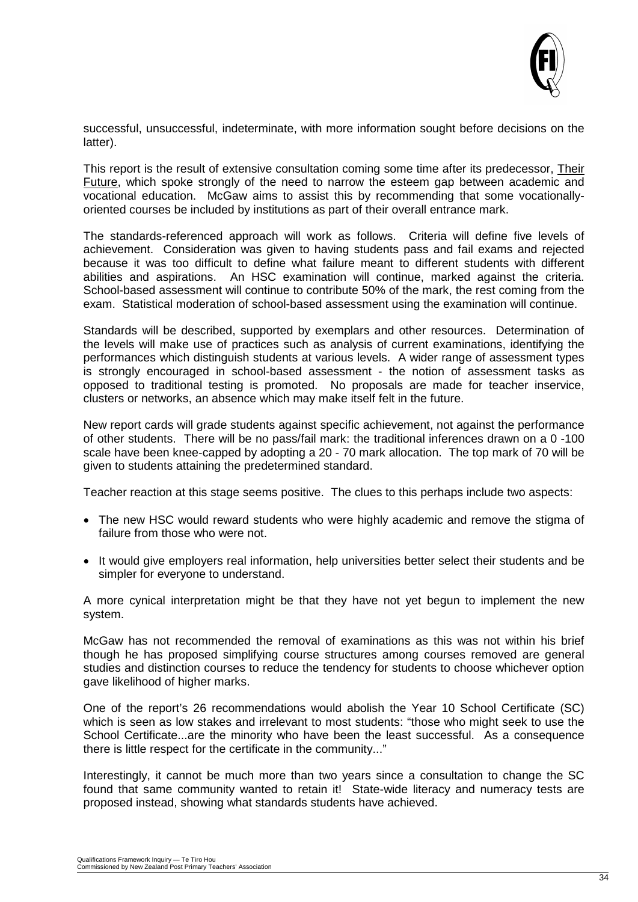

successful, unsuccessful, indeterminate, with more information sought before decisions on the latter).

This report is the result of extensive consultation coming some time after its predecessor, Their Future, which spoke strongly of the need to narrow the esteem gap between academic and vocational education. McGaw aims to assist this by recommending that some vocationallyoriented courses be included by institutions as part of their overall entrance mark.

The standards-referenced approach will work as follows. Criteria will define five levels of achievement. Consideration was given to having students pass and fail exams and rejected because it was too difficult to define what failure meant to different students with different abilities and aspirations. An HSC examination will continue, marked against the criteria. School-based assessment will continue to contribute 50% of the mark, the rest coming from the exam. Statistical moderation of school-based assessment using the examination will continue.

Standards will be described, supported by exemplars and other resources. Determination of the levels will make use of practices such as analysis of current examinations, identifying the performances which distinguish students at various levels. A wider range of assessment types is strongly encouraged in school-based assessment - the notion of assessment tasks as opposed to traditional testing is promoted. No proposals are made for teacher inservice, clusters or networks, an absence which may make itself felt in the future.

New report cards will grade students against specific achievement, not against the performance of other students. There will be no pass/fail mark: the traditional inferences drawn on a 0 -100 scale have been knee-capped by adopting a 20 - 70 mark allocation. The top mark of 70 will be given to students attaining the predetermined standard.

Teacher reaction at this stage seems positive. The clues to this perhaps include two aspects:

- The new HSC would reward students who were highly academic and remove the stigma of failure from those who were not.
- It would give employers real information, help universities better select their students and be simpler for everyone to understand.

A more cynical interpretation might be that they have not yet begun to implement the new system.

McGaw has not recommended the removal of examinations as this was not within his brief though he has proposed simplifying course structures among courses removed are general studies and distinction courses to reduce the tendency for students to choose whichever option gave likelihood of higher marks.

One of the report's 26 recommendations would abolish the Year 10 School Certificate (SC) which is seen as low stakes and irrelevant to most students: "those who might seek to use the School Certificate...are the minority who have been the least successful. As a consequence there is little respect for the certificate in the community..."

Interestingly, it cannot be much more than two years since a consultation to change the SC found that same community wanted to retain it! State-wide literacy and numeracy tests are proposed instead, showing what standards students have achieved.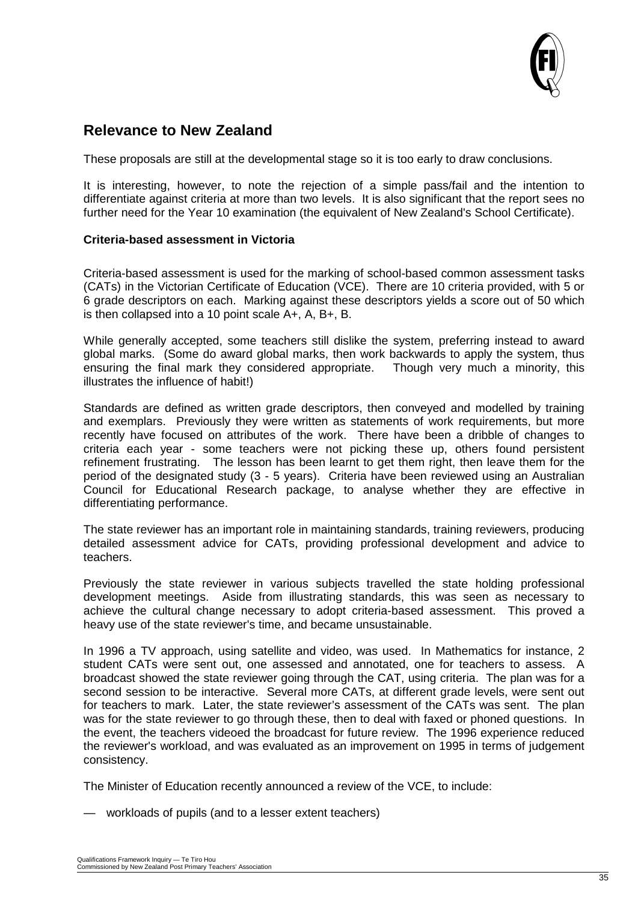

## **Relevance to New Zealand**

These proposals are still at the developmental stage so it is too early to draw conclusions.

It is interesting, however, to note the rejection of a simple pass/fail and the intention to differentiate against criteria at more than two levels. It is also significant that the report sees no further need for the Year 10 examination (the equivalent of New Zealand's School Certificate).

#### **Criteria-based assessment in Victoria**

Criteria-based assessment is used for the marking of school-based common assessment tasks (CATs) in the Victorian Certificate of Education (VCE). There are 10 criteria provided, with 5 or 6 grade descriptors on each. Marking against these descriptors yields a score out of 50 which is then collapsed into a 10 point scale A+, A, B+, B.

While generally accepted, some teachers still dislike the system, preferring instead to award global marks. (Some do award global marks, then work backwards to apply the system, thus ensuring the final mark they considered appropriate. Though very much a minority, this illustrates the influence of habit!)

Standards are defined as written grade descriptors, then conveyed and modelled by training and exemplars. Previously they were written as statements of work requirements, but more recently have focused on attributes of the work. There have been a dribble of changes to criteria each year - some teachers were not picking these up, others found persistent refinement frustrating. The lesson has been learnt to get them right, then leave them for the period of the designated study (3 - 5 years). Criteria have been reviewed using an Australian Council for Educational Research package, to analyse whether they are effective in differentiating performance.

The state reviewer has an important role in maintaining standards, training reviewers, producing detailed assessment advice for CATs, providing professional development and advice to teachers.

Previously the state reviewer in various subjects travelled the state holding professional development meetings. Aside from illustrating standards, this was seen as necessary to achieve the cultural change necessary to adopt criteria-based assessment. This proved a heavy use of the state reviewer's time, and became unsustainable.

In 1996 a TV approach, using satellite and video, was used. In Mathematics for instance, 2 student CATs were sent out, one assessed and annotated, one for teachers to assess. A broadcast showed the state reviewer going through the CAT, using criteria. The plan was for a second session to be interactive. Several more CATs, at different grade levels, were sent out for teachers to mark. Later, the state reviewer's assessment of the CATs was sent. The plan was for the state reviewer to go through these, then to deal with faxed or phoned questions. In the event, the teachers videoed the broadcast for future review. The 1996 experience reduced the reviewer's workload, and was evaluated as an improvement on 1995 in terms of judgement consistency.

The Minister of Education recently announced a review of the VCE, to include:

— workloads of pupils (and to a lesser extent teachers)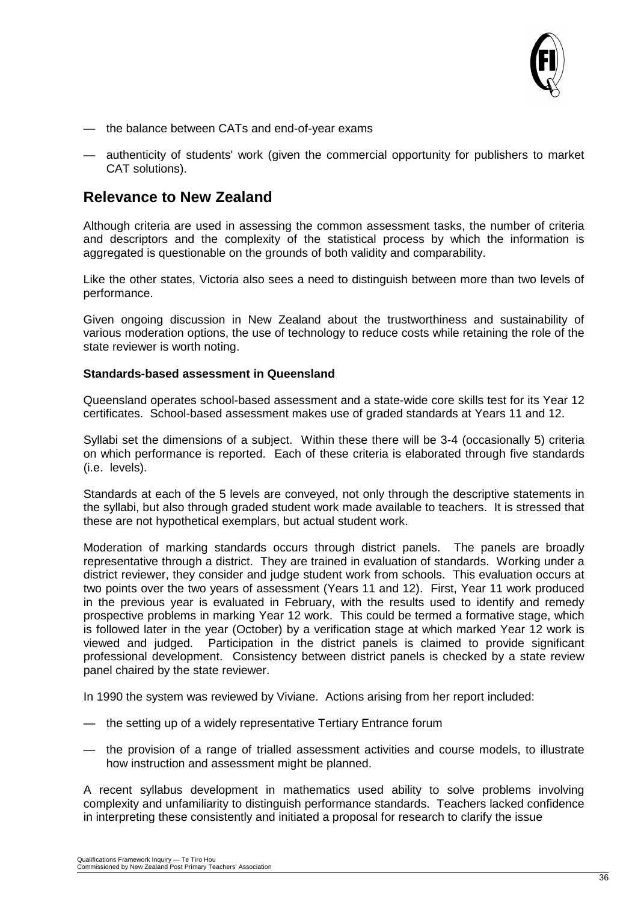

- the balance between CATs and end-of-year exams
- authenticity of students' work (given the commercial opportunity for publishers to market CAT solutions).

### **Relevance to New Zealand**

Although criteria are used in assessing the common assessment tasks, the number of criteria and descriptors and the complexity of the statistical process by which the information is aggregated is questionable on the grounds of both validity and comparability.

Like the other states, Victoria also sees a need to distinguish between more than two levels of performance.

Given ongoing discussion in New Zealand about the trustworthiness and sustainability of various moderation options, the use of technology to reduce costs while retaining the role of the state reviewer is worth noting.

#### **Standards-based assessment in Queensland**

Queensland operates school-based assessment and a state-wide core skills test for its Year 12 certificates. School-based assessment makes use of graded standards at Years 11 and 12.

Syllabi set the dimensions of a subject. Within these there will be 3-4 (occasionally 5) criteria on which performance is reported. Each of these criteria is elaborated through five standards (i.e. levels).

Standards at each of the 5 levels are conveyed, not only through the descriptive statements in the syllabi, but also through graded student work made available to teachers. It is stressed that these are not hypothetical exemplars, but actual student work.

Moderation of marking standards occurs through district panels. The panels are broadly representative through a district. They are trained in evaluation of standards. Working under a district reviewer, they consider and judge student work from schools. This evaluation occurs at two points over the two years of assessment (Years 11 and 12). First, Year 11 work produced in the previous year is evaluated in February, with the results used to identify and remedy prospective problems in marking Year 12 work. This could be termed a formative stage, which is followed later in the year (October) by a verification stage at which marked Year 12 work is viewed and judged. Participation in the district panels is claimed to provide significant professional development. Consistency between district panels is checked by a state review panel chaired by the state reviewer.

In 1990 the system was reviewed by Viviane. Actions arising from her report included:

- the setting up of a widely representative Tertiary Entrance forum
- the provision of a range of trialled assessment activities and course models, to illustrate how instruction and assessment might be planned.

A recent syllabus development in mathematics used ability to solve problems involving complexity and unfamiliarity to distinguish performance standards. Teachers lacked confidence in interpreting these consistently and initiated a proposal for research to clarify the issue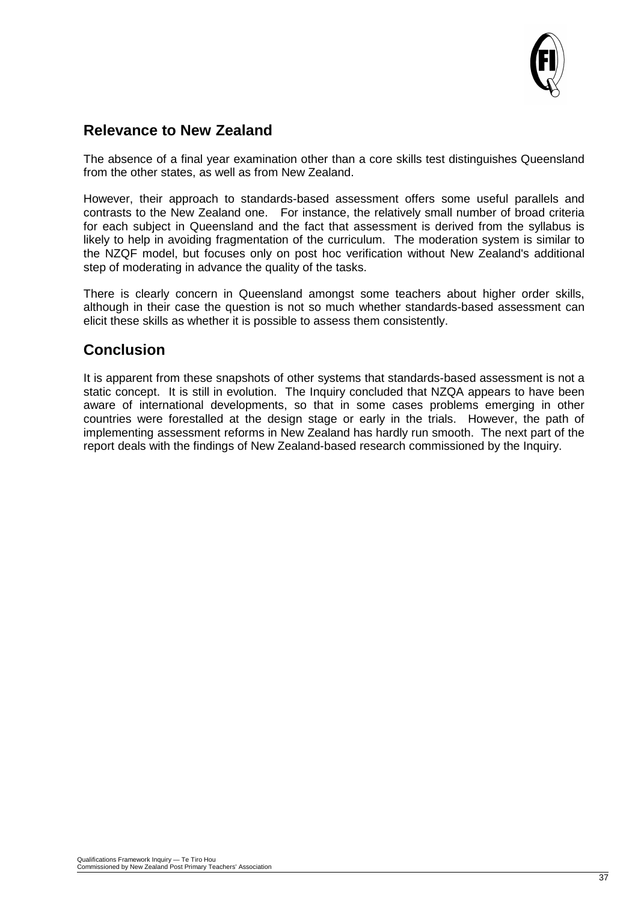

## **Relevance to New Zealand**

The absence of a final year examination other than a core skills test distinguishes Queensland from the other states, as well as from New Zealand.

However, their approach to standards-based assessment offers some useful parallels and contrasts to the New Zealand one. For instance, the relatively small number of broad criteria for each subject in Queensland and the fact that assessment is derived from the syllabus is likely to help in avoiding fragmentation of the curriculum. The moderation system is similar to the NZQF model, but focuses only on post hoc verification without New Zealand's additional step of moderating in advance the quality of the tasks.

There is clearly concern in Queensland amongst some teachers about higher order skills, although in their case the question is not so much whether standards-based assessment can elicit these skills as whether it is possible to assess them consistently.

# **Conclusion**

It is apparent from these snapshots of other systems that standards-based assessment is not a static concept. It is still in evolution. The Inquiry concluded that NZQA appears to have been aware of international developments, so that in some cases problems emerging in other countries were forestalled at the design stage or early in the trials. However, the path of implementing assessment reforms in New Zealand has hardly run smooth. The next part of the report deals with the findings of New Zealand-based research commissioned by the Inquiry.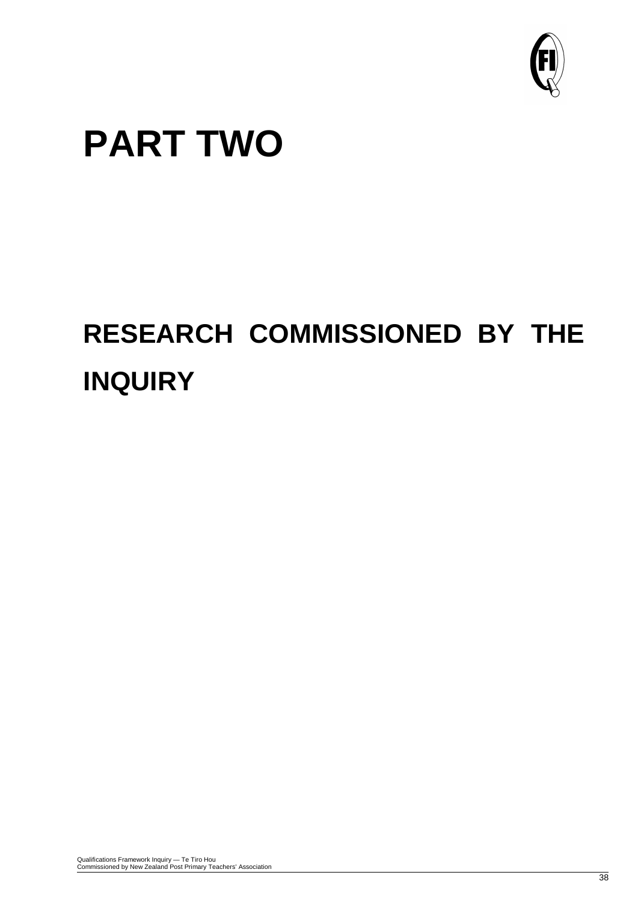

# **PART TWO**

# **RESEARCH COMMISSIONED BY THE INQUIRY**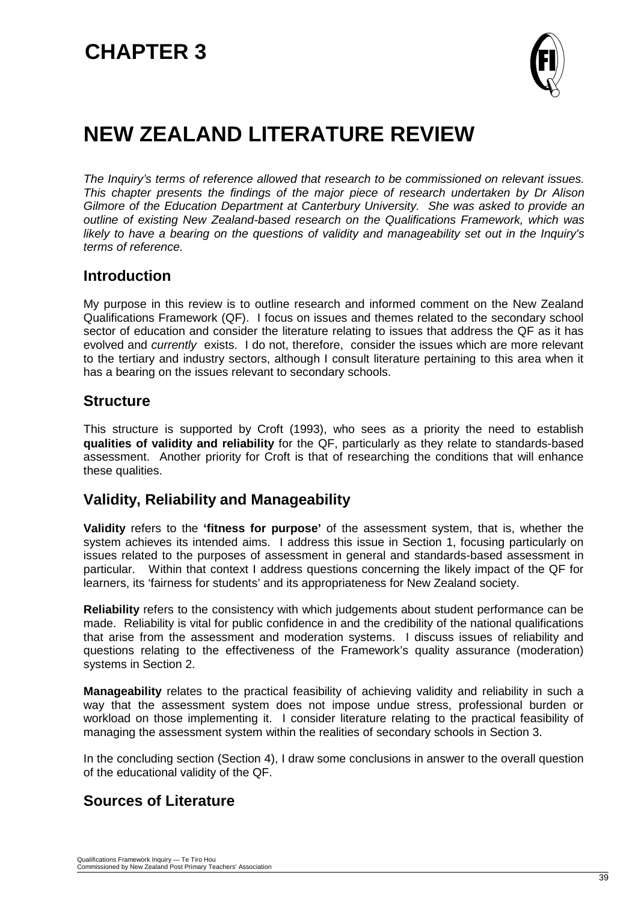

# **NEW ZEALAND LITERATURE REVIEW**

*The Inquiry's terms of reference allowed that research to be commissioned on relevant issues. This chapter presents the findings of the major piece of research undertaken by Dr Alison Gilmore of the Education Department at Canterbury University. She was asked to provide an outline of existing New Zealand-based research on the Qualifications Framework, which was likely to have a bearing on the questions of validity and manageability set out in the Inquiry's terms of reference.*

### **Introduction**

My purpose in this review is to outline research and informed comment on the New Zealand Qualifications Framework (QF). I focus on issues and themes related to the secondary school sector of education and consider the literature relating to issues that address the QF as it has evolved and *currently* exists. I do not, therefore, consider the issues which are more relevant to the tertiary and industry sectors, although I consult literature pertaining to this area when it has a bearing on the issues relevant to secondary schools.

### **Structure**

This structure is supported by Croft (1993), who sees as a priority the need to establish **qualities of validity and reliability** for the QF, particularly as they relate to standards-based assessment. Another priority for Croft is that of researching the conditions that will enhance these qualities.

## **Validity, Reliability and Manageability**

**Validity** refers to the **'fitness for purpose'** of the assessment system, that is, whether the system achieves its intended aims. I address this issue in Section 1, focusing particularly on issues related to the purposes of assessment in general and standards-based assessment in particular. Within that context I address questions concerning the likely impact of the QF for learners, its 'fairness for students' and its appropriateness for New Zealand society.

**Reliability** refers to the consistency with which judgements about student performance can be made. Reliability is vital for public confidence in and the credibility of the national qualifications that arise from the assessment and moderation systems. I discuss issues of reliability and questions relating to the effectiveness of the Framework's quality assurance (moderation) systems in Section 2.

**Manageability** relates to the practical feasibility of achieving validity and reliability in such a way that the assessment system does not impose undue stress, professional burden or workload on those implementing it. I consider literature relating to the practical feasibility of managing the assessment system within the realities of secondary schools in Section 3.

In the concluding section (Section 4), I draw some conclusions in answer to the overall question of the educational validity of the QF.

# **Sources of Literature**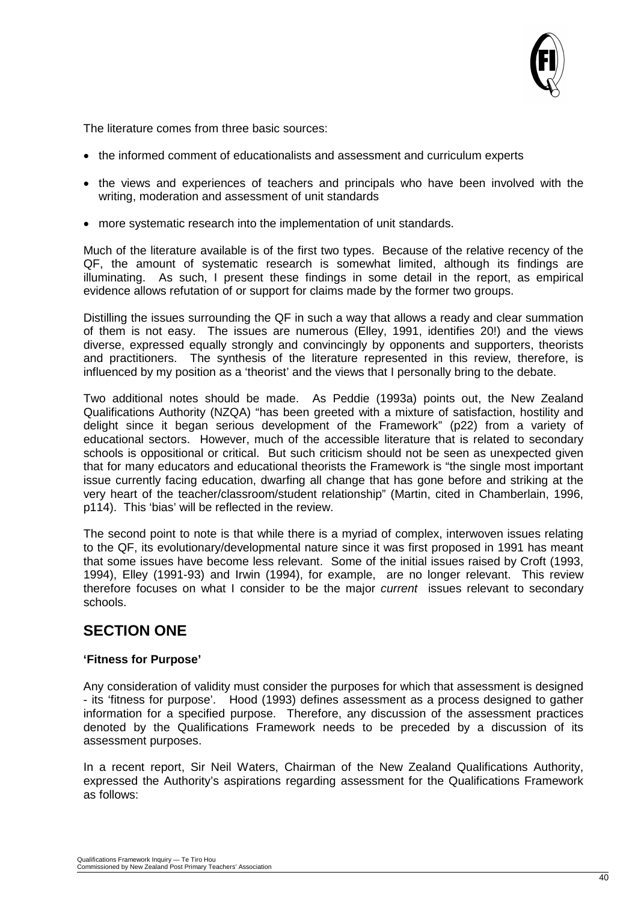

The literature comes from three basic sources:

- the informed comment of educationalists and assessment and curriculum experts
- the views and experiences of teachers and principals who have been involved with the writing, moderation and assessment of unit standards
- more systematic research into the implementation of unit standards.

Much of the literature available is of the first two types. Because of the relative recency of the QF, the amount of systematic research is somewhat limited, although its findings are illuminating. As such, I present these findings in some detail in the report, as empirical evidence allows refutation of or support for claims made by the former two groups.

Distilling the issues surrounding the QF in such a way that allows a ready and clear summation of them is not easy. The issues are numerous (Elley, 1991, identifies 20!) and the views diverse, expressed equally strongly and convincingly by opponents and supporters, theorists and practitioners. The synthesis of the literature represented in this review, therefore, is influenced by my position as a 'theorist' and the views that I personally bring to the debate.

Two additional notes should be made. As Peddie (1993a) points out, the New Zealand Qualifications Authority (NZQA) "has been greeted with a mixture of satisfaction, hostility and delight since it began serious development of the Framework" (p22) from a variety of educational sectors. However, much of the accessible literature that is related to secondary schools is oppositional or critical. But such criticism should not be seen as unexpected given that for many educators and educational theorists the Framework is "the single most important issue currently facing education, dwarfing all change that has gone before and striking at the very heart of the teacher/classroom/student relationship" (Martin, cited in Chamberlain, 1996, p114). This 'bias' will be reflected in the review.

The second point to note is that while there is a myriad of complex, interwoven issues relating to the QF, its evolutionary/developmental nature since it was first proposed in 1991 has meant that some issues have become less relevant. Some of the initial issues raised by Croft (1993, 1994), Elley (1991-93) and Irwin (1994), for example, are no longer relevant. This review therefore focuses on what I consider to be the major *current* issues relevant to secondary schools.

# **SECTION ONE**

#### **'Fitness for Purpose'**

Any consideration of validity must consider the purposes for which that assessment is designed - its 'fitness for purpose'. Hood (1993) defines assessment as a process designed to gather information for a specified purpose. Therefore, any discussion of the assessment practices denoted by the Qualifications Framework needs to be preceded by a discussion of its assessment purposes.

In a recent report, Sir Neil Waters, Chairman of the New Zealand Qualifications Authority, expressed the Authority's aspirations regarding assessment for the Qualifications Framework as follows: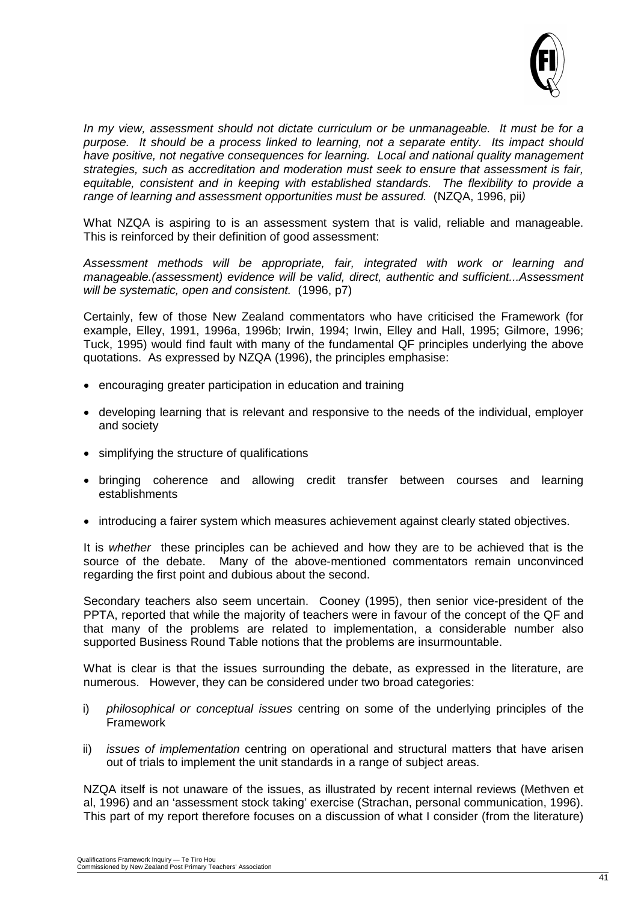

*In my view, assessment should not dictate curriculum or be unmanageable. It must be for a purpose. It should be a process linked to learning, not a separate entity. Its impact should have positive, not negative consequences for learning. Local and national quality management strategies, such as accreditation and moderation must seek to ensure that assessment is fair, equitable, consistent and in keeping with established standards. The flexibility to provide a range of learning and assessment opportunities must be assured.* (NZQA, 1996, pii*)* 

What NZQA is aspiring to is an assessment system that is valid, reliable and manageable. This is reinforced by their definition of good assessment:

*Assessment methods will be appropriate, fair, integrated with work or learning and manageable.(assessment) evidence will be valid, direct, authentic and sufficient...Assessment will be systematic, open and consistent.* (1996, p7)

Certainly, few of those New Zealand commentators who have criticised the Framework (for example, Elley, 1991, 1996a, 1996b; Irwin, 1994; Irwin, Elley and Hall, 1995; Gilmore, 1996; Tuck, 1995) would find fault with many of the fundamental QF principles underlying the above quotations. As expressed by NZQA (1996), the principles emphasise:

- encouraging greater participation in education and training
- developing learning that is relevant and responsive to the needs of the individual, employer and society
- simplifying the structure of qualifications
- bringing coherence and allowing credit transfer between courses and learning establishments
- introducing a fairer system which measures achievement against clearly stated objectives.

It is *whether* these principles can be achieved and how they are to be achieved that is the source of the debate. Many of the above-mentioned commentators remain unconvinced regarding the first point and dubious about the second.

Secondary teachers also seem uncertain. Cooney (1995), then senior vice-president of the PPTA, reported that while the majority of teachers were in favour of the concept of the QF and that many of the problems are related to implementation, a considerable number also supported Business Round Table notions that the problems are insurmountable.

What is clear is that the issues surrounding the debate, as expressed in the literature, are numerous. However, they can be considered under two broad categories:

- i) *philosophical or conceptual issues* centring on some of the underlying principles of the Framework
- ii) *issues of implementation* centring on operational and structural matters that have arisen out of trials to implement the unit standards in a range of subject areas.

NZQA itself is not unaware of the issues, as illustrated by recent internal reviews (Methven et al, 1996) and an 'assessment stock taking' exercise (Strachan, personal communication, 1996). This part of my report therefore focuses on a discussion of what I consider (from the literature)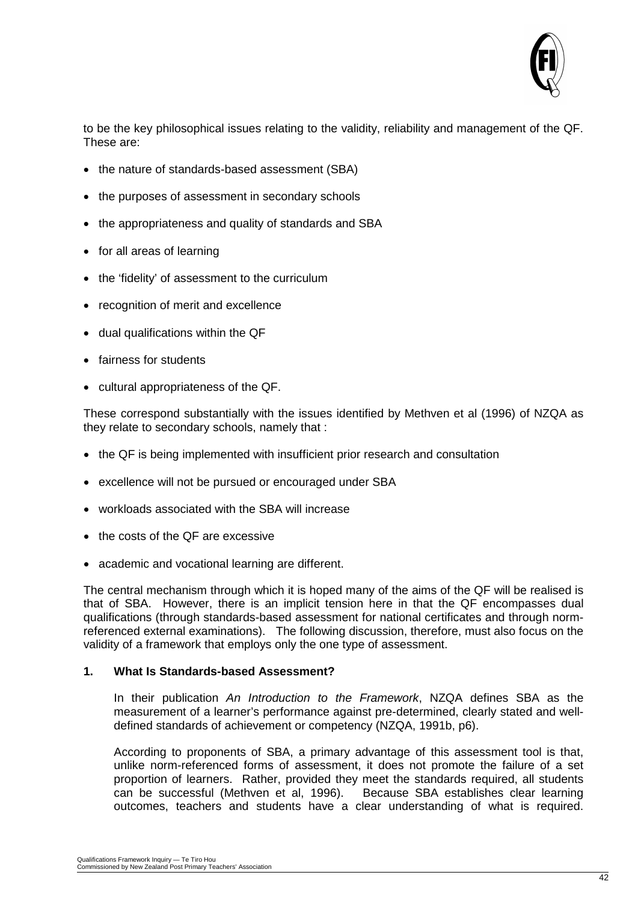

to be the key philosophical issues relating to the validity, reliability and management of the QF. These are:

- the nature of standards-based assessment (SBA)
- the purposes of assessment in secondary schools
- the appropriateness and quality of standards and SBA
- for all areas of learning
- the 'fidelity' of assessment to the curriculum
- recognition of merit and excellence
- dual qualifications within the QF
- fairness for students
- cultural appropriateness of the QF.

These correspond substantially with the issues identified by Methven et al (1996) of NZQA as they relate to secondary schools, namely that :

- the QF is being implemented with insufficient prior research and consultation
- excellence will not be pursued or encouraged under SBA
- workloads associated with the SBA will increase
- the costs of the QF are excessive
- academic and vocational learning are different.

The central mechanism through which it is hoped many of the aims of the QF will be realised is that of SBA. However, there is an implicit tension here in that the QF encompasses dual qualifications (through standards-based assessment for national certificates and through normreferenced external examinations). The following discussion, therefore, must also focus on the validity of a framework that employs only the one type of assessment.

#### **1. What Is Standards-based Assessment?**

In their publication *An Introduction to the Framework*, NZQA defines SBA as the measurement of a learner's performance against pre-determined, clearly stated and welldefined standards of achievement or competency (NZQA, 1991b, p6).

According to proponents of SBA, a primary advantage of this assessment tool is that, unlike norm-referenced forms of assessment, it does not promote the failure of a set proportion of learners. Rather, provided they meet the standards required, all students can be successful (Methven et al, 1996). Because SBA establishes clear learning outcomes, teachers and students have a clear understanding of what is required.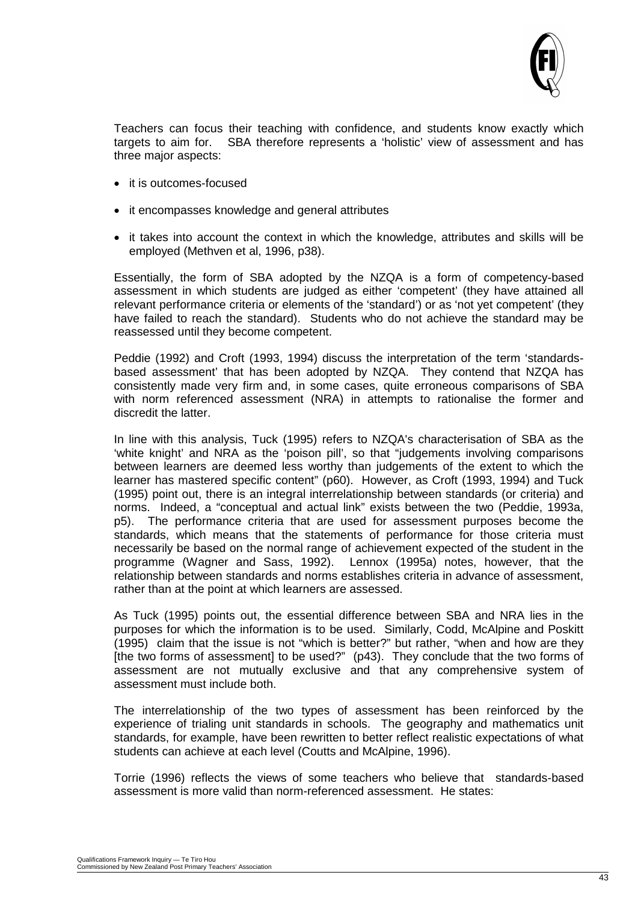

Teachers can focus their teaching with confidence, and students know exactly which targets to aim for. SBA therefore represents a 'holistic' view of assessment and has three major aspects:

- it is outcomes-focused
- it encompasses knowledge and general attributes
- it takes into account the context in which the knowledge, attributes and skills will be employed (Methven et al, 1996, p38).

Essentially, the form of SBA adopted by the NZQA is a form of competency-based assessment in which students are judged as either 'competent' (they have attained all relevant performance criteria or elements of the 'standard') or as 'not yet competent' (they have failed to reach the standard). Students who do not achieve the standard may be reassessed until they become competent.

Peddie (1992) and Croft (1993, 1994) discuss the interpretation of the term 'standardsbased assessment' that has been adopted by NZQA. They contend that NZQA has consistently made very firm and, in some cases, quite erroneous comparisons of SBA with norm referenced assessment (NRA) in attempts to rationalise the former and discredit the latter.

In line with this analysis, Tuck (1995) refers to NZQA's characterisation of SBA as the 'white knight' and NRA as the 'poison pill', so that "judgements involving comparisons between learners are deemed less worthy than judgements of the extent to which the learner has mastered specific content" (p60). However, as Croft (1993, 1994) and Tuck (1995) point out, there is an integral interrelationship between standards (or criteria) and norms. Indeed, a "conceptual and actual link" exists between the two (Peddie, 1993a, p5). The performance criteria that are used for assessment purposes become the standards, which means that the statements of performance for those criteria must necessarily be based on the normal range of achievement expected of the student in the programme (Wagner and Sass, 1992). Lennox (1995a) notes, however, that the relationship between standards and norms establishes criteria in advance of assessment, rather than at the point at which learners are assessed.

As Tuck (1995) points out, the essential difference between SBA and NRA lies in the purposes for which the information is to be used. Similarly, Codd, McAlpine and Poskitt (1995) claim that the issue is not "which is better?" but rather, "when and how are they [the two forms of assessment] to be used?" (p43). They conclude that the two forms of assessment are not mutually exclusive and that any comprehensive system of assessment must include both.

The interrelationship of the two types of assessment has been reinforced by the experience of trialing unit standards in schools. The geography and mathematics unit standards, for example, have been rewritten to better reflect realistic expectations of what students can achieve at each level (Coutts and McAlpine, 1996).

Torrie (1996) reflects the views of some teachers who believe that standards-based assessment is more valid than norm-referenced assessment. He states: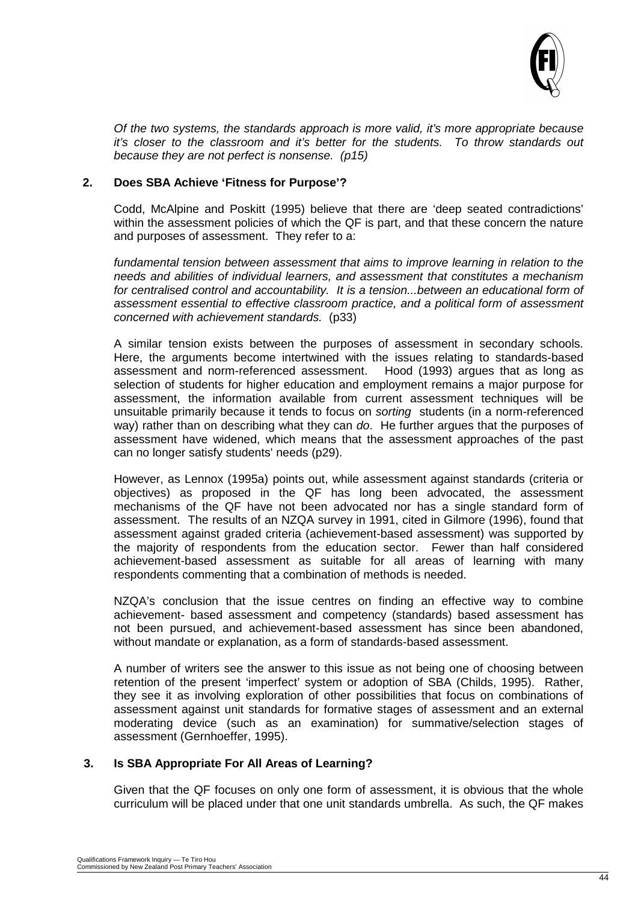

*Of the two systems, the standards approach is more valid, it's more appropriate because it's closer to the classroom and it's better for the students. To throw standards out because they are not perfect is nonsense. (p15)*

#### **2. Does SBA Achieve 'Fitness for Purpose'?**

Codd, McAlpine and Poskitt (1995) believe that there are 'deep seated contradictions' within the assessment policies of which the QF is part, and that these concern the nature and purposes of assessment. They refer to a:

*fundamental tension between assessment that aims to improve learning in relation to the needs and abilities of individual learners, and assessment that constitutes a mechanism*  for centralised control and accountability. It is a tension...between an educational form of *assessment essential to effective classroom practice, and a political form of assessment concerned with achievement standards.* (p33)

A similar tension exists between the purposes of assessment in secondary schools. Here, the arguments become intertwined with the issues relating to standards-based assessment and norm-referenced assessment. Hood (1993) argues that as long as selection of students for higher education and employment remains a major purpose for assessment, the information available from current assessment techniques will be unsuitable primarily because it tends to focus on *sorting* students (in a norm-referenced way) rather than on describing what they can *do*. He further argues that the purposes of assessment have widened, which means that the assessment approaches of the past can no longer satisfy students' needs (p29).

However, as Lennox (1995a) points out, while assessment against standards (criteria or objectives) as proposed in the QF has long been advocated, the assessment mechanisms of the QF have not been advocated nor has a single standard form of assessment. The results of an NZQA survey in 1991, cited in Gilmore (1996), found that assessment against graded criteria (achievement-based assessment) was supported by the majority of respondents from the education sector. Fewer than half considered achievement-based assessment as suitable for all areas of learning with many respondents commenting that a combination of methods is needed.

NZQA's conclusion that the issue centres on finding an effective way to combine achievement- based assessment and competency (standards) based assessment has not been pursued, and achievement-based assessment has since been abandoned, without mandate or explanation, as a form of standards-based assessment.

A number of writers see the answer to this issue as not being one of choosing between retention of the present 'imperfect' system or adoption of SBA (Childs, 1995). Rather, they see it as involving exploration of other possibilities that focus on combinations of assessment against unit standards for formative stages of assessment and an external moderating device (such as an examination) for summative/selection stages of assessment (Gernhoeffer, 1995).

#### **3. Is SBA Appropriate For All Areas of Learning?**

Given that the QF focuses on only one form of assessment, it is obvious that the whole curriculum will be placed under that one unit standards umbrella. As such, the QF makes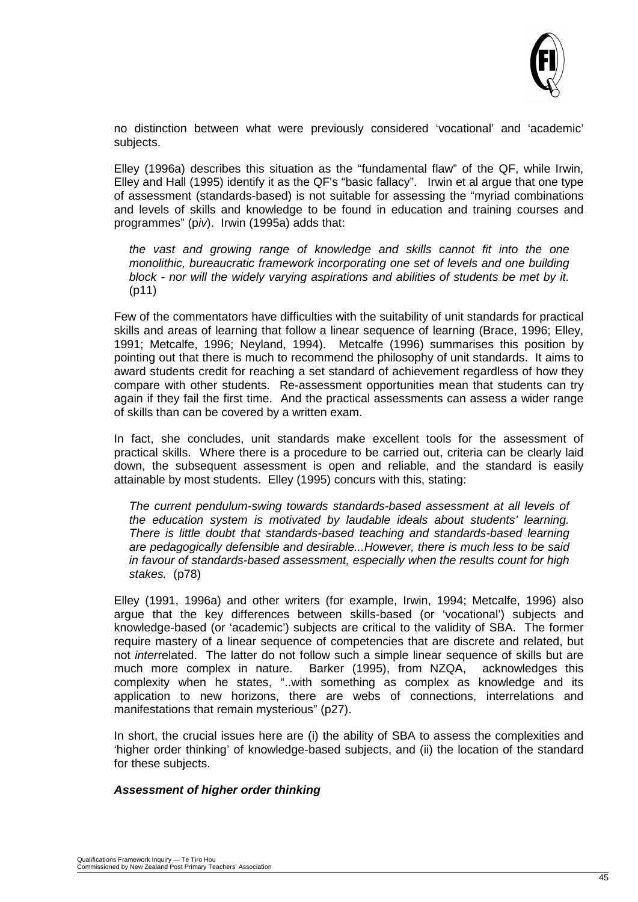

no distinction between what were previously considered 'vocational' and 'academic' subjects.

Elley (1996a) describes this situation as the "fundamental flaw" of the QF, while Irwin, Elley and Hall (1995) identify it as the QF's "basic fallacy". Irwin et al argue that one type of assessment (standards-based) is not suitable for assessing the "myriad combinations and levels of skills and knowledge to be found in education and training courses and programmes" (p*iv*). Irwin (1995a) adds that:

*the vast and growing range of knowledge and skills cannot fit into the one monolithic, bureaucratic framework incorporating one set of levels and one building block - nor will the widely varying aspirations and abilities of students be met by it.*  (p11)

Few of the commentators have difficulties with the suitability of unit standards for practical skills and areas of learning that follow a linear sequence of learning (Brace, 1996; Elley, 1991; Metcalfe, 1996; Neyland, 1994). Metcalfe (1996) summarises this position by pointing out that there is much to recommend the philosophy of unit standards. It aims to award students credit for reaching a set standard of achievement regardless of how they compare with other students. Re-assessment opportunities mean that students can try again if they fail the first time. And the practical assessments can assess a wider range of skills than can be covered by a written exam.

In fact, she concludes, unit standards make excellent tools for the assessment of practical skills. Where there is a procedure to be carried out, criteria can be clearly laid down, the subsequent assessment is open and reliable, and the standard is easily attainable by most students. Elley (1995) concurs with this, stating:

*The current pendulum-swing towards standards-based assessment at all levels of the education system is motivated by laudable ideals about students' learning. There is little doubt that standards-based teaching and standards-based learning are pedagogically defensible and desirable...However, there is much less to be said in favour of standards-based assessment, especially when the results count for high stakes.* (p78)

Elley (1991, 1996a) and other writers (for example, Irwin, 1994; Metcalfe, 1996) also argue that the key differences between skills-based (or 'vocational') subjects and knowledge-based (or 'academic') subjects are critical to the validity of SBA. The former require mastery of a linear sequence of competencies that are discrete and related, but not *inter*related. The latter do not follow such a simple linear sequence of skills but are much more complex in nature. Barker (1995), from NZQA, acknowledges this complexity when he states, "..with something as complex as knowledge and its application to new horizons, there are webs of connections, interrelations and manifestations that remain mysterious" (p27).

In short, the crucial issues here are (i) the ability of SBA to assess the complexities and 'higher order thinking' of knowledge-based subjects, and (ii) the location of the standard for these subjects.

#### *Assessment of higher order thinking*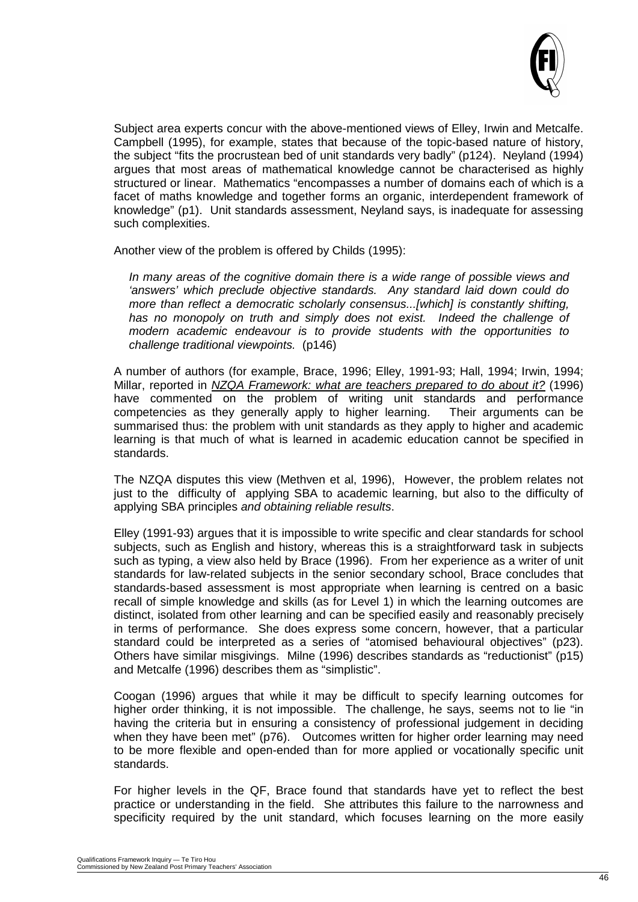

Subject area experts concur with the above-mentioned views of Elley, Irwin and Metcalfe. Campbell (1995), for example, states that because of the topic-based nature of history, the subject "fits the procrustean bed of unit standards very badly" (p124). Neyland (1994) argues that most areas of mathematical knowledge cannot be characterised as highly structured or linear. Mathematics "encompasses a number of domains each of which is a facet of maths knowledge and together forms an organic, interdependent framework of knowledge" (p1). Unit standards assessment, Neyland says, is inadequate for assessing such complexities.

Another view of the problem is offered by Childs (1995):

*In many areas of the cognitive domain there is a wide range of possible views and 'answers' which preclude objective standards. Any standard laid down could do more than reflect a democratic scholarly consensus...[which] is constantly shifting,*  has no monopoly on truth and simply does not exist. Indeed the challenge of *modern academic endeavour is to provide students with the opportunities to challenge traditional viewpoints.* (p146)

A number of authors (for example, Brace, 1996; Elley, 1991-93; Hall, 1994; Irwin, 1994; Millar, reported in *NZQA Framework: what are teachers prepared to do about it?* (1996) have commented on the problem of writing unit standards and performance competencies as they generally apply to higher learning. Their arguments can be summarised thus: the problem with unit standards as they apply to higher and academic learning is that much of what is learned in academic education cannot be specified in standards.

The NZQA disputes this view (Methven et al, 1996), However, the problem relates not just to the difficulty of applying SBA to academic learning, but also to the difficulty of applying SBA principles *and obtaining reliable results*.

Elley (1991-93) argues that it is impossible to write specific and clear standards for school subjects, such as English and history, whereas this is a straightforward task in subjects such as typing, a view also held by Brace (1996). From her experience as a writer of unit standards for law-related subjects in the senior secondary school, Brace concludes that standards-based assessment is most appropriate when learning is centred on a basic recall of simple knowledge and skills (as for Level 1) in which the learning outcomes are distinct, isolated from other learning and can be specified easily and reasonably precisely in terms of performance. She does express some concern, however, that a particular standard could be interpreted as a series of "atomised behavioural objectives" (p23). Others have similar misgivings. Milne (1996) describes standards as "reductionist" (p15) and Metcalfe (1996) describes them as "simplistic".

Coogan (1996) argues that while it may be difficult to specify learning outcomes for higher order thinking, it is not impossible. The challenge, he says, seems not to lie "in having the criteria but in ensuring a consistency of professional judgement in deciding when they have been met" (p76). Outcomes written for higher order learning may need to be more flexible and open-ended than for more applied or vocationally specific unit standards.

For higher levels in the QF, Brace found that standards have yet to reflect the best practice or understanding in the field. She attributes this failure to the narrowness and specificity required by the unit standard, which focuses learning on the more easily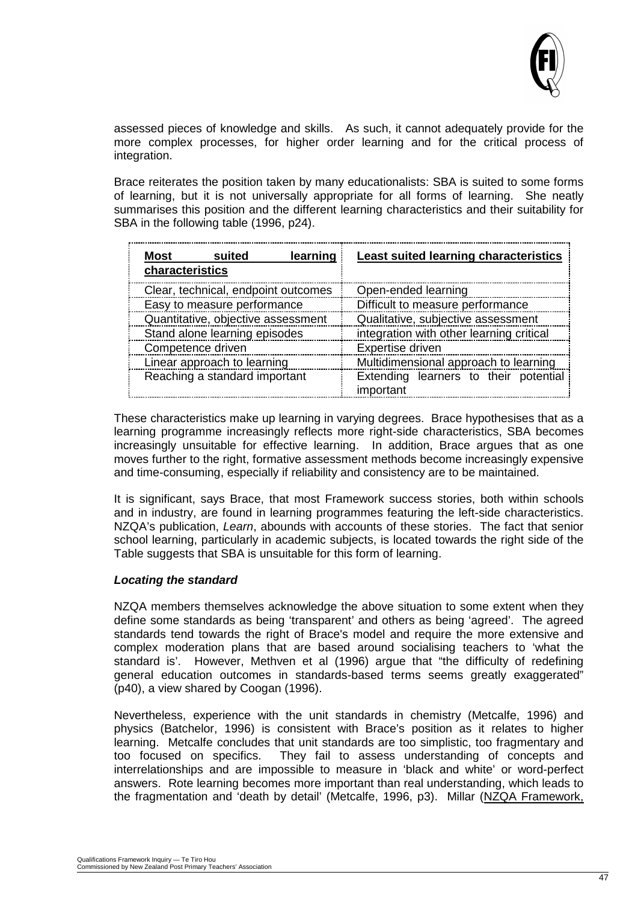

assessed pieces of knowledge and skills. As such, it cannot adequately provide for the more complex processes, for higher order learning and for the critical process of integration.

Brace reiterates the position taken by many educationalists: SBA is suited to some forms of learning, but it is not universally appropriate for all forms of learning. She neatly summarises this position and the different learning characteristics and their suitability for SBA in the following table (1996, p24).

| learning<br>Most<br>suited<br>characteristics | <b>Least suited learning characteristics</b>       |  |
|-----------------------------------------------|----------------------------------------------------|--|
| Clear, technical, endpoint outcomes           | Open-ended learning                                |  |
| Easy to measure performance                   | Difficult to measure performance                   |  |
| Quantitative, objective assessment            | Qualitative, subjective assessment                 |  |
| Stand alone learning episodes                 | integration with other learning critical           |  |
| Competence driven                             | Expertise driven                                   |  |
| Linear approach to learning                   | Multidimensional approach to learning              |  |
| Reaching a standard important                 | Extending learners to their potential<br>important |  |

These characteristics make up learning in varying degrees. Brace hypothesises that as a learning programme increasingly reflects more right-side characteristics, SBA becomes increasingly unsuitable for effective learning. In addition, Brace argues that as one moves further to the right, formative assessment methods become increasingly expensive and time-consuming, especially if reliability and consistency are to be maintained.

It is significant, says Brace, that most Framework success stories, both within schools and in industry, are found in learning programmes featuring the left-side characteristics. NZQA's publication, *Learn*, abounds with accounts of these stories. The fact that senior school learning, particularly in academic subjects, is located towards the right side of the Table suggests that SBA is unsuitable for this form of learning.

#### *Locating the standard*

NZQA members themselves acknowledge the above situation to some extent when they define some standards as being 'transparent' and others as being 'agreed'. The agreed standards tend towards the right of Brace's model and require the more extensive and complex moderation plans that are based around socialising teachers to 'what the standard is'. However, Methven et al (1996) argue that "the difficulty of redefining general education outcomes in standards-based terms seems greatly exaggerated" (p40), a view shared by Coogan (1996).

Nevertheless, experience with the unit standards in chemistry (Metcalfe, 1996) and physics (Batchelor, 1996) is consistent with Brace's position as it relates to higher learning. Metcalfe concludes that unit standards are too simplistic, too fragmentary and too focused on specifics. They fail to assess understanding of concepts and They fail to assess understanding of concepts and interrelationships and are impossible to measure in 'black and white' or word-perfect answers. Rote learning becomes more important than real understanding, which leads to the fragmentation and 'death by detail' (Metcalfe, 1996, p3). Millar (NZQA Framework,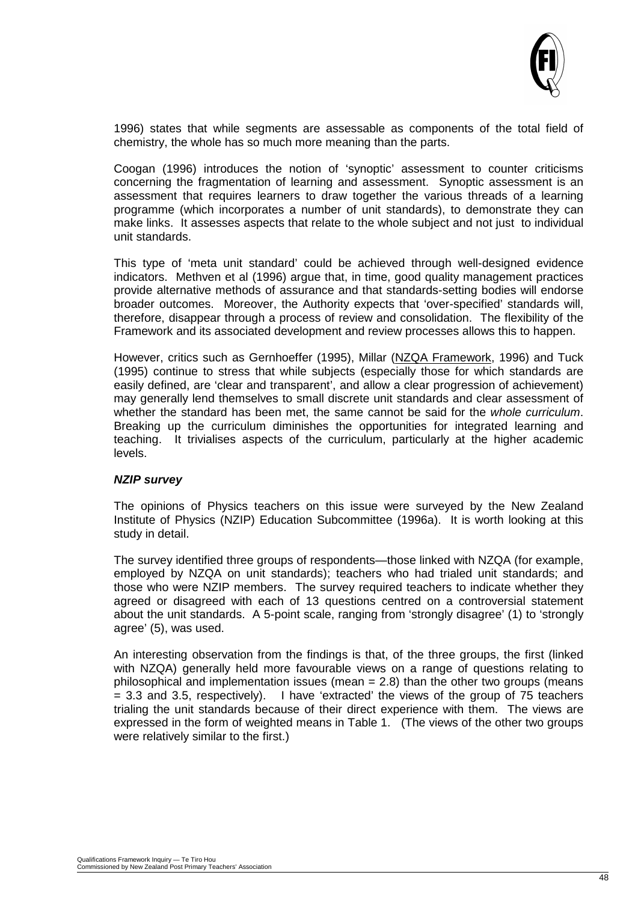

1996) states that while segments are assessable as components of the total field of chemistry, the whole has so much more meaning than the parts.

Coogan (1996) introduces the notion of 'synoptic' assessment to counter criticisms concerning the fragmentation of learning and assessment. Synoptic assessment is an assessment that requires learners to draw together the various threads of a learning programme (which incorporates a number of unit standards), to demonstrate they can make links. It assesses aspects that relate to the whole subject and not just to individual unit standards.

This type of 'meta unit standard' could be achieved through well-designed evidence indicators. Methven et al (1996) argue that, in time, good quality management practices provide alternative methods of assurance and that standards-setting bodies will endorse broader outcomes. Moreover, the Authority expects that 'over-specified' standards will, therefore, disappear through a process of review and consolidation. The flexibility of the Framework and its associated development and review processes allows this to happen.

However, critics such as Gernhoeffer (1995), Millar (NZQA Framework, 1996) and Tuck (1995) continue to stress that while subjects (especially those for which standards are easily defined, are 'clear and transparent', and allow a clear progression of achievement) may generally lend themselves to small discrete unit standards and clear assessment of whether the standard has been met, the same cannot be said for the *whole curriculum*. Breaking up the curriculum diminishes the opportunities for integrated learning and teaching. It trivialises aspects of the curriculum, particularly at the higher academic levels.

#### *NZIP survey*

The opinions of Physics teachers on this issue were surveyed by the New Zealand Institute of Physics (NZIP) Education Subcommittee (1996a). It is worth looking at this study in detail.

The survey identified three groups of respondents—those linked with NZQA (for example, employed by NZQA on unit standards); teachers who had trialed unit standards; and those who were NZIP members. The survey required teachers to indicate whether they agreed or disagreed with each of 13 questions centred on a controversial statement about the unit standards. A 5-point scale, ranging from 'strongly disagree' (1) to 'strongly agree' (5), was used.

An interesting observation from the findings is that, of the three groups, the first (linked with NZQA) generally held more favourable views on a range of questions relating to philosophical and implementation issues (mean = 2.8) than the other two groups (means  $= 3.3$  and 3.5, respectively). I have 'extracted' the views of the group of 75 teachers trialing the unit standards because of their direct experience with them. The views are expressed in the form of weighted means in Table 1. (The views of the other two groups were relatively similar to the first.)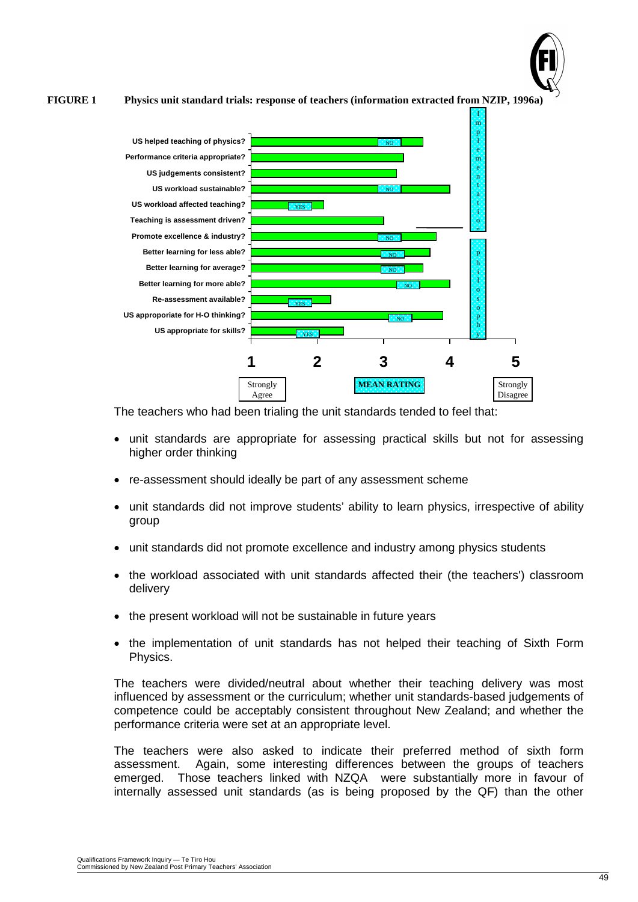

**FIGURE 1 Physics unit standard trials: response of teachers (information extracted from NZIP, 1996a)**



The teachers who had been trialing the unit standards tended to feel that:

- unit standards are appropriate for assessing practical skills but not for assessing higher order thinking
- re-assessment should ideally be part of any assessment scheme
- unit standards did not improve students' ability to learn physics, irrespective of ability group
- unit standards did not promote excellence and industry among physics students
- the workload associated with unit standards affected their (the teachers') classroom delivery
- the present workload will not be sustainable in future years
- the implementation of unit standards has not helped their teaching of Sixth Form Physics.

The teachers were divided/neutral about whether their teaching delivery was most influenced by assessment or the curriculum; whether unit standards-based judgements of competence could be acceptably consistent throughout New Zealand; and whether the performance criteria were set at an appropriate level.

The teachers were also asked to indicate their preferred method of sixth form assessment. Again, some interesting differences between the groups of teachers emerged. Those teachers linked with NZQA were substantially more in favour of internally assessed unit standards (as is being proposed by the QF) than the other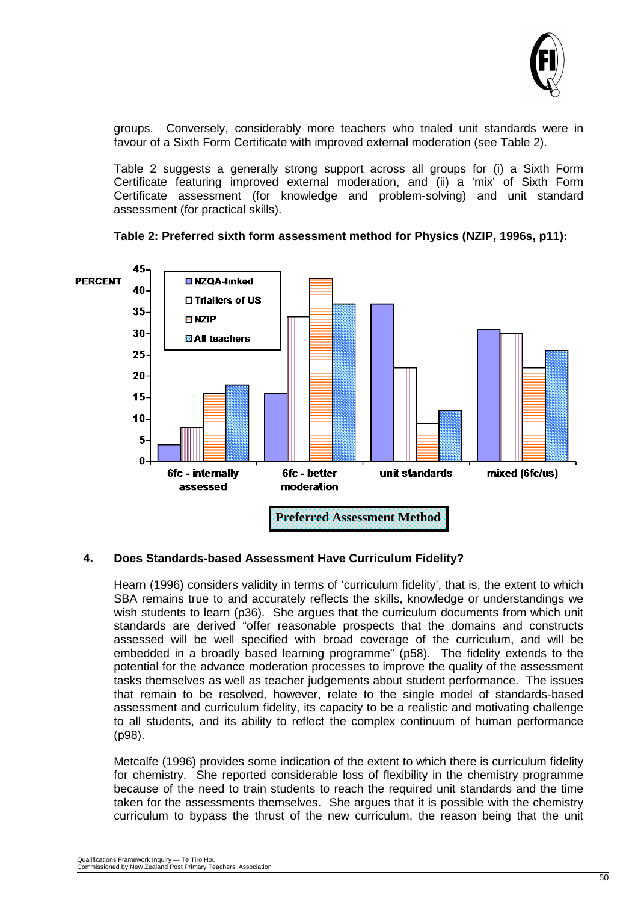

groups. Conversely, considerably more teachers who trialed unit standards were in favour of a Sixth Form Certificate with improved external moderation (see Table 2).

Table 2 suggests a generally strong support across all groups for (i) a Sixth Form Certificate featuring improved external moderation, and (ii) a 'mix' of Sixth Form Certificate assessment (for knowledge and problem-solving) and unit standard assessment (for practical skills).





#### **4. Does Standards-based Assessment Have Curriculum Fidelity?**

Hearn (1996) considers validity in terms of 'curriculum fidelity', that is, the extent to which SBA remains true to and accurately reflects the skills, knowledge or understandings we wish students to learn (p36). She argues that the curriculum documents from which unit standards are derived "offer reasonable prospects that the domains and constructs assessed will be well specified with broad coverage of the curriculum, and will be embedded in a broadly based learning programme" (p58). The fidelity extends to the potential for the advance moderation processes to improve the quality of the assessment tasks themselves as well as teacher judgements about student performance. The issues that remain to be resolved, however, relate to the single model of standards-based assessment and curriculum fidelity, its capacity to be a realistic and motivating challenge to all students, and its ability to reflect the complex continuum of human performance (p98).

Metcalfe (1996) provides some indication of the extent to which there is curriculum fidelity for chemistry. She reported considerable loss of flexibility in the chemistry programme because of the need to train students to reach the required unit standards and the time taken for the assessments themselves. She argues that it is possible with the chemistry curriculum to bypass the thrust of the new curriculum, the reason being that the unit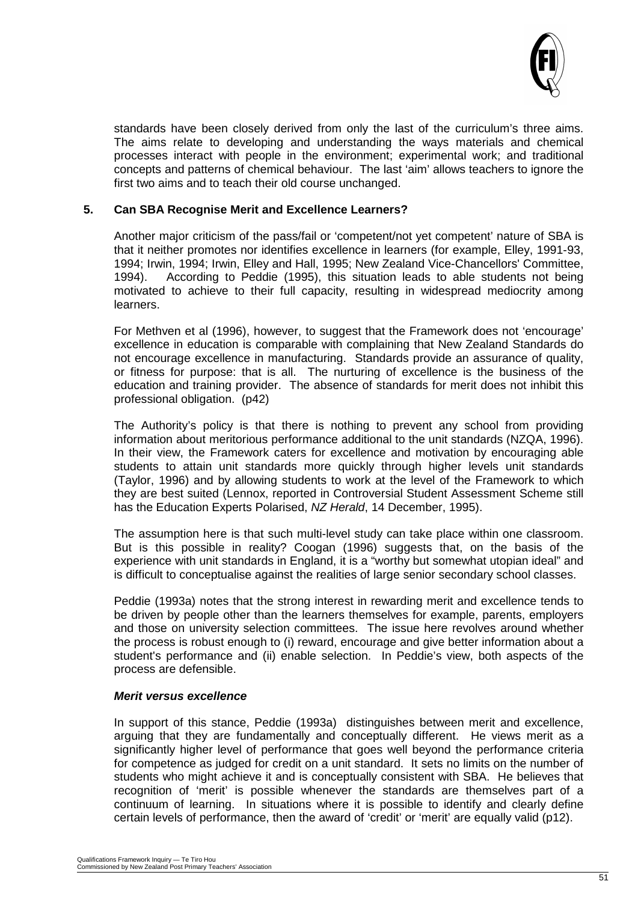

standards have been closely derived from only the last of the curriculum's three aims. The aims relate to developing and understanding the ways materials and chemical processes interact with people in the environment; experimental work; and traditional concepts and patterns of chemical behaviour. The last 'aim' allows teachers to ignore the first two aims and to teach their old course unchanged.

#### **5. Can SBA Recognise Merit and Excellence Learners?**

Another major criticism of the pass/fail or 'competent/not yet competent' nature of SBA is that it neither promotes nor identifies excellence in learners (for example, Elley, 1991-93, 1994; Irwin, 1994; Irwin, Elley and Hall, 1995; New Zealand Vice-Chancellors' Committee, 1994). According to Peddie (1995), this situation leads to able students not being motivated to achieve to their full capacity, resulting in widespread mediocrity among learners.

For Methven et al (1996), however, to suggest that the Framework does not 'encourage' excellence in education is comparable with complaining that New Zealand Standards do not encourage excellence in manufacturing. Standards provide an assurance of quality, or fitness for purpose: that is all. The nurturing of excellence is the business of the education and training provider. The absence of standards for merit does not inhibit this professional obligation. (p42)

The Authority's policy is that there is nothing to prevent any school from providing information about meritorious performance additional to the unit standards (NZQA, 1996). In their view, the Framework caters for excellence and motivation by encouraging able students to attain unit standards more quickly through higher levels unit standards (Taylor, 1996) and by allowing students to work at the level of the Framework to which they are best suited (Lennox, reported in Controversial Student Assessment Scheme still has the Education Experts Polarised, *NZ Herald*, 14 December, 1995).

The assumption here is that such multi-level study can take place within one classroom. But is this possible in reality? Coogan (1996) suggests that, on the basis of the experience with unit standards in England, it is a "worthy but somewhat utopian ideal" and is difficult to conceptualise against the realities of large senior secondary school classes.

Peddie (1993a) notes that the strong interest in rewarding merit and excellence tends to be driven by people other than the learners themselves for example, parents, employers and those on university selection committees. The issue here revolves around whether the process is robust enough to (i) reward, encourage and give better information about a student's performance and (ii) enable selection. In Peddie's view, both aspects of the process are defensible.

#### *Merit versus excellence*

In support of this stance, Peddie (1993a) distinguishes between merit and excellence, arguing that they are fundamentally and conceptually different. He views merit as a significantly higher level of performance that goes well beyond the performance criteria for competence as judged for credit on a unit standard. It sets no limits on the number of students who might achieve it and is conceptually consistent with SBA. He believes that recognition of 'merit' is possible whenever the standards are themselves part of a continuum of learning. In situations where it is possible to identify and clearly define certain levels of performance, then the award of 'credit' or 'merit' are equally valid (p12).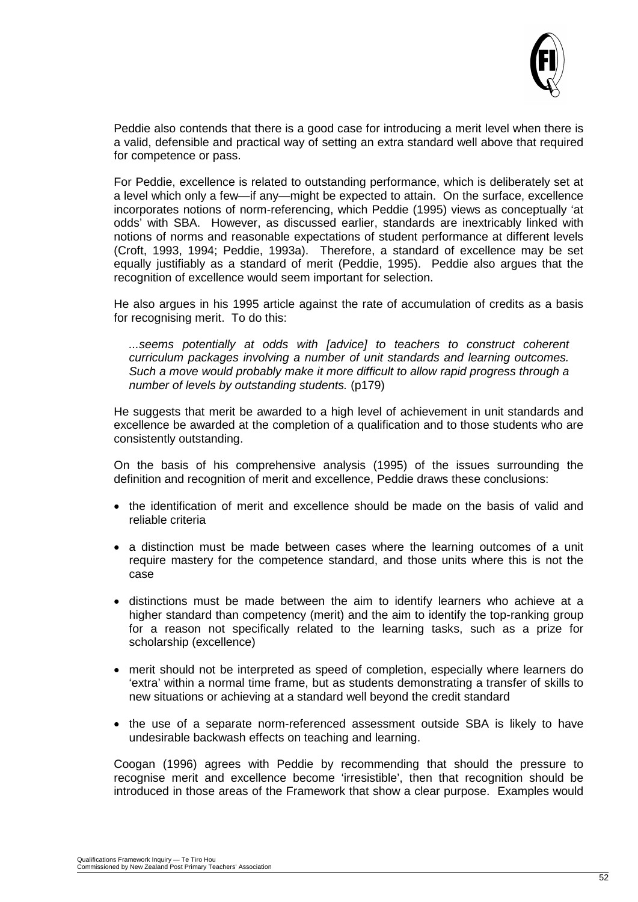

Peddie also contends that there is a good case for introducing a merit level when there is a valid, defensible and practical way of setting an extra standard well above that required for competence or pass.

For Peddie, excellence is related to outstanding performance, which is deliberately set at a level which only a few—if any—might be expected to attain. On the surface, excellence incorporates notions of norm-referencing, which Peddie (1995) views as conceptually 'at odds' with SBA. However, as discussed earlier, standards are inextricably linked with notions of norms and reasonable expectations of student performance at different levels (Croft, 1993, 1994; Peddie, 1993a). Therefore, a standard of excellence may be set equally justifiably as a standard of merit (Peddie, 1995). Peddie also argues that the recognition of excellence would seem important for selection.

He also argues in his 1995 article against the rate of accumulation of credits as a basis for recognising merit. To do this:

*...seems potentially at odds with [advice] to teachers to construct coherent curriculum packages involving a number of unit standards and learning outcomes. Such a move would probably make it more difficult to allow rapid progress through a number of levels by outstanding students.* (p179)

He suggests that merit be awarded to a high level of achievement in unit standards and excellence be awarded at the completion of a qualification and to those students who are consistently outstanding.

On the basis of his comprehensive analysis (1995) of the issues surrounding the definition and recognition of merit and excellence, Peddie draws these conclusions:

- the identification of merit and excellence should be made on the basis of valid and reliable criteria
- a distinction must be made between cases where the learning outcomes of a unit require mastery for the competence standard, and those units where this is not the case
- distinctions must be made between the aim to identify learners who achieve at a higher standard than competency (merit) and the aim to identify the top-ranking group for a reason not specifically related to the learning tasks, such as a prize for scholarship (excellence)
- merit should not be interpreted as speed of completion, especially where learners do 'extra' within a normal time frame, but as students demonstrating a transfer of skills to new situations or achieving at a standard well beyond the credit standard
- the use of a separate norm-referenced assessment outside SBA is likely to have undesirable backwash effects on teaching and learning.

Coogan (1996) agrees with Peddie by recommending that should the pressure to recognise merit and excellence become 'irresistible', then that recognition should be introduced in those areas of the Framework that show a clear purpose. Examples would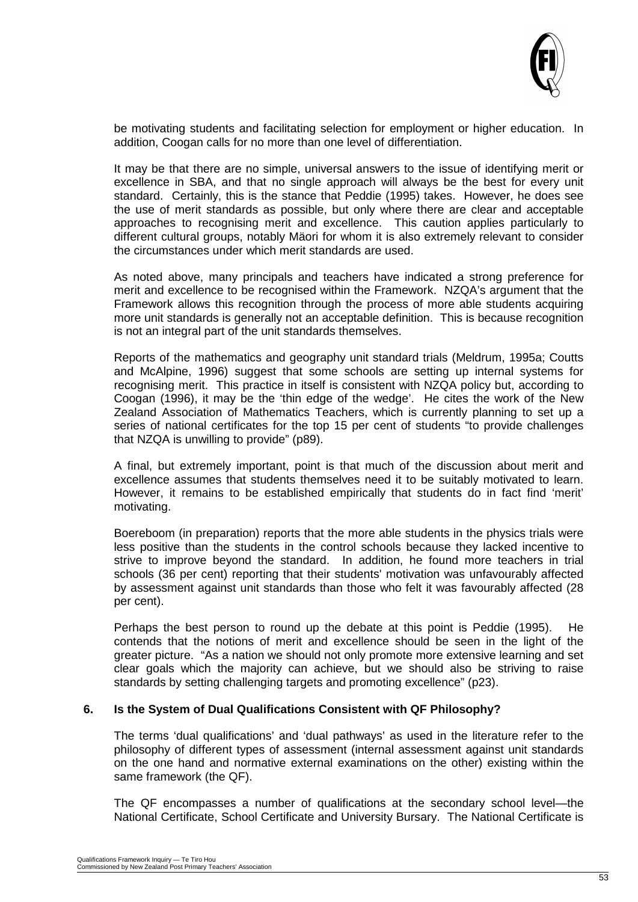

be motivating students and facilitating selection for employment or higher education. In addition, Coogan calls for no more than one level of differentiation.

It may be that there are no simple, universal answers to the issue of identifying merit or excellence in SBA, and that no single approach will always be the best for every unit standard. Certainly, this is the stance that Peddie (1995) takes. However, he does see the use of merit standards as possible, but only where there are clear and acceptable approaches to recognising merit and excellence. This caution applies particularly to different cultural groups, notably Mäori for whom it is also extremely relevant to consider the circumstances under which merit standards are used.

As noted above, many principals and teachers have indicated a strong preference for merit and excellence to be recognised within the Framework. NZQA's argument that the Framework allows this recognition through the process of more able students acquiring more unit standards is generally not an acceptable definition. This is because recognition is not an integral part of the unit standards themselves.

Reports of the mathematics and geography unit standard trials (Meldrum, 1995a; Coutts and McAlpine, 1996) suggest that some schools are setting up internal systems for recognising merit. This practice in itself is consistent with NZQA policy but, according to Coogan (1996), it may be the 'thin edge of the wedge'. He cites the work of the New Zealand Association of Mathematics Teachers, which is currently planning to set up a series of national certificates for the top 15 per cent of students "to provide challenges that NZQA is unwilling to provide" (p89).

A final, but extremely important, point is that much of the discussion about merit and excellence assumes that students themselves need it to be suitably motivated to learn. However, it remains to be established empirically that students do in fact find 'merit' motivating.

Boereboom (in preparation) reports that the more able students in the physics trials were less positive than the students in the control schools because they lacked incentive to strive to improve beyond the standard. In addition, he found more teachers in trial schools (36 per cent) reporting that their students' motivation was unfavourably affected by assessment against unit standards than those who felt it was favourably affected (28 per cent).

Perhaps the best person to round up the debate at this point is Peddie (1995). He contends that the notions of merit and excellence should be seen in the light of the greater picture. "As a nation we should not only promote more extensive learning and set clear goals which the majority can achieve, but we should also be striving to raise standards by setting challenging targets and promoting excellence" (p23).

#### **6. Is the System of Dual Qualifications Consistent with QF Philosophy?**

The terms 'dual qualifications' and 'dual pathways' as used in the literature refer to the philosophy of different types of assessment (internal assessment against unit standards on the one hand and normative external examinations on the other) existing within the same framework (the QF).

The QF encompasses a number of qualifications at the secondary school level—the National Certificate, School Certificate and University Bursary. The National Certificate is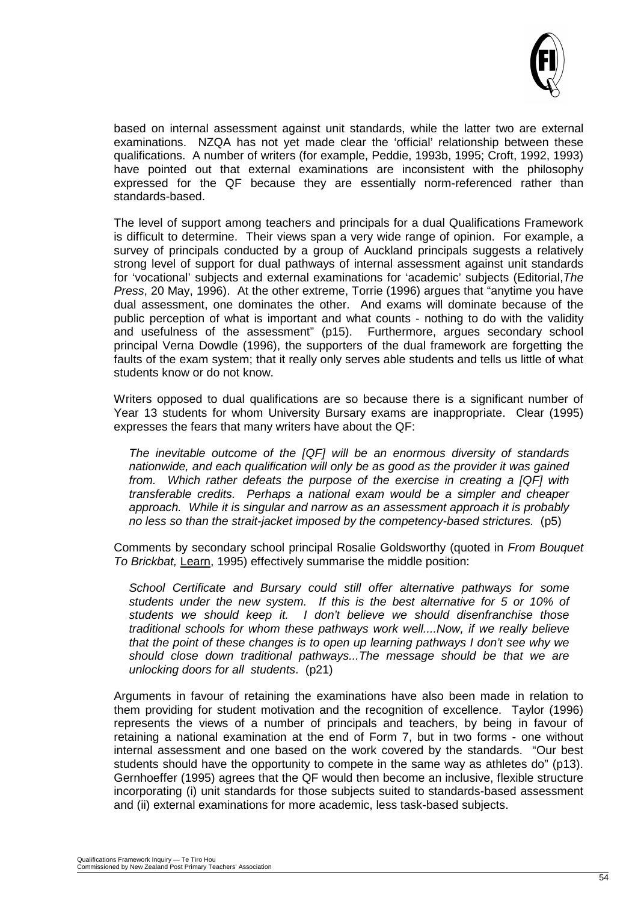

based on internal assessment against unit standards, while the latter two are external examinations. NZQA has not yet made clear the 'official' relationship between these qualifications. A number of writers (for example, Peddie, 1993b, 1995; Croft, 1992, 1993) have pointed out that external examinations are inconsistent with the philosophy expressed for the QF because they are essentially norm-referenced rather than standards-based.

The level of support among teachers and principals for a dual Qualifications Framework is difficult to determine. Their views span a very wide range of opinion. For example, a survey of principals conducted by a group of Auckland principals suggests a relatively strong level of support for dual pathways of internal assessment against unit standards for 'vocational' subjects and external examinations for 'academic' subjects (Editorial,*The Press*, 20 May, 1996). At the other extreme, Torrie (1996) argues that "anytime you have dual assessment, one dominates the other. And exams will dominate because of the public perception of what is important and what counts - nothing to do with the validity and usefulness of the assessment" (p15). Furthermore, argues secondary school principal Verna Dowdle (1996), the supporters of the dual framework are forgetting the faults of the exam system; that it really only serves able students and tells us little of what students know or do not know.

Writers opposed to dual qualifications are so because there is a significant number of Year 13 students for whom University Bursary exams are inappropriate. Clear (1995) expresses the fears that many writers have about the QF:

*The inevitable outcome of the [QF] will be an enormous diversity of standards nationwide, and each qualification will only be as good as the provider it was gained from. Which rather defeats the purpose of the exercise in creating a [QF] with transferable credits. Perhaps a national exam would be a simpler and cheaper approach. While it is singular and narrow as an assessment approach it is probably no less so than the strait-jacket imposed by the competency-based strictures.* (p5)

Comments by secondary school principal Rosalie Goldsworthy (quoted in *From Bouquet To Brickbat,* Learn, 1995) effectively summarise the middle position:

*School Certificate and Bursary could still offer alternative pathways for some students under the new system. If this is the best alternative for 5 or 10% of students we should keep it. I don't believe we should disenfranchise those traditional schools for whom these pathways work well....Now, if we really believe that the point of these changes is to open up learning pathways I don't see why we should close down traditional pathways...The message should be that we are unlocking doors for all students*. (p21)

Arguments in favour of retaining the examinations have also been made in relation to them providing for student motivation and the recognition of excellence. Taylor (1996) represents the views of a number of principals and teachers, by being in favour of retaining a national examination at the end of Form 7, but in two forms - one without internal assessment and one based on the work covered by the standards. "Our best students should have the opportunity to compete in the same way as athletes do" (p13). Gernhoeffer (1995) agrees that the QF would then become an inclusive, flexible structure incorporating (i) unit standards for those subjects suited to standards-based assessment and (ii) external examinations for more academic, less task-based subjects.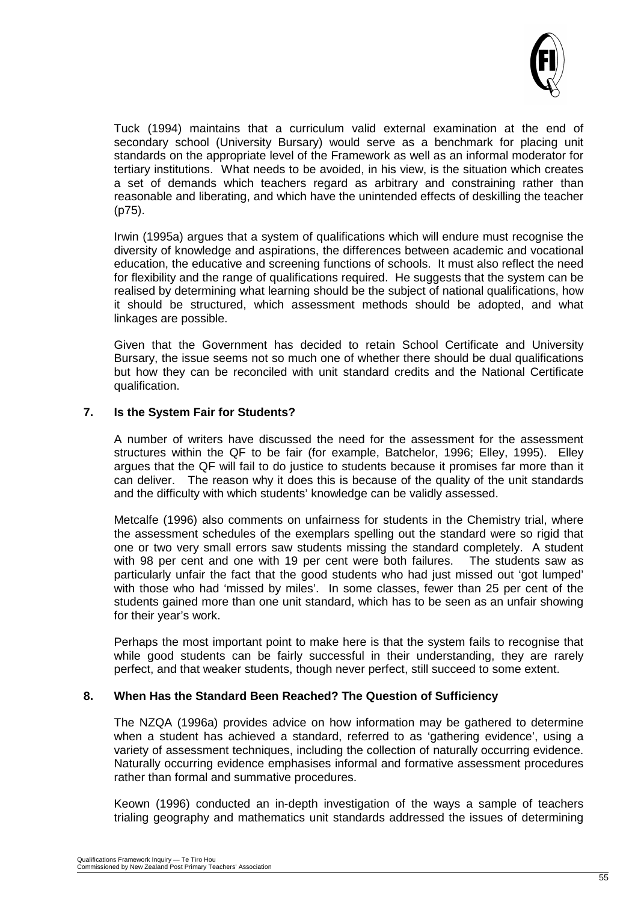

Tuck (1994) maintains that a curriculum valid external examination at the end of secondary school (University Bursary) would serve as a benchmark for placing unit standards on the appropriate level of the Framework as well as an informal moderator for tertiary institutions. What needs to be avoided, in his view, is the situation which creates a set of demands which teachers regard as arbitrary and constraining rather than reasonable and liberating, and which have the unintended effects of deskilling the teacher (p75).

Irwin (1995a) argues that a system of qualifications which will endure must recognise the diversity of knowledge and aspirations, the differences between academic and vocational education, the educative and screening functions of schools. It must also reflect the need for flexibility and the range of qualifications required. He suggests that the system can be realised by determining what learning should be the subject of national qualifications, how it should be structured, which assessment methods should be adopted, and what linkages are possible.

Given that the Government has decided to retain School Certificate and University Bursary, the issue seems not so much one of whether there should be dual qualifications but how they can be reconciled with unit standard credits and the National Certificate qualification.

#### **7. Is the System Fair for Students?**

A number of writers have discussed the need for the assessment for the assessment structures within the QF to be fair (for example, Batchelor, 1996; Elley, 1995). Elley argues that the QF will fail to do justice to students because it promises far more than it can deliver. The reason why it does this is because of the quality of the unit standards and the difficulty with which students' knowledge can be validly assessed.

Metcalfe (1996) also comments on unfairness for students in the Chemistry trial, where the assessment schedules of the exemplars spelling out the standard were so rigid that one or two very small errors saw students missing the standard completely. A student with 98 per cent and one with 19 per cent were both failures. The students saw as particularly unfair the fact that the good students who had just missed out 'got lumped' with those who had 'missed by miles'. In some classes, fewer than 25 per cent of the students gained more than one unit standard, which has to be seen as an unfair showing for their year's work.

Perhaps the most important point to make here is that the system fails to recognise that while good students can be fairly successful in their understanding, they are rarely perfect, and that weaker students, though never perfect, still succeed to some extent.

#### **8. When Has the Standard Been Reached? The Question of Sufficiency**

The NZQA (1996a) provides advice on how information may be gathered to determine when a student has achieved a standard, referred to as 'gathering evidence', using a variety of assessment techniques, including the collection of naturally occurring evidence. Naturally occurring evidence emphasises informal and formative assessment procedures rather than formal and summative procedures.

Keown (1996) conducted an in-depth investigation of the ways a sample of teachers trialing geography and mathematics unit standards addressed the issues of determining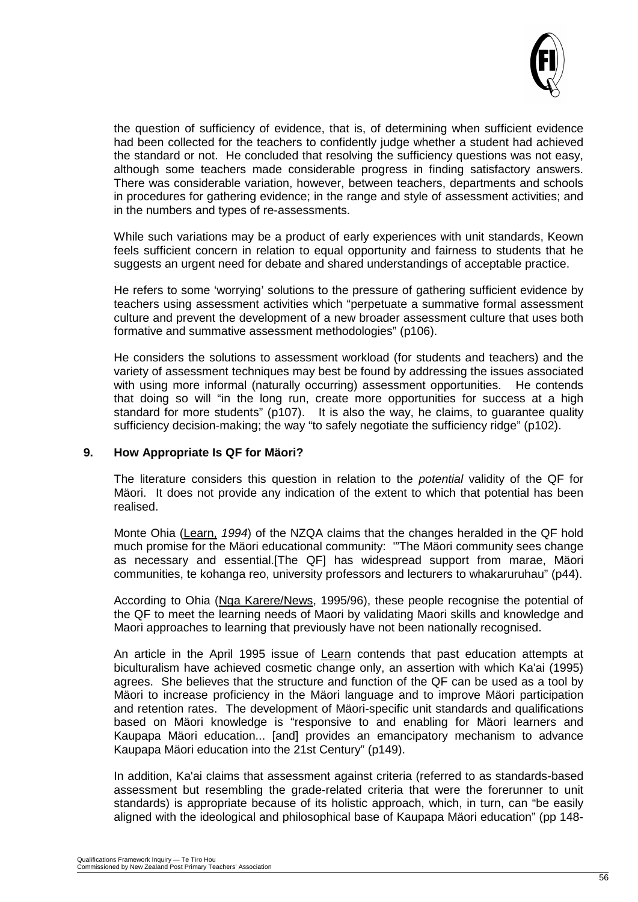

the question of sufficiency of evidence, that is, of determining when sufficient evidence had been collected for the teachers to confidently judge whether a student had achieved the standard or not. He concluded that resolving the sufficiency questions was not easy, although some teachers made considerable progress in finding satisfactory answers. There was considerable variation, however, between teachers, departments and schools in procedures for gathering evidence; in the range and style of assessment activities; and in the numbers and types of re-assessments.

While such variations may be a product of early experiences with unit standards, Keown feels sufficient concern in relation to equal opportunity and fairness to students that he suggests an urgent need for debate and shared understandings of acceptable practice.

He refers to some 'worrying' solutions to the pressure of gathering sufficient evidence by teachers using assessment activities which "perpetuate a summative formal assessment culture and prevent the development of a new broader assessment culture that uses both formative and summative assessment methodologies" (p106).

He considers the solutions to assessment workload (for students and teachers) and the variety of assessment techniques may best be found by addressing the issues associated with using more informal (naturally occurring) assessment opportunities. He contends that doing so will "in the long run, create more opportunities for success at a high standard for more students" (p107). It is also the way, he claims, to guarantee quality sufficiency decision-making; the way "to safely negotiate the sufficiency ridge" (p102).

#### **9. How Appropriate Is QF for Mäori?**

The literature considers this question in relation to the *potential* validity of the QF for Mäori. It does not provide any indication of the extent to which that potential has been realised.

Monte Ohia (Learn, *1994*) of the NZQA claims that the changes heralded in the QF hold much promise for the Mäori educational community: '"The Mäori community sees change as necessary and essential.[The QF] has widespread support from marae, Mäori communities, te kohanga reo, university professors and lecturers to whakaruruhau" (p44).

According to Ohia (Nga Karere/News, 1995/96), these people recognise the potential of the QF to meet the learning needs of Maori by validating Maori skills and knowledge and Maori approaches to learning that previously have not been nationally recognised.

An article in the April 1995 issue of Learn contends that past education attempts at biculturalism have achieved cosmetic change only, an assertion with which Ka'ai (1995) agrees. She believes that the structure and function of the QF can be used as a tool by Mäori to increase proficiency in the Mäori language and to improve Mäori participation and retention rates. The development of Mäori-specific unit standards and qualifications based on Mäori knowledge is "responsive to and enabling for Mäori learners and Kaupapa Mäori education... [and] provides an emancipatory mechanism to advance Kaupapa Mäori education into the 21st Century" (p149).

In addition, Ka'ai claims that assessment against criteria (referred to as standards-based assessment but resembling the grade-related criteria that were the forerunner to unit standards) is appropriate because of its holistic approach, which, in turn, can "be easily aligned with the ideological and philosophical base of Kaupapa Mäori education" (pp 148-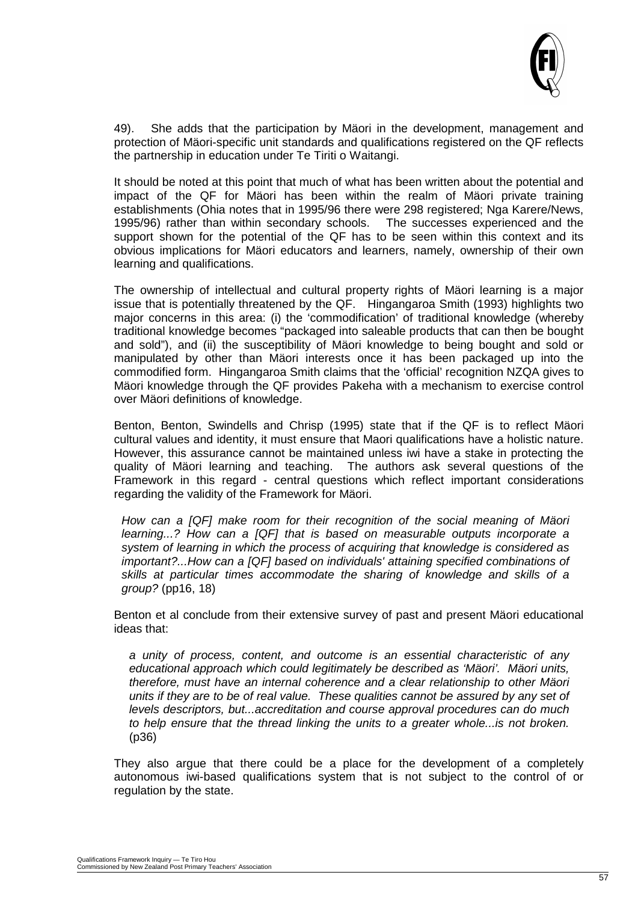

49). She adds that the participation by Mäori in the development, management and protection of Mäori-specific unit standards and qualifications registered on the QF reflects the partnership in education under Te Tiriti o Waitangi.

It should be noted at this point that much of what has been written about the potential and impact of the QF for Mäori has been within the realm of Mäori private training establishments (Ohia notes that in 1995/96 there were 298 registered; Nga Karere/News, 1995/96) rather than within secondary schools. The successes experienced and the support shown for the potential of the QF has to be seen within this context and its obvious implications for Mäori educators and learners, namely, ownership of their own learning and qualifications.

The ownership of intellectual and cultural property rights of Mäori learning is a major issue that is potentially threatened by the QF. Hingangaroa Smith (1993) highlights two major concerns in this area: (i) the 'commodification' of traditional knowledge (whereby traditional knowledge becomes "packaged into saleable products that can then be bought and sold"), and (ii) the susceptibility of Mäori knowledge to being bought and sold or manipulated by other than Mäori interests once it has been packaged up into the commodified form. Hingangaroa Smith claims that the 'official' recognition NZQA gives to Mäori knowledge through the QF provides Pakeha with a mechanism to exercise control over Mäori definitions of knowledge.

Benton, Benton, Swindells and Chrisp (1995) state that if the QF is to reflect Mäori cultural values and identity, it must ensure that Maori qualifications have a holistic nature. However, this assurance cannot be maintained unless iwi have a stake in protecting the quality of Mäori learning and teaching. The authors ask several questions of the Framework in this regard - central questions which reflect important considerations regarding the validity of the Framework for Mäori.

*How can a [QF] make room for their recognition of the social meaning of Mäori learning...? How can a [QF] that is based on measurable outputs incorporate a system of learning in which the process of acquiring that knowledge is considered as important?...How can a [QF] based on individuals' attaining specified combinations of skills at particular times accommodate the sharing of knowledge and skills of a group?* (pp16, 18)

Benton et al conclude from their extensive survey of past and present Mäori educational ideas that:

*a unity of process, content, and outcome is an essential characteristic of any educational approach which could legitimately be described as 'Mäori'. Mäori units, therefore, must have an internal coherence and a clear relationship to other Mäori units if they are to be of real value. These qualities cannot be assured by any set of levels descriptors, but...accreditation and course approval procedures can do much*  to help ensure that the thread linking the units to a greater whole...is not broken. (p36)

They also argue that there could be a place for the development of a completely autonomous iwi-based qualifications system that is not subject to the control of or regulation by the state.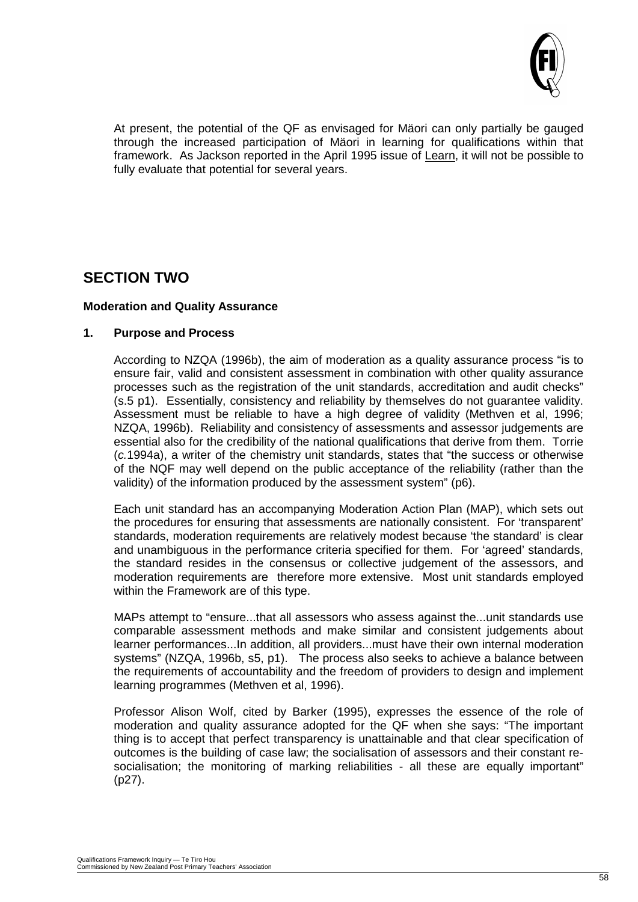

At present, the potential of the QF as envisaged for Mäori can only partially be gauged through the increased participation of Mäori in learning for qualifications within that framework. As Jackson reported in the April 1995 issue of Learn, it will not be possible to fully evaluate that potential for several years.

# **SECTION TWO**

#### **Moderation and Quality Assurance**

#### **1. Purpose and Process**

According to NZQA (1996b), the aim of moderation as a quality assurance process "is to ensure fair, valid and consistent assessment in combination with other quality assurance processes such as the registration of the unit standards, accreditation and audit checks" (s.5 p1). Essentially, consistency and reliability by themselves do not guarantee validity. Assessment must be reliable to have a high degree of validity (Methven et al, 1996; NZQA, 1996b). Reliability and consistency of assessments and assessor judgements are essential also for the credibility of the national qualifications that derive from them. Torrie (*c.*1994a), a writer of the chemistry unit standards, states that "the success or otherwise of the NQF may well depend on the public acceptance of the reliability (rather than the validity) of the information produced by the assessment system" (p6).

Each unit standard has an accompanying Moderation Action Plan (MAP), which sets out the procedures for ensuring that assessments are nationally consistent. For 'transparent' standards, moderation requirements are relatively modest because 'the standard' is clear and unambiguous in the performance criteria specified for them. For 'agreed' standards, the standard resides in the consensus or collective judgement of the assessors, and moderation requirements are therefore more extensive. Most unit standards employed within the Framework are of this type.

MAPs attempt to "ensure...that all assessors who assess against the...unit standards use comparable assessment methods and make similar and consistent judgements about learner performances...In addition, all providers...must have their own internal moderation systems" (NZQA, 1996b, s5, p1). The process also seeks to achieve a balance between the requirements of accountability and the freedom of providers to design and implement learning programmes (Methven et al, 1996).

Professor Alison Wolf, cited by Barker (1995), expresses the essence of the role of moderation and quality assurance adopted for the QF when she says: "The important thing is to accept that perfect transparency is unattainable and that clear specification of outcomes is the building of case law; the socialisation of assessors and their constant resocialisation; the monitoring of marking reliabilities - all these are equally important" (p27).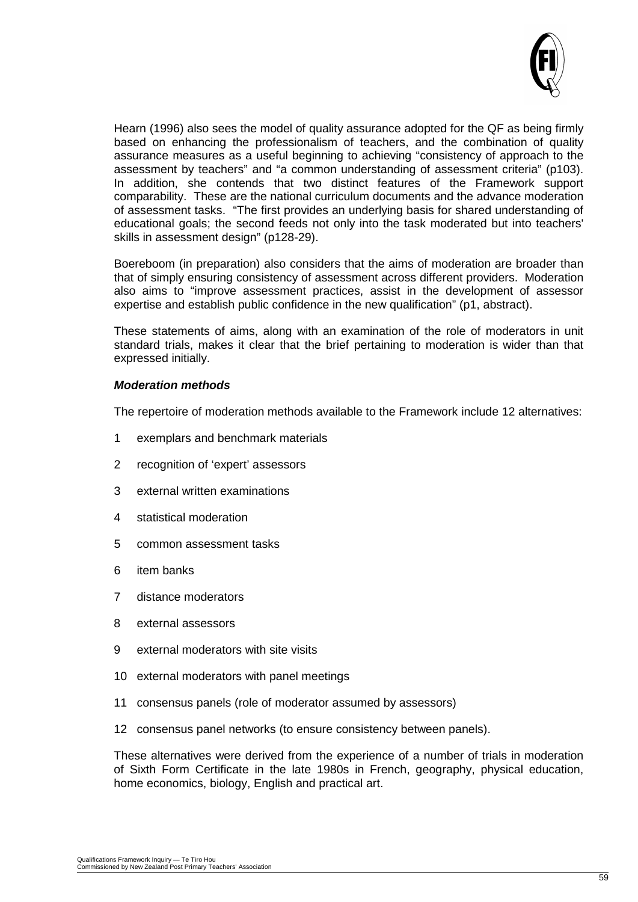

Hearn (1996) also sees the model of quality assurance adopted for the QF as being firmly based on enhancing the professionalism of teachers, and the combination of quality assurance measures as a useful beginning to achieving "consistency of approach to the assessment by teachers" and "a common understanding of assessment criteria" (p103). In addition, she contends that two distinct features of the Framework support comparability. These are the national curriculum documents and the advance moderation of assessment tasks. "The first provides an underlying basis for shared understanding of educational goals; the second feeds not only into the task moderated but into teachers' skills in assessment design" (p128-29).

Boereboom (in preparation) also considers that the aims of moderation are broader than that of simply ensuring consistency of assessment across different providers. Moderation also aims to "improve assessment practices, assist in the development of assessor expertise and establish public confidence in the new qualification" (p1, abstract).

These statements of aims, along with an examination of the role of moderators in unit standard trials, makes it clear that the brief pertaining to moderation is wider than that expressed initially.

#### *Moderation methods*

The repertoire of moderation methods available to the Framework include 12 alternatives:

- 1 exemplars and benchmark materials
- 2 recognition of 'expert' assessors
- 3 external written examinations
- 4 statistical moderation
- 5 common assessment tasks
- 6 item banks
- 7 distance moderators
- 8 external assessors
- 9 external moderators with site visits
- 10 external moderators with panel meetings
- 11 consensus panels (role of moderator assumed by assessors)
- 12 consensus panel networks (to ensure consistency between panels).

These alternatives were derived from the experience of a number of trials in moderation of Sixth Form Certificate in the late 1980s in French, geography, physical education, home economics, biology, English and practical art.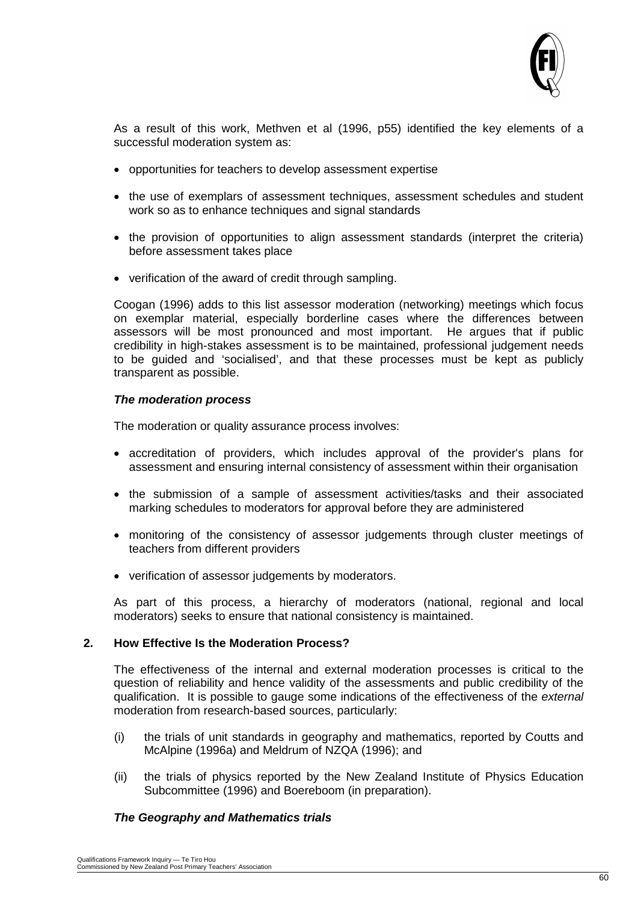

As a result of this work, Methven et al (1996, p55) identified the key elements of a successful moderation system as:

- opportunities for teachers to develop assessment expertise
- the use of exemplars of assessment techniques, assessment schedules and student work so as to enhance techniques and signal standards
- the provision of opportunities to align assessment standards (interpret the criteria) before assessment takes place
- verification of the award of credit through sampling.

Coogan (1996) adds to this list assessor moderation (networking) meetings which focus on exemplar material, especially borderline cases where the differences between assessors will be most pronounced and most important. He argues that if public credibility in high-stakes assessment is to be maintained, professional judgement needs to be guided and 'socialised', and that these processes must be kept as publicly transparent as possible.

#### *The moderation process*

The moderation or quality assurance process involves:

- accreditation of providers, which includes approval of the provider's plans for assessment and ensuring internal consistency of assessment within their organisation
- the submission of a sample of assessment activities/tasks and their associated marking schedules to moderators for approval before they are administered
- monitoring of the consistency of assessor judgements through cluster meetings of teachers from different providers
- verification of assessor judgements by moderators.

As part of this process, a hierarchy of moderators (national, regional and local moderators) seeks to ensure that national consistency is maintained.

#### **2. How Effective Is the Moderation Process?**

The effectiveness of the internal and external moderation processes is critical to the question of reliability and hence validity of the assessments and public credibility of the qualification. It is possible to gauge some indications of the effectiveness of the *external* moderation from research-based sources, particularly:

- (i) the trials of unit standards in geography and mathematics, reported by Coutts and McAlpine (1996a) and Meldrum of NZQA (1996); and
- (ii) the trials of physics reported by the New Zealand Institute of Physics Education Subcommittee (1996) and Boereboom (in preparation).

#### *The Geography and Mathematics trials*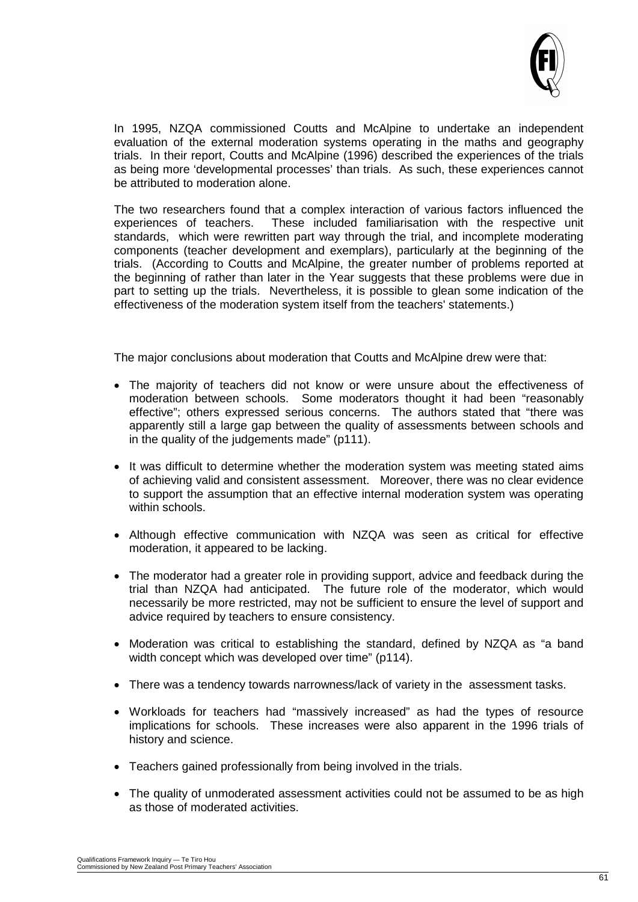

In 1995, NZQA commissioned Coutts and McAlpine to undertake an independent evaluation of the external moderation systems operating in the maths and geography trials. In their report, Coutts and McAlpine (1996) described the experiences of the trials as being more 'developmental processes' than trials. As such, these experiences cannot be attributed to moderation alone.

The two researchers found that a complex interaction of various factors influenced the experiences of teachers. These included familiarisation with the respective unit These included familiarisation with the respective unit standards, which were rewritten part way through the trial, and incomplete moderating components (teacher development and exemplars), particularly at the beginning of the trials. (According to Coutts and McAlpine, the greater number of problems reported at the beginning of rather than later in the Year suggests that these problems were due in part to setting up the trials. Nevertheless, it is possible to glean some indication of the effectiveness of the moderation system itself from the teachers' statements.)

The major conclusions about moderation that Coutts and McAlpine drew were that:

- The majority of teachers did not know or were unsure about the effectiveness of moderation between schools. Some moderators thought it had been "reasonably effective"; others expressed serious concerns. The authors stated that "there was apparently still a large gap between the quality of assessments between schools and in the quality of the judgements made" (p111).
- It was difficult to determine whether the moderation system was meeting stated aims of achieving valid and consistent assessment. Moreover, there was no clear evidence to support the assumption that an effective internal moderation system was operating within schools.
- Although effective communication with NZQA was seen as critical for effective moderation, it appeared to be lacking.
- The moderator had a greater role in providing support, advice and feedback during the trial than NZQA had anticipated. The future role of the moderator, which would necessarily be more restricted, may not be sufficient to ensure the level of support and advice required by teachers to ensure consistency.
- Moderation was critical to establishing the standard, defined by NZQA as "a band width concept which was developed over time" (p114).
- There was a tendency towards narrowness/lack of variety in the assessment tasks.
- Workloads for teachers had "massively increased" as had the types of resource implications for schools. These increases were also apparent in the 1996 trials of history and science.
- Teachers gained professionally from being involved in the trials.
- The quality of unmoderated assessment activities could not be assumed to be as high as those of moderated activities.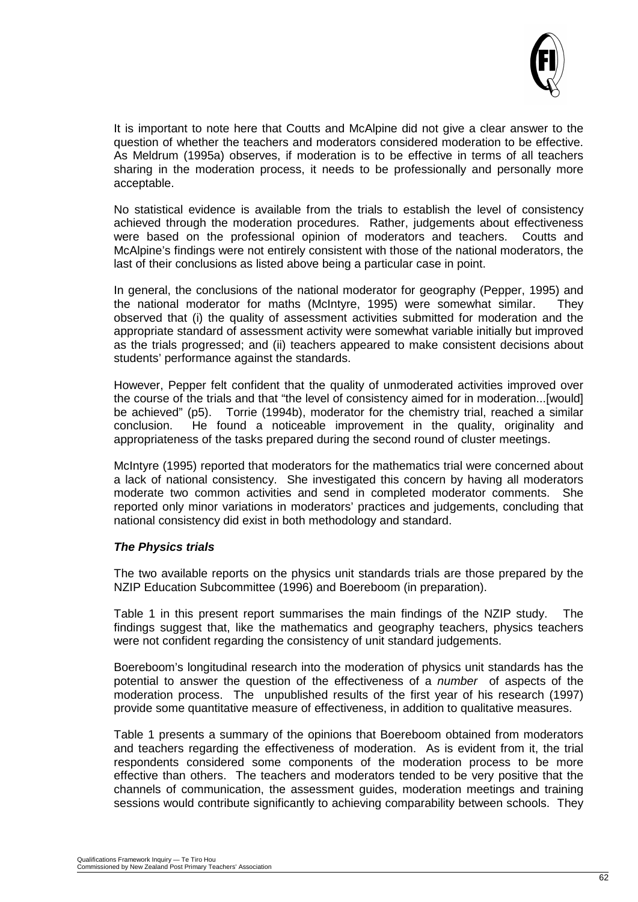

It is important to note here that Coutts and McAlpine did not give a clear answer to the question of whether the teachers and moderators considered moderation to be effective. As Meldrum (1995a) observes, if moderation is to be effective in terms of all teachers sharing in the moderation process, it needs to be professionally and personally more acceptable.

No statistical evidence is available from the trials to establish the level of consistency achieved through the moderation procedures. Rather, judgements about effectiveness were based on the professional opinion of moderators and teachers. Coutts and McAlpine's findings were not entirely consistent with those of the national moderators, the last of their conclusions as listed above being a particular case in point.

In general, the conclusions of the national moderator for geography (Pepper, 1995) and the national moderator for maths (McIntyre, 1995) were somewhat similar. They observed that (i) the quality of assessment activities submitted for moderation and the appropriate standard of assessment activity were somewhat variable initially but improved as the trials progressed; and (ii) teachers appeared to make consistent decisions about students' performance against the standards.

However, Pepper felt confident that the quality of unmoderated activities improved over the course of the trials and that "the level of consistency aimed for in moderation...[would] be achieved" (p5). Torrie (1994b), moderator for the chemistry trial, reached a similar conclusion. He found a noticeable improvement in the quality, originality and appropriateness of the tasks prepared during the second round of cluster meetings.

McIntyre (1995) reported that moderators for the mathematics trial were concerned about a lack of national consistency. She investigated this concern by having all moderators moderate two common activities and send in completed moderator comments. She reported only minor variations in moderators' practices and judgements, concluding that national consistency did exist in both methodology and standard.

#### *The Physics trials*

The two available reports on the physics unit standards trials are those prepared by the NZIP Education Subcommittee (1996) and Boereboom (in preparation).

Table 1 in this present report summarises the main findings of the NZIP study. The findings suggest that, like the mathematics and geography teachers, physics teachers were not confident regarding the consistency of unit standard judgements.

Boereboom's longitudinal research into the moderation of physics unit standards has the potential to answer the question of the effectiveness of a *number* of aspects of the moderation process. The unpublished results of the first year of his research (1997) provide some quantitative measure of effectiveness, in addition to qualitative measures.

Table 1 presents a summary of the opinions that Boereboom obtained from moderators and teachers regarding the effectiveness of moderation. As is evident from it, the trial respondents considered some components of the moderation process to be more effective than others. The teachers and moderators tended to be very positive that the channels of communication, the assessment guides, moderation meetings and training sessions would contribute significantly to achieving comparability between schools. They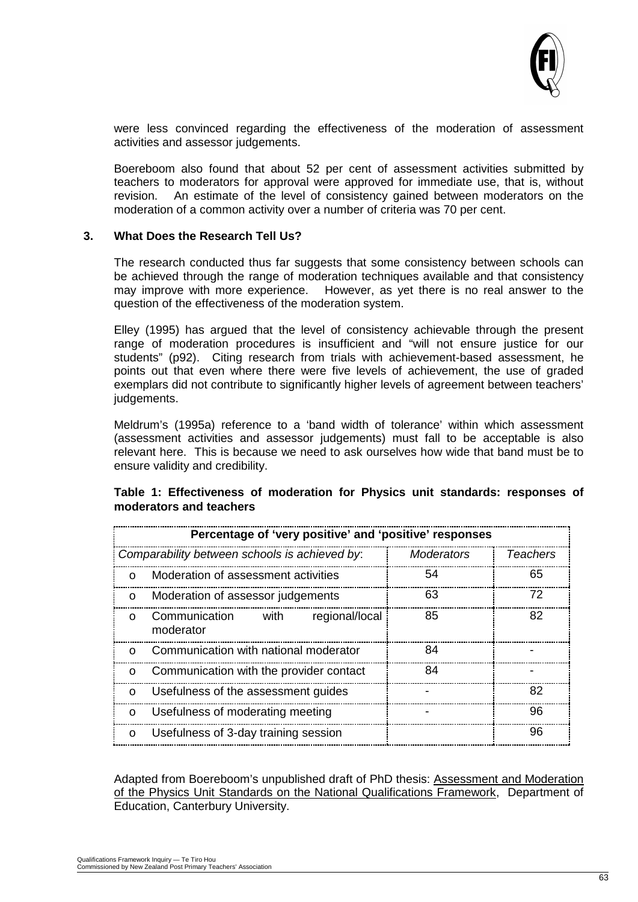

were less convinced regarding the effectiveness of the moderation of assessment activities and assessor judgements.

Boereboom also found that about 52 per cent of assessment activities submitted by teachers to moderators for approval were approved for immediate use, that is, without revision. An estimate of the level of consistency gained between moderators on the moderation of a common activity over a number of criteria was 70 per cent.

#### **3. What Does the Research Tell Us?**

The research conducted thus far suggests that some consistency between schools can be achieved through the range of moderation techniques available and that consistency may improve with more experience. However, as vet there is no real answer to the However, as yet there is no real answer to the question of the effectiveness of the moderation system.

Elley (1995) has argued that the level of consistency achievable through the present range of moderation procedures is insufficient and "will not ensure justice for our students" (p92). Citing research from trials with achievement-based assessment, he points out that even where there were five levels of achievement, the use of graded exemplars did not contribute to significantly higher levels of agreement between teachers' judgements.

Meldrum's (1995a) reference to a 'band width of tolerance' within which assessment (assessment activities and assessor judgements) must fall to be acceptable is also relevant here. This is because we need to ask ourselves how wide that band must be to ensure validity and credibility.

| Percentage of 'very positive' and 'positive' responses |                                                      |            |                 |
|--------------------------------------------------------|------------------------------------------------------|------------|-----------------|
| Comparability between schools is achieved by:          |                                                      | Moderators | <b>Teachers</b> |
| $\Omega$                                               | Moderation of assessment activities                  | 54         | 65              |
| $\Omega$                                               | Moderation of assessor judgements                    | 63         | 72              |
| $\Omega$                                               | Communication<br>with<br>regional/local<br>moderator | 85         | 82              |
| $\Omega$                                               | Communication with national moderator                | 84         |                 |
| O                                                      | Communication with the provider contact              | 84         |                 |
| O                                                      | Usefulness of the assessment guides                  |            | 82              |
| O                                                      | Usefulness of moderating meeting                     |            | 96              |
| O                                                      | Usefulness of 3-day training session                 |            | 96              |

#### **Table 1: Effectiveness of moderation for Physics unit standards: responses of moderators and teachers**

Adapted from Boereboom's unpublished draft of PhD thesis: Assessment and Moderation of the Physics Unit Standards on the National Qualifications Framework, Department of Education, Canterbury University.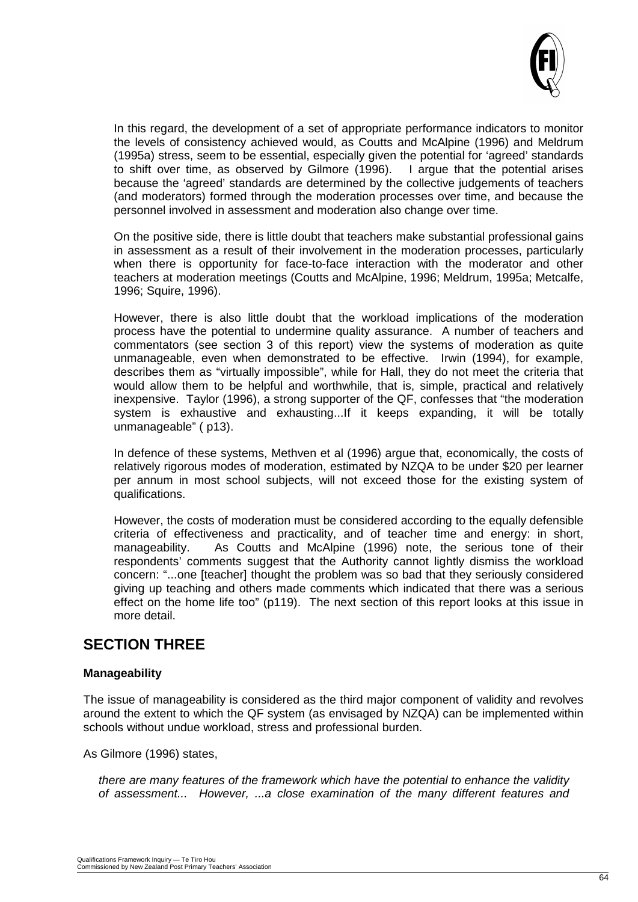

In this regard, the development of a set of appropriate performance indicators to monitor the levels of consistency achieved would, as Coutts and McAlpine (1996) and Meldrum (1995a) stress, seem to be essential, especially given the potential for 'agreed' standards to shift over time, as observed by Gilmore (1996). because the 'agreed' standards are determined by the collective judgements of teachers (and moderators) formed through the moderation processes over time, and because the personnel involved in assessment and moderation also change over time.

On the positive side, there is little doubt that teachers make substantial professional gains in assessment as a result of their involvement in the moderation processes, particularly when there is opportunity for face-to-face interaction with the moderator and other teachers at moderation meetings (Coutts and McAlpine, 1996; Meldrum, 1995a; Metcalfe, 1996; Squire, 1996).

However, there is also little doubt that the workload implications of the moderation process have the potential to undermine quality assurance. A number of teachers and commentators (see section 3 of this report) view the systems of moderation as quite unmanageable, even when demonstrated to be effective. Irwin (1994), for example, describes them as "virtually impossible", while for Hall, they do not meet the criteria that would allow them to be helpful and worthwhile, that is, simple, practical and relatively inexpensive. Taylor (1996), a strong supporter of the QF, confesses that "the moderation system is exhaustive and exhausting...If it keeps expanding, it will be totally unmanageable" ( p13).

In defence of these systems, Methven et al (1996) argue that, economically, the costs of relatively rigorous modes of moderation, estimated by NZQA to be under \$20 per learner per annum in most school subjects, will not exceed those for the existing system of qualifications.

However, the costs of moderation must be considered according to the equally defensible criteria of effectiveness and practicality, and of teacher time and energy: in short, manageability. As Coutts and McAlpine (1996) note, the serious tone of their respondents' comments suggest that the Authority cannot lightly dismiss the workload concern: "...one [teacher] thought the problem was so bad that they seriously considered giving up teaching and others made comments which indicated that there was a serious effect on the home life too" (p119). The next section of this report looks at this issue in more detail.

# **SECTION THREE**

#### **Manageability**

The issue of manageability is considered as the third major component of validity and revolves around the extent to which the QF system (as envisaged by NZQA) can be implemented within schools without undue workload, stress and professional burden.

As Gilmore (1996) states,

*there are many features of the framework which have the potential to enhance the validity of assessment... However, ...a close examination of the many different features and*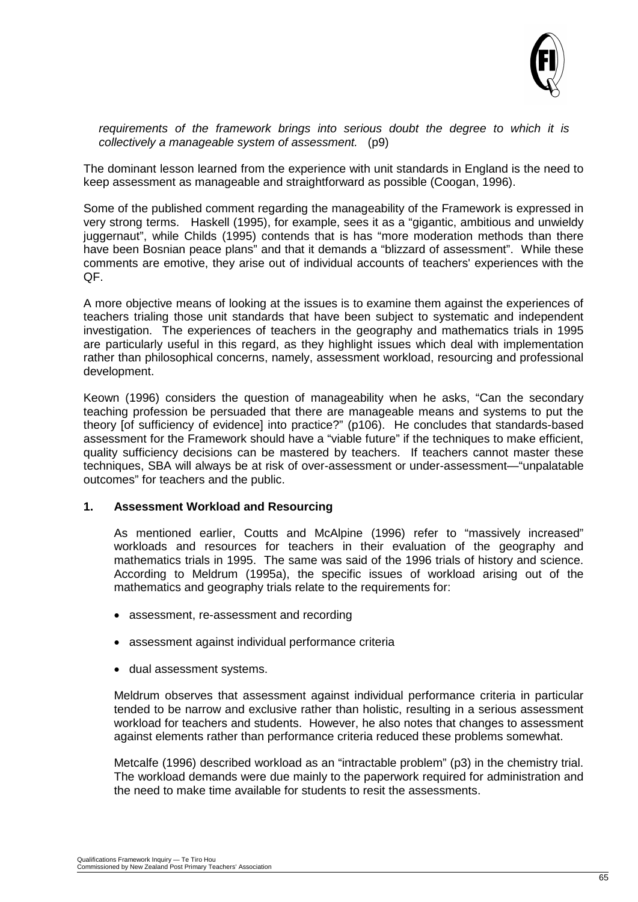

*requirements of the framework brings into serious doubt the degree to which it is collectively a manageable system of assessment.* (p9)

The dominant lesson learned from the experience with unit standards in England is the need to keep assessment as manageable and straightforward as possible (Coogan, 1996).

Some of the published comment regarding the manageability of the Framework is expressed in very strong terms. Haskell (1995), for example, sees it as a "gigantic, ambitious and unwieldy juggernaut", while Childs (1995) contends that is has "more moderation methods than there have been Bosnian peace plans" and that it demands a "blizzard of assessment". While these comments are emotive, they arise out of individual accounts of teachers' experiences with the QF.

A more objective means of looking at the issues is to examine them against the experiences of teachers trialing those unit standards that have been subject to systematic and independent investigation. The experiences of teachers in the geography and mathematics trials in 1995 are particularly useful in this regard, as they highlight issues which deal with implementation rather than philosophical concerns, namely, assessment workload, resourcing and professional development.

Keown (1996) considers the question of manageability when he asks, "Can the secondary teaching profession be persuaded that there are manageable means and systems to put the theory [of sufficiency of evidence] into practice?" (p106). He concludes that standards-based assessment for the Framework should have a "viable future" if the techniques to make efficient, quality sufficiency decisions can be mastered by teachers. If teachers cannot master these techniques, SBA will always be at risk of over-assessment or under-assessment—"unpalatable outcomes" for teachers and the public.

#### **1. Assessment Workload and Resourcing**

As mentioned earlier, Coutts and McAlpine (1996) refer to "massively increased" workloads and resources for teachers in their evaluation of the geography and mathematics trials in 1995. The same was said of the 1996 trials of history and science. According to Meldrum (1995a), the specific issues of workload arising out of the mathematics and geography trials relate to the requirements for:

- assessment, re-assessment and recording
- assessment against individual performance criteria
- dual assessment systems.

Meldrum observes that assessment against individual performance criteria in particular tended to be narrow and exclusive rather than holistic, resulting in a serious assessment workload for teachers and students. However, he also notes that changes to assessment against elements rather than performance criteria reduced these problems somewhat.

Metcalfe (1996) described workload as an "intractable problem" (p3) in the chemistry trial. The workload demands were due mainly to the paperwork required for administration and the need to make time available for students to resit the assessments.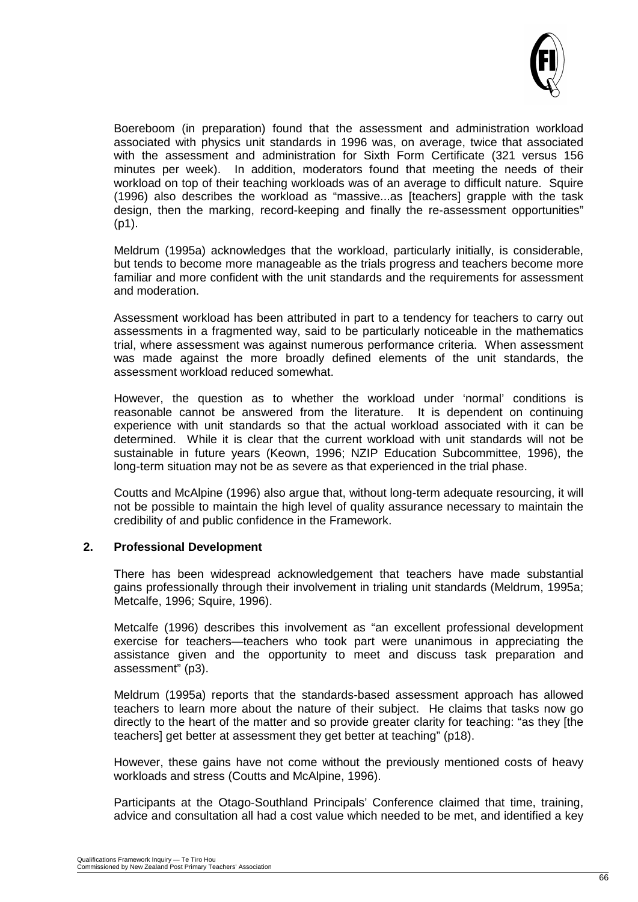

Boereboom (in preparation) found that the assessment and administration workload associated with physics unit standards in 1996 was, on average, twice that associated with the assessment and administration for Sixth Form Certificate (321 versus 156 minutes per week). In addition, moderators found that meeting the needs of their workload on top of their teaching workloads was of an average to difficult nature. Squire (1996) also describes the workload as "massive...as [teachers] grapple with the task design, then the marking, record-keeping and finally the re-assessment opportunities" (p1).

Meldrum (1995a) acknowledges that the workload, particularly initially, is considerable, but tends to become more manageable as the trials progress and teachers become more familiar and more confident with the unit standards and the requirements for assessment and moderation.

Assessment workload has been attributed in part to a tendency for teachers to carry out assessments in a fragmented way, said to be particularly noticeable in the mathematics trial, where assessment was against numerous performance criteria. When assessment was made against the more broadly defined elements of the unit standards, the assessment workload reduced somewhat.

However, the question as to whether the workload under 'normal' conditions is reasonable cannot be answered from the literature. It is dependent on continuing experience with unit standards so that the actual workload associated with it can be determined. While it is clear that the current workload with unit standards will not be sustainable in future years (Keown, 1996; NZIP Education Subcommittee, 1996), the long-term situation may not be as severe as that experienced in the trial phase.

Coutts and McAlpine (1996) also argue that, without long-term adequate resourcing, it will not be possible to maintain the high level of quality assurance necessary to maintain the credibility of and public confidence in the Framework.

#### **2. Professional Development**

There has been widespread acknowledgement that teachers have made substantial gains professionally through their involvement in trialing unit standards (Meldrum, 1995a; Metcalfe, 1996; Squire, 1996).

Metcalfe (1996) describes this involvement as "an excellent professional development exercise for teachers—teachers who took part were unanimous in appreciating the assistance given and the opportunity to meet and discuss task preparation and assessment" (p3).

Meldrum (1995a) reports that the standards-based assessment approach has allowed teachers to learn more about the nature of their subject. He claims that tasks now go directly to the heart of the matter and so provide greater clarity for teaching: "as they [the teachers] get better at assessment they get better at teaching" (p18).

However, these gains have not come without the previously mentioned costs of heavy workloads and stress (Coutts and McAlpine, 1996).

Participants at the Otago-Southland Principals' Conference claimed that time, training, advice and consultation all had a cost value which needed to be met, and identified a key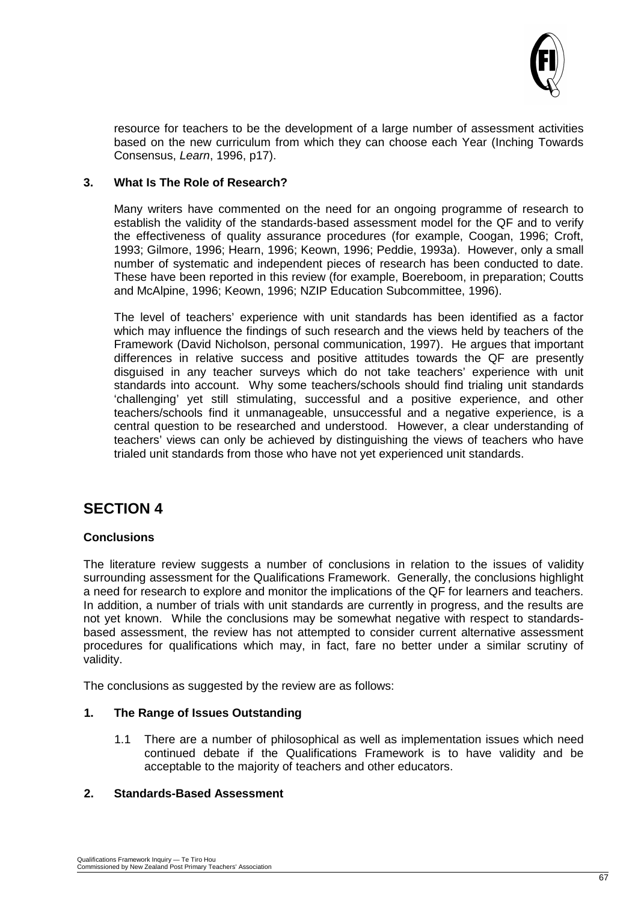

resource for teachers to be the development of a large number of assessment activities based on the new curriculum from which they can choose each Year (Inching Towards Consensus, *Learn*, 1996, p17).

#### **3. What Is The Role of Research?**

Many writers have commented on the need for an ongoing programme of research to establish the validity of the standards-based assessment model for the QF and to verify the effectiveness of quality assurance procedures (for example, Coogan, 1996; Croft, 1993; Gilmore, 1996; Hearn, 1996; Keown, 1996; Peddie, 1993a). However, only a small number of systematic and independent pieces of research has been conducted to date. These have been reported in this review (for example, Boereboom, in preparation; Coutts and McAlpine, 1996; Keown, 1996; NZIP Education Subcommittee, 1996).

The level of teachers' experience with unit standards has been identified as a factor which may influence the findings of such research and the views held by teachers of the Framework (David Nicholson, personal communication, 1997). He argues that important differences in relative success and positive attitudes towards the QF are presently disguised in any teacher surveys which do not take teachers' experience with unit standards into account. Why some teachers/schools should find trialing unit standards 'challenging' yet still stimulating, successful and a positive experience, and other teachers/schools find it unmanageable, unsuccessful and a negative experience, is a central question to be researched and understood. However, a clear understanding of teachers' views can only be achieved by distinguishing the views of teachers who have trialed unit standards from those who have not yet experienced unit standards.

# **SECTION 4**

#### **Conclusions**

The literature review suggests a number of conclusions in relation to the issues of validity surrounding assessment for the Qualifications Framework. Generally, the conclusions highlight a need for research to explore and monitor the implications of the QF for learners and teachers. In addition, a number of trials with unit standards are currently in progress, and the results are not yet known. While the conclusions may be somewhat negative with respect to standardsbased assessment, the review has not attempted to consider current alternative assessment procedures for qualifications which may, in fact, fare no better under a similar scrutiny of validity.

The conclusions as suggested by the review are as follows:

#### **1. The Range of Issues Outstanding**

1.1 There are a number of philosophical as well as implementation issues which need continued debate if the Qualifications Framework is to have validity and be acceptable to the majority of teachers and other educators.

#### **2. Standards-Based Assessment**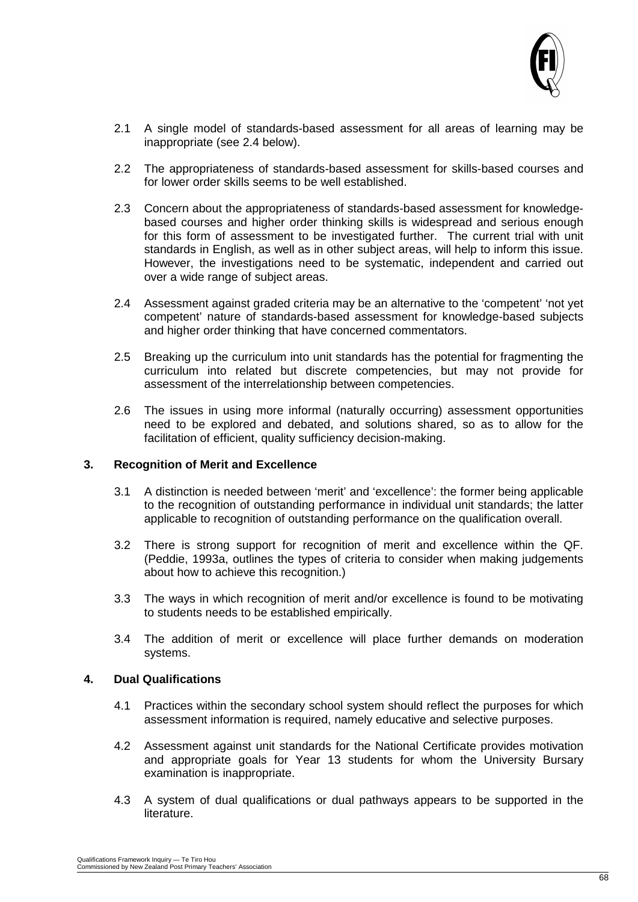

- 2.1 A single model of standards-based assessment for all areas of learning may be inappropriate (see 2.4 below).
- 2.2 The appropriateness of standards-based assessment for skills-based courses and for lower order skills seems to be well established.
- 2.3 Concern about the appropriateness of standards-based assessment for knowledgebased courses and higher order thinking skills is widespread and serious enough for this form of assessment to be investigated further. The current trial with unit standards in English, as well as in other subject areas, will help to inform this issue. However, the investigations need to be systematic, independent and carried out over a wide range of subject areas.
- 2.4 Assessment against graded criteria may be an alternative to the 'competent' 'not yet competent' nature of standards-based assessment for knowledge-based subjects and higher order thinking that have concerned commentators.
- 2.5 Breaking up the curriculum into unit standards has the potential for fragmenting the curriculum into related but discrete competencies, but may not provide for assessment of the interrelationship between competencies.
- 2.6 The issues in using more informal (naturally occurring) assessment opportunities need to be explored and debated, and solutions shared, so as to allow for the facilitation of efficient, quality sufficiency decision-making.

#### **3. Recognition of Merit and Excellence**

- 3.1 A distinction is needed between 'merit' and 'excellence': the former being applicable to the recognition of outstanding performance in individual unit standards; the latter applicable to recognition of outstanding performance on the qualification overall.
- 3.2 There is strong support for recognition of merit and excellence within the QF. (Peddie, 1993a, outlines the types of criteria to consider when making judgements about how to achieve this recognition.)
- 3.3 The ways in which recognition of merit and/or excellence is found to be motivating to students needs to be established empirically.
- 3.4 The addition of merit or excellence will place further demands on moderation systems.

#### **4. Dual Qualifications**

- 4.1 Practices within the secondary school system should reflect the purposes for which assessment information is required, namely educative and selective purposes.
- 4.2 Assessment against unit standards for the National Certificate provides motivation and appropriate goals for Year 13 students for whom the University Bursary examination is inappropriate.
- 4.3 A system of dual qualifications or dual pathways appears to be supported in the literature.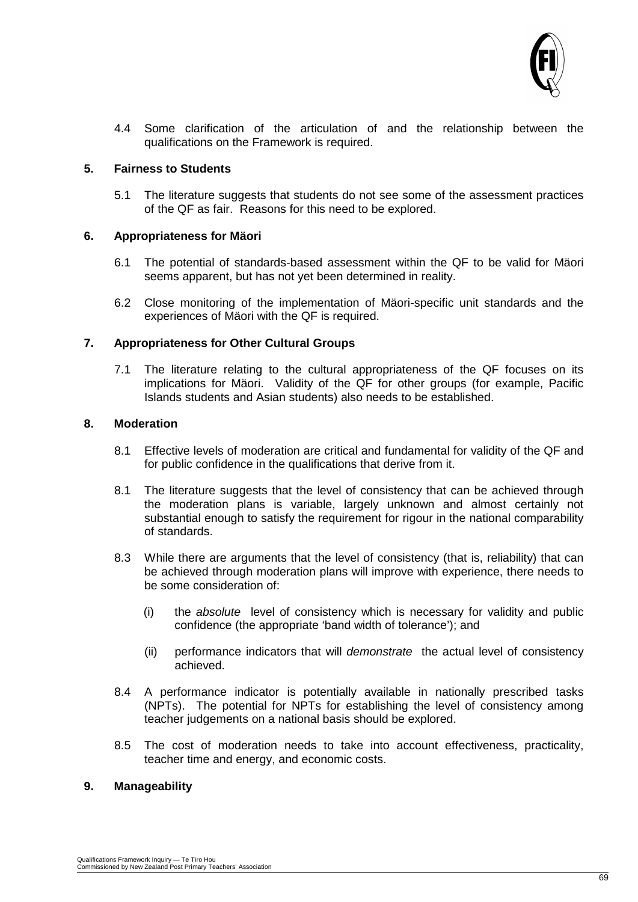

4.4 Some clarification of the articulation of and the relationship between the qualifications on the Framework is required.

#### **5. Fairness to Students**

5.1 The literature suggests that students do not see some of the assessment practices of the QF as fair. Reasons for this need to be explored.

#### **6. Appropriateness for Mäori**

- 6.1 The potential of standards-based assessment within the QF to be valid for Mäori seems apparent, but has not yet been determined in reality.
- 6.2 Close monitoring of the implementation of Mäori-specific unit standards and the experiences of Mäori with the QF is required.

#### **7. Appropriateness for Other Cultural Groups**

7.1 The literature relating to the cultural appropriateness of the QF focuses on its implications for Mäori. Validity of the QF for other groups (for example, Pacific Islands students and Asian students) also needs to be established.

#### **8. Moderation**

- 8.1 Effective levels of moderation are critical and fundamental for validity of the QF and for public confidence in the qualifications that derive from it.
- 8.1 The literature suggests that the level of consistency that can be achieved through the moderation plans is variable, largely unknown and almost certainly not substantial enough to satisfy the requirement for rigour in the national comparability of standards.
- 8.3 While there are arguments that the level of consistency (that is, reliability) that can be achieved through moderation plans will improve with experience, there needs to be some consideration of:
	- (i) the *absolute* level of consistency which is necessary for validity and public confidence (the appropriate 'band width of tolerance'); and
	- (ii) performance indicators that will *demonstrate* the actual level of consistency achieved.
- 8.4 A performance indicator is potentially available in nationally prescribed tasks (NPTs). The potential for NPTs for establishing the level of consistency among teacher judgements on a national basis should be explored.
- 8.5 The cost of moderation needs to take into account effectiveness, practicality, teacher time and energy, and economic costs.

#### **9. Manageability**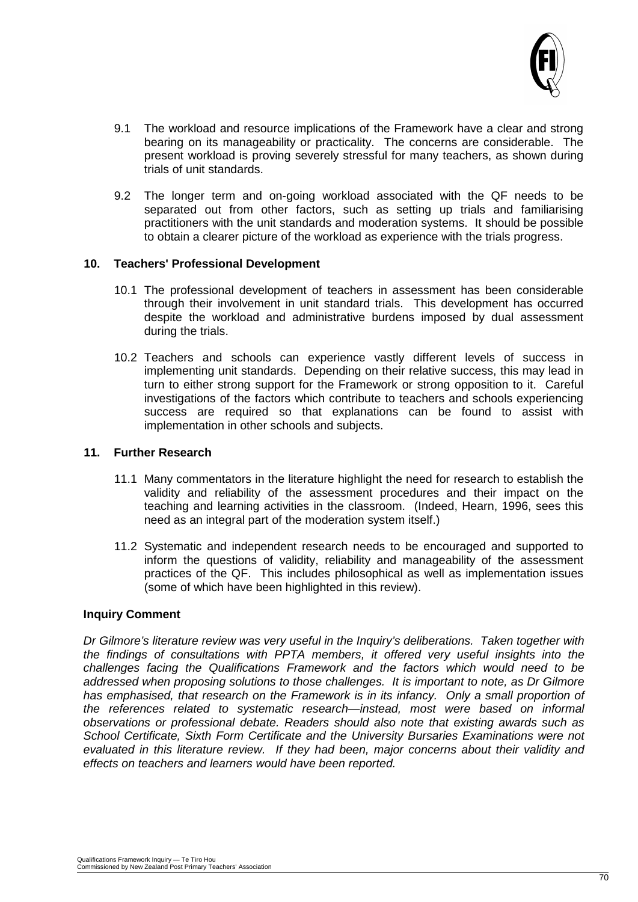

- 9.1 The workload and resource implications of the Framework have a clear and strong bearing on its manageability or practicality. The concerns are considerable. The present workload is proving severely stressful for many teachers, as shown during trials of unit standards.
- 9.2 The longer term and on-going workload associated with the QF needs to be separated out from other factors, such as setting up trials and familiarising practitioners with the unit standards and moderation systems. It should be possible to obtain a clearer picture of the workload as experience with the trials progress.

#### **10. Teachers' Professional Development**

- 10.1 The professional development of teachers in assessment has been considerable through their involvement in unit standard trials. This development has occurred despite the workload and administrative burdens imposed by dual assessment during the trials.
- 10.2 Teachers and schools can experience vastly different levels of success in implementing unit standards. Depending on their relative success, this may lead in turn to either strong support for the Framework or strong opposition to it. Careful investigations of the factors which contribute to teachers and schools experiencing success are required so that explanations can be found to assist with implementation in other schools and subjects.

#### **11. Further Research**

- 11.1 Many commentators in the literature highlight the need for research to establish the validity and reliability of the assessment procedures and their impact on the teaching and learning activities in the classroom. (Indeed, Hearn, 1996, sees this need as an integral part of the moderation system itself.)
- 11.2 Systematic and independent research needs to be encouraged and supported to inform the questions of validity, reliability and manageability of the assessment practices of the QF. This includes philosophical as well as implementation issues (some of which have been highlighted in this review).

#### **Inquiry Comment**

*Dr Gilmore's literature review was very useful in the Inquiry's deliberations. Taken together with the findings of consultations with PPTA members, it offered very useful insights into the challenges facing the Qualifications Framework and the factors which would need to be addressed when proposing solutions to those challenges. It is important to note, as Dr Gilmore has emphasised, that research on the Framework is in its infancy. Only a small proportion of the references related to systematic research—instead, most were based on informal observations or professional debate. Readers should also note that existing awards such as School Certificate, Sixth Form Certificate and the University Bursaries Examinations were not evaluated in this literature review. If they had been, major concerns about their validity and effects on teachers and learners would have been reported.*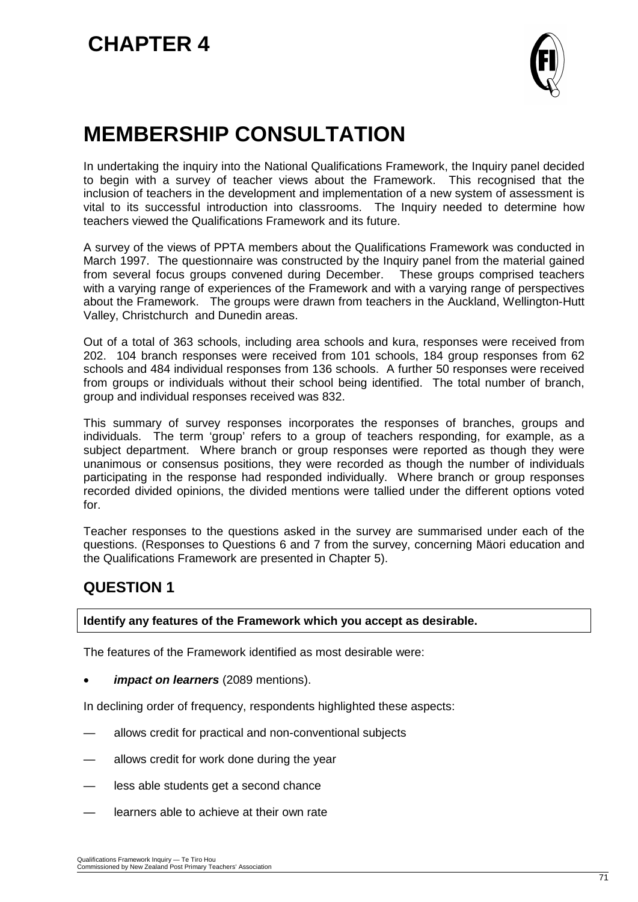

# **MEMBERSHIP CONSULTATION**

In undertaking the inquiry into the National Qualifications Framework, the Inquiry panel decided to begin with a survey of teacher views about the Framework. This recognised that the inclusion of teachers in the development and implementation of a new system of assessment is vital to its successful introduction into classrooms. The Inquiry needed to determine how teachers viewed the Qualifications Framework and its future.

A survey of the views of PPTA members about the Qualifications Framework was conducted in March 1997. The questionnaire was constructed by the Inquiry panel from the material gained from several focus groups convened during December. These groups comprised teachers from several focus groups convened during December. with a varying range of experiences of the Framework and with a varying range of perspectives about the Framework. The groups were drawn from teachers in the Auckland, Wellington-Hutt Valley, Christchurch and Dunedin areas.

Out of a total of 363 schools, including area schools and kura, responses were received from 202. 104 branch responses were received from 101 schools, 184 group responses from 62 schools and 484 individual responses from 136 schools. A further 50 responses were received from groups or individuals without their school being identified. The total number of branch, group and individual responses received was 832.

This summary of survey responses incorporates the responses of branches, groups and individuals. The term 'group' refers to a group of teachers responding, for example, as a subject department. Where branch or group responses were reported as though they were unanimous or consensus positions, they were recorded as though the number of individuals participating in the response had responded individually. Where branch or group responses recorded divided opinions, the divided mentions were tallied under the different options voted for.

Teacher responses to the questions asked in the survey are summarised under each of the questions. (Responses to Questions 6 and 7 from the survey, concerning Mäori education and the Qualifications Framework are presented in Chapter 5).

# **QUESTION 1**

**Identify any features of the Framework which you accept as desirable.**

The features of the Framework identified as most desirable were:

• *impact on learners* (2089 mentions).

In declining order of frequency, respondents highlighted these aspects:

- allows credit for practical and non-conventional subjects
- allows credit for work done during the year
- less able students get a second chance
- learners able to achieve at their own rate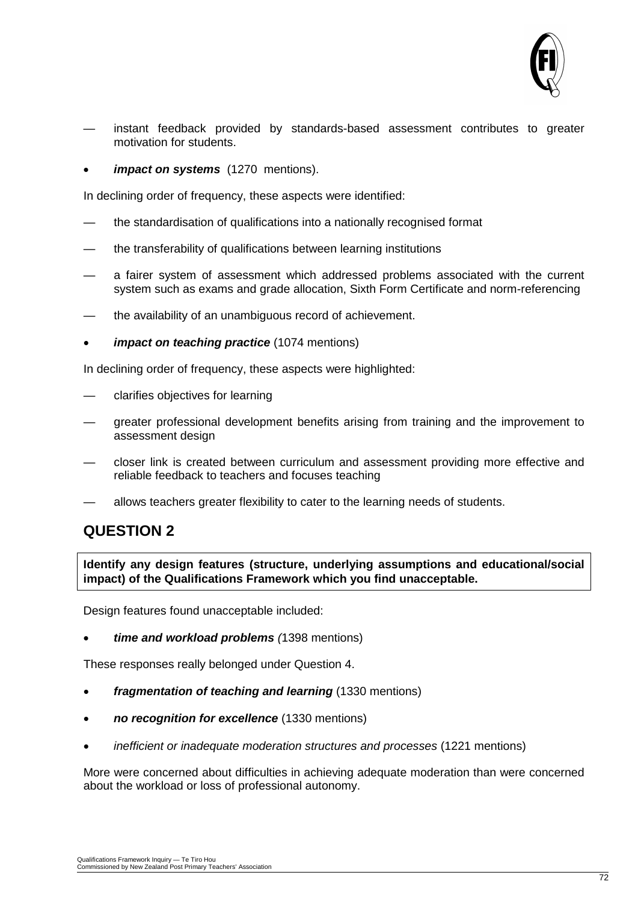

- instant feedback provided by standards-based assessment contributes to greater motivation for students.
- *impact on systems* (1270 mentions).

In declining order of frequency, these aspects were identified:

- the standardisation of qualifications into a nationally recognised format
- the transferability of qualifications between learning institutions
- a fairer system of assessment which addressed problems associated with the current system such as exams and grade allocation, Sixth Form Certificate and norm-referencing
- the availability of an unambiguous record of achievement.
- *impact on teaching practice* (1074 mentions)

In declining order of frequency, these aspects were highlighted:

- clarifies objectives for learning
- greater professional development benefits arising from training and the improvement to assessment design
- closer link is created between curriculum and assessment providing more effective and reliable feedback to teachers and focuses teaching
- allows teachers greater flexibility to cater to the learning needs of students.

# **QUESTION 2**

**Identify any design features (structure, underlying assumptions and educational/social impact) of the Qualifications Framework which you find unacceptable.**

Design features found unacceptable included:

• *time and workload problems (*1398 mentions)

These responses really belonged under Question 4.

- *fragmentation of teaching and learning* (1330 mentions)
- *no recognition for excellence* (1330 mentions)
- *inefficient or inadequate moderation structures and processes* (1221 mentions)

More were concerned about difficulties in achieving adequate moderation than were concerned about the workload or loss of professional autonomy.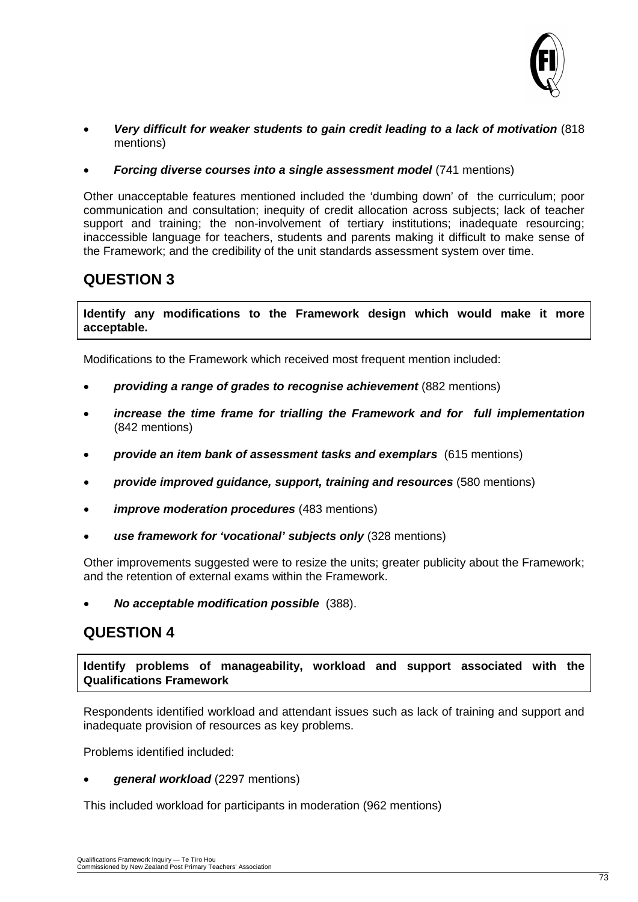

- *Very difficult for weaker students to gain credit leading to a lack of motivation* (818 mentions)
- *Forcing diverse courses into a single assessment model* (741 mentions)

Other unacceptable features mentioned included the 'dumbing down' of the curriculum; poor communication and consultation; inequity of credit allocation across subjects; lack of teacher support and training; the non-involvement of tertiary institutions; inadequate resourcing; inaccessible language for teachers, students and parents making it difficult to make sense of the Framework; and the credibility of the unit standards assessment system over time.

#### **QUESTION 3**

**Identify any modifications to the Framework design which would make it more acceptable.**

Modifications to the Framework which received most frequent mention included:

- *providing a range of grades to recognise achievement* (882 mentions)
- *increase the time frame for trialling the Framework and for full implementation* (842 mentions)
- *provide an item bank of assessment tasks and exemplars* (615 mentions)
- *provide improved guidance, support, training and resources* (580 mentions)
- *improve moderation procedures* (483 mentions)
- *use framework for 'vocational' subjects only* (328 mentions)

Other improvements suggested were to resize the units; greater publicity about the Framework; and the retention of external exams within the Framework.

• *No acceptable modification possible* (388).

#### **QUESTION 4**

**Identify problems of manageability, workload and support associated with the Qualifications Framework**

Respondents identified workload and attendant issues such as lack of training and support and inadequate provision of resources as key problems.

Problems identified included:

• *general workload* (2297 mentions)

This included workload for participants in moderation (962 mentions)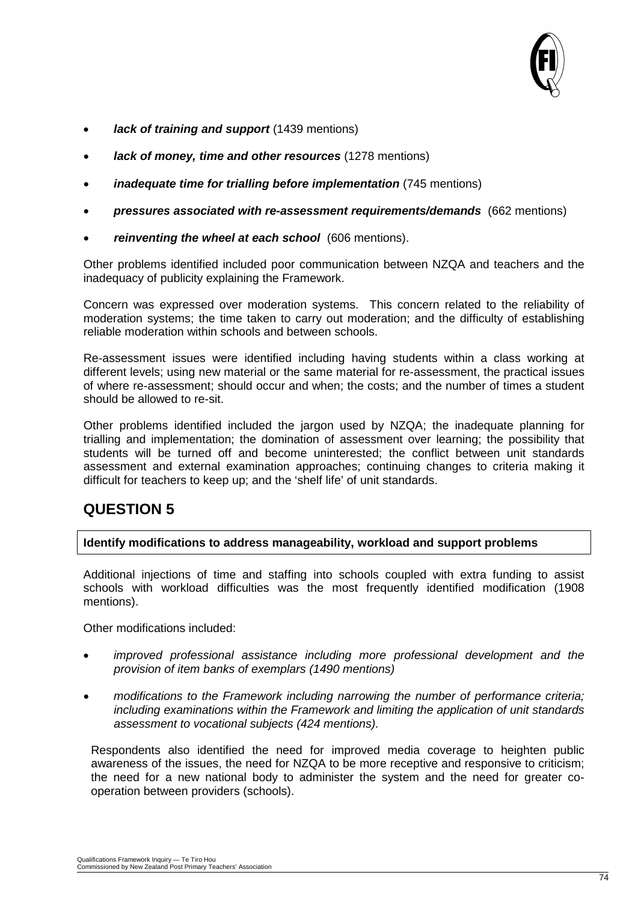

- *lack of training and support* (1439 mentions)
- *lack of money, time and other resources* (1278 mentions)
- *inadequate time for trialling before implementation* (745 mentions)
- *pressures associated with re-assessment requirements/demands* (662 mentions)
- *reinventing the wheel at each school* (606 mentions).

Other problems identified included poor communication between NZQA and teachers and the inadequacy of publicity explaining the Framework.

Concern was expressed over moderation systems. This concern related to the reliability of moderation systems; the time taken to carry out moderation; and the difficulty of establishing reliable moderation within schools and between schools.

Re-assessment issues were identified including having students within a class working at different levels; using new material or the same material for re-assessment, the practical issues of where re-assessment; should occur and when; the costs; and the number of times a student should be allowed to re-sit.

Other problems identified included the jargon used by NZQA; the inadequate planning for trialling and implementation; the domination of assessment over learning; the possibility that students will be turned off and become uninterested; the conflict between unit standards assessment and external examination approaches; continuing changes to criteria making it difficult for teachers to keep up; and the 'shelf life' of unit standards.

#### **QUESTION 5**

#### **Identify modifications to address manageability, workload and support problems**

Additional injections of time and staffing into schools coupled with extra funding to assist schools with workload difficulties was the most frequently identified modification (1908 mentions).

Other modifications included:

- *improved professional assistance including more professional development and the provision of item banks of exemplars (1490 mentions)*
- *modifications to the Framework including narrowing the number of performance criteria; including examinations within the Framework and limiting the application of unit standards assessment to vocational subjects (424 mentions).*

Respondents also identified the need for improved media coverage to heighten public awareness of the issues, the need for NZQA to be more receptive and responsive to criticism; the need for a new national body to administer the system and the need for greater cooperation between providers (schools).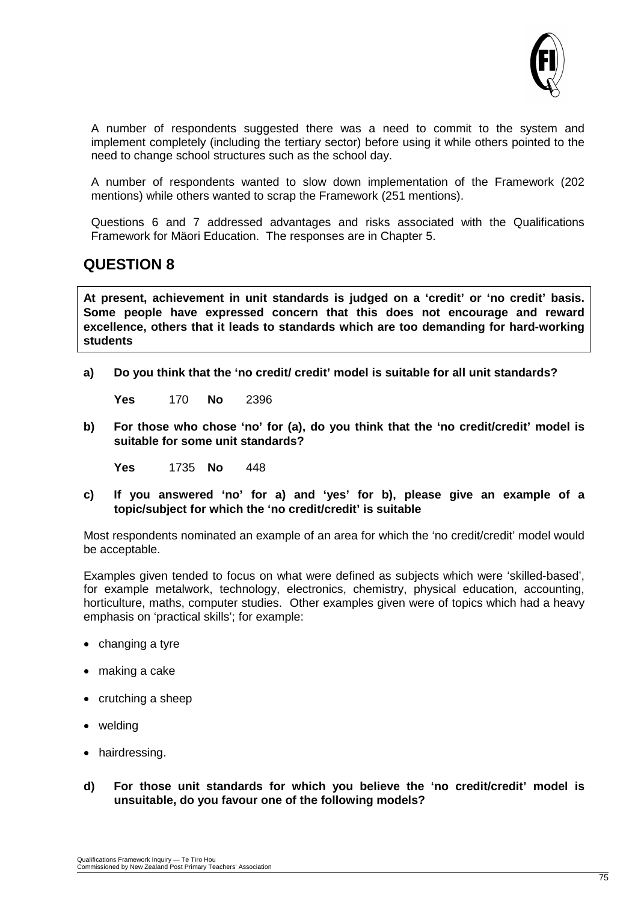

A number of respondents suggested there was a need to commit to the system and implement completely (including the tertiary sector) before using it while others pointed to the need to change school structures such as the school day.

A number of respondents wanted to slow down implementation of the Framework (202 mentions) while others wanted to scrap the Framework (251 mentions).

Questions 6 and 7 addressed advantages and risks associated with the Qualifications Framework for Mäori Education. The responses are in Chapter 5.

#### **QUESTION 8**

**At present, achievement in unit standards is judged on a 'credit' or 'no credit' basis. Some people have expressed concern that this does not encourage and reward excellence, others that it leads to standards which are too demanding for hard-working students**

**a) Do you think that the 'no credit/ credit' model is suitable for all unit standards?**

**Yes** 170 **No** 2396

**b) For those who chose 'no' for (a), do you think that the 'no credit/credit' model is suitable for some unit standards?**

**Yes** 1735 **No** 448

**c) If you answered 'no' for a) and 'yes' for b), please give an example of a topic/subject for which the 'no credit/credit' is suitable**

Most respondents nominated an example of an area for which the 'no credit/credit' model would be acceptable.

Examples given tended to focus on what were defined as subjects which were 'skilled-based', for example metalwork, technology, electronics, chemistry, physical education, accounting, horticulture, maths, computer studies. Other examples given were of topics which had a heavy emphasis on 'practical skills'; for example:

- changing a tyre
- making a cake
- crutching a sheep
- welding
- hairdressing.
- **d) For those unit standards for which you believe the 'no credit/credit' model is unsuitable, do you favour one of the following models?**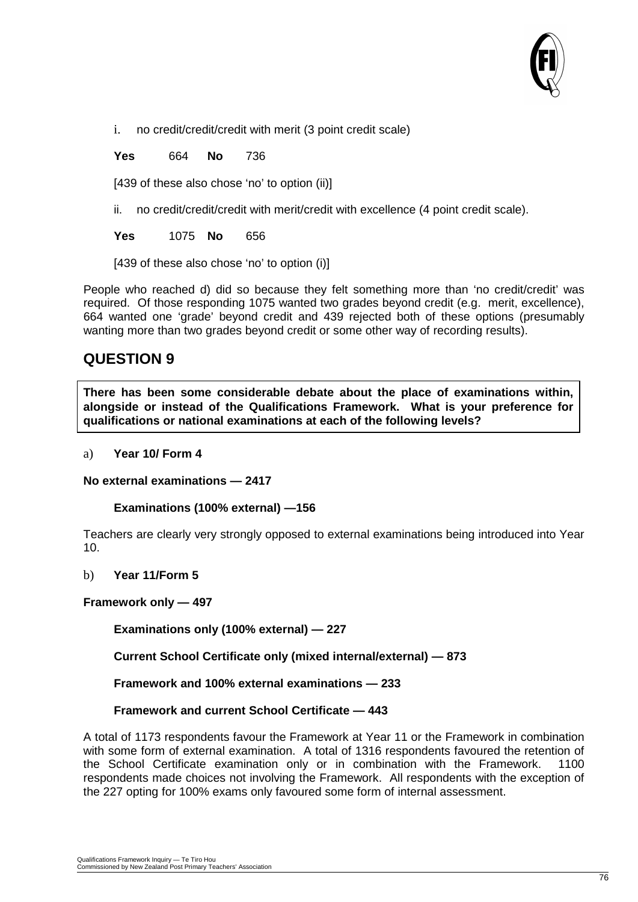

i. no credit/credit/credit with merit (3 point credit scale)

**Yes** 664 **No** 736

[439 of these also chose 'no' to option (ii)]

ii. no credit/credit/credit with merit/credit with excellence (4 point credit scale).

**Yes** 1075 **No** 656

[439 of these also chose 'no' to option (i)]

People who reached d) did so because they felt something more than 'no credit/credit' was required. Of those responding 1075 wanted two grades beyond credit (e.g. merit, excellence), 664 wanted one 'grade' beyond credit and 439 rejected both of these options (presumably wanting more than two grades beyond credit or some other way of recording results).

#### **QUESTION 9**

**There has been some considerable debate about the place of examinations within, alongside or instead of the Qualifications Framework. What is your preference for qualifications or national examinations at each of the following levels?**

#### a) **Year 10/ Form 4**

**No external examinations — 2417**

**Examinations (100% external) —156**

Teachers are clearly very strongly opposed to external examinations being introduced into Year 10.

b) **Year 11/Form 5**

#### **Framework only — 497**

**Examinations only (100% external) — 227**

**Current School Certificate only (mixed internal/external) — 873**

**Framework and 100% external examinations — 233**

#### **Framework and current School Certificate — 443**

A total of 1173 respondents favour the Framework at Year 11 or the Framework in combination with some form of external examination. A total of 1316 respondents favoured the retention of the School Certificate examination only or in combination with the Framework. 1100 respondents made choices not involving the Framework. All respondents with the exception of the 227 opting for 100% exams only favoured some form of internal assessment.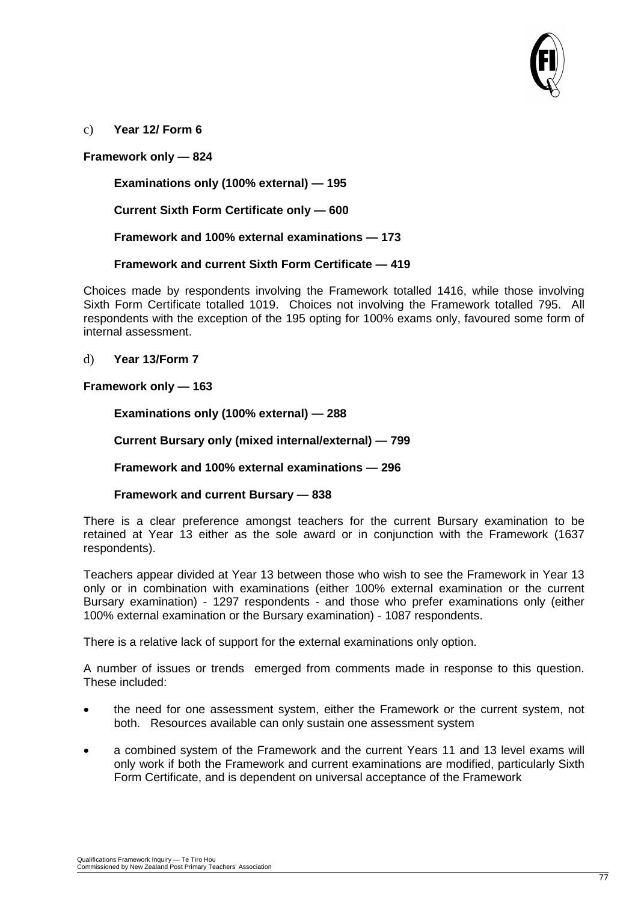

c) **Year 12/ Form 6**

#### **Framework only — 824**

**Examinations only (100% external) — 195**

**Current Sixth Form Certificate only — 600**

**Framework and 100% external examinations — 173**

#### **Framework and current Sixth Form Certificate — 419**

Choices made by respondents involving the Framework totalled 1416, while those involving Sixth Form Certificate totalled 1019. Choices not involving the Framework totalled 795. All respondents with the exception of the 195 opting for 100% exams only, favoured some form of internal assessment.

d) **Year 13/Form 7**

#### **Framework only — 163**

**Examinations only (100% external) — 288**

**Current Bursary only (mixed internal/external) — 799**

**Framework and 100% external examinations — 296**

#### **Framework and current Bursary — 838**

There is a clear preference amongst teachers for the current Bursary examination to be retained at Year 13 either as the sole award or in conjunction with the Framework (1637 respondents).

Teachers appear divided at Year 13 between those who wish to see the Framework in Year 13 only or in combination with examinations (either 100% external examination or the current Bursary examination) - 1297 respondents - and those who prefer examinations only (either 100% external examination or the Bursary examination) - 1087 respondents.

There is a relative lack of support for the external examinations only option.

A number of issues or trends emerged from comments made in response to this question. These included:

- the need for one assessment system, either the Framework or the current system, not both. Resources available can only sustain one assessment system
- a combined system of the Framework and the current Years 11 and 13 level exams will only work if both the Framework and current examinations are modified, particularly Sixth Form Certificate, and is dependent on universal acceptance of the Framework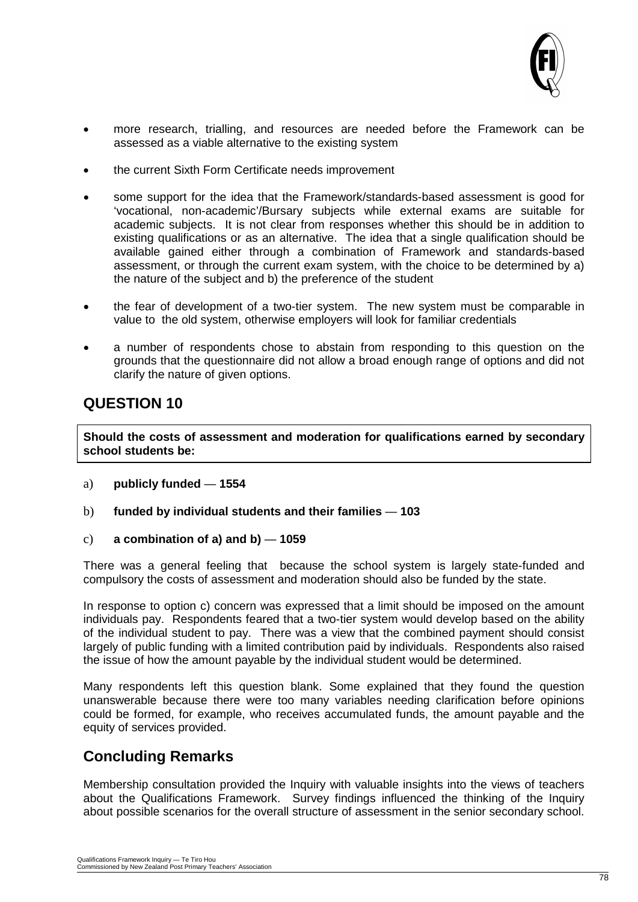

- more research, trialling, and resources are needed before the Framework can be assessed as a viable alternative to the existing system
- the current Sixth Form Certificate needs improvement
- some support for the idea that the Framework/standards-based assessment is good for 'vocational, non-academic'/Bursary subjects while external exams are suitable for academic subjects. It is not clear from responses whether this should be in addition to existing qualifications or as an alternative. The idea that a single qualification should be available gained either through a combination of Framework and standards-based assessment, or through the current exam system, with the choice to be determined by a) the nature of the subject and b) the preference of the student
- the fear of development of a two-tier system. The new system must be comparable in value to the old system, otherwise employers will look for familiar credentials
- a number of respondents chose to abstain from responding to this question on the grounds that the questionnaire did not allow a broad enough range of options and did not clarify the nature of given options.

#### **QUESTION 10**

**Should the costs of assessment and moderation for qualifications earned by secondary school students be:**

- a) **publicly funded 1554**
- b) **funded by individual students and their families 103**
- c) **a combination of a) and b) 1059**

There was a general feeling that because the school system is largely state-funded and compulsory the costs of assessment and moderation should also be funded by the state.

In response to option c) concern was expressed that a limit should be imposed on the amount individuals pay. Respondents feared that a two-tier system would develop based on the ability of the individual student to pay. There was a view that the combined payment should consist largely of public funding with a limited contribution paid by individuals. Respondents also raised the issue of how the amount payable by the individual student would be determined.

Many respondents left this question blank. Some explained that they found the question unanswerable because there were too many variables needing clarification before opinions could be formed, for example, who receives accumulated funds, the amount payable and the equity of services provided.

#### **Concluding Remarks**

Membership consultation provided the Inquiry with valuable insights into the views of teachers about the Qualifications Framework. Survey findings influenced the thinking of the Inquiry about possible scenarios for the overall structure of assessment in the senior secondary school.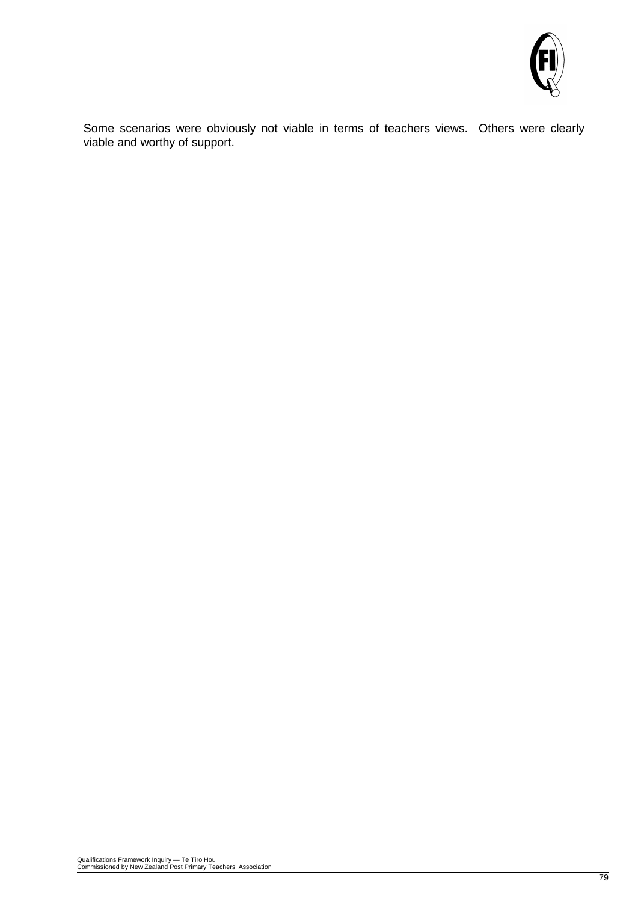

Some scenarios were obviously not viable in terms of teachers views. Others were clearly viable and worthy of support.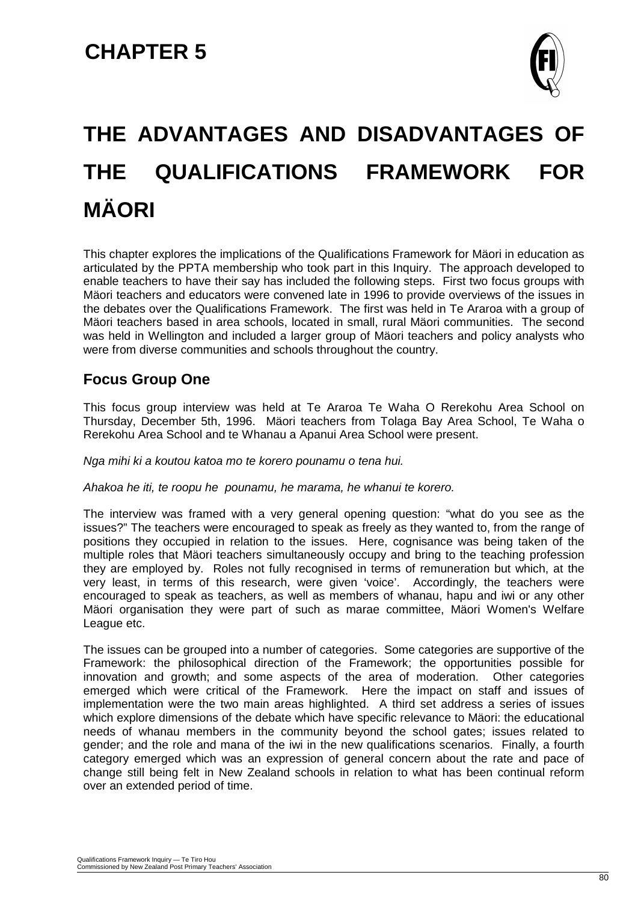

## **THE ADVANTAGES AND DISADVANTAGES OF THE QUALIFICATIONS FRAMEWORK FOR MÄORI**

This chapter explores the implications of the Qualifications Framework for Mäori in education as articulated by the PPTA membership who took part in this Inquiry. The approach developed to enable teachers to have their say has included the following steps. First two focus groups with Mäori teachers and educators were convened late in 1996 to provide overviews of the issues in the debates over the Qualifications Framework. The first was held in Te Araroa with a group of Mäori teachers based in area schools, located in small, rural Mäori communities. The second was held in Wellington and included a larger group of Mäori teachers and policy analysts who were from diverse communities and schools throughout the country.

#### **Focus Group One**

This focus group interview was held at Te Araroa Te Waha O Rerekohu Area School on Thursday, December 5th, 1996. Mäori teachers from Tolaga Bay Area School, Te Waha o Rerekohu Area School and te Whanau a Apanui Area School were present.

*Nga mihi ki a koutou katoa mo te korero pounamu o tena hui.*

*Ahakoa he iti, te roopu he pounamu, he marama, he whanui te korero.*

The interview was framed with a very general opening question: "what do you see as the issues?" The teachers were encouraged to speak as freely as they wanted to, from the range of positions they occupied in relation to the issues. Here, cognisance was being taken of the multiple roles that Mäori teachers simultaneously occupy and bring to the teaching profession they are employed by. Roles not fully recognised in terms of remuneration but which, at the very least, in terms of this research, were given 'voice'. Accordingly, the teachers were encouraged to speak as teachers, as well as members of whanau, hapu and iwi or any other Mäori organisation they were part of such as marae committee, Mäori Women's Welfare League etc.

The issues can be grouped into a number of categories. Some categories are supportive of the Framework: the philosophical direction of the Framework; the opportunities possible for innovation and growth; and some aspects of the area of moderation. Other categories emerged which were critical of the Framework. Here the impact on staff and issues of implementation were the two main areas highlighted. A third set address a series of issues which explore dimensions of the debate which have specific relevance to Mäori: the educational needs of whanau members in the community beyond the school gates; issues related to gender; and the role and mana of the iwi in the new qualifications scenarios. Finally, a fourth category emerged which was an expression of general concern about the rate and pace of change still being felt in New Zealand schools in relation to what has been continual reform over an extended period of time.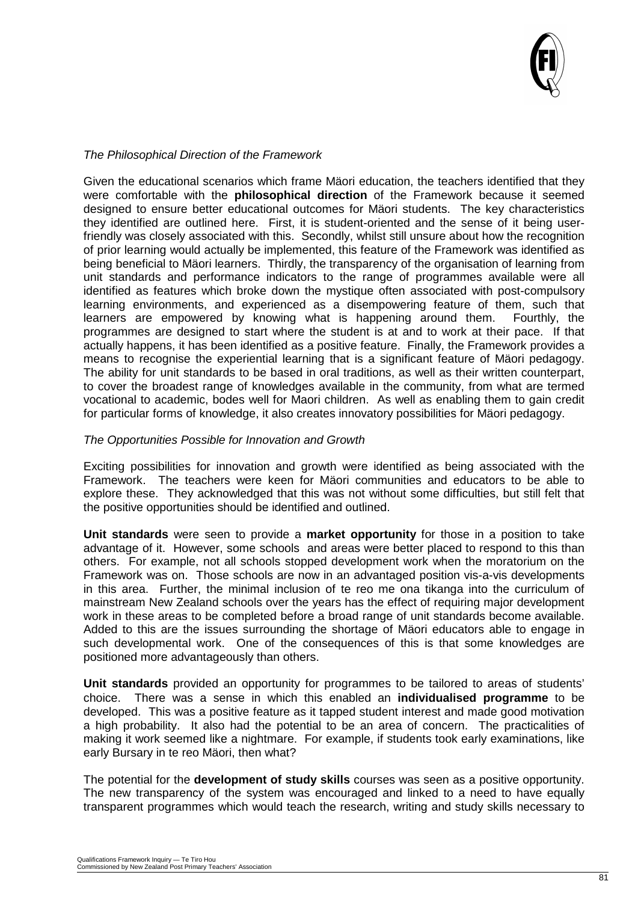

#### *The Philosophical Direction of the Framework*

Given the educational scenarios which frame Mäori education, the teachers identified that they were comfortable with the **philosophical direction** of the Framework because it seemed designed to ensure better educational outcomes for Mäori students. The key characteristics they identified are outlined here. First, it is student-oriented and the sense of it being userfriendly was closely associated with this. Secondly, whilst still unsure about how the recognition of prior learning would actually be implemented, this feature of the Framework was identified as being beneficial to Mäori learners. Thirdly, the transparency of the organisation of learning from unit standards and performance indicators to the range of programmes available were all identified as features which broke down the mystique often associated with post-compulsory learning environments, and experienced as a disempowering feature of them, such that learners are empowered by knowing what is happening around them. Fourthly, the programmes are designed to start where the student is at and to work at their pace. If that actually happens, it has been identified as a positive feature. Finally, the Framework provides a means to recognise the experiential learning that is a significant feature of Mäori pedagogy. The ability for unit standards to be based in oral traditions, as well as their written counterpart, to cover the broadest range of knowledges available in the community, from what are termed vocational to academic, bodes well for Maori children. As well as enabling them to gain credit for particular forms of knowledge, it also creates innovatory possibilities for Mäori pedagogy.

#### *The Opportunities Possible for Innovation and Growth*

Exciting possibilities for innovation and growth were identified as being associated with the Framework. The teachers were keen for Mäori communities and educators to be able to explore these. They acknowledged that this was not without some difficulties, but still felt that the positive opportunities should be identified and outlined.

**Unit standards** were seen to provide a **market opportunity** for those in a position to take advantage of it. However, some schools and areas were better placed to respond to this than others. For example, not all schools stopped development work when the moratorium on the Framework was on. Those schools are now in an advantaged position vis-a-vis developments in this area. Further, the minimal inclusion of te reo me ona tikanga into the curriculum of mainstream New Zealand schools over the years has the effect of requiring major development work in these areas to be completed before a broad range of unit standards become available. Added to this are the issues surrounding the shortage of Mäori educators able to engage in such developmental work. One of the consequences of this is that some knowledges are positioned more advantageously than others.

**Unit standards** provided an opportunity for programmes to be tailored to areas of students' choice. There was a sense in which this enabled an **individualised programme** to be developed. This was a positive feature as it tapped student interest and made good motivation a high probability. It also had the potential to be an area of concern. The practicalities of making it work seemed like a nightmare. For example, if students took early examinations, like early Bursary in te reo Mäori, then what?

The potential for the **development of study skills** courses was seen as a positive opportunity. The new transparency of the system was encouraged and linked to a need to have equally transparent programmes which would teach the research, writing and study skills necessary to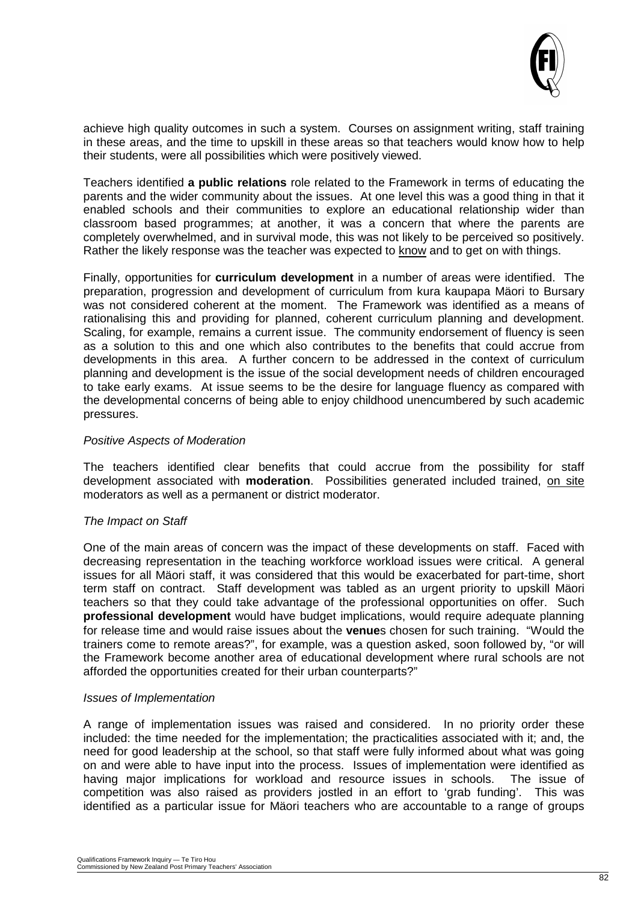

achieve high quality outcomes in such a system. Courses on assignment writing, staff training in these areas, and the time to upskill in these areas so that teachers would know how to help their students, were all possibilities which were positively viewed.

Teachers identified **a public relations** role related to the Framework in terms of educating the parents and the wider community about the issues. At one level this was a good thing in that it enabled schools and their communities to explore an educational relationship wider than classroom based programmes; at another, it was a concern that where the parents are completely overwhelmed, and in survival mode, this was not likely to be perceived so positively. Rather the likely response was the teacher was expected to know and to get on with things.

Finally, opportunities for **curriculum development** in a number of areas were identified. The preparation, progression and development of curriculum from kura kaupapa Mäori to Bursary was not considered coherent at the moment. The Framework was identified as a means of rationalising this and providing for planned, coherent curriculum planning and development. Scaling, for example, remains a current issue. The community endorsement of fluency is seen as a solution to this and one which also contributes to the benefits that could accrue from developments in this area. A further concern to be addressed in the context of curriculum planning and development is the issue of the social development needs of children encouraged to take early exams. At issue seems to be the desire for language fluency as compared with the developmental concerns of being able to enjoy childhood unencumbered by such academic pressures.

#### *Positive Aspects of Moderation*

The teachers identified clear benefits that could accrue from the possibility for staff development associated with **moderation**. Possibilities generated included trained, on site moderators as well as a permanent or district moderator.

#### *The Impact on Staff*

One of the main areas of concern was the impact of these developments on staff. Faced with decreasing representation in the teaching workforce workload issues were critical. A general issues for all Mäori staff, it was considered that this would be exacerbated for part-time, short term staff on contract. Staff development was tabled as an urgent priority to upskill Mäori teachers so that they could take advantage of the professional opportunities on offer. Such **professional development** would have budget implications, would require adequate planning for release time and would raise issues about the **venue**s chosen for such training. "Would the trainers come to remote areas?", for example, was a question asked, soon followed by, "or will the Framework become another area of educational development where rural schools are not afforded the opportunities created for their urban counterparts?"

#### *Issues of Implementation*

A range of implementation issues was raised and considered. In no priority order these included: the time needed for the implementation; the practicalities associated with it; and, the need for good leadership at the school, so that staff were fully informed about what was going on and were able to have input into the process. Issues of implementation were identified as having major implications for workload and resource issues in schools. The issue of competition was also raised as providers jostled in an effort to 'grab funding'. This was identified as a particular issue for Mäori teachers who are accountable to a range of groups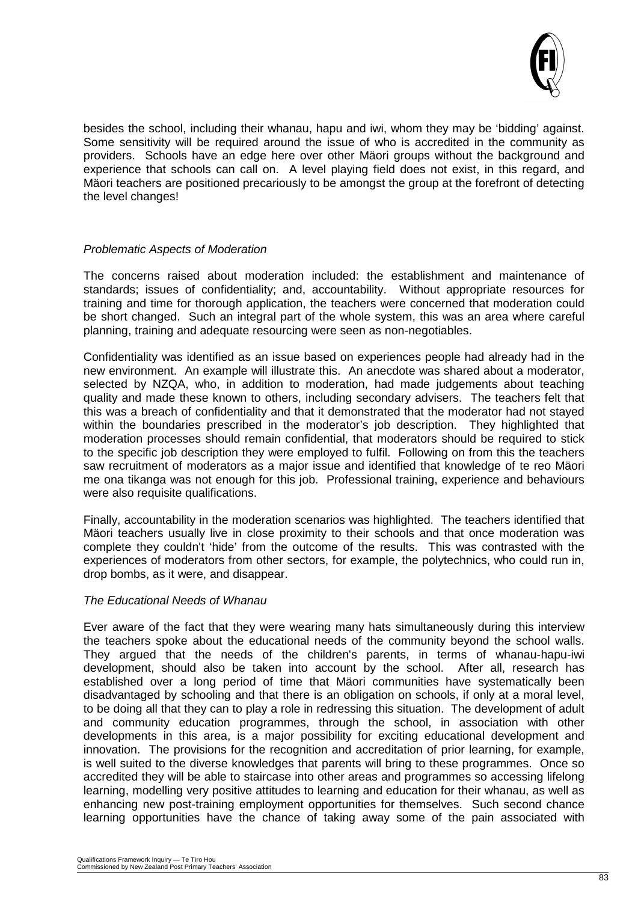

besides the school, including their whanau, hapu and iwi, whom they may be 'bidding' against. Some sensitivity will be required around the issue of who is accredited in the community as providers. Schools have an edge here over other Mäori groups without the background and experience that schools can call on. A level playing field does not exist, in this regard, and Mäori teachers are positioned precariously to be amongst the group at the forefront of detecting the level changes!

#### *Problematic Aspects of Moderation*

The concerns raised about moderation included: the establishment and maintenance of standards; issues of confidentiality; and, accountability. Without appropriate resources for training and time for thorough application, the teachers were concerned that moderation could be short changed. Such an integral part of the whole system, this was an area where careful planning, training and adequate resourcing were seen as non-negotiables.

Confidentiality was identified as an issue based on experiences people had already had in the new environment. An example will illustrate this. An anecdote was shared about a moderator, selected by NZQA, who, in addition to moderation, had made judgements about teaching quality and made these known to others, including secondary advisers. The teachers felt that this was a breach of confidentiality and that it demonstrated that the moderator had not stayed within the boundaries prescribed in the moderator's job description. They highlighted that moderation processes should remain confidential, that moderators should be required to stick to the specific job description they were employed to fulfil. Following on from this the teachers saw recruitment of moderators as a major issue and identified that knowledge of te reo Mäori me ona tikanga was not enough for this job. Professional training, experience and behaviours were also requisite qualifications.

Finally, accountability in the moderation scenarios was highlighted. The teachers identified that Mäori teachers usually live in close proximity to their schools and that once moderation was complete they couldn't 'hide' from the outcome of the results. This was contrasted with the experiences of moderators from other sectors, for example, the polytechnics, who could run in, drop bombs, as it were, and disappear.

#### *The Educational Needs of Whanau*

Ever aware of the fact that they were wearing many hats simultaneously during this interview the teachers spoke about the educational needs of the community beyond the school walls. They argued that the needs of the children's parents, in terms of whanau-hapu-iwi development, should also be taken into account by the school. After all, research has established over a long period of time that Mäori communities have systematically been disadvantaged by schooling and that there is an obligation on schools, if only at a moral level, to be doing all that they can to play a role in redressing this situation. The development of adult and community education programmes, through the school, in association with other developments in this area, is a major possibility for exciting educational development and innovation. The provisions for the recognition and accreditation of prior learning, for example, is well suited to the diverse knowledges that parents will bring to these programmes. Once so accredited they will be able to staircase into other areas and programmes so accessing lifelong learning, modelling very positive attitudes to learning and education for their whanau, as well as enhancing new post-training employment opportunities for themselves. Such second chance learning opportunities have the chance of taking away some of the pain associated with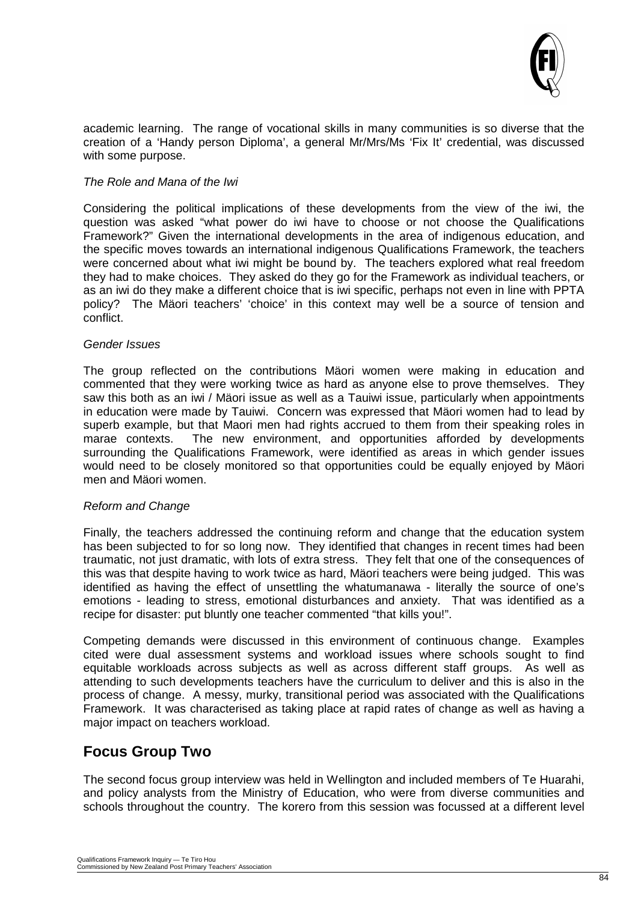

academic learning. The range of vocational skills in many communities is so diverse that the creation of a 'Handy person Diploma', a general Mr/Mrs/Ms 'Fix It' credential, was discussed with some purpose.

#### *The Role and Mana of the Iwi*

Considering the political implications of these developments from the view of the iwi, the question was asked "what power do iwi have to choose or not choose the Qualifications Framework?" Given the international developments in the area of indigenous education, and the specific moves towards an international indigenous Qualifications Framework, the teachers were concerned about what iwi might be bound by. The teachers explored what real freedom they had to make choices. They asked do they go for the Framework as individual teachers, or as an iwi do they make a different choice that is iwi specific, perhaps not even in line with PPTA policy? The Mäori teachers' 'choice' in this context may well be a source of tension and conflict.

#### *Gender Issues*

The group reflected on the contributions Mäori women were making in education and commented that they were working twice as hard as anyone else to prove themselves. They saw this both as an iwi / Mäori issue as well as a Tauiwi issue, particularly when appointments in education were made by Tauiwi. Concern was expressed that Mäori women had to lead by superb example, but that Maori men had rights accrued to them from their speaking roles in marae contexts. The new environment, and opportunities afforded by developments surrounding the Qualifications Framework, were identified as areas in which gender issues would need to be closely monitored so that opportunities could be equally enjoyed by Mäori men and Mäori women.

#### *Reform and Change*

Finally, the teachers addressed the continuing reform and change that the education system has been subjected to for so long now. They identified that changes in recent times had been traumatic, not just dramatic, with lots of extra stress. They felt that one of the consequences of this was that despite having to work twice as hard, Mäori teachers were being judged. This was identified as having the effect of unsettling the whatumanawa - literally the source of one's emotions - leading to stress, emotional disturbances and anxiety. That was identified as a recipe for disaster: put bluntly one teacher commented "that kills you!".

Competing demands were discussed in this environment of continuous change. Examples cited were dual assessment systems and workload issues where schools sought to find equitable workloads across subjects as well as across different staff groups. As well as attending to such developments teachers have the curriculum to deliver and this is also in the process of change. A messy, murky, transitional period was associated with the Qualifications Framework. It was characterised as taking place at rapid rates of change as well as having a major impact on teachers workload.

#### **Focus Group Two**

The second focus group interview was held in Wellington and included members of Te Huarahi, and policy analysts from the Ministry of Education, who were from diverse communities and schools throughout the country. The korero from this session was focussed at a different level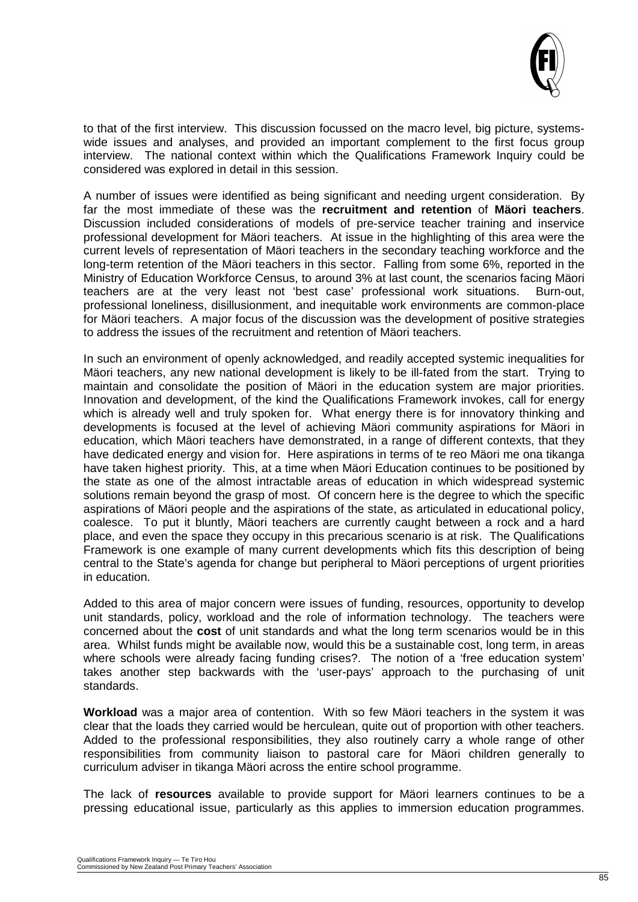

to that of the first interview. This discussion focussed on the macro level, big picture, systemswide issues and analyses, and provided an important complement to the first focus group interview. The national context within which the Qualifications Framework Inquiry could be considered was explored in detail in this session.

A number of issues were identified as being significant and needing urgent consideration. By far the most immediate of these was the **recruitment and retention** of **Mäori teachers**. Discussion included considerations of models of pre-service teacher training and inservice professional development for Mäori teachers. At issue in the highlighting of this area were the current levels of representation of Mäori teachers in the secondary teaching workforce and the long-term retention of the Mäori teachers in this sector. Falling from some 6%, reported in the Ministry of Education Workforce Census, to around 3% at last count, the scenarios facing Mäori teachers are at the very least not 'best case' professional work situations. Burn-out, professional loneliness, disillusionment, and inequitable work environments are common-place for Mäori teachers. A major focus of the discussion was the development of positive strategies to address the issues of the recruitment and retention of Mäori teachers.

In such an environment of openly acknowledged, and readily accepted systemic inequalities for Mäori teachers, any new national development is likely to be ill-fated from the start. Trying to maintain and consolidate the position of Mäori in the education system are major priorities. Innovation and development, of the kind the Qualifications Framework invokes, call for energy which is already well and truly spoken for. What energy there is for innovatory thinking and developments is focused at the level of achieving Mäori community aspirations for Mäori in education, which Mäori teachers have demonstrated, in a range of different contexts, that they have dedicated energy and vision for. Here aspirations in terms of te reo Mäori me ona tikanga have taken highest priority. This, at a time when Mäori Education continues to be positioned by the state as one of the almost intractable areas of education in which widespread systemic solutions remain beyond the grasp of most. Of concern here is the degree to which the specific aspirations of Mäori people and the aspirations of the state, as articulated in educational policy, coalesce. To put it bluntly, Mäori teachers are currently caught between a rock and a hard place, and even the space they occupy in this precarious scenario is at risk. The Qualifications Framework is one example of many current developments which fits this description of being central to the State's agenda for change but peripheral to Mäori perceptions of urgent priorities in education.

Added to this area of major concern were issues of funding, resources, opportunity to develop unit standards, policy, workload and the role of information technology. The teachers were concerned about the **cost** of unit standards and what the long term scenarios would be in this area. Whilst funds might be available now, would this be a sustainable cost, long term, in areas where schools were already facing funding crises?. The notion of a 'free education system' takes another step backwards with the 'user-pays' approach to the purchasing of unit standards.

**Workload** was a major area of contention. With so few Mäori teachers in the system it was clear that the loads they carried would be herculean, quite out of proportion with other teachers. Added to the professional responsibilities, they also routinely carry a whole range of other responsibilities from community liaison to pastoral care for Mäori children generally to curriculum adviser in tikanga Mäori across the entire school programme.

The lack of **resources** available to provide support for Mäori learners continues to be a pressing educational issue, particularly as this applies to immersion education programmes.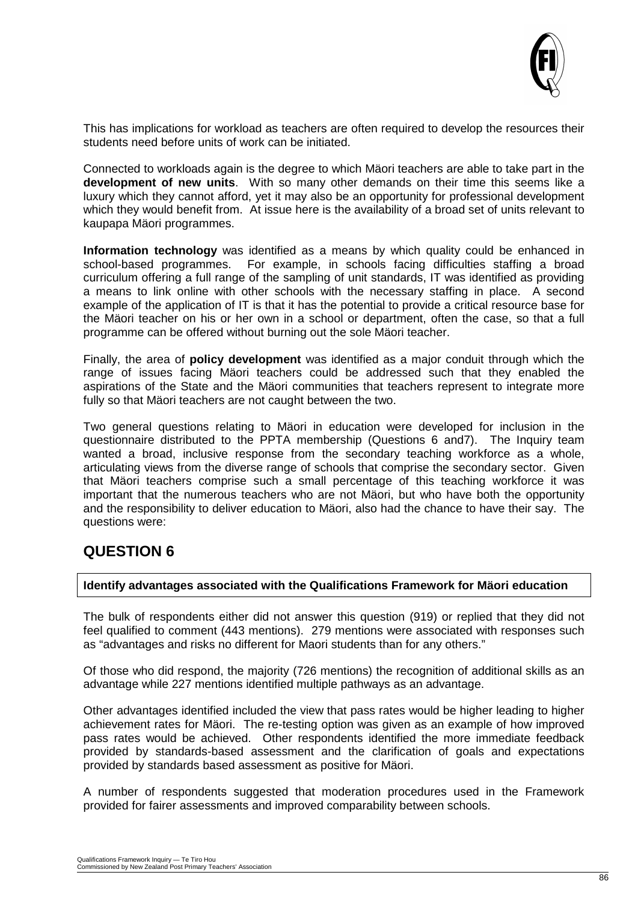

This has implications for workload as teachers are often required to develop the resources their students need before units of work can be initiated.

Connected to workloads again is the degree to which Mäori teachers are able to take part in the **development of new units**. With so many other demands on their time this seems like a luxury which they cannot afford, yet it may also be an opportunity for professional development which they would benefit from. At issue here is the availability of a broad set of units relevant to kaupapa Mäori programmes.

**Information technology** was identified as a means by which quality could be enhanced in school-based programmes. For example, in schools facing difficulties staffing a broad curriculum offering a full range of the sampling of unit standards, IT was identified as providing a means to link online with other schools with the necessary staffing in place. A second example of the application of IT is that it has the potential to provide a critical resource base for the Mäori teacher on his or her own in a school or department, often the case, so that a full programme can be offered without burning out the sole Mäori teacher.

Finally, the area of **policy development** was identified as a major conduit through which the range of issues facing Mäori teachers could be addressed such that they enabled the aspirations of the State and the Mäori communities that teachers represent to integrate more fully so that Mäori teachers are not caught between the two.

Two general questions relating to Mäori in education were developed for inclusion in the questionnaire distributed to the PPTA membership (Questions 6 and7). The Inquiry team wanted a broad, inclusive response from the secondary teaching workforce as a whole, articulating views from the diverse range of schools that comprise the secondary sector. Given that Mäori teachers comprise such a small percentage of this teaching workforce it was important that the numerous teachers who are not Mäori, but who have both the opportunity and the responsibility to deliver education to Mäori, also had the chance to have their say. The questions were:

#### **QUESTION 6**

#### **Identify advantages associated with the Qualifications Framework for Mäori education**

The bulk of respondents either did not answer this question (919) or replied that they did not feel qualified to comment (443 mentions). 279 mentions were associated with responses such as "advantages and risks no different for Maori students than for any others."

Of those who did respond, the majority (726 mentions) the recognition of additional skills as an advantage while 227 mentions identified multiple pathways as an advantage.

Other advantages identified included the view that pass rates would be higher leading to higher achievement rates for Mäori. The re-testing option was given as an example of how improved pass rates would be achieved. Other respondents identified the more immediate feedback provided by standards-based assessment and the clarification of goals and expectations provided by standards based assessment as positive for Mäori.

A number of respondents suggested that moderation procedures used in the Framework provided for fairer assessments and improved comparability between schools.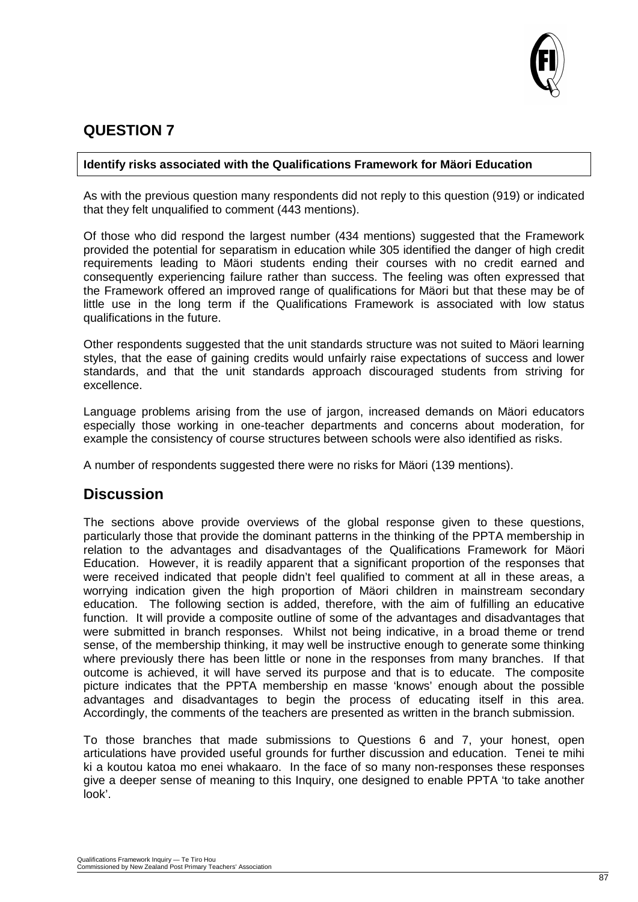

#### **QUESTION 7**

#### **Identify risks associated with the Qualifications Framework for Mäori Education**

As with the previous question many respondents did not reply to this question (919) or indicated that they felt unqualified to comment (443 mentions).

Of those who did respond the largest number (434 mentions) suggested that the Framework provided the potential for separatism in education while 305 identified the danger of high credit requirements leading to Mäori students ending their courses with no credit earned and consequently experiencing failure rather than success. The feeling was often expressed that the Framework offered an improved range of qualifications for Mäori but that these may be of little use in the long term if the Qualifications Framework is associated with low status qualifications in the future.

Other respondents suggested that the unit standards structure was not suited to Mäori learning styles, that the ease of gaining credits would unfairly raise expectations of success and lower standards, and that the unit standards approach discouraged students from striving for excellence.

Language problems arising from the use of jargon, increased demands on Mäori educators especially those working in one-teacher departments and concerns about moderation, for example the consistency of course structures between schools were also identified as risks.

A number of respondents suggested there were no risks for Mäori (139 mentions).

#### **Discussion**

The sections above provide overviews of the global response given to these questions, particularly those that provide the dominant patterns in the thinking of the PPTA membership in relation to the advantages and disadvantages of the Qualifications Framework for Mäori Education. However, it is readily apparent that a significant proportion of the responses that were received indicated that people didn't feel qualified to comment at all in these areas, a worrying indication given the high proportion of Mäori children in mainstream secondary education. The following section is added, therefore, with the aim of fulfilling an educative function. It will provide a composite outline of some of the advantages and disadvantages that were submitted in branch responses. Whilst not being indicative, in a broad theme or trend sense, of the membership thinking, it may well be instructive enough to generate some thinking where previously there has been little or none in the responses from many branches. If that outcome is achieved, it will have served its purpose and that is to educate. The composite picture indicates that the PPTA membership en masse 'knows' enough about the possible advantages and disadvantages to begin the process of educating itself in this area. Accordingly, the comments of the teachers are presented as written in the branch submission.

To those branches that made submissions to Questions 6 and 7, your honest, open articulations have provided useful grounds for further discussion and education. Tenei te mihi ki a koutou katoa mo enei whakaaro. In the face of so many non-responses these responses give a deeper sense of meaning to this Inquiry, one designed to enable PPTA 'to take another look'.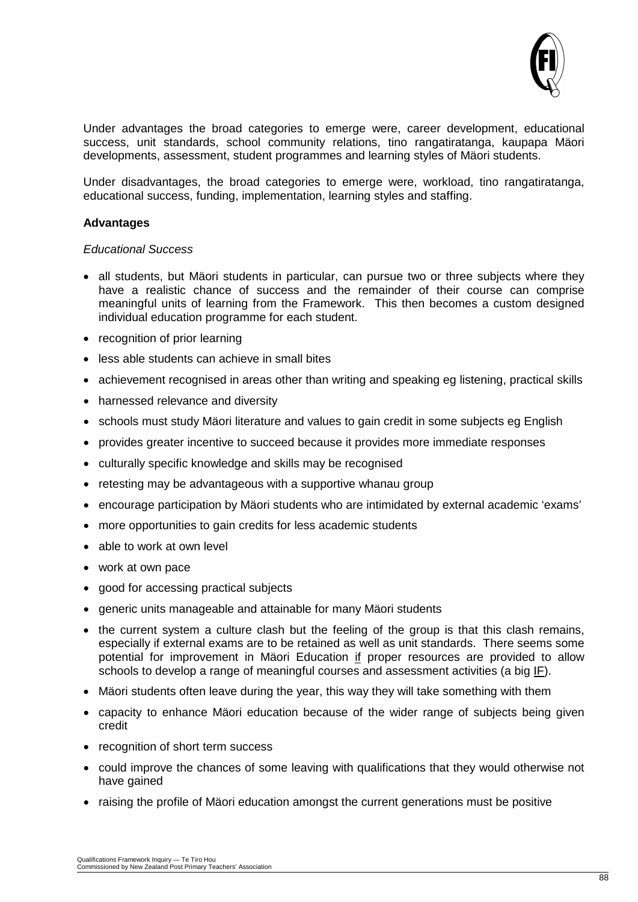

Under advantages the broad categories to emerge were, career development, educational success, unit standards, school community relations, tino rangatiratanga, kaupapa Mäori developments, assessment, student programmes and learning styles of Mäori students.

Under disadvantages, the broad categories to emerge were, workload, tino rangatiratanga, educational success, funding, implementation, learning styles and staffing.

#### **Advantages**

#### *Educational Success*

- all students, but Mäori students in particular, can pursue two or three subjects where they have a realistic chance of success and the remainder of their course can comprise meaningful units of learning from the Framework. This then becomes a custom designed individual education programme for each student.
- recognition of prior learning
- less able students can achieve in small bites
- achievement recognised in areas other than writing and speaking eg listening, practical skills
- harnessed relevance and diversity
- schools must study Mäori literature and values to gain credit in some subjects eg English
- provides greater incentive to succeed because it provides more immediate responses
- culturally specific knowledge and skills may be recognised
- retesting may be advantageous with a supportive whanau group
- encourage participation by Mäori students who are intimidated by external academic 'exams'
- more opportunities to gain credits for less academic students
- able to work at own level
- work at own pace
- good for accessing practical subjects
- generic units manageable and attainable for many Mäori students
- the current system a culture clash but the feeling of the group is that this clash remains, especially if external exams are to be retained as well as unit standards. There seems some potential for improvement in Mäori Education if proper resources are provided to allow schools to develop a range of meaningful courses and assessment activities (a big IF).
- Mäori students often leave during the year, this way they will take something with them
- capacity to enhance Mäori education because of the wider range of subjects being given credit
- recognition of short term success
- could improve the chances of some leaving with qualifications that they would otherwise not have gained
- raising the profile of Mäori education amongst the current generations must be positive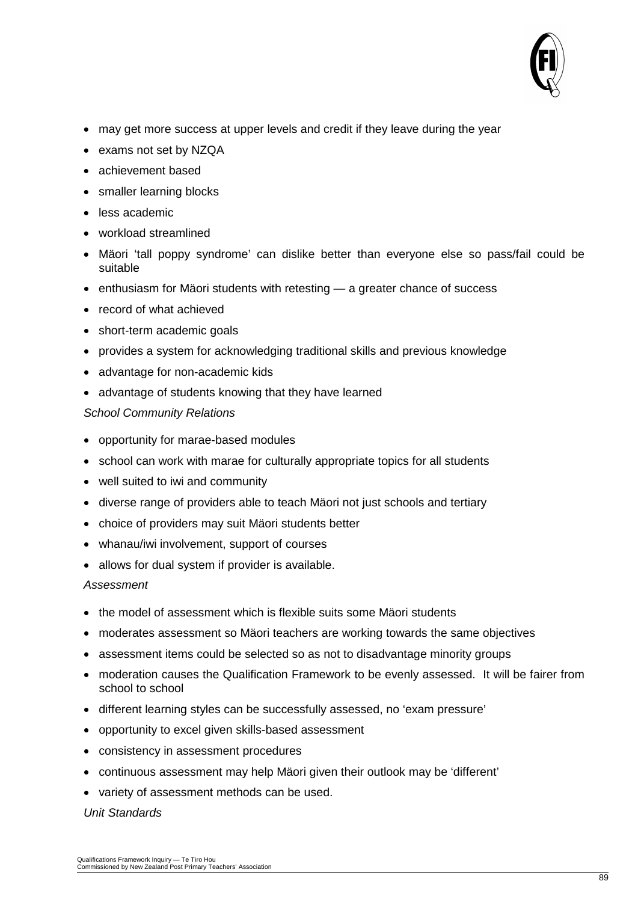

- may get more success at upper levels and credit if they leave during the year
- exams not set by NZQA
- achievement based
- smaller learning blocks
- less academic
- workload streamlined
- Mäori 'tall poppy syndrome' can dislike better than everyone else so pass/fail could be suitable
- enthusiasm for Mäori students with retesting a greater chance of success
- record of what achieved
- short-term academic goals
- provides a system for acknowledging traditional skills and previous knowledge
- advantage for non-academic kids
- advantage of students knowing that they have learned

#### *School Community Relations*

- opportunity for marae-based modules
- school can work with marae for culturally appropriate topics for all students
- well suited to iwi and community
- diverse range of providers able to teach Mäori not just schools and tertiary
- choice of providers may suit Mäori students better
- whanau/iwi involvement, support of courses
- allows for dual system if provider is available.

#### *Assessment*

- the model of assessment which is flexible suits some Mäori students
- moderates assessment so Mäori teachers are working towards the same objectives
- assessment items could be selected so as not to disadvantage minority groups
- moderation causes the Qualification Framework to be evenly assessed. It will be fairer from school to school
- different learning styles can be successfully assessed, no 'exam pressure'
- opportunity to excel given skills-based assessment
- consistency in assessment procedures
- continuous assessment may help Mäori given their outlook may be 'different'
- variety of assessment methods can be used.

#### *Unit Standards*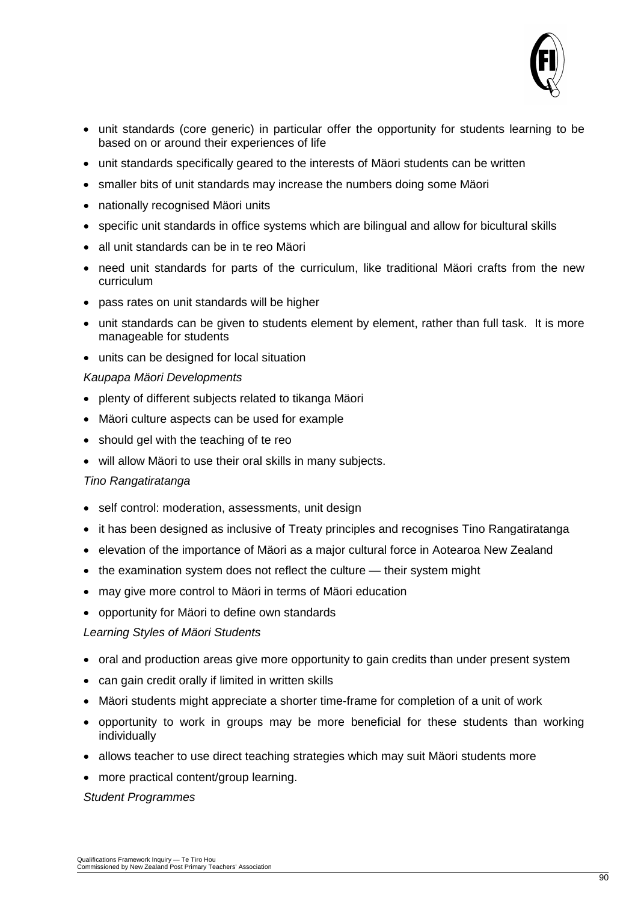

- unit standards (core generic) in particular offer the opportunity for students learning to be based on or around their experiences of life
- unit standards specifically geared to the interests of Mäori students can be written
- smaller bits of unit standards may increase the numbers doing some Mäori
- nationally recognised Mäori units
- specific unit standards in office systems which are bilingual and allow for bicultural skills
- all unit standards can be in te reo Mäori
- need unit standards for parts of the curriculum, like traditional Mäori crafts from the new curriculum
- pass rates on unit standards will be higher
- unit standards can be given to students element by element, rather than full task. It is more manageable for students
- units can be designed for local situation

#### *Kaupapa Mäori Developments*

- plenty of different subjects related to tikanga Mäori
- Mäori culture aspects can be used for example
- should gel with the teaching of te reo
- will allow Mäori to use their oral skills in many subjects.

#### *Tino Rangatiratanga*

- self control: moderation, assessments, unit design
- it has been designed as inclusive of Treaty principles and recognises Tino Rangatiratanga
- elevation of the importance of Mäori as a major cultural force in Aotearoa New Zealand
- the examination system does not reflect the culture their system might
- may give more control to Mäori in terms of Mäori education
- opportunity for Mäori to define own standards

#### *Learning Styles of Mäori Students*

- oral and production areas give more opportunity to gain credits than under present system
- can gain credit orally if limited in written skills
- Mäori students might appreciate a shorter time-frame for completion of a unit of work
- opportunity to work in groups may be more beneficial for these students than working individually
- allows teacher to use direct teaching strategies which may suit Mäori students more
- more practical content/group learning.

#### *Student Programmes*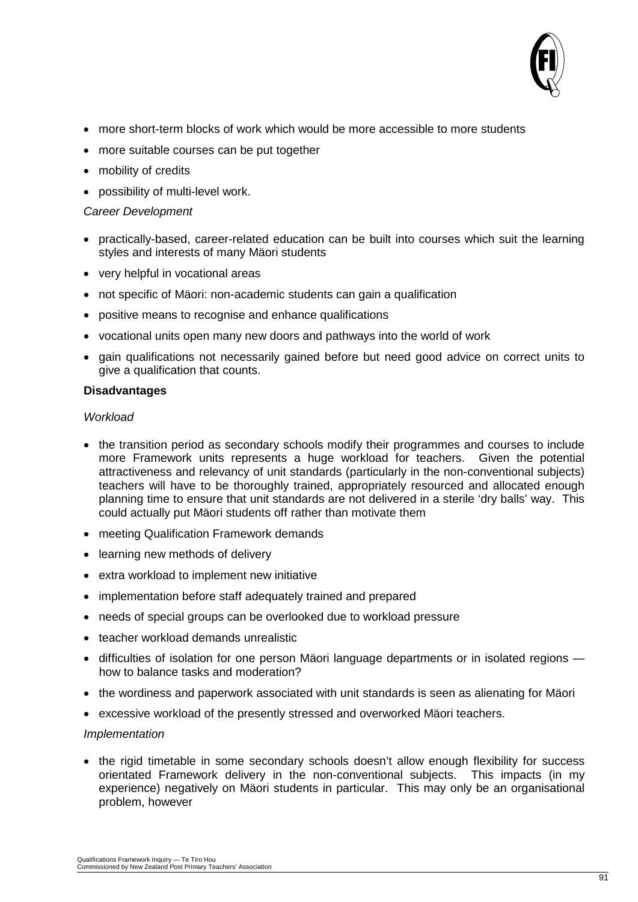

- more short-term blocks of work which would be more accessible to more students
- more suitable courses can be put together
- mobility of credits
- possibility of multi-level work.

#### *Career Development*

- practically-based, career-related education can be built into courses which suit the learning styles and interests of many Mäori students
- very helpful in vocational areas
- not specific of Mäori: non-academic students can gain a qualification
- positive means to recognise and enhance qualifications
- vocational units open many new doors and pathways into the world of work
- gain qualifications not necessarily gained before but need good advice on correct units to give a qualification that counts.

#### **Disadvantages**

#### *Workload*

- the transition period as secondary schools modify their programmes and courses to include more Framework units represents a huge workload for teachers. Given the potential attractiveness and relevancy of unit standards (particularly in the non-conventional subjects) teachers will have to be thoroughly trained, appropriately resourced and allocated enough planning time to ensure that unit standards are not delivered in a sterile 'dry balls' way. This could actually put Mäori students off rather than motivate them
- meeting Qualification Framework demands
- learning new methods of delivery
- extra workload to implement new initiative
- implementation before staff adequately trained and prepared
- needs of special groups can be overlooked due to workload pressure
- teacher workload demands unrealistic
- difficulties of isolation for one person Mäori language departments or in isolated regions how to balance tasks and moderation?
- the wordiness and paperwork associated with unit standards is seen as alienating for Mäori
- excessive workload of the presently stressed and overworked Mäori teachers.

#### *Implementation*

• the rigid timetable in some secondary schools doesn't allow enough flexibility for success orientated Framework delivery in the non-conventional subjects. This impacts (in my experience) negatively on Mäori students in particular. This may only be an organisational problem, however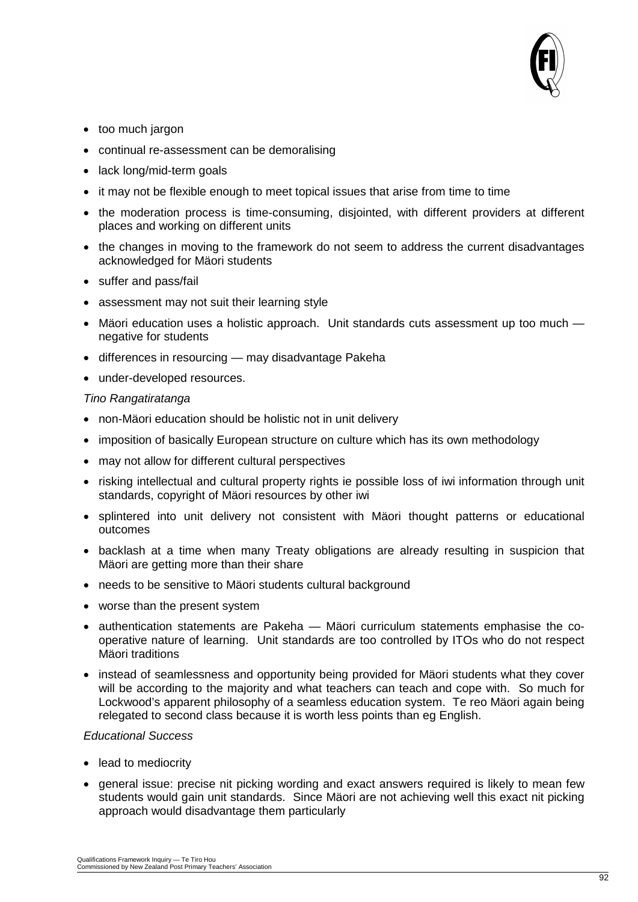

- too much jargon
- continual re-assessment can be demoralising
- lack long/mid-term goals
- it may not be flexible enough to meet topical issues that arise from time to time
- the moderation process is time-consuming, disjointed, with different providers at different places and working on different units
- the changes in moving to the framework do not seem to address the current disadvantages acknowledged for Mäori students
- suffer and pass/fail
- assessment may not suit their learning style
- Mäori education uses a holistic approach. Unit standards cuts assessment up too much negative for students
- differences in resourcing may disadvantage Pakeha
- under-developed resources.

#### *Tino Rangatiratanga*

- non-Mäori education should be holistic not in unit delivery
- imposition of basically European structure on culture which has its own methodology
- may not allow for different cultural perspectives
- risking intellectual and cultural property rights ie possible loss of iwi information through unit standards, copyright of Mäori resources by other iwi
- splintered into unit delivery not consistent with Mäori thought patterns or educational outcomes
- backlash at a time when many Treaty obligations are already resulting in suspicion that Mäori are getting more than their share
- needs to be sensitive to Mäori students cultural background
- worse than the present system
- authentication statements are Pakeha Mäori curriculum statements emphasise the cooperative nature of learning. Unit standards are too controlled by ITOs who do not respect Mäori traditions
- instead of seamlessness and opportunity being provided for Mäori students what they cover will be according to the majority and what teachers can teach and cope with. So much for Lockwood's apparent philosophy of a seamless education system. Te reo Mäori again being relegated to second class because it is worth less points than eg English.

#### *Educational Success*

- lead to mediocrity
- general issue: precise nit picking wording and exact answers required is likely to mean few students would gain unit standards. Since Mäori are not achieving well this exact nit picking approach would disadvantage them particularly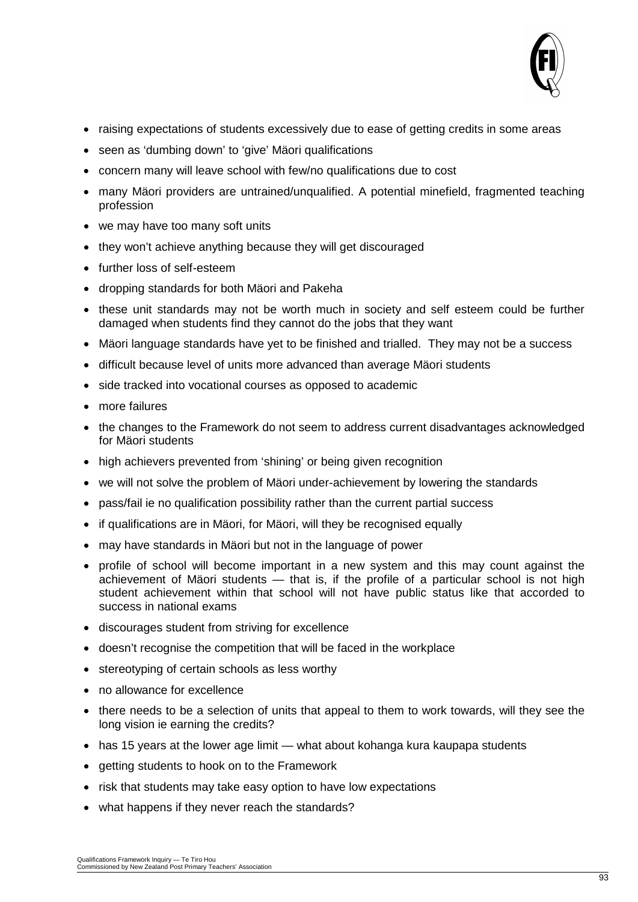

- raising expectations of students excessively due to ease of getting credits in some areas
- seen as 'dumbing down' to 'give' Mäori qualifications
- concern many will leave school with few/no qualifications due to cost
- many Mäori providers are untrained/unqualified. A potential minefield, fragmented teaching profession
- we may have too many soft units
- they won't achieve anything because they will get discouraged
- further loss of self-esteem
- dropping standards for both Mäori and Pakeha
- these unit standards may not be worth much in society and self esteem could be further damaged when students find they cannot do the jobs that they want
- Mäori language standards have yet to be finished and trialled. They may not be a success
- difficult because level of units more advanced than average Mäori students
- side tracked into vocational courses as opposed to academic
- more failures
- the changes to the Framework do not seem to address current disadvantages acknowledged for Mäori students
- high achievers prevented from 'shining' or being given recognition
- we will not solve the problem of Mäori under-achievement by lowering the standards
- pass/fail ie no qualification possibility rather than the current partial success
- if qualifications are in Mäori, for Mäori, will they be recognised equally
- may have standards in Mäori but not in the language of power
- profile of school will become important in a new system and this may count against the achievement of Mäori students — that is, if the profile of a particular school is not high student achievement within that school will not have public status like that accorded to success in national exams
- discourages student from striving for excellence
- doesn't recognise the competition that will be faced in the workplace
- stereotyping of certain schools as less worthy
- no allowance for excellence
- there needs to be a selection of units that appeal to them to work towards, will they see the long vision ie earning the credits?
- has 15 years at the lower age limit what about kohanga kura kaupapa students
- getting students to hook on to the Framework
- risk that students may take easy option to have low expectations
- what happens if they never reach the standards?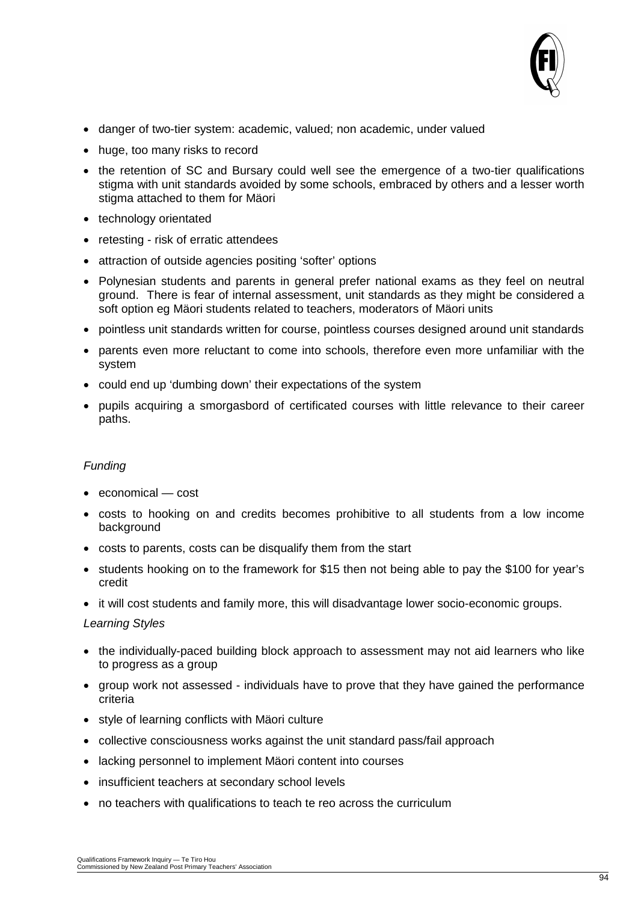

- danger of two-tier system: academic, valued; non academic, under valued
- huge, too many risks to record
- the retention of SC and Bursary could well see the emergence of a two-tier qualifications stigma with unit standards avoided by some schools, embraced by others and a lesser worth stigma attached to them for Mäori
- technology orientated
- retesting risk of erratic attendees
- attraction of outside agencies positing 'softer' options
- Polynesian students and parents in general prefer national exams as they feel on neutral ground. There is fear of internal assessment, unit standards as they might be considered a soft option eg Mäori students related to teachers, moderators of Mäori units
- pointless unit standards written for course, pointless courses designed around unit standards
- parents even more reluctant to come into schools, therefore even more unfamiliar with the system
- could end up 'dumbing down' their expectations of the system
- pupils acquiring a smorgasbord of certificated courses with little relevance to their career paths.

#### *Funding*

- economical cost
- costs to hooking on and credits becomes prohibitive to all students from a low income background
- costs to parents, costs can be disqualify them from the start
- students hooking on to the framework for \$15 then not being able to pay the \$100 for year's credit
- it will cost students and family more, this will disadvantage lower socio-economic groups.

#### *Learning Styles*

- the individually-paced building block approach to assessment may not aid learners who like to progress as a group
- group work not assessed individuals have to prove that they have gained the performance criteria
- style of learning conflicts with Mäori culture
- collective consciousness works against the unit standard pass/fail approach
- lacking personnel to implement Mäori content into courses
- insufficient teachers at secondary school levels
- no teachers with qualifications to teach te reo across the curriculum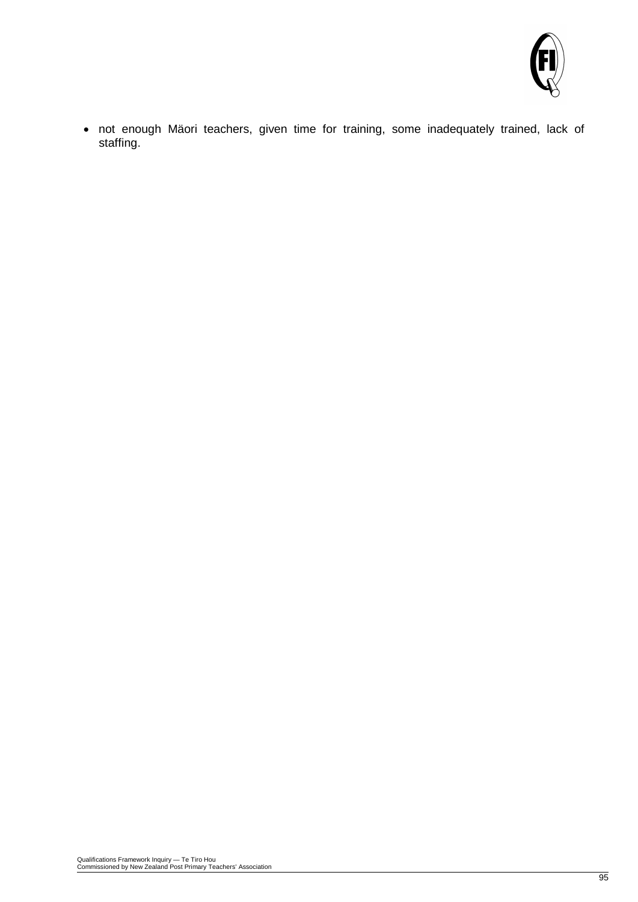

• not enough Mäori teachers, given time for training, some inadequately trained, lack of staffing.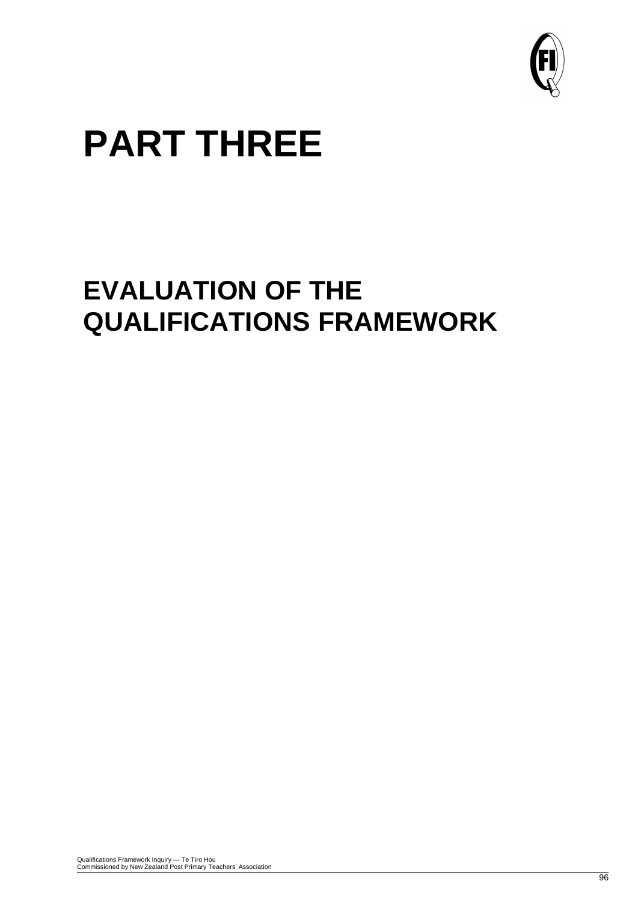

# **PART THREE**

## **EVALUATION OF THE QUALIFICATIONS FRAMEWORK**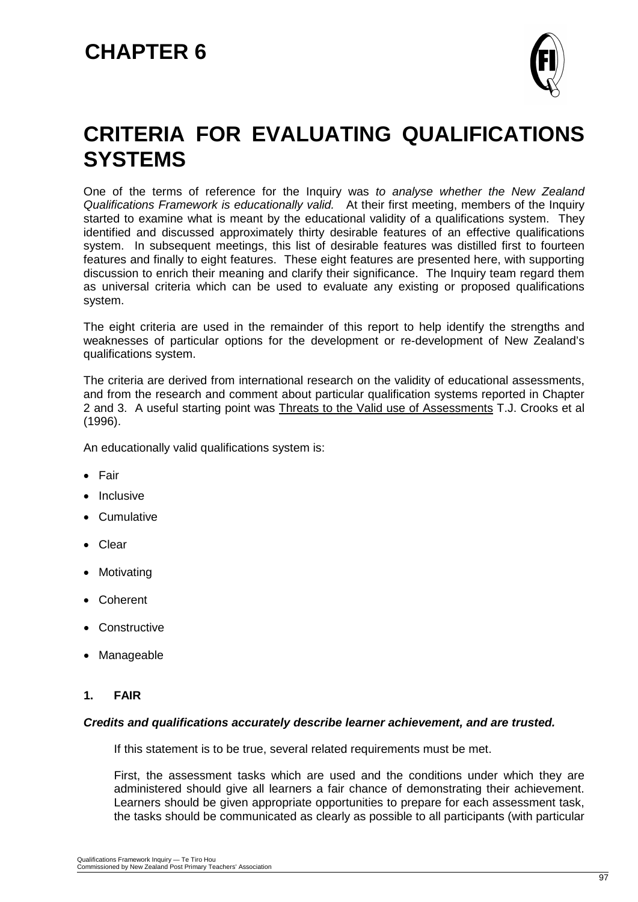

### **CRITERIA FOR EVALUATING QUALIFICATIONS SYSTEMS**

One of the terms of reference for the Inquiry was *to analyse whether the New Zealand Qualifications Framework is educationally valid.* At their first meeting, members of the Inquiry started to examine what is meant by the educational validity of a qualifications system. They identified and discussed approximately thirty desirable features of an effective qualifications system. In subsequent meetings, this list of desirable features was distilled first to fourteen features and finally to eight features. These eight features are presented here, with supporting discussion to enrich their meaning and clarify their significance. The Inquiry team regard them as universal criteria which can be used to evaluate any existing or proposed qualifications system.

The eight criteria are used in the remainder of this report to help identify the strengths and weaknesses of particular options for the development or re-development of New Zealand's qualifications system.

The criteria are derived from international research on the validity of educational assessments, and from the research and comment about particular qualification systems reported in Chapter 2 and 3. A useful starting point was Threats to the Valid use of Assessments T.J. Crooks et al (1996).

An educationally valid qualifications system is:

- Fair
- Inclusive
- Cumulative
- Clear
- Motivating
- Coherent
- Constructive
- Manageable
- **1. FAIR**

#### *Credits and qualifications accurately describe learner achievement, and are trusted.*

If this statement is to be true, several related requirements must be met.

First, the assessment tasks which are used and the conditions under which they are administered should give all learners a fair chance of demonstrating their achievement. Learners should be given appropriate opportunities to prepare for each assessment task, the tasks should be communicated as clearly as possible to all participants (with particular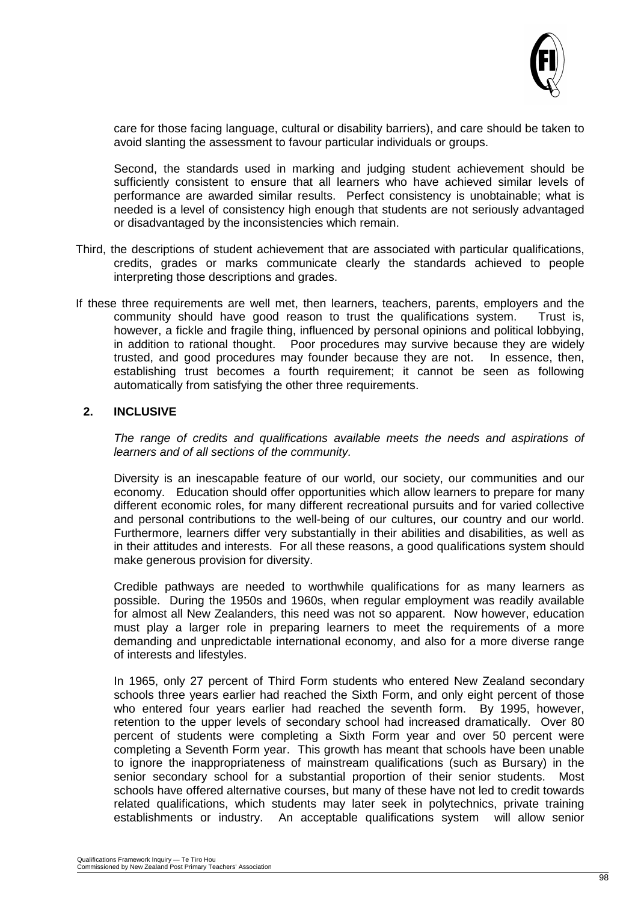

care for those facing language, cultural or disability barriers), and care should be taken to avoid slanting the assessment to favour particular individuals or groups.

Second, the standards used in marking and judging student achievement should be sufficiently consistent to ensure that all learners who have achieved similar levels of performance are awarded similar results. Perfect consistency is unobtainable; what is needed is a level of consistency high enough that students are not seriously advantaged or disadvantaged by the inconsistencies which remain.

- Third, the descriptions of student achievement that are associated with particular qualifications, credits, grades or marks communicate clearly the standards achieved to people interpreting those descriptions and grades.
- If these three requirements are well met, then learners, teachers, parents, employers and the community should have good reason to trust the qualifications system. Trust is, however, a fickle and fragile thing, influenced by personal opinions and political lobbying, in addition to rational thought. Poor procedures may survive because they are widely trusted, and good procedures may founder because they are not. In essence, then, establishing trust becomes a fourth requirement; it cannot be seen as following automatically from satisfying the other three requirements.

#### **2. INCLUSIVE**

*The range of credits and qualifications available meets the needs and aspirations of learners and of all sections of the community.*

Diversity is an inescapable feature of our world, our society, our communities and our economy. Education should offer opportunities which allow learners to prepare for many different economic roles, for many different recreational pursuits and for varied collective and personal contributions to the well-being of our cultures, our country and our world. Furthermore, learners differ very substantially in their abilities and disabilities, as well as in their attitudes and interests. For all these reasons, a good qualifications system should make generous provision for diversity.

Credible pathways are needed to worthwhile qualifications for as many learners as possible. During the 1950s and 1960s, when regular employment was readily available for almost all New Zealanders, this need was not so apparent. Now however, education must play a larger role in preparing learners to meet the requirements of a more demanding and unpredictable international economy, and also for a more diverse range of interests and lifestyles.

In 1965, only 27 percent of Third Form students who entered New Zealand secondary schools three years earlier had reached the Sixth Form, and only eight percent of those who entered four years earlier had reached the seventh form. By 1995, however, retention to the upper levels of secondary school had increased dramatically. Over 80 percent of students were completing a Sixth Form year and over 50 percent were completing a Seventh Form year. This growth has meant that schools have been unable to ignore the inappropriateness of mainstream qualifications (such as Bursary) in the senior secondary school for a substantial proportion of their senior students. Most schools have offered alternative courses, but many of these have not led to credit towards related qualifications, which students may later seek in polytechnics, private training establishments or industry. An acceptable qualifications system will allow senior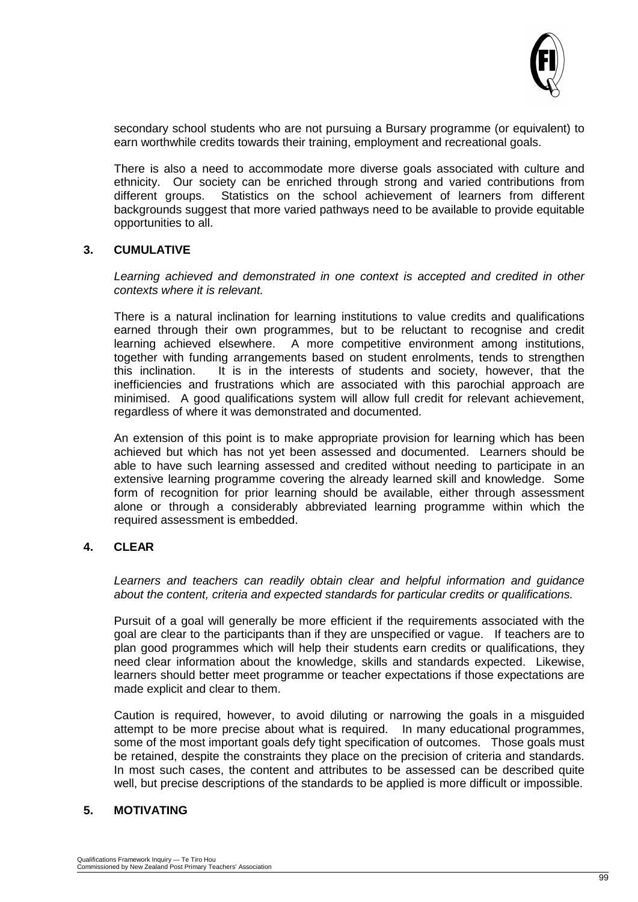

secondary school students who are not pursuing a Bursary programme (or equivalent) to earn worthwhile credits towards their training, employment and recreational goals.

There is also a need to accommodate more diverse goals associated with culture and ethnicity. Our society can be enriched through strong and varied contributions from different groups. Statistics on the school achievement of learners from different backgrounds suggest that more varied pathways need to be available to provide equitable opportunities to all.

#### **3. CUMULATIVE**

Learning achieved and demonstrated in one context is accepted and credited in other *contexts where it is relevant.*

There is a natural inclination for learning institutions to value credits and qualifications earned through their own programmes, but to be reluctant to recognise and credit learning achieved elsewhere. A more competitive environment among institutions, together with funding arrangements based on student enrolments, tends to strengthen<br>this inclination. It is in the interests of students and society, however, that the It is in the interests of students and society, however, that the inefficiencies and frustrations which are associated with this parochial approach are minimised. A good qualifications system will allow full credit for relevant achievement, regardless of where it was demonstrated and documented.

An extension of this point is to make appropriate provision for learning which has been achieved but which has not yet been assessed and documented. Learners should be able to have such learning assessed and credited without needing to participate in an extensive learning programme covering the already learned skill and knowledge. Some form of recognition for prior learning should be available, either through assessment alone or through a considerably abbreviated learning programme within which the required assessment is embedded.

#### **4. CLEAR**

*Learners and teachers can readily obtain clear and helpful information and guidance about the content, criteria and expected standards for particular credits or qualifications.*

Pursuit of a goal will generally be more efficient if the requirements associated with the goal are clear to the participants than if they are unspecified or vague. If teachers are to plan good programmes which will help their students earn credits or qualifications, they need clear information about the knowledge, skills and standards expected. Likewise, learners should better meet programme or teacher expectations if those expectations are made explicit and clear to them.

Caution is required, however, to avoid diluting or narrowing the goals in a misguided attempt to be more precise about what is required. In many educational programmes, some of the most important goals defy tight specification of outcomes. Those goals must be retained, despite the constraints they place on the precision of criteria and standards. In most such cases, the content and attributes to be assessed can be described quite well, but precise descriptions of the standards to be applied is more difficult or impossible.

#### **5. MOTIVATING**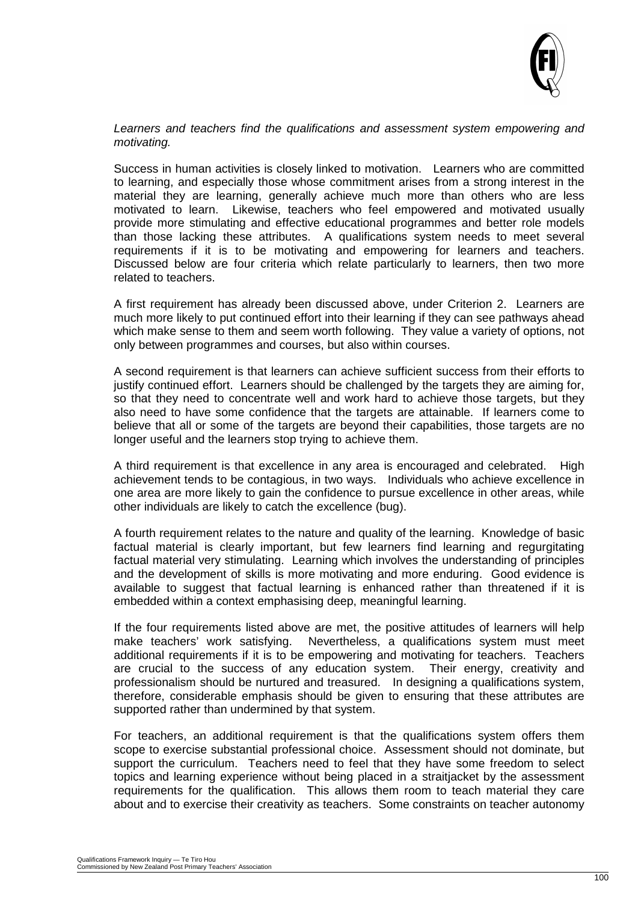

Learners and teachers find the qualifications and assessment system empowering and *motivating.*

Success in human activities is closely linked to motivation. Learners who are committed to learning, and especially those whose commitment arises from a strong interest in the material they are learning, generally achieve much more than others who are less motivated to learn. Likewise, teachers who feel empowered and motivated usually provide more stimulating and effective educational programmes and better role models than those lacking these attributes. A qualifications system needs to meet several requirements if it is to be motivating and empowering for learners and teachers. Discussed below are four criteria which relate particularly to learners, then two more related to teachers.

A first requirement has already been discussed above, under Criterion 2. Learners are much more likely to put continued effort into their learning if they can see pathways ahead which make sense to them and seem worth following. They value a variety of options, not only between programmes and courses, but also within courses.

A second requirement is that learners can achieve sufficient success from their efforts to justify continued effort. Learners should be challenged by the targets they are aiming for, so that they need to concentrate well and work hard to achieve those targets, but they also need to have some confidence that the targets are attainable. If learners come to believe that all or some of the targets are beyond their capabilities, those targets are no longer useful and the learners stop trying to achieve them.

A third requirement is that excellence in any area is encouraged and celebrated. High achievement tends to be contagious, in two ways. Individuals who achieve excellence in one area are more likely to gain the confidence to pursue excellence in other areas, while other individuals are likely to catch the excellence (bug).

A fourth requirement relates to the nature and quality of the learning. Knowledge of basic factual material is clearly important, but few learners find learning and regurgitating factual material very stimulating. Learning which involves the understanding of principles and the development of skills is more motivating and more enduring. Good evidence is available to suggest that factual learning is enhanced rather than threatened if it is embedded within a context emphasising deep, meaningful learning.

If the four requirements listed above are met, the positive attitudes of learners will help make teachers' work satisfying. Nevertheless, a qualifications system must meet additional requirements if it is to be empowering and motivating for teachers. Teachers are crucial to the success of any education system. Their energy, creativity and professionalism should be nurtured and treasured. In designing a qualifications system, therefore, considerable emphasis should be given to ensuring that these attributes are supported rather than undermined by that system.

For teachers, an additional requirement is that the qualifications system offers them scope to exercise substantial professional choice. Assessment should not dominate, but support the curriculum. Teachers need to feel that they have some freedom to select topics and learning experience without being placed in a straitjacket by the assessment requirements for the qualification. This allows them room to teach material they care about and to exercise their creativity as teachers. Some constraints on teacher autonomy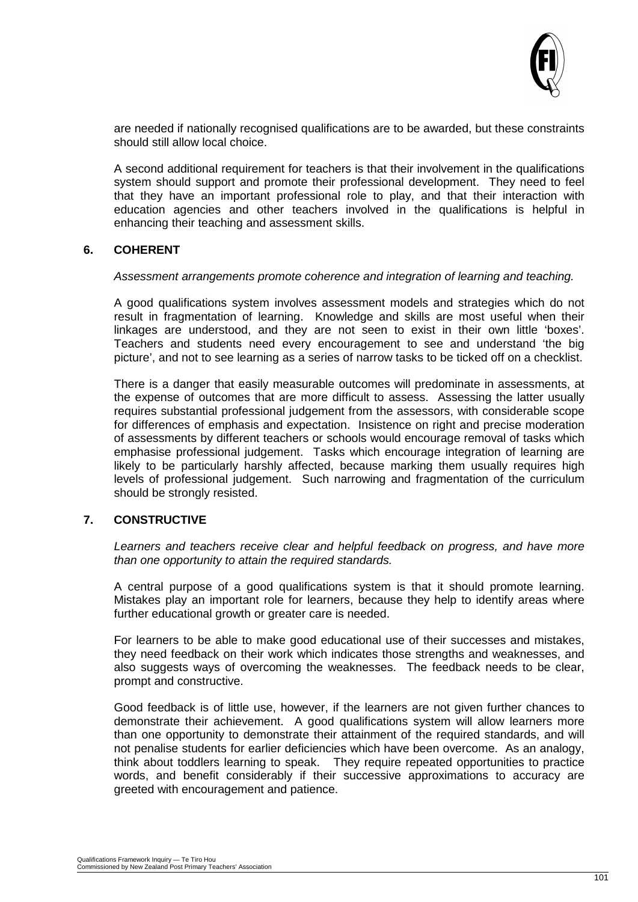

are needed if nationally recognised qualifications are to be awarded, but these constraints should still allow local choice.

A second additional requirement for teachers is that their involvement in the qualifications system should support and promote their professional development. They need to feel that they have an important professional role to play, and that their interaction with education agencies and other teachers involved in the qualifications is helpful in enhancing their teaching and assessment skills.

#### **6. COHERENT**

#### *Assessment arrangements promote coherence and integration of learning and teaching.*

A good qualifications system involves assessment models and strategies which do not result in fragmentation of learning. Knowledge and skills are most useful when their linkages are understood, and they are not seen to exist in their own little 'boxes'. Teachers and students need every encouragement to see and understand 'the big picture', and not to see learning as a series of narrow tasks to be ticked off on a checklist.

There is a danger that easily measurable outcomes will predominate in assessments, at the expense of outcomes that are more difficult to assess. Assessing the latter usually requires substantial professional judgement from the assessors, with considerable scope for differences of emphasis and expectation. Insistence on right and precise moderation of assessments by different teachers or schools would encourage removal of tasks which emphasise professional judgement. Tasks which encourage integration of learning are likely to be particularly harshly affected, because marking them usually requires high levels of professional judgement. Such narrowing and fragmentation of the curriculum should be strongly resisted.

#### **7. CONSTRUCTIVE**

*Learners and teachers receive clear and helpful feedback on progress, and have more than one opportunity to attain the required standards.*

A central purpose of a good qualifications system is that it should promote learning. Mistakes play an important role for learners, because they help to identify areas where further educational growth or greater care is needed.

For learners to be able to make good educational use of their successes and mistakes, they need feedback on their work which indicates those strengths and weaknesses, and also suggests ways of overcoming the weaknesses. The feedback needs to be clear, prompt and constructive.

Good feedback is of little use, however, if the learners are not given further chances to demonstrate their achievement. A good qualifications system will allow learners more than one opportunity to demonstrate their attainment of the required standards, and will not penalise students for earlier deficiencies which have been overcome. As an analogy, think about toddlers learning to speak. They require repeated opportunities to practice words, and benefit considerably if their successive approximations to accuracy are greeted with encouragement and patience.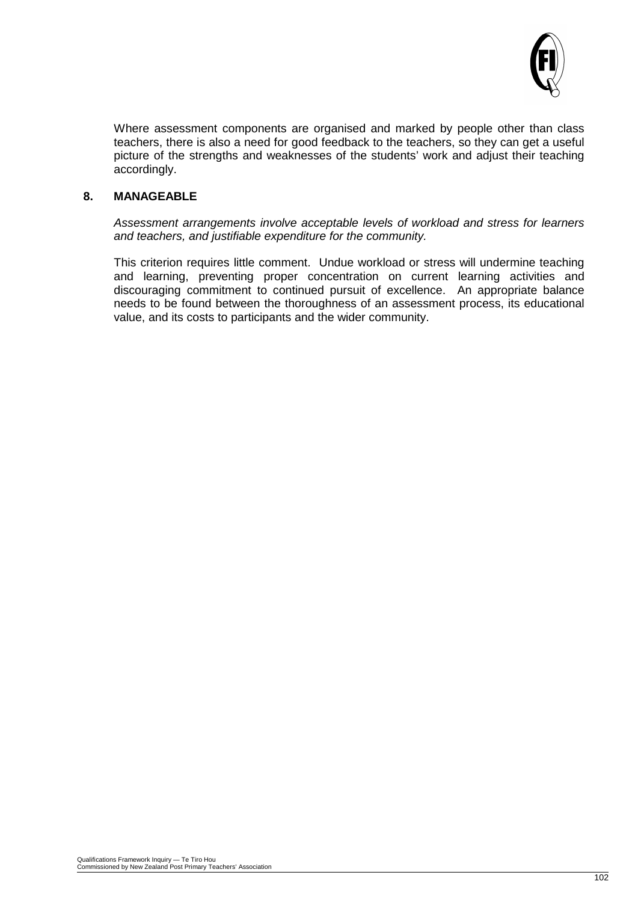

Where assessment components are organised and marked by people other than class teachers, there is also a need for good feedback to the teachers, so they can get a useful picture of the strengths and weaknesses of the students' work and adjust their teaching accordingly.

#### **8. MANAGEABLE**

*Assessment arrangements involve acceptable levels of workload and stress for learners and teachers, and justifiable expenditure for the community.*

This criterion requires little comment. Undue workload or stress will undermine teaching and learning, preventing proper concentration on current learning activities and discouraging commitment to continued pursuit of excellence. An appropriate balance needs to be found between the thoroughness of an assessment process, its educational value, and its costs to participants and the wider community.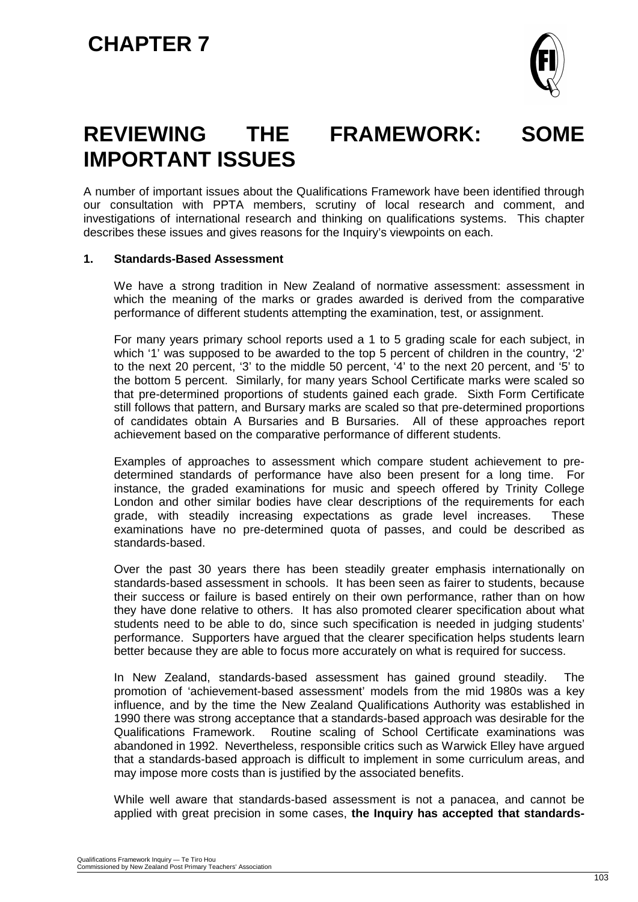

### **REVIEWING THE FRAMEWORK: SOME IMPORTANT ISSUES**

A number of important issues about the Qualifications Framework have been identified through our consultation with PPTA members, scrutiny of local research and comment, and investigations of international research and thinking on qualifications systems. This chapter describes these issues and gives reasons for the Inquiry's viewpoints on each.

#### **1. Standards-Based Assessment**

We have a strong tradition in New Zealand of normative assessment: assessment in which the meaning of the marks or grades awarded is derived from the comparative performance of different students attempting the examination, test, or assignment.

For many years primary school reports used a 1 to 5 grading scale for each subject, in which '1' was supposed to be awarded to the top 5 percent of children in the country, '2' to the next 20 percent, '3' to the middle 50 percent, '4' to the next 20 percent, and '5' to the bottom 5 percent. Similarly, for many years School Certificate marks were scaled so that pre-determined proportions of students gained each grade. Sixth Form Certificate still follows that pattern, and Bursary marks are scaled so that pre-determined proportions of candidates obtain A Bursaries and B Bursaries. All of these approaches report achievement based on the comparative performance of different students.

Examples of approaches to assessment which compare student achievement to predetermined standards of performance have also been present for a long time. For instance, the graded examinations for music and speech offered by Trinity College London and other similar bodies have clear descriptions of the requirements for each grade, with steadily increasing expectations as grade level increases. These examinations have no pre-determined quota of passes, and could be described as standards-based.

Over the past 30 years there has been steadily greater emphasis internationally on standards-based assessment in schools. It has been seen as fairer to students, because their success or failure is based entirely on their own performance, rather than on how they have done relative to others. It has also promoted clearer specification about what students need to be able to do, since such specification is needed in judging students' performance. Supporters have argued that the clearer specification helps students learn better because they are able to focus more accurately on what is required for success.

In New Zealand, standards-based assessment has gained ground steadily. The promotion of 'achievement-based assessment' models from the mid 1980s was a key influence, and by the time the New Zealand Qualifications Authority was established in 1990 there was strong acceptance that a standards-based approach was desirable for the Qualifications Framework. Routine scaling of School Certificate examinations was abandoned in 1992. Nevertheless, responsible critics such as Warwick Elley have argued that a standards-based approach is difficult to implement in some curriculum areas, and may impose more costs than is justified by the associated benefits.

While well aware that standards-based assessment is not a panacea, and cannot be applied with great precision in some cases, **the Inquiry has accepted that standards-**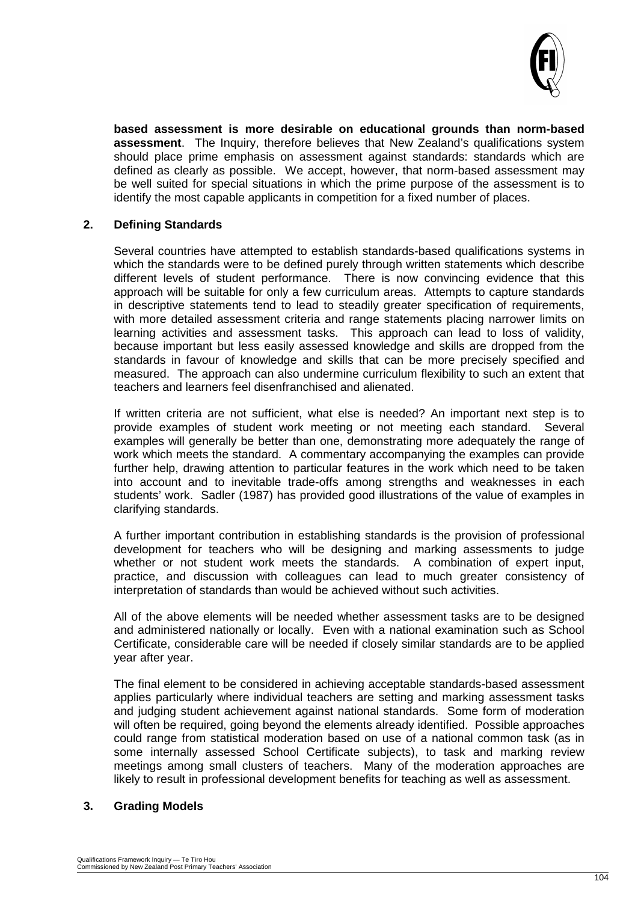

**based assessment is more desirable on educational grounds than norm-based assessment**. The Inquiry, therefore believes that New Zealand's qualifications system should place prime emphasis on assessment against standards: standards which are defined as clearly as possible. We accept, however, that norm-based assessment may be well suited for special situations in which the prime purpose of the assessment is to identify the most capable applicants in competition for a fixed number of places.

#### **2. Defining Standards**

Several countries have attempted to establish standards-based qualifications systems in which the standards were to be defined purely through written statements which describe different levels of student performance. There is now convincing evidence that this approach will be suitable for only a few curriculum areas. Attempts to capture standards in descriptive statements tend to lead to steadily greater specification of requirements, with more detailed assessment criteria and range statements placing narrower limits on learning activities and assessment tasks. This approach can lead to loss of validity, because important but less easily assessed knowledge and skills are dropped from the standards in favour of knowledge and skills that can be more precisely specified and measured. The approach can also undermine curriculum flexibility to such an extent that teachers and learners feel disenfranchised and alienated.

If written criteria are not sufficient, what else is needed? An important next step is to provide examples of student work meeting or not meeting each standard. Several examples will generally be better than one, demonstrating more adequately the range of work which meets the standard. A commentary accompanying the examples can provide further help, drawing attention to particular features in the work which need to be taken into account and to inevitable trade-offs among strengths and weaknesses in each students' work. Sadler (1987) has provided good illustrations of the value of examples in clarifying standards.

A further important contribution in establishing standards is the provision of professional development for teachers who will be designing and marking assessments to judge whether or not student work meets the standards. A combination of expert input, practice, and discussion with colleagues can lead to much greater consistency of interpretation of standards than would be achieved without such activities.

All of the above elements will be needed whether assessment tasks are to be designed and administered nationally or locally. Even with a national examination such as School Certificate, considerable care will be needed if closely similar standards are to be applied year after year.

The final element to be considered in achieving acceptable standards-based assessment applies particularly where individual teachers are setting and marking assessment tasks and judging student achievement against national standards. Some form of moderation will often be required, going beyond the elements already identified. Possible approaches could range from statistical moderation based on use of a national common task (as in some internally assessed School Certificate subjects), to task and marking review meetings among small clusters of teachers. Many of the moderation approaches are likely to result in professional development benefits for teaching as well as assessment.

#### **3. Grading Models**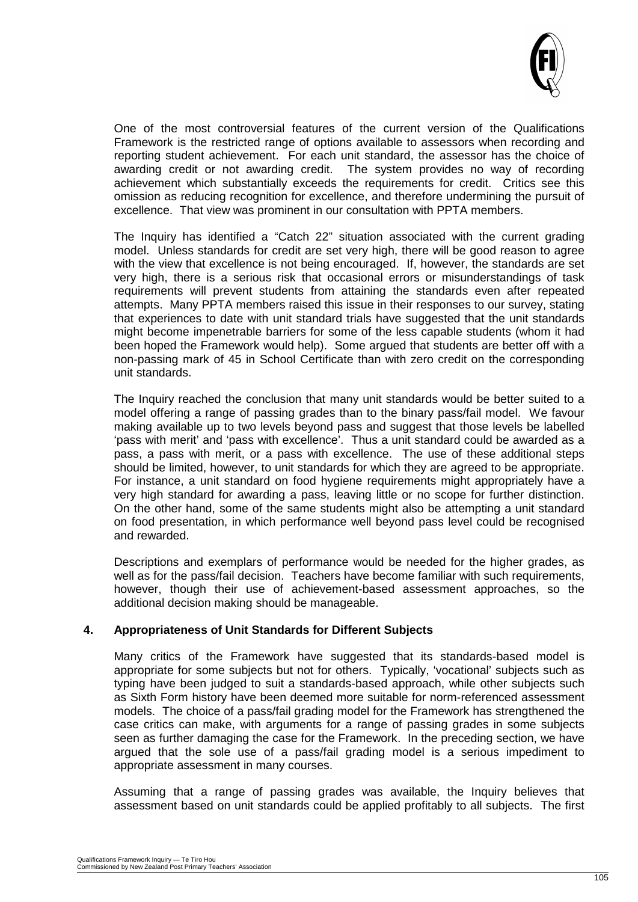

One of the most controversial features of the current version of the Qualifications Framework is the restricted range of options available to assessors when recording and reporting student achievement. For each unit standard, the assessor has the choice of awarding credit or not awarding credit. The system provides no way of recording The system provides no way of recording achievement which substantially exceeds the requirements for credit. Critics see this omission as reducing recognition for excellence, and therefore undermining the pursuit of excellence. That view was prominent in our consultation with PPTA members.

The Inquiry has identified a "Catch 22" situation associated with the current grading model. Unless standards for credit are set very high, there will be good reason to agree with the view that excellence is not being encouraged. If, however, the standards are set very high, there is a serious risk that occasional errors or misunderstandings of task requirements will prevent students from attaining the standards even after repeated attempts. Many PPTA members raised this issue in their responses to our survey, stating that experiences to date with unit standard trials have suggested that the unit standards might become impenetrable barriers for some of the less capable students (whom it had been hoped the Framework would help). Some argued that students are better off with a non-passing mark of 45 in School Certificate than with zero credit on the corresponding unit standards.

The Inquiry reached the conclusion that many unit standards would be better suited to a model offering a range of passing grades than to the binary pass/fail model. We favour making available up to two levels beyond pass and suggest that those levels be labelled 'pass with merit' and 'pass with excellence'. Thus a unit standard could be awarded as a pass, a pass with merit, or a pass with excellence. The use of these additional steps should be limited, however, to unit standards for which they are agreed to be appropriate. For instance, a unit standard on food hygiene requirements might appropriately have a very high standard for awarding a pass, leaving little or no scope for further distinction. On the other hand, some of the same students might also be attempting a unit standard on food presentation, in which performance well beyond pass level could be recognised and rewarded.

Descriptions and exemplars of performance would be needed for the higher grades, as well as for the pass/fail decision. Teachers have become familiar with such requirements, however, though their use of achievement-based assessment approaches, so the additional decision making should be manageable.

#### **4. Appropriateness of Unit Standards for Different Subjects**

Many critics of the Framework have suggested that its standards-based model is appropriate for some subjects but not for others. Typically, 'vocational' subjects such as typing have been judged to suit a standards-based approach, while other subjects such as Sixth Form history have been deemed more suitable for norm-referenced assessment models. The choice of a pass/fail grading model for the Framework has strengthened the case critics can make, with arguments for a range of passing grades in some subjects seen as further damaging the case for the Framework. In the preceding section, we have argued that the sole use of a pass/fail grading model is a serious impediment to appropriate assessment in many courses.

Assuming that a range of passing grades was available, the Inquiry believes that assessment based on unit standards could be applied profitably to all subjects. The first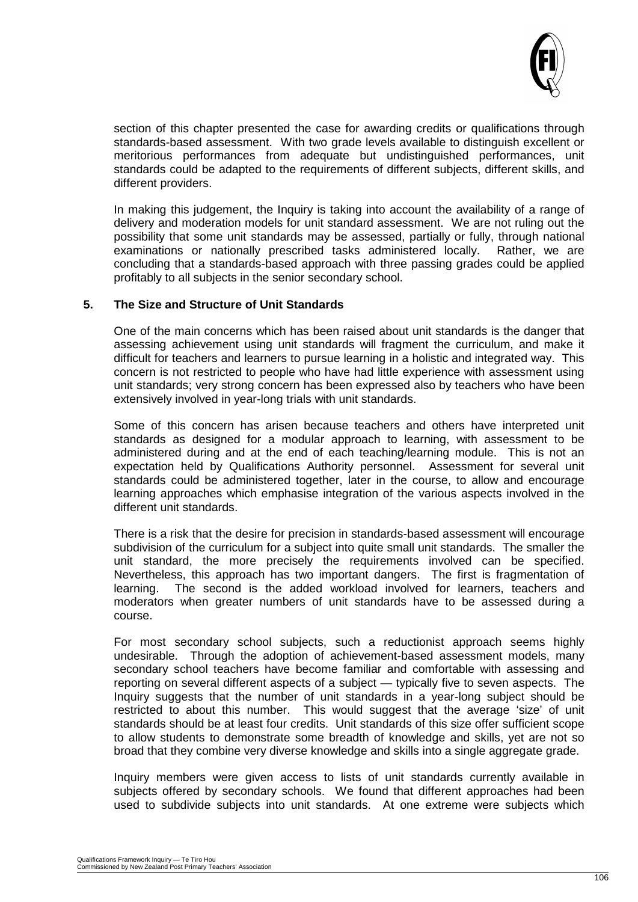

section of this chapter presented the case for awarding credits or qualifications through standards-based assessment. With two grade levels available to distinguish excellent or meritorious performances from adequate but undistinguished performances, unit standards could be adapted to the requirements of different subjects, different skills, and different providers.

In making this judgement, the Inquiry is taking into account the availability of a range of delivery and moderation models for unit standard assessment. We are not ruling out the possibility that some unit standards may be assessed, partially or fully, through national examinations or nationally prescribed tasks administered locally. Rather, we are concluding that a standards-based approach with three passing grades could be applied profitably to all subjects in the senior secondary school.

#### **5. The Size and Structure of Unit Standards**

One of the main concerns which has been raised about unit standards is the danger that assessing achievement using unit standards will fragment the curriculum, and make it difficult for teachers and learners to pursue learning in a holistic and integrated way. This concern is not restricted to people who have had little experience with assessment using unit standards; very strong concern has been expressed also by teachers who have been extensively involved in year-long trials with unit standards.

Some of this concern has arisen because teachers and others have interpreted unit standards as designed for a modular approach to learning, with assessment to be administered during and at the end of each teaching/learning module. This is not an expectation held by Qualifications Authority personnel. Assessment for several unit standards could be administered together, later in the course, to allow and encourage learning approaches which emphasise integration of the various aspects involved in the different unit standards.

There is a risk that the desire for precision in standards-based assessment will encourage subdivision of the curriculum for a subject into quite small unit standards. The smaller the unit standard, the more precisely the requirements involved can be specified. Nevertheless, this approach has two important dangers. The first is fragmentation of learning. The second is the added workload involved for learners, teachers and moderators when greater numbers of unit standards have to be assessed during a course.

For most secondary school subjects, such a reductionist approach seems highly undesirable. Through the adoption of achievement-based assessment models, many secondary school teachers have become familiar and comfortable with assessing and reporting on several different aspects of a subject — typically five to seven aspects. The Inquiry suggests that the number of unit standards in a year-long subject should be restricted to about this number. This would suggest that the average 'size' of unit standards should be at least four credits. Unit standards of this size offer sufficient scope to allow students to demonstrate some breadth of knowledge and skills, yet are not so broad that they combine very diverse knowledge and skills into a single aggregate grade.

Inquiry members were given access to lists of unit standards currently available in subjects offered by secondary schools. We found that different approaches had been used to subdivide subjects into unit standards. At one extreme were subjects which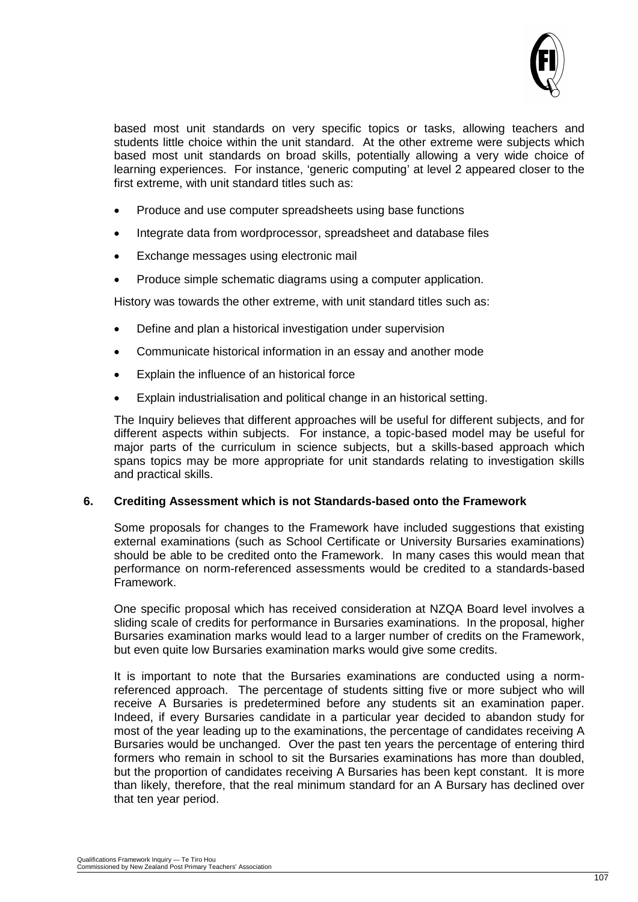

based most unit standards on very specific topics or tasks, allowing teachers and students little choice within the unit standard. At the other extreme were subjects which based most unit standards on broad skills, potentially allowing a very wide choice of learning experiences. For instance, 'generic computing' at level 2 appeared closer to the first extreme, with unit standard titles such as:

- Produce and use computer spreadsheets using base functions
- Integrate data from wordprocessor, spreadsheet and database files
- Exchange messages using electronic mail
- Produce simple schematic diagrams using a computer application.

History was towards the other extreme, with unit standard titles such as:

- Define and plan a historical investigation under supervision
- Communicate historical information in an essay and another mode
- Explain the influence of an historical force
- Explain industrialisation and political change in an historical setting.

The Inquiry believes that different approaches will be useful for different subjects, and for different aspects within subjects. For instance, a topic-based model may be useful for major parts of the curriculum in science subjects, but a skills-based approach which spans topics may be more appropriate for unit standards relating to investigation skills and practical skills.

#### **6. Crediting Assessment which is not Standards-based onto the Framework**

Some proposals for changes to the Framework have included suggestions that existing external examinations (such as School Certificate or University Bursaries examinations) should be able to be credited onto the Framework. In many cases this would mean that performance on norm-referenced assessments would be credited to a standards-based Framework.

One specific proposal which has received consideration at NZQA Board level involves a sliding scale of credits for performance in Bursaries examinations. In the proposal, higher Bursaries examination marks would lead to a larger number of credits on the Framework, but even quite low Bursaries examination marks would give some credits.

It is important to note that the Bursaries examinations are conducted using a normreferenced approach. The percentage of students sitting five or more subject who will receive A Bursaries is predetermined before any students sit an examination paper. Indeed, if every Bursaries candidate in a particular year decided to abandon study for most of the year leading up to the examinations, the percentage of candidates receiving A Bursaries would be unchanged. Over the past ten years the percentage of entering third formers who remain in school to sit the Bursaries examinations has more than doubled, but the proportion of candidates receiving A Bursaries has been kept constant. It is more than likely, therefore, that the real minimum standard for an A Bursary has declined over that ten year period.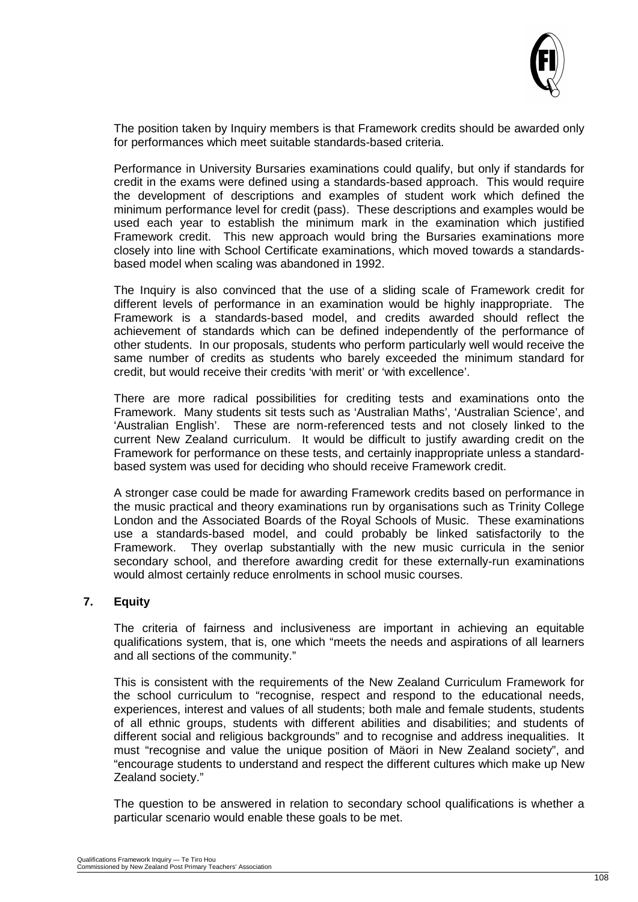

The position taken by Inquiry members is that Framework credits should be awarded only for performances which meet suitable standards-based criteria.

Performance in University Bursaries examinations could qualify, but only if standards for credit in the exams were defined using a standards-based approach. This would require the development of descriptions and examples of student work which defined the minimum performance level for credit (pass). These descriptions and examples would be used each year to establish the minimum mark in the examination which justified Framework credit. This new approach would bring the Bursaries examinations more closely into line with School Certificate examinations, which moved towards a standardsbased model when scaling was abandoned in 1992.

The Inquiry is also convinced that the use of a sliding scale of Framework credit for different levels of performance in an examination would be highly inappropriate. The Framework is a standards-based model, and credits awarded should reflect the achievement of standards which can be defined independently of the performance of other students. In our proposals, students who perform particularly well would receive the same number of credits as students who barely exceeded the minimum standard for credit, but would receive their credits 'with merit' or 'with excellence'.

There are more radical possibilities for crediting tests and examinations onto the Framework. Many students sit tests such as 'Australian Maths', 'Australian Science', and 'Australian English'. These are norm-referenced tests and not closely linked to the current New Zealand curriculum. It would be difficult to justify awarding credit on the Framework for performance on these tests, and certainly inappropriate unless a standardbased system was used for deciding who should receive Framework credit.

A stronger case could be made for awarding Framework credits based on performance in the music practical and theory examinations run by organisations such as Trinity College London and the Associated Boards of the Royal Schools of Music. These examinations use a standards-based model, and could probably be linked satisfactorily to the Framework. They overlap substantially with the new music curricula in the senior secondary school, and therefore awarding credit for these externally-run examinations would almost certainly reduce enrolments in school music courses.

#### **7. Equity**

The criteria of fairness and inclusiveness are important in achieving an equitable qualifications system, that is, one which "meets the needs and aspirations of all learners and all sections of the community."

This is consistent with the requirements of the New Zealand Curriculum Framework for the school curriculum to "recognise, respect and respond to the educational needs, experiences, interest and values of all students; both male and female students, students of all ethnic groups, students with different abilities and disabilities; and students of different social and religious backgrounds" and to recognise and address inequalities. It must "recognise and value the unique position of Mäori in New Zealand society", and "encourage students to understand and respect the different cultures which make up New Zealand society."

The question to be answered in relation to secondary school qualifications is whether a particular scenario would enable these goals to be met.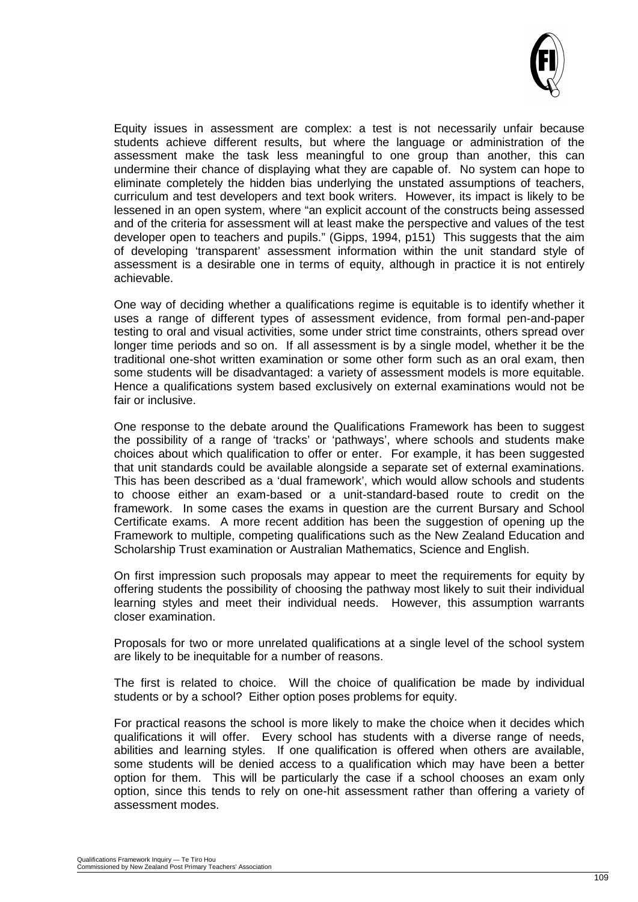

Equity issues in assessment are complex: a test is not necessarily unfair because students achieve different results, but where the language or administration of the assessment make the task less meaningful to one group than another, this can undermine their chance of displaying what they are capable of. No system can hope to eliminate completely the hidden bias underlying the unstated assumptions of teachers, curriculum and test developers and text book writers. However, its impact is likely to be lessened in an open system, where "an explicit account of the constructs being assessed and of the criteria for assessment will at least make the perspective and values of the test developer open to teachers and pupils." (Gipps, 1994, p151) This suggests that the aim of developing 'transparent' assessment information within the unit standard style of assessment is a desirable one in terms of equity, although in practice it is not entirely achievable.

One way of deciding whether a qualifications regime is equitable is to identify whether it uses a range of different types of assessment evidence, from formal pen-and-paper testing to oral and visual activities, some under strict time constraints, others spread over longer time periods and so on. If all assessment is by a single model, whether it be the traditional one-shot written examination or some other form such as an oral exam, then some students will be disadvantaged: a variety of assessment models is more equitable. Hence a qualifications system based exclusively on external examinations would not be fair or inclusive.

One response to the debate around the Qualifications Framework has been to suggest the possibility of a range of 'tracks' or 'pathways', where schools and students make choices about which qualification to offer or enter. For example, it has been suggested that unit standards could be available alongside a separate set of external examinations. This has been described as a 'dual framework', which would allow schools and students to choose either an exam-based or a unit-standard-based route to credit on the framework. In some cases the exams in question are the current Bursary and School Certificate exams. A more recent addition has been the suggestion of opening up the Framework to multiple, competing qualifications such as the New Zealand Education and Scholarship Trust examination or Australian Mathematics, Science and English.

On first impression such proposals may appear to meet the requirements for equity by offering students the possibility of choosing the pathway most likely to suit their individual learning styles and meet their individual needs. However, this assumption warrants closer examination.

Proposals for two or more unrelated qualifications at a single level of the school system are likely to be inequitable for a number of reasons.

The first is related to choice. Will the choice of qualification be made by individual students or by a school? Either option poses problems for equity.

For practical reasons the school is more likely to make the choice when it decides which qualifications it will offer. Every school has students with a diverse range of needs, abilities and learning styles. If one qualification is offered when others are available, some students will be denied access to a qualification which may have been a better option for them. This will be particularly the case if a school chooses an exam only option, since this tends to rely on one-hit assessment rather than offering a variety of assessment modes.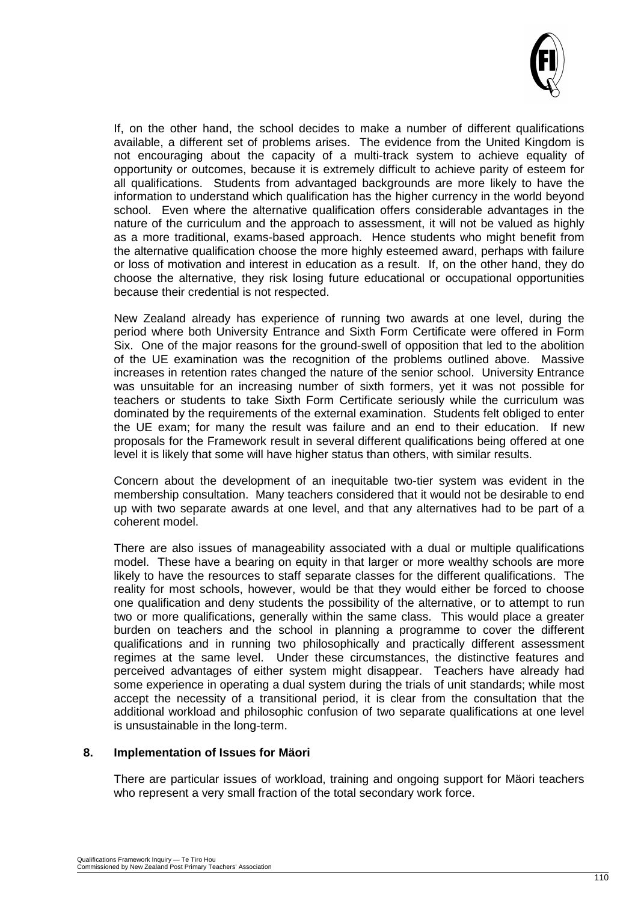

If, on the other hand, the school decides to make a number of different qualifications available, a different set of problems arises. The evidence from the United Kingdom is not encouraging about the capacity of a multi-track system to achieve equality of opportunity or outcomes, because it is extremely difficult to achieve parity of esteem for all qualifications. Students from advantaged backgrounds are more likely to have the information to understand which qualification has the higher currency in the world beyond school. Even where the alternative qualification offers considerable advantages in the nature of the curriculum and the approach to assessment, it will not be valued as highly as a more traditional, exams-based approach. Hence students who might benefit from the alternative qualification choose the more highly esteemed award, perhaps with failure or loss of motivation and interest in education as a result. If, on the other hand, they do choose the alternative, they risk losing future educational or occupational opportunities because their credential is not respected.

New Zealand already has experience of running two awards at one level, during the period where both University Entrance and Sixth Form Certificate were offered in Form Six. One of the major reasons for the ground-swell of opposition that led to the abolition of the UE examination was the recognition of the problems outlined above. Massive increases in retention rates changed the nature of the senior school. University Entrance was unsuitable for an increasing number of sixth formers, yet it was not possible for teachers or students to take Sixth Form Certificate seriously while the curriculum was dominated by the requirements of the external examination. Students felt obliged to enter the UE exam; for many the result was failure and an end to their education. If new proposals for the Framework result in several different qualifications being offered at one level it is likely that some will have higher status than others, with similar results.

Concern about the development of an inequitable two-tier system was evident in the membership consultation. Many teachers considered that it would not be desirable to end up with two separate awards at one level, and that any alternatives had to be part of a coherent model.

There are also issues of manageability associated with a dual or multiple qualifications model. These have a bearing on equity in that larger or more wealthy schools are more likely to have the resources to staff separate classes for the different qualifications. The reality for most schools, however, would be that they would either be forced to choose one qualification and deny students the possibility of the alternative, or to attempt to run two or more qualifications, generally within the same class. This would place a greater burden on teachers and the school in planning a programme to cover the different qualifications and in running two philosophically and practically different assessment regimes at the same level. Under these circumstances, the distinctive features and perceived advantages of either system might disappear. Teachers have already had some experience in operating a dual system during the trials of unit standards; while most accept the necessity of a transitional period, it is clear from the consultation that the additional workload and philosophic confusion of two separate qualifications at one level is unsustainable in the long-term.

#### **8. Implementation of Issues for Mäori**

There are particular issues of workload, training and ongoing support for Mäori teachers who represent a very small fraction of the total secondary work force.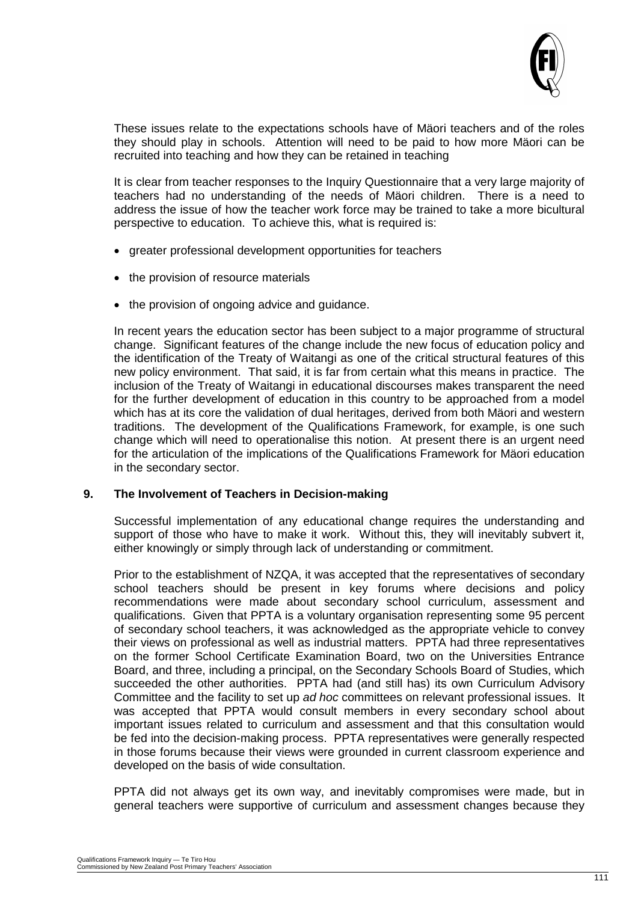

These issues relate to the expectations schools have of Mäori teachers and of the roles they should play in schools. Attention will need to be paid to how more Mäori can be recruited into teaching and how they can be retained in teaching

It is clear from teacher responses to the Inquiry Questionnaire that a very large majority of teachers had no understanding of the needs of Mäori children. There is a need to address the issue of how the teacher work force may be trained to take a more bicultural perspective to education. To achieve this, what is required is:

- greater professional development opportunities for teachers
- the provision of resource materials
- the provision of ongoing advice and guidance.

In recent years the education sector has been subject to a major programme of structural change. Significant features of the change include the new focus of education policy and the identification of the Treaty of Waitangi as one of the critical structural features of this new policy environment. That said, it is far from certain what this means in practice. The inclusion of the Treaty of Waitangi in educational discourses makes transparent the need for the further development of education in this country to be approached from a model which has at its core the validation of dual heritages, derived from both Mäori and western traditions. The development of the Qualifications Framework, for example, is one such change which will need to operationalise this notion. At present there is an urgent need for the articulation of the implications of the Qualifications Framework for Mäori education in the secondary sector.

#### **9. The Involvement of Teachers in Decision-making**

Successful implementation of any educational change requires the understanding and support of those who have to make it work. Without this, they will inevitably subvert it, either knowingly or simply through lack of understanding or commitment.

Prior to the establishment of NZQA, it was accepted that the representatives of secondary school teachers should be present in key forums where decisions and policy recommendations were made about secondary school curriculum, assessment and qualifications. Given that PPTA is a voluntary organisation representing some 95 percent of secondary school teachers, it was acknowledged as the appropriate vehicle to convey their views on professional as well as industrial matters. PPTA had three representatives on the former School Certificate Examination Board, two on the Universities Entrance Board, and three, including a principal, on the Secondary Schools Board of Studies, which succeeded the other authorities. PPTA had (and still has) its own Curriculum Advisory Committee and the facility to set up *ad hoc* committees on relevant professional issues. It was accepted that PPTA would consult members in every secondary school about important issues related to curriculum and assessment and that this consultation would be fed into the decision-making process. PPTA representatives were generally respected in those forums because their views were grounded in current classroom experience and developed on the basis of wide consultation.

PPTA did not always get its own way, and inevitably compromises were made, but in general teachers were supportive of curriculum and assessment changes because they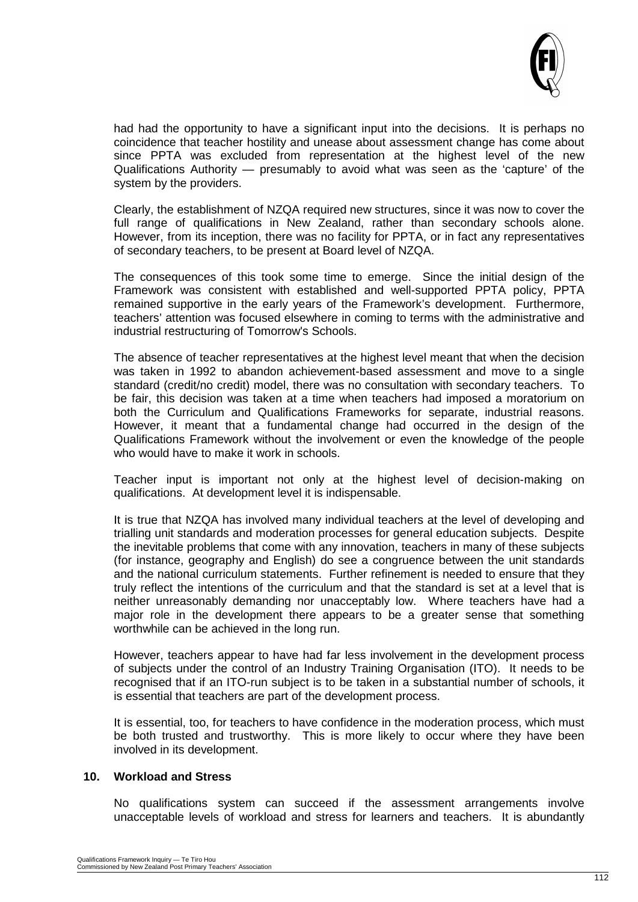

had had the opportunity to have a significant input into the decisions. It is perhaps no coincidence that teacher hostility and unease about assessment change has come about since PPTA was excluded from representation at the highest level of the new Qualifications Authority — presumably to avoid what was seen as the 'capture' of the system by the providers.

Clearly, the establishment of NZQA required new structures, since it was now to cover the full range of qualifications in New Zealand, rather than secondary schools alone. However, from its inception, there was no facility for PPTA, or in fact any representatives of secondary teachers, to be present at Board level of NZQA.

The consequences of this took some time to emerge. Since the initial design of the Framework was consistent with established and well-supported PPTA policy, PPTA remained supportive in the early years of the Framework's development. Furthermore, teachers' attention was focused elsewhere in coming to terms with the administrative and industrial restructuring of Tomorrow's Schools.

The absence of teacher representatives at the highest level meant that when the decision was taken in 1992 to abandon achievement-based assessment and move to a single standard (credit/no credit) model, there was no consultation with secondary teachers. To be fair, this decision was taken at a time when teachers had imposed a moratorium on both the Curriculum and Qualifications Frameworks for separate, industrial reasons. However, it meant that a fundamental change had occurred in the design of the Qualifications Framework without the involvement or even the knowledge of the people who would have to make it work in schools.

Teacher input is important not only at the highest level of decision-making on qualifications. At development level it is indispensable.

It is true that NZQA has involved many individual teachers at the level of developing and trialling unit standards and moderation processes for general education subjects. Despite the inevitable problems that come with any innovation, teachers in many of these subjects (for instance, geography and English) do see a congruence between the unit standards and the national curriculum statements. Further refinement is needed to ensure that they truly reflect the intentions of the curriculum and that the standard is set at a level that is neither unreasonably demanding nor unacceptably low. Where teachers have had a major role in the development there appears to be a greater sense that something worthwhile can be achieved in the long run.

However, teachers appear to have had far less involvement in the development process of subjects under the control of an Industry Training Organisation (ITO). It needs to be recognised that if an ITO-run subject is to be taken in a substantial number of schools, it is essential that teachers are part of the development process.

It is essential, too, for teachers to have confidence in the moderation process, which must be both trusted and trustworthy. This is more likely to occur where they have been involved in its development.

#### **10. Workload and Stress**

No qualifications system can succeed if the assessment arrangements involve unacceptable levels of workload and stress for learners and teachers. It is abundantly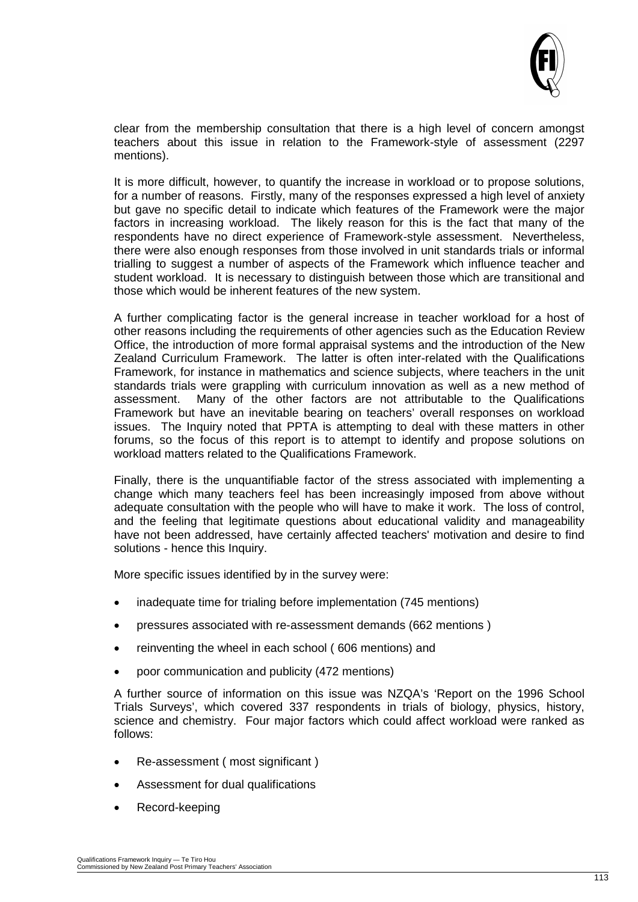

clear from the membership consultation that there is a high level of concern amongst teachers about this issue in relation to the Framework-style of assessment (2297 mentions).

It is more difficult, however, to quantify the increase in workload or to propose solutions, for a number of reasons. Firstly, many of the responses expressed a high level of anxiety but gave no specific detail to indicate which features of the Framework were the major factors in increasing workload. The likely reason for this is the fact that many of the respondents have no direct experience of Framework-style assessment. Nevertheless, there were also enough responses from those involved in unit standards trials or informal trialling to suggest a number of aspects of the Framework which influence teacher and student workload. It is necessary to distinguish between those which are transitional and those which would be inherent features of the new system.

A further complicating factor is the general increase in teacher workload for a host of other reasons including the requirements of other agencies such as the Education Review Office, the introduction of more formal appraisal systems and the introduction of the New Zealand Curriculum Framework. The latter is often inter-related with the Qualifications Framework, for instance in mathematics and science subjects, where teachers in the unit standards trials were grappling with curriculum innovation as well as a new method of assessment. Many of the other factors are not attributable to the Qualifications Framework but have an inevitable bearing on teachers' overall responses on workload issues. The Inquiry noted that PPTA is attempting to deal with these matters in other forums, so the focus of this report is to attempt to identify and propose solutions on workload matters related to the Qualifications Framework.

Finally, there is the unquantifiable factor of the stress associated with implementing a change which many teachers feel has been increasingly imposed from above without adequate consultation with the people who will have to make it work. The loss of control, and the feeling that legitimate questions about educational validity and manageability have not been addressed, have certainly affected teachers' motivation and desire to find solutions - hence this Inquiry.

More specific issues identified by in the survey were:

- inadequate time for trialing before implementation (745 mentions)
- pressures associated with re-assessment demands (662 mentions )
- reinventing the wheel in each school ( 606 mentions) and
- poor communication and publicity (472 mentions)

A further source of information on this issue was NZQA's 'Report on the 1996 School Trials Surveys', which covered 337 respondents in trials of biology, physics, history, science and chemistry. Four major factors which could affect workload were ranked as follows:

- Re-assessment ( most significant )
- Assessment for dual qualifications
- Record-keeping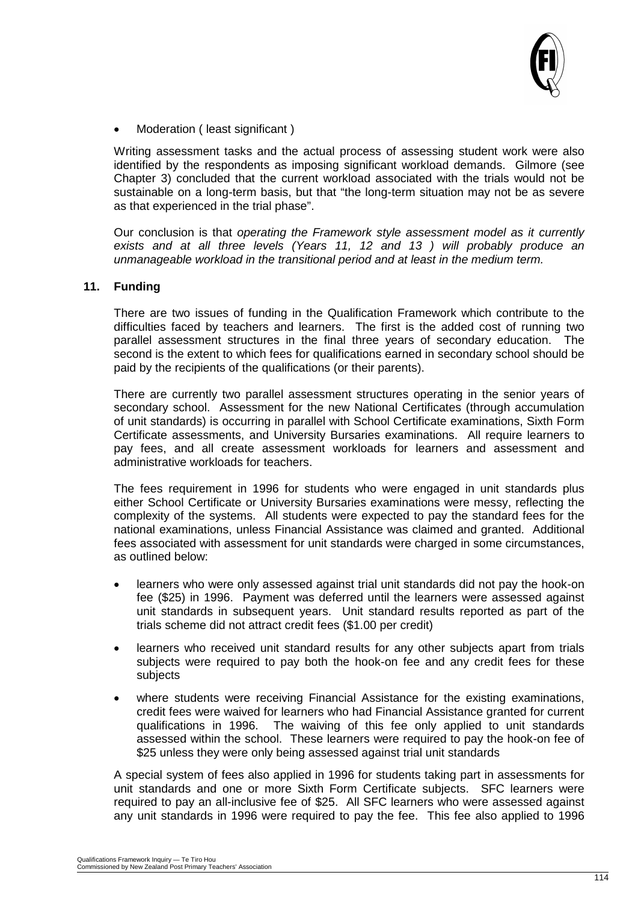

Moderation ( least significant )

Writing assessment tasks and the actual process of assessing student work were also identified by the respondents as imposing significant workload demands. Gilmore (see Chapter 3) concluded that the current workload associated with the trials would not be sustainable on a long-term basis, but that "the long-term situation may not be as severe as that experienced in the trial phase".

Our conclusion is that *operating the Framework style assessment model as it currently exists and at all three levels (Years 11, 12 and 13 ) will probably produce an unmanageable workload in the transitional period and at least in the medium term.*

#### **11. Funding**

There are two issues of funding in the Qualification Framework which contribute to the difficulties faced by teachers and learners. The first is the added cost of running two parallel assessment structures in the final three years of secondary education. The second is the extent to which fees for qualifications earned in secondary school should be paid by the recipients of the qualifications (or their parents).

There are currently two parallel assessment structures operating in the senior years of secondary school. Assessment for the new National Certificates (through accumulation of unit standards) is occurring in parallel with School Certificate examinations, Sixth Form Certificate assessments, and University Bursaries examinations. All require learners to pay fees, and all create assessment workloads for learners and assessment and administrative workloads for teachers.

The fees requirement in 1996 for students who were engaged in unit standards plus either School Certificate or University Bursaries examinations were messy, reflecting the complexity of the systems. All students were expected to pay the standard fees for the national examinations, unless Financial Assistance was claimed and granted. Additional fees associated with assessment for unit standards were charged in some circumstances, as outlined below:

- learners who were only assessed against trial unit standards did not pay the hook-on fee (\$25) in 1996. Payment was deferred until the learners were assessed against unit standards in subsequent years. Unit standard results reported as part of the trials scheme did not attract credit fees (\$1.00 per credit)
- learners who received unit standard results for any other subjects apart from trials subjects were required to pay both the hook-on fee and any credit fees for these subjects
- where students were receiving Financial Assistance for the existing examinations, credit fees were waived for learners who had Financial Assistance granted for current qualifications in 1996. The waiving of this fee only applied to unit standards assessed within the school. These learners were required to pay the hook-on fee of \$25 unless they were only being assessed against trial unit standards

A special system of fees also applied in 1996 for students taking part in assessments for unit standards and one or more Sixth Form Certificate subjects. SFC learners were required to pay an all-inclusive fee of \$25. All SFC learners who were assessed against any unit standards in 1996 were required to pay the fee. This fee also applied to 1996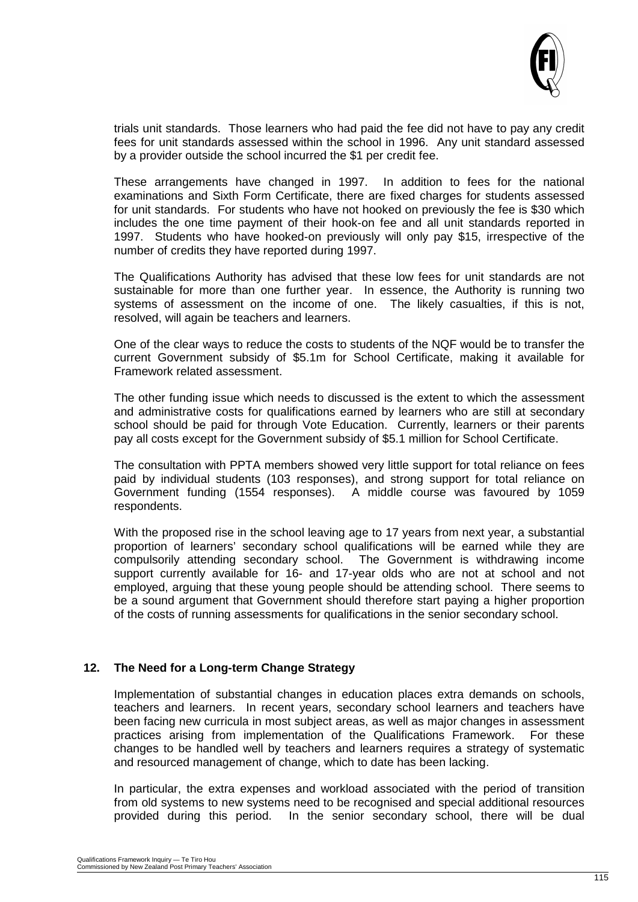

trials unit standards. Those learners who had paid the fee did not have to pay any credit fees for unit standards assessed within the school in 1996. Any unit standard assessed by a provider outside the school incurred the \$1 per credit fee.

These arrangements have changed in 1997. In addition to fees for the national examinations and Sixth Form Certificate, there are fixed charges for students assessed for unit standards. For students who have not hooked on previously the fee is \$30 which includes the one time payment of their hook-on fee and all unit standards reported in 1997. Students who have hooked-on previously will only pay \$15, irrespective of the number of credits they have reported during 1997.

The Qualifications Authority has advised that these low fees for unit standards are not sustainable for more than one further year. In essence, the Authority is running two systems of assessment on the income of one. The likely casualties, if this is not, resolved, will again be teachers and learners.

One of the clear ways to reduce the costs to students of the NQF would be to transfer the current Government subsidy of \$5.1m for School Certificate, making it available for Framework related assessment.

The other funding issue which needs to discussed is the extent to which the assessment and administrative costs for qualifications earned by learners who are still at secondary school should be paid for through Vote Education. Currently, learners or their parents pay all costs except for the Government subsidy of \$5.1 million for School Certificate.

The consultation with PPTA members showed very little support for total reliance on fees paid by individual students (103 responses), and strong support for total reliance on Government funding (1554 responses). A middle course was favoured by 1059 respondents.

With the proposed rise in the school leaving age to 17 years from next year, a substantial proportion of learners' secondary school qualifications will be earned while they are compulsorily attending secondary school. The Government is withdrawing income support currently available for 16- and 17-year olds who are not at school and not employed, arguing that these young people should be attending school. There seems to be a sound argument that Government should therefore start paying a higher proportion of the costs of running assessments for qualifications in the senior secondary school.

#### **12. The Need for a Long-term Change Strategy**

Implementation of substantial changes in education places extra demands on schools, teachers and learners. In recent years, secondary school learners and teachers have been facing new curricula in most subject areas, as well as major changes in assessment practices arising from implementation of the Qualifications Framework. For these changes to be handled well by teachers and learners requires a strategy of systematic and resourced management of change, which to date has been lacking.

In particular, the extra expenses and workload associated with the period of transition from old systems to new systems need to be recognised and special additional resources provided during this period. In the senior secondary school, there will be dual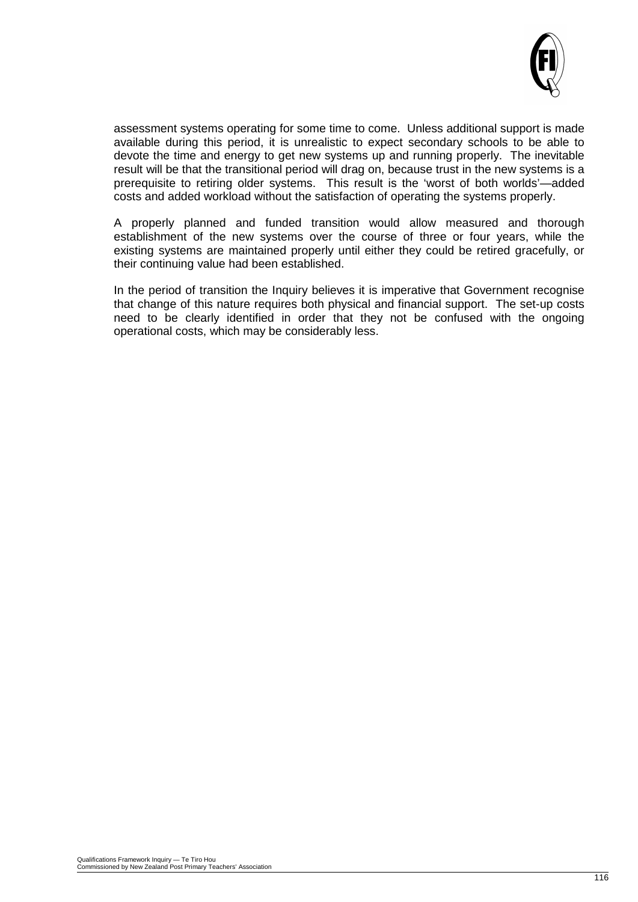

assessment systems operating for some time to come. Unless additional support is made available during this period, it is unrealistic to expect secondary schools to be able to devote the time and energy to get new systems up and running properly. The inevitable result will be that the transitional period will drag on, because trust in the new systems is a prerequisite to retiring older systems. This result is the 'worst of both worlds'—added costs and added workload without the satisfaction of operating the systems properly.

A properly planned and funded transition would allow measured and thorough establishment of the new systems over the course of three or four years, while the existing systems are maintained properly until either they could be retired gracefully, or their continuing value had been established.

In the period of transition the Inquiry believes it is imperative that Government recognise that change of this nature requires both physical and financial support. The set-up costs need to be clearly identified in order that they not be confused with the ongoing operational costs, which may be considerably less.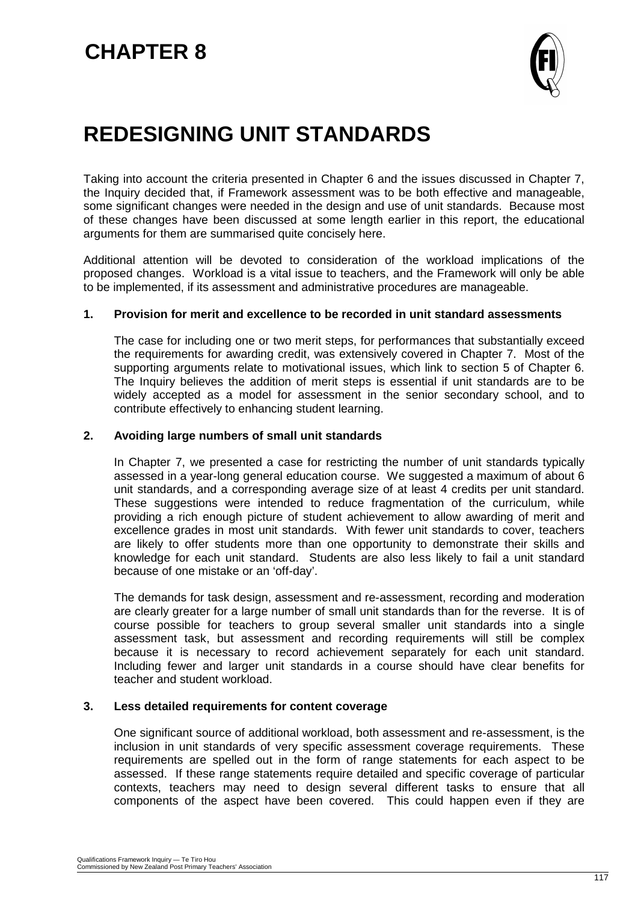

# **REDESIGNING UNIT STANDARDS**

Taking into account the criteria presented in Chapter 6 and the issues discussed in Chapter 7, the Inquiry decided that, if Framework assessment was to be both effective and manageable, some significant changes were needed in the design and use of unit standards. Because most of these changes have been discussed at some length earlier in this report, the educational arguments for them are summarised quite concisely here.

Additional attention will be devoted to consideration of the workload implications of the proposed changes. Workload is a vital issue to teachers, and the Framework will only be able to be implemented, if its assessment and administrative procedures are manageable.

#### **1. Provision for merit and excellence to be recorded in unit standard assessments**

The case for including one or two merit steps, for performances that substantially exceed the requirements for awarding credit, was extensively covered in Chapter 7. Most of the supporting arguments relate to motivational issues, which link to section 5 of Chapter 6. The Inquiry believes the addition of merit steps is essential if unit standards are to be widely accepted as a model for assessment in the senior secondary school, and to contribute effectively to enhancing student learning.

#### **2. Avoiding large numbers of small unit standards**

In Chapter 7, we presented a case for restricting the number of unit standards typically assessed in a year-long general education course. We suggested a maximum of about 6 unit standards, and a corresponding average size of at least 4 credits per unit standard. These suggestions were intended to reduce fragmentation of the curriculum, while providing a rich enough picture of student achievement to allow awarding of merit and excellence grades in most unit standards. With fewer unit standards to cover, teachers are likely to offer students more than one opportunity to demonstrate their skills and knowledge for each unit standard. Students are also less likely to fail a unit standard because of one mistake or an 'off-day'.

The demands for task design, assessment and re-assessment, recording and moderation are clearly greater for a large number of small unit standards than for the reverse. It is of course possible for teachers to group several smaller unit standards into a single assessment task, but assessment and recording requirements will still be complex because it is necessary to record achievement separately for each unit standard. Including fewer and larger unit standards in a course should have clear benefits for teacher and student workload.

#### **3. Less detailed requirements for content coverage**

One significant source of additional workload, both assessment and re-assessment, is the inclusion in unit standards of very specific assessment coverage requirements. These requirements are spelled out in the form of range statements for each aspect to be assessed. If these range statements require detailed and specific coverage of particular contexts, teachers may need to design several different tasks to ensure that all components of the aspect have been covered. This could happen even if they are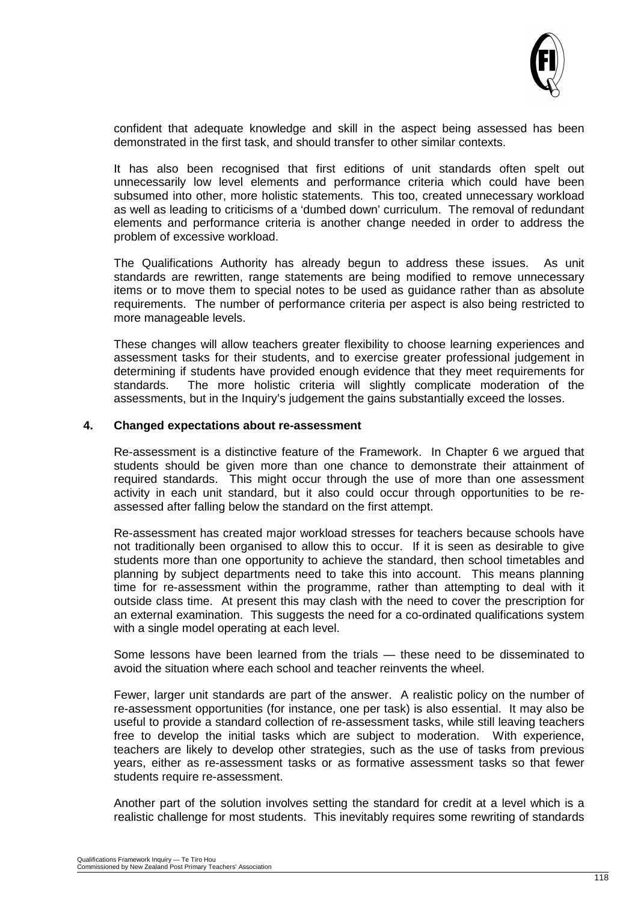

confident that adequate knowledge and skill in the aspect being assessed has been demonstrated in the first task, and should transfer to other similar contexts.

It has also been recognised that first editions of unit standards often spelt out unnecessarily low level elements and performance criteria which could have been subsumed into other, more holistic statements. This too, created unnecessary workload as well as leading to criticisms of a 'dumbed down' curriculum. The removal of redundant elements and performance criteria is another change needed in order to address the problem of excessive workload.

The Qualifications Authority has already begun to address these issues. As unit standards are rewritten, range statements are being modified to remove unnecessary items or to move them to special notes to be used as guidance rather than as absolute requirements. The number of performance criteria per aspect is also being restricted to more manageable levels.

These changes will allow teachers greater flexibility to choose learning experiences and assessment tasks for their students, and to exercise greater professional judgement in determining if students have provided enough evidence that they meet requirements for standards. The more holistic criteria will slightly complicate moderation of the assessments, but in the Inquiry's judgement the gains substantially exceed the losses.

#### **4. Changed expectations about re-assessment**

Re-assessment is a distinctive feature of the Framework. In Chapter 6 we argued that students should be given more than one chance to demonstrate their attainment of required standards. This might occur through the use of more than one assessment activity in each unit standard, but it also could occur through opportunities to be reassessed after falling below the standard on the first attempt.

Re-assessment has created major workload stresses for teachers because schools have not traditionally been organised to allow this to occur. If it is seen as desirable to give students more than one opportunity to achieve the standard, then school timetables and planning by subject departments need to take this into account. This means planning time for re-assessment within the programme, rather than attempting to deal with it outside class time. At present this may clash with the need to cover the prescription for an external examination. This suggests the need for a co-ordinated qualifications system with a single model operating at each level.

Some lessons have been learned from the trials — these need to be disseminated to avoid the situation where each school and teacher reinvents the wheel.

Fewer, larger unit standards are part of the answer. A realistic policy on the number of re-assessment opportunities (for instance, one per task) is also essential. It may also be useful to provide a standard collection of re-assessment tasks, while still leaving teachers free to develop the initial tasks which are subject to moderation. With experience, teachers are likely to develop other strategies, such as the use of tasks from previous years, either as re-assessment tasks or as formative assessment tasks so that fewer students require re-assessment.

Another part of the solution involves setting the standard for credit at a level which is a realistic challenge for most students. This inevitably requires some rewriting of standards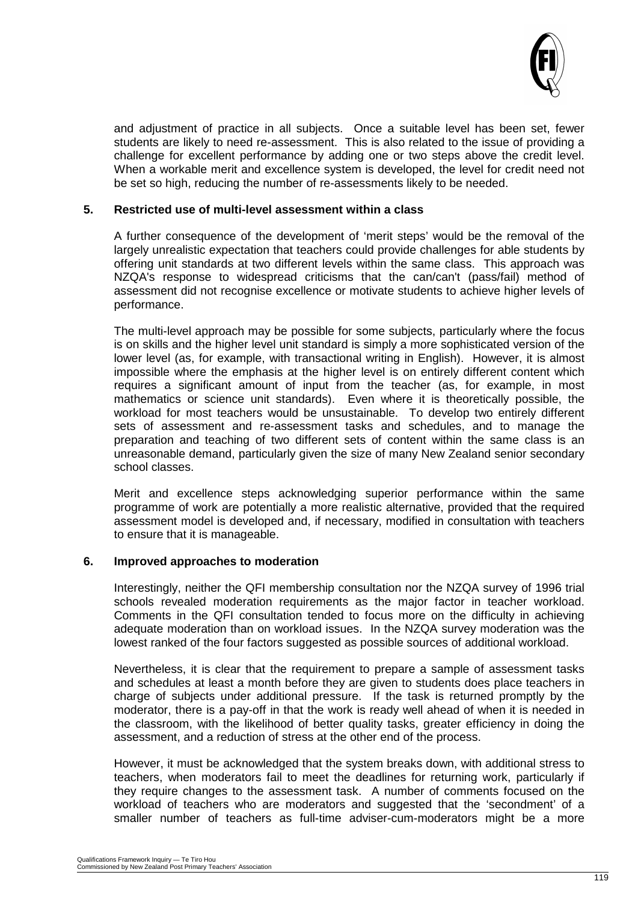

and adjustment of practice in all subjects. Once a suitable level has been set, fewer students are likely to need re-assessment. This is also related to the issue of providing a challenge for excellent performance by adding one or two steps above the credit level. When a workable merit and excellence system is developed, the level for credit need not be set so high, reducing the number of re-assessments likely to be needed.

#### **5. Restricted use of multi-level assessment within a class**

A further consequence of the development of 'merit steps' would be the removal of the largely unrealistic expectation that teachers could provide challenges for able students by offering unit standards at two different levels within the same class. This approach was NZQA's response to widespread criticisms that the can/can't (pass/fail) method of assessment did not recognise excellence or motivate students to achieve higher levels of performance.

The multi-level approach may be possible for some subjects, particularly where the focus is on skills and the higher level unit standard is simply a more sophisticated version of the lower level (as, for example, with transactional writing in English). However, it is almost impossible where the emphasis at the higher level is on entirely different content which requires a significant amount of input from the teacher (as, for example, in most mathematics or science unit standards). Even where it is theoretically possible, the workload for most teachers would be unsustainable. To develop two entirely different sets of assessment and re-assessment tasks and schedules, and to manage the preparation and teaching of two different sets of content within the same class is an unreasonable demand, particularly given the size of many New Zealand senior secondary school classes.

Merit and excellence steps acknowledging superior performance within the same programme of work are potentially a more realistic alternative, provided that the required assessment model is developed and, if necessary, modified in consultation with teachers to ensure that it is manageable.

#### **6. Improved approaches to moderation**

Interestingly, neither the QFI membership consultation nor the NZQA survey of 1996 trial schools revealed moderation requirements as the major factor in teacher workload. Comments in the QFI consultation tended to focus more on the difficulty in achieving adequate moderation than on workload issues. In the NZQA survey moderation was the lowest ranked of the four factors suggested as possible sources of additional workload.

Nevertheless, it is clear that the requirement to prepare a sample of assessment tasks and schedules at least a month before they are given to students does place teachers in charge of subjects under additional pressure. If the task is returned promptly by the moderator, there is a pay-off in that the work is ready well ahead of when it is needed in the classroom, with the likelihood of better quality tasks, greater efficiency in doing the assessment, and a reduction of stress at the other end of the process.

However, it must be acknowledged that the system breaks down, with additional stress to teachers, when moderators fail to meet the deadlines for returning work, particularly if they require changes to the assessment task. A number of comments focused on the workload of teachers who are moderators and suggested that the 'secondment' of a smaller number of teachers as full-time adviser-cum-moderators might be a more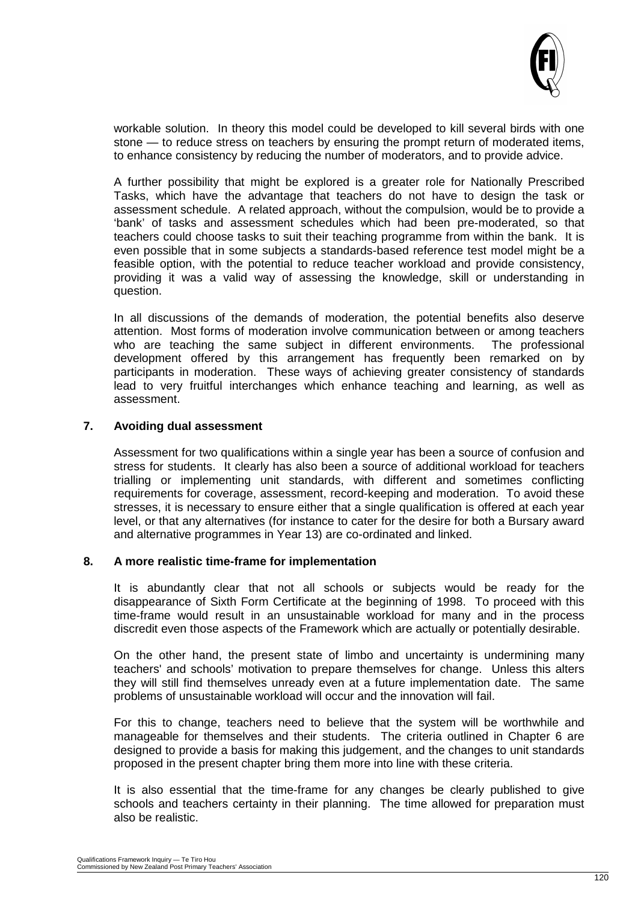

workable solution. In theory this model could be developed to kill several birds with one stone — to reduce stress on teachers by ensuring the prompt return of moderated items, to enhance consistency by reducing the number of moderators, and to provide advice.

A further possibility that might be explored is a greater role for Nationally Prescribed Tasks, which have the advantage that teachers do not have to design the task or assessment schedule. A related approach, without the compulsion, would be to provide a 'bank' of tasks and assessment schedules which had been pre-moderated, so that teachers could choose tasks to suit their teaching programme from within the bank. It is even possible that in some subjects a standards-based reference test model might be a feasible option, with the potential to reduce teacher workload and provide consistency, providing it was a valid way of assessing the knowledge, skill or understanding in question.

In all discussions of the demands of moderation, the potential benefits also deserve attention. Most forms of moderation involve communication between or among teachers who are teaching the same subject in different environments. The professional development offered by this arrangement has frequently been remarked on by participants in moderation. These ways of achieving greater consistency of standards lead to very fruitful interchanges which enhance teaching and learning, as well as assessment.

#### **7. Avoiding dual assessment**

Assessment for two qualifications within a single year has been a source of confusion and stress for students. It clearly has also been a source of additional workload for teachers trialling or implementing unit standards, with different and sometimes conflicting requirements for coverage, assessment, record-keeping and moderation. To avoid these stresses, it is necessary to ensure either that a single qualification is offered at each year level, or that any alternatives (for instance to cater for the desire for both a Bursary award and alternative programmes in Year 13) are co-ordinated and linked.

#### **8. A more realistic time-frame for implementation**

It is abundantly clear that not all schools or subjects would be ready for the disappearance of Sixth Form Certificate at the beginning of 1998. To proceed with this time-frame would result in an unsustainable workload for many and in the process discredit even those aspects of the Framework which are actually or potentially desirable.

On the other hand, the present state of limbo and uncertainty is undermining many teachers' and schools' motivation to prepare themselves for change. Unless this alters they will still find themselves unready even at a future implementation date. The same problems of unsustainable workload will occur and the innovation will fail.

For this to change, teachers need to believe that the system will be worthwhile and manageable for themselves and their students. The criteria outlined in Chapter 6 are designed to provide a basis for making this judgement, and the changes to unit standards proposed in the present chapter bring them more into line with these criteria.

It is also essential that the time-frame for any changes be clearly published to give schools and teachers certainty in their planning. The time allowed for preparation must also be realistic.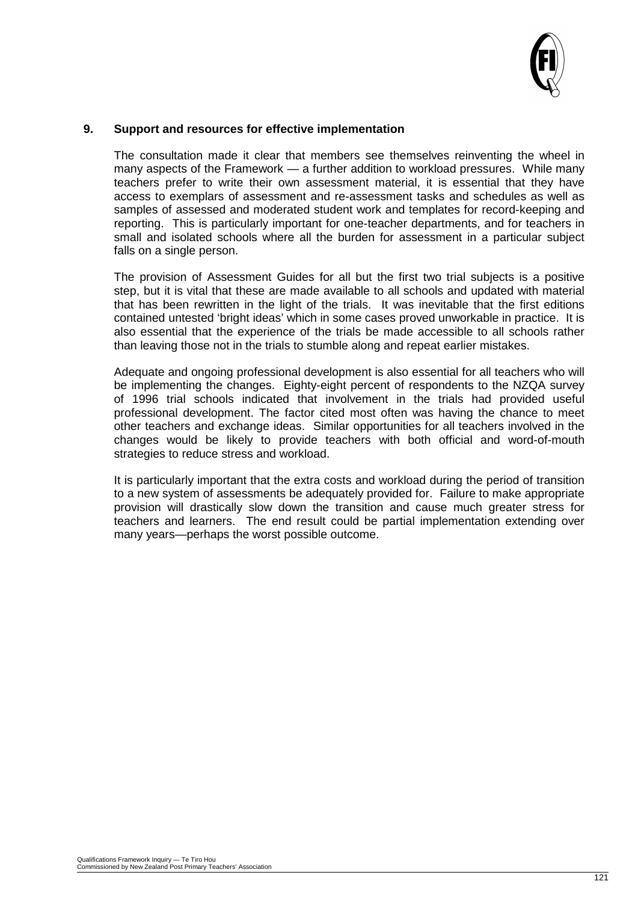

#### **9. Support and resources for effective implementation**

The consultation made it clear that members see themselves reinventing the wheel in many aspects of the Framework — a further addition to workload pressures. While many teachers prefer to write their own assessment material, it is essential that they have access to exemplars of assessment and re-assessment tasks and schedules as well as samples of assessed and moderated student work and templates for record-keeping and reporting. This is particularly important for one-teacher departments, and for teachers in small and isolated schools where all the burden for assessment in a particular subject falls on a single person.

The provision of Assessment Guides for all but the first two trial subjects is a positive step, but it is vital that these are made available to all schools and updated with material that has been rewritten in the light of the trials. It was inevitable that the first editions contained untested 'bright ideas' which in some cases proved unworkable in practice. It is also essential that the experience of the trials be made accessible to all schools rather than leaving those not in the trials to stumble along and repeat earlier mistakes.

Adequate and ongoing professional development is also essential for all teachers who will be implementing the changes. Eighty-eight percent of respondents to the NZQA survey of 1996 trial schools indicated that involvement in the trials had provided useful professional development. The factor cited most often was having the chance to meet other teachers and exchange ideas. Similar opportunities for all teachers involved in the changes would be likely to provide teachers with both official and word-of-mouth strategies to reduce stress and workload.

It is particularly important that the extra costs and workload during the period of transition to a new system of assessments be adequately provided for. Failure to make appropriate provision will drastically slow down the transition and cause much greater stress for teachers and learners. The end result could be partial implementation extending over many years—perhaps the worst possible outcome.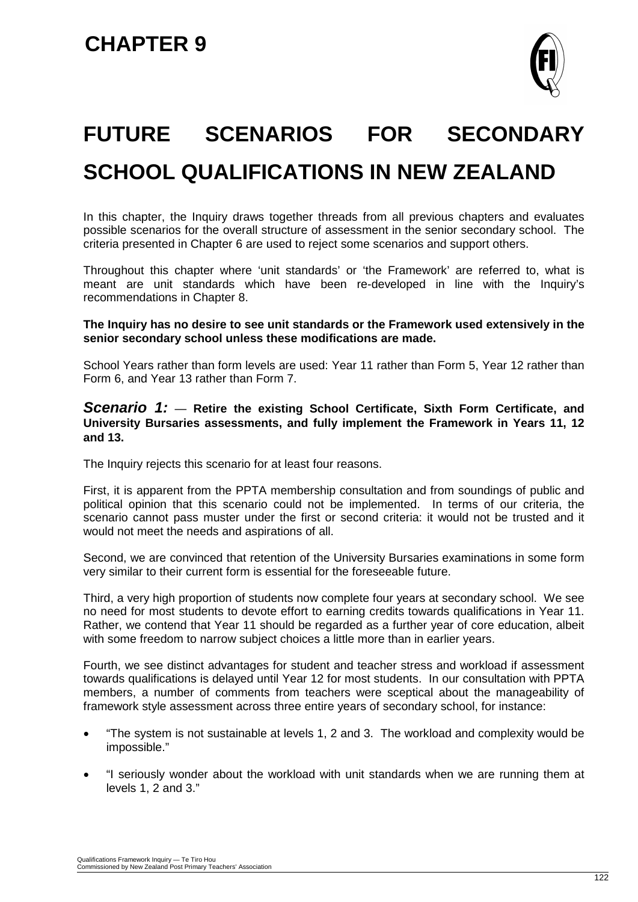

# **FUTURE SCENARIOS FOR SECONDARY SCHOOL QUALIFICATIONS IN NEW ZEALAND**

In this chapter, the Inquiry draws together threads from all previous chapters and evaluates possible scenarios for the overall structure of assessment in the senior secondary school. The criteria presented in Chapter 6 are used to reject some scenarios and support others.

Throughout this chapter where 'unit standards' or 'the Framework' are referred to, what is meant are unit standards which have been re-developed in line with the Inquiry's recommendations in Chapter 8.

**The Inquiry has no desire to see unit standards or the Framework used extensively in the senior secondary school unless these modifications are made.**

School Years rather than form levels are used: Year 11 rather than Form 5, Year 12 rather than Form 6, and Year 13 rather than Form 7.

#### *Scenario 1:* — **Retire the existing School Certificate, Sixth Form Certificate, and University Bursaries assessments, and fully implement the Framework in Years 11, 12 and 13.**

The Inquiry rejects this scenario for at least four reasons.

First, it is apparent from the PPTA membership consultation and from soundings of public and political opinion that this scenario could not be implemented. In terms of our criteria, the scenario cannot pass muster under the first or second criteria: it would not be trusted and it would not meet the needs and aspirations of all.

Second, we are convinced that retention of the University Bursaries examinations in some form very similar to their current form is essential for the foreseeable future.

Third, a very high proportion of students now complete four years at secondary school. We see no need for most students to devote effort to earning credits towards qualifications in Year 11. Rather, we contend that Year 11 should be regarded as a further year of core education, albeit with some freedom to narrow subject choices a little more than in earlier years.

Fourth, we see distinct advantages for student and teacher stress and workload if assessment towards qualifications is delayed until Year 12 for most students. In our consultation with PPTA members, a number of comments from teachers were sceptical about the manageability of framework style assessment across three entire years of secondary school, for instance:

- "The system is not sustainable at levels 1, 2 and 3. The workload and complexity would be impossible."
- "I seriously wonder about the workload with unit standards when we are running them at levels 1, 2 and 3."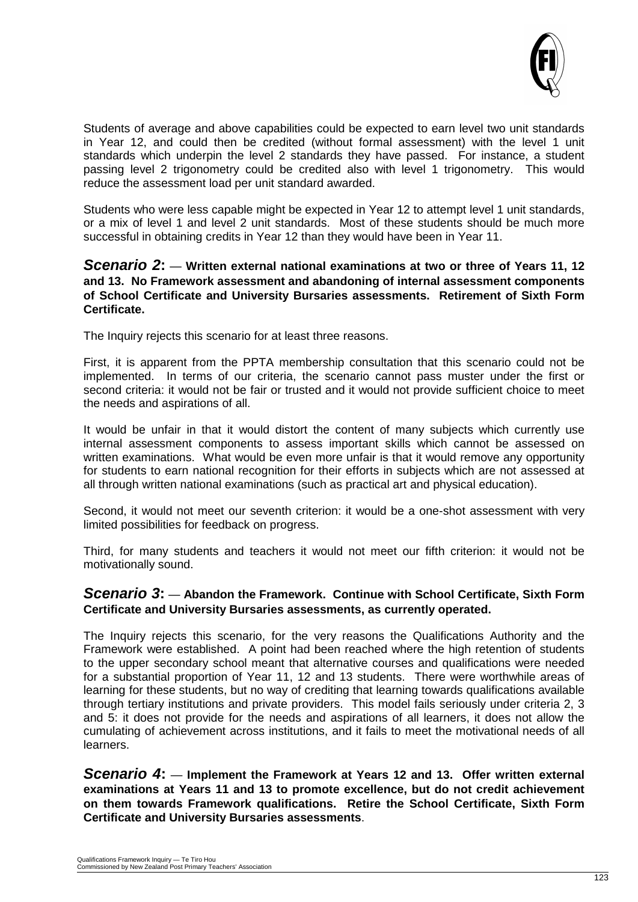

Students of average and above capabilities could be expected to earn level two unit standards in Year 12, and could then be credited (without formal assessment) with the level 1 unit standards which underpin the level 2 standards they have passed. For instance, a student passing level 2 trigonometry could be credited also with level 1 trigonometry. This would reduce the assessment load per unit standard awarded.

Students who were less capable might be expected in Year 12 to attempt level 1 unit standards, or a mix of level 1 and level 2 unit standards. Most of these students should be much more successful in obtaining credits in Year 12 than they would have been in Year 11.

#### *Scenario 2***:** — **Written external national examinations at two or three of Years 11, 12 and 13. No Framework assessment and abandoning of internal assessment components of School Certificate and University Bursaries assessments. Retirement of Sixth Form Certificate.**

The Inquiry rejects this scenario for at least three reasons.

First, it is apparent from the PPTA membership consultation that this scenario could not be implemented. In terms of our criteria, the scenario cannot pass muster under the first or second criteria: it would not be fair or trusted and it would not provide sufficient choice to meet the needs and aspirations of all.

It would be unfair in that it would distort the content of many subjects which currently use internal assessment components to assess important skills which cannot be assessed on written examinations. What would be even more unfair is that it would remove any opportunity for students to earn national recognition for their efforts in subjects which are not assessed at all through written national examinations (such as practical art and physical education).

Second, it would not meet our seventh criterion: it would be a one-shot assessment with very limited possibilities for feedback on progress.

Third, for many students and teachers it would not meet our fifth criterion: it would not be motivationally sound.

#### *Scenario 3***:** — **Abandon the Framework. Continue with School Certificate, Sixth Form Certificate and University Bursaries assessments, as currently operated.**

The Inquiry rejects this scenario, for the very reasons the Qualifications Authority and the Framework were established. A point had been reached where the high retention of students to the upper secondary school meant that alternative courses and qualifications were needed for a substantial proportion of Year 11, 12 and 13 students. There were worthwhile areas of learning for these students, but no way of crediting that learning towards qualifications available through tertiary institutions and private providers. This model fails seriously under criteria 2, 3 and 5: it does not provide for the needs and aspirations of all learners, it does not allow the cumulating of achievement across institutions, and it fails to meet the motivational needs of all learners.

*Scenario 4***:** — **Implement the Framework at Years 12 and 13. Offer written external examinations at Years 11 and 13 to promote excellence, but do not credit achievement on them towards Framework qualifications. Retire the School Certificate, Sixth Form Certificate and University Bursaries assessments**.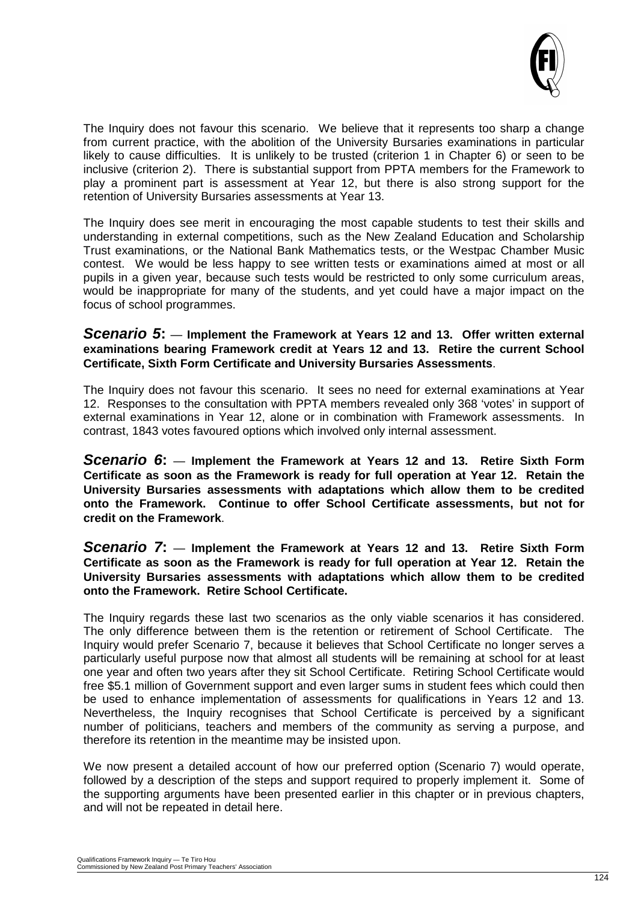

The Inquiry does not favour this scenario. We believe that it represents too sharp a change from current practice, with the abolition of the University Bursaries examinations in particular likely to cause difficulties. It is unlikely to be trusted (criterion 1 in Chapter 6) or seen to be inclusive (criterion 2). There is substantial support from PPTA members for the Framework to play a prominent part is assessment at Year 12, but there is also strong support for the retention of University Bursaries assessments at Year 13.

The Inquiry does see merit in encouraging the most capable students to test their skills and understanding in external competitions, such as the New Zealand Education and Scholarship Trust examinations, or the National Bank Mathematics tests, or the Westpac Chamber Music contest. We would be less happy to see written tests or examinations aimed at most or all pupils in a given year, because such tests would be restricted to only some curriculum areas, would be inappropriate for many of the students, and yet could have a major impact on the focus of school programmes.

#### *Scenario 5***:** — **Implement the Framework at Years 12 and 13. Offer written external examinations bearing Framework credit at Years 12 and 13. Retire the current School Certificate, Sixth Form Certificate and University Bursaries Assessments**.

The Inquiry does not favour this scenario. It sees no need for external examinations at Year 12. Responses to the consultation with PPTA members revealed only 368 'votes' in support of external examinations in Year 12, alone or in combination with Framework assessments. In contrast, 1843 votes favoured options which involved only internal assessment.

*Scenario 6***:** — **Implement the Framework at Years 12 and 13. Retire Sixth Form Certificate as soon as the Framework is ready for full operation at Year 12. Retain the University Bursaries assessments with adaptations which allow them to be credited onto the Framework. Continue to offer School Certificate assessments, but not for credit on the Framework**.

*Scenario 7***:** — **Implement the Framework at Years 12 and 13. Retire Sixth Form Certificate as soon as the Framework is ready for full operation at Year 12. Retain the University Bursaries assessments with adaptations which allow them to be credited onto the Framework. Retire School Certificate.**

The Inquiry regards these last two scenarios as the only viable scenarios it has considered. The only difference between them is the retention or retirement of School Certificate. The Inquiry would prefer Scenario 7, because it believes that School Certificate no longer serves a particularly useful purpose now that almost all students will be remaining at school for at least one year and often two years after they sit School Certificate. Retiring School Certificate would free \$5.1 million of Government support and even larger sums in student fees which could then be used to enhance implementation of assessments for qualifications in Years 12 and 13. Nevertheless, the Inquiry recognises that School Certificate is perceived by a significant number of politicians, teachers and members of the community as serving a purpose, and therefore its retention in the meantime may be insisted upon.

We now present a detailed account of how our preferred option (Scenario 7) would operate, followed by a description of the steps and support required to properly implement it. Some of the supporting arguments have been presented earlier in this chapter or in previous chapters, and will not be repeated in detail here.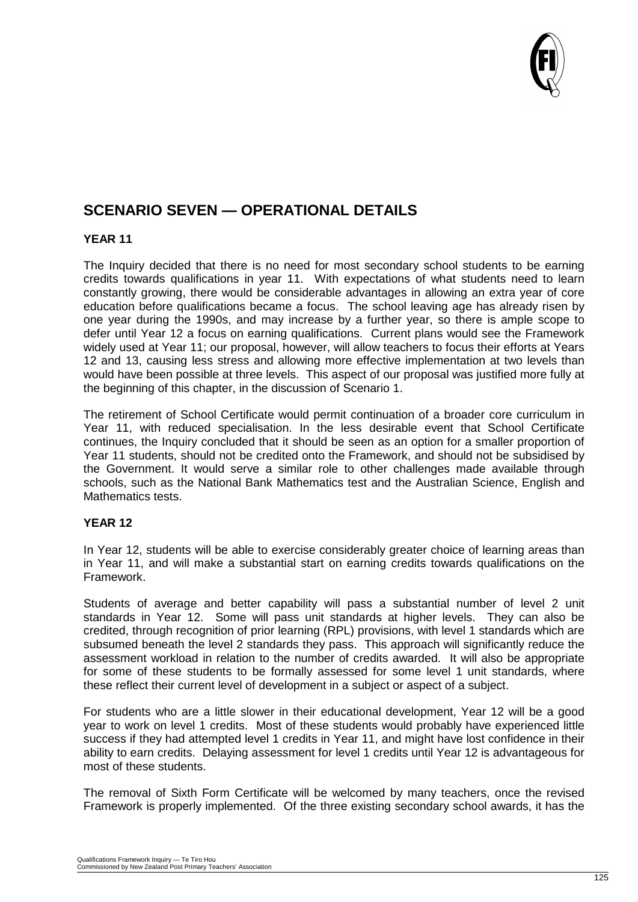

### **SCENARIO SEVEN — OPERATIONAL DETAILS**

#### **YEAR 11**

The Inquiry decided that there is no need for most secondary school students to be earning credits towards qualifications in year 11. With expectations of what students need to learn constantly growing, there would be considerable advantages in allowing an extra year of core education before qualifications became a focus. The school leaving age has already risen by one year during the 1990s, and may increase by a further year, so there is ample scope to defer until Year 12 a focus on earning qualifications. Current plans would see the Framework widely used at Year 11; our proposal, however, will allow teachers to focus their efforts at Years 12 and 13, causing less stress and allowing more effective implementation at two levels than would have been possible at three levels. This aspect of our proposal was justified more fully at the beginning of this chapter, in the discussion of Scenario 1.

The retirement of School Certificate would permit continuation of a broader core curriculum in Year 11, with reduced specialisation. In the less desirable event that School Certificate continues, the Inquiry concluded that it should be seen as an option for a smaller proportion of Year 11 students, should not be credited onto the Framework, and should not be subsidised by the Government. It would serve a similar role to other challenges made available through schools, such as the National Bank Mathematics test and the Australian Science, English and Mathematics tests.

#### **YEAR 12**

In Year 12, students will be able to exercise considerably greater choice of learning areas than in Year 11, and will make a substantial start on earning credits towards qualifications on the Framework.

Students of average and better capability will pass a substantial number of level 2 unit standards in Year 12. Some will pass unit standards at higher levels. They can also be credited, through recognition of prior learning (RPL) provisions, with level 1 standards which are subsumed beneath the level 2 standards they pass. This approach will significantly reduce the assessment workload in relation to the number of credits awarded. It will also be appropriate for some of these students to be formally assessed for some level 1 unit standards, where these reflect their current level of development in a subject or aspect of a subject.

For students who are a little slower in their educational development, Year 12 will be a good year to work on level 1 credits. Most of these students would probably have experienced little success if they had attempted level 1 credits in Year 11, and might have lost confidence in their ability to earn credits. Delaying assessment for level 1 credits until Year 12 is advantageous for most of these students.

The removal of Sixth Form Certificate will be welcomed by many teachers, once the revised Framework is properly implemented. Of the three existing secondary school awards, it has the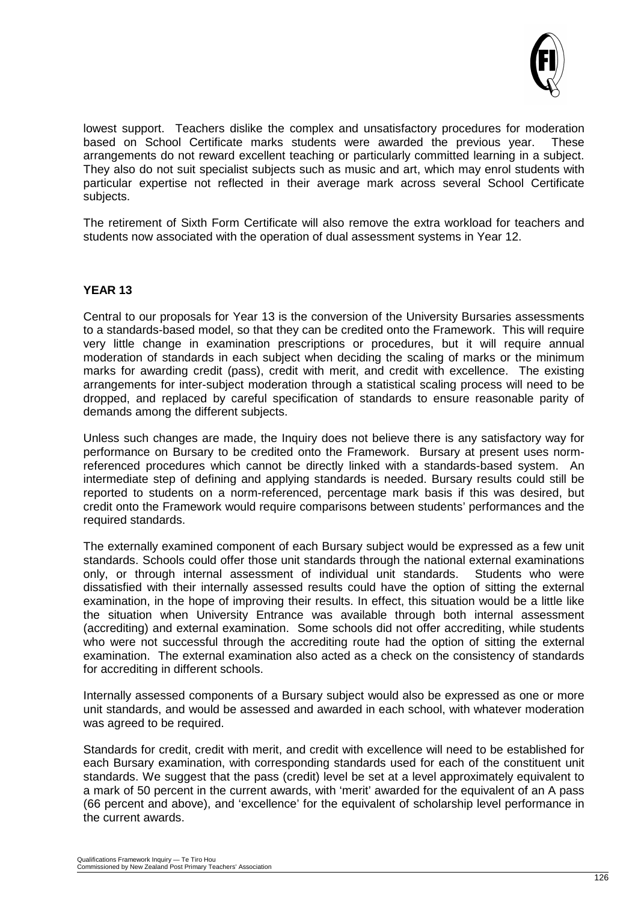

lowest support. Teachers dislike the complex and unsatisfactory procedures for moderation based on School Certificate marks students were awarded the previous vear. These based on School Certificate marks students were awarded the previous year. arrangements do not reward excellent teaching or particularly committed learning in a subject. They also do not suit specialist subjects such as music and art, which may enrol students with particular expertise not reflected in their average mark across several School Certificate subjects.

The retirement of Sixth Form Certificate will also remove the extra workload for teachers and students now associated with the operation of dual assessment systems in Year 12.

#### **YEAR 13**

Central to our proposals for Year 13 is the conversion of the University Bursaries assessments to a standards-based model, so that they can be credited onto the Framework. This will require very little change in examination prescriptions or procedures, but it will require annual moderation of standards in each subject when deciding the scaling of marks or the minimum marks for awarding credit (pass), credit with merit, and credit with excellence. The existing arrangements for inter-subject moderation through a statistical scaling process will need to be dropped, and replaced by careful specification of standards to ensure reasonable parity of demands among the different subjects.

Unless such changes are made, the Inquiry does not believe there is any satisfactory way for performance on Bursary to be credited onto the Framework. Bursary at present uses normreferenced procedures which cannot be directly linked with a standards-based system. An intermediate step of defining and applying standards is needed. Bursary results could still be reported to students on a norm-referenced, percentage mark basis if this was desired, but credit onto the Framework would require comparisons between students' performances and the required standards.

The externally examined component of each Bursary subject would be expressed as a few unit standards. Schools could offer those unit standards through the national external examinations only, or through internal assessment of individual unit standards. Students who were dissatisfied with their internally assessed results could have the option of sitting the external examination, in the hope of improving their results. In effect, this situation would be a little like the situation when University Entrance was available through both internal assessment (accrediting) and external examination. Some schools did not offer accrediting, while students who were not successful through the accrediting route had the option of sitting the external examination. The external examination also acted as a check on the consistency of standards for accrediting in different schools.

Internally assessed components of a Bursary subject would also be expressed as one or more unit standards, and would be assessed and awarded in each school, with whatever moderation was agreed to be required.

Standards for credit, credit with merit, and credit with excellence will need to be established for each Bursary examination, with corresponding standards used for each of the constituent unit standards. We suggest that the pass (credit) level be set at a level approximately equivalent to a mark of 50 percent in the current awards, with 'merit' awarded for the equivalent of an A pass (66 percent and above), and 'excellence' for the equivalent of scholarship level performance in the current awards.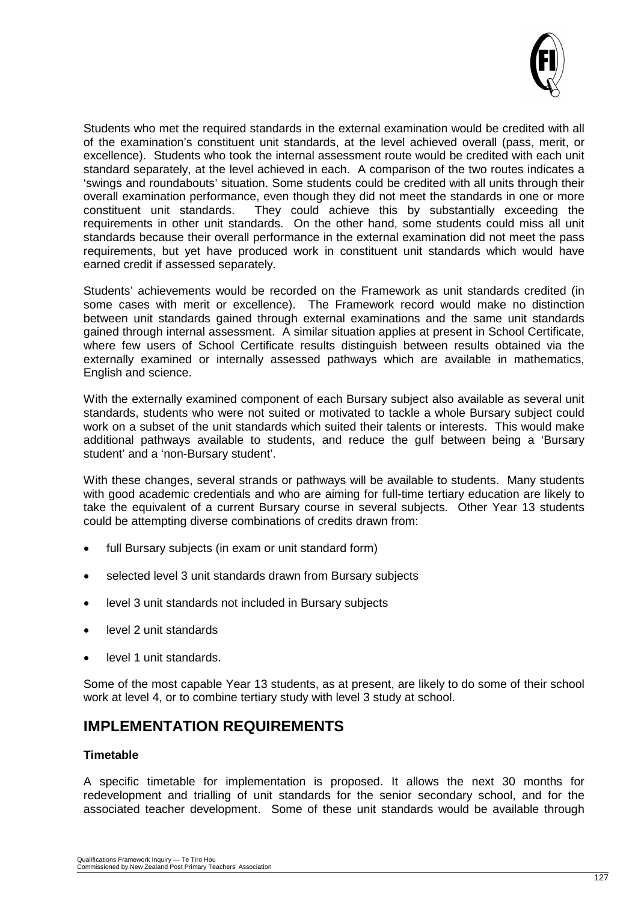

Students who met the required standards in the external examination would be credited with all of the examination's constituent unit standards, at the level achieved overall (pass, merit, or excellence). Students who took the internal assessment route would be credited with each unit standard separately, at the level achieved in each. A comparison of the two routes indicates a 'swings and roundabouts' situation. Some students could be credited with all units through their overall examination performance, even though they did not meet the standards in one or more constituent unit standards. They could achieve this by substantially exceeding the requirements in other unit standards. On the other hand, some students could miss all unit standards because their overall performance in the external examination did not meet the pass requirements, but yet have produced work in constituent unit standards which would have earned credit if assessed separately.

Students' achievements would be recorded on the Framework as unit standards credited (in some cases with merit or excellence). The Framework record would make no distinction between unit standards gained through external examinations and the same unit standards gained through internal assessment. A similar situation applies at present in School Certificate, where few users of School Certificate results distinguish between results obtained via the externally examined or internally assessed pathways which are available in mathematics, English and science.

With the externally examined component of each Bursary subject also available as several unit standards, students who were not suited or motivated to tackle a whole Bursary subject could work on a subset of the unit standards which suited their talents or interests. This would make additional pathways available to students, and reduce the gulf between being a 'Bursary student' and a 'non-Bursary student'.

With these changes, several strands or pathways will be available to students. Many students with good academic credentials and who are aiming for full-time tertiary education are likely to take the equivalent of a current Bursary course in several subjects. Other Year 13 students could be attempting diverse combinations of credits drawn from:

- full Bursary subjects (in exam or unit standard form)
- selected level 3 unit standards drawn from Bursary subjects
- level 3 unit standards not included in Bursary subjects
- level 2 unit standards
- level 1 unit standards.

Some of the most capable Year 13 students, as at present, are likely to do some of their school work at level 4, or to combine tertiary study with level 3 study at school.

### **IMPLEMENTATION REQUIREMENTS**

#### **Timetable**

A specific timetable for implementation is proposed. It allows the next 30 months for redevelopment and trialling of unit standards for the senior secondary school, and for the associated teacher development. Some of these unit standards would be available through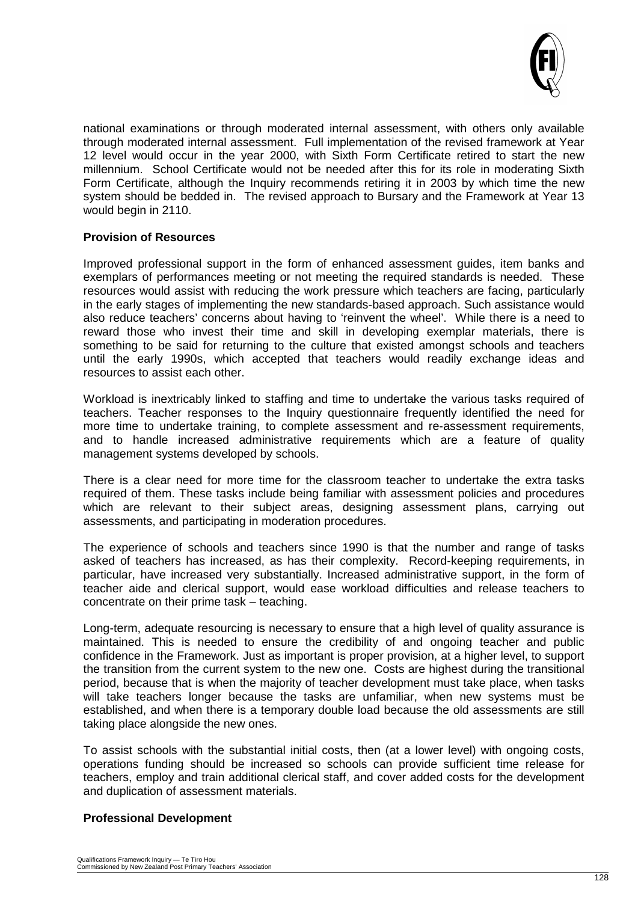

national examinations or through moderated internal assessment, with others only available through moderated internal assessment. Full implementation of the revised framework at Year 12 level would occur in the year 2000, with Sixth Form Certificate retired to start the new millennium. School Certificate would not be needed after this for its role in moderating Sixth Form Certificate, although the Inquiry recommends retiring it in 2003 by which time the new system should be bedded in. The revised approach to Bursary and the Framework at Year 13 would begin in 2110.

#### **Provision of Resources**

Improved professional support in the form of enhanced assessment guides, item banks and exemplars of performances meeting or not meeting the required standards is needed. These resources would assist with reducing the work pressure which teachers are facing, particularly in the early stages of implementing the new standards-based approach. Such assistance would also reduce teachers' concerns about having to 'reinvent the wheel'. While there is a need to reward those who invest their time and skill in developing exemplar materials, there is something to be said for returning to the culture that existed amongst schools and teachers until the early 1990s, which accepted that teachers would readily exchange ideas and resources to assist each other.

Workload is inextricably linked to staffing and time to undertake the various tasks required of teachers. Teacher responses to the Inquiry questionnaire frequently identified the need for more time to undertake training, to complete assessment and re-assessment requirements, and to handle increased administrative requirements which are a feature of quality management systems developed by schools.

There is a clear need for more time for the classroom teacher to undertake the extra tasks required of them. These tasks include being familiar with assessment policies and procedures which are relevant to their subject areas, designing assessment plans, carrying out assessments, and participating in moderation procedures.

The experience of schools and teachers since 1990 is that the number and range of tasks asked of teachers has increased, as has their complexity. Record-keeping requirements, in particular, have increased very substantially. Increased administrative support, in the form of teacher aide and clerical support, would ease workload difficulties and release teachers to concentrate on their prime task – teaching.

Long-term, adequate resourcing is necessary to ensure that a high level of quality assurance is maintained. This is needed to ensure the credibility of and ongoing teacher and public confidence in the Framework. Just as important is proper provision, at a higher level, to support the transition from the current system to the new one. Costs are highest during the transitional period, because that is when the majority of teacher development must take place, when tasks will take teachers longer because the tasks are unfamiliar, when new systems must be established, and when there is a temporary double load because the old assessments are still taking place alongside the new ones.

To assist schools with the substantial initial costs, then (at a lower level) with ongoing costs, operations funding should be increased so schools can provide sufficient time release for teachers, employ and train additional clerical staff, and cover added costs for the development and duplication of assessment materials.

#### **Professional Development**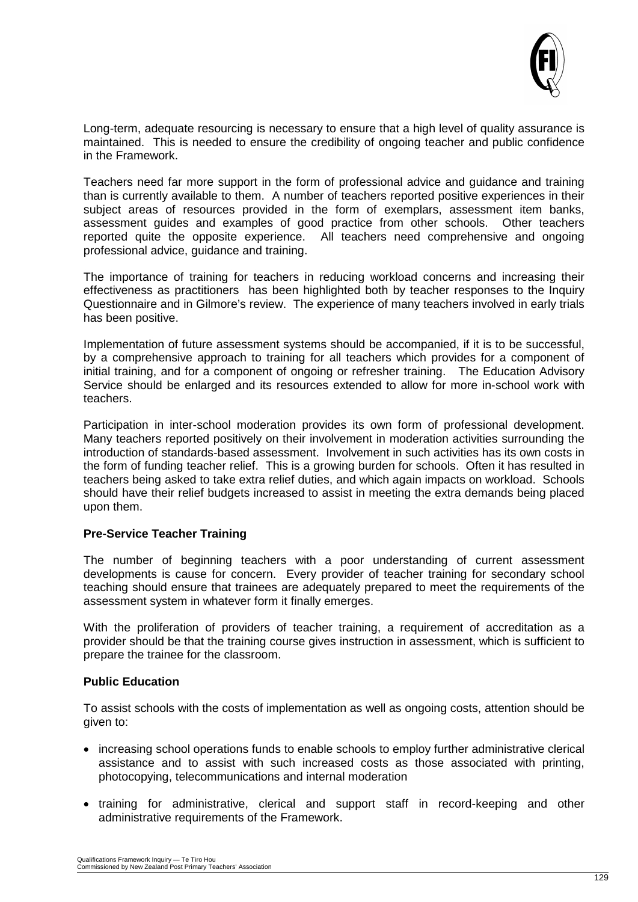

Long-term, adequate resourcing is necessary to ensure that a high level of quality assurance is maintained. This is needed to ensure the credibility of ongoing teacher and public confidence in the Framework.

Teachers need far more support in the form of professional advice and guidance and training than is currently available to them. A number of teachers reported positive experiences in their subject areas of resources provided in the form of exemplars, assessment item banks, assessment guides and examples of good practice from other schools. Other teachers reported quite the opposite experience. All teachers need comprehensive and ongoing professional advice, guidance and training.

The importance of training for teachers in reducing workload concerns and increasing their effectiveness as practitioners has been highlighted both by teacher responses to the Inquiry Questionnaire and in Gilmore's review. The experience of many teachers involved in early trials has been positive.

Implementation of future assessment systems should be accompanied, if it is to be successful, by a comprehensive approach to training for all teachers which provides for a component of initial training, and for a component of ongoing or refresher training. The Education Advisory Service should be enlarged and its resources extended to allow for more in-school work with teachers.

Participation in inter-school moderation provides its own form of professional development. Many teachers reported positively on their involvement in moderation activities surrounding the introduction of standards-based assessment. Involvement in such activities has its own costs in the form of funding teacher relief. This is a growing burden for schools. Often it has resulted in teachers being asked to take extra relief duties, and which again impacts on workload. Schools should have their relief budgets increased to assist in meeting the extra demands being placed upon them.

#### **Pre-Service Teacher Training**

The number of beginning teachers with a poor understanding of current assessment developments is cause for concern. Every provider of teacher training for secondary school teaching should ensure that trainees are adequately prepared to meet the requirements of the assessment system in whatever form it finally emerges.

With the proliferation of providers of teacher training, a requirement of accreditation as a provider should be that the training course gives instruction in assessment, which is sufficient to prepare the trainee for the classroom.

#### **Public Education**

To assist schools with the costs of implementation as well as ongoing costs, attention should be given to:

- increasing school operations funds to enable schools to employ further administrative clerical assistance and to assist with such increased costs as those associated with printing, photocopying, telecommunications and internal moderation
- training for administrative, clerical and support staff in record-keeping and other administrative requirements of the Framework.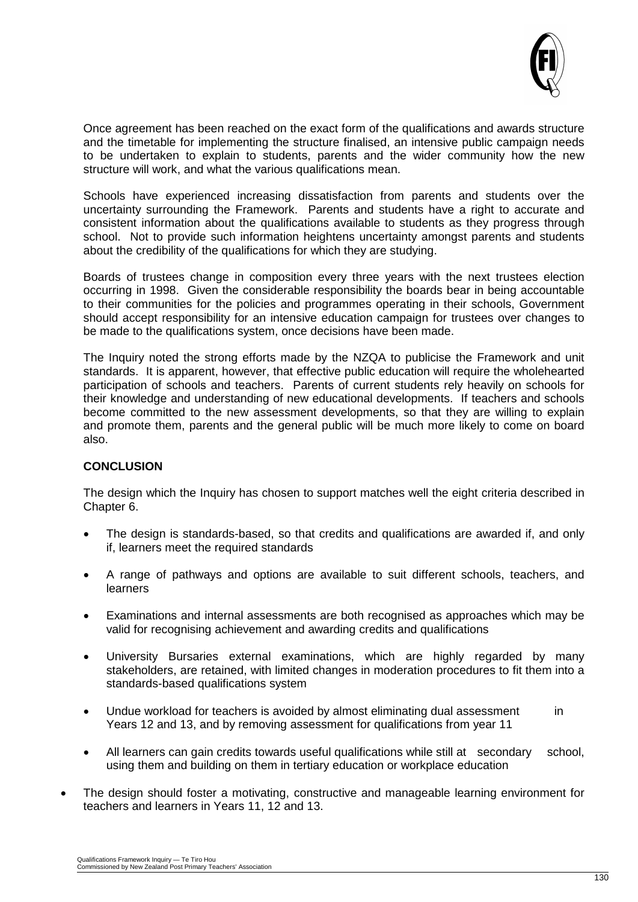

Once agreement has been reached on the exact form of the qualifications and awards structure and the timetable for implementing the structure finalised, an intensive public campaign needs to be undertaken to explain to students, parents and the wider community how the new structure will work, and what the various qualifications mean.

Schools have experienced increasing dissatisfaction from parents and students over the uncertainty surrounding the Framework. Parents and students have a right to accurate and consistent information about the qualifications available to students as they progress through school. Not to provide such information heightens uncertainty amongst parents and students about the credibility of the qualifications for which they are studying.

Boards of trustees change in composition every three years with the next trustees election occurring in 1998. Given the considerable responsibility the boards bear in being accountable to their communities for the policies and programmes operating in their schools, Government should accept responsibility for an intensive education campaign for trustees over changes to be made to the qualifications system, once decisions have been made.

The Inquiry noted the strong efforts made by the NZQA to publicise the Framework and unit standards. It is apparent, however, that effective public education will require the wholehearted participation of schools and teachers. Parents of current students rely heavily on schools for their knowledge and understanding of new educational developments. If teachers and schools become committed to the new assessment developments, so that they are willing to explain and promote them, parents and the general public will be much more likely to come on board also.

#### **CONCLUSION**

The design which the Inquiry has chosen to support matches well the eight criteria described in Chapter 6.

- The design is standards-based, so that credits and qualifications are awarded if, and only if, learners meet the required standards
- A range of pathways and options are available to suit different schools, teachers, and learners
- Examinations and internal assessments are both recognised as approaches which may be valid for recognising achievement and awarding credits and qualifications
- University Bursaries external examinations, which are highly regarded by many stakeholders, are retained, with limited changes in moderation procedures to fit them into a standards-based qualifications system
- Undue workload for teachers is avoided by almost eliminating dual assessment in Years 12 and 13, and by removing assessment for qualifications from year 11
- All learners can gain credits towards useful qualifications while still at secondary school, using them and building on them in tertiary education or workplace education
- The design should foster a motivating, constructive and manageable learning environment for teachers and learners in Years 11, 12 and 13.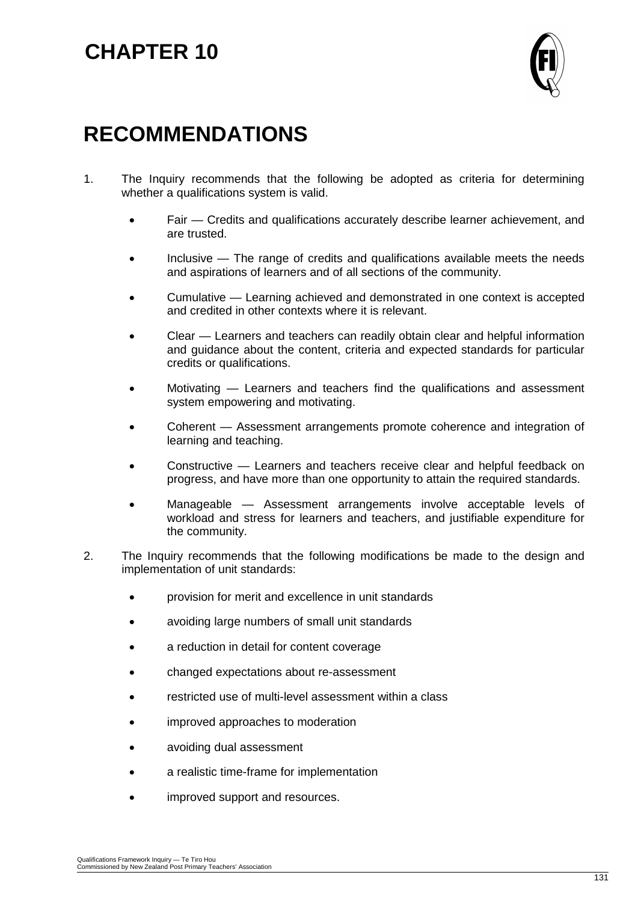## **CHAPTER 10**



### **RECOMMENDATIONS**

- 1. The Inquiry recommends that the following be adopted as criteria for determining whether a qualifications system is valid.
	- Fair Credits and qualifications accurately describe learner achievement, and are trusted.
	- Inclusive The range of credits and qualifications available meets the needs and aspirations of learners and of all sections of the community.
	- Cumulative Learning achieved and demonstrated in one context is accepted and credited in other contexts where it is relevant.
	- Clear Learners and teachers can readily obtain clear and helpful information and guidance about the content, criteria and expected standards for particular credits or qualifications.
	- Motivating Learners and teachers find the qualifications and assessment system empowering and motivating.
	- Coherent Assessment arrangements promote coherence and integration of learning and teaching.
	- Constructive Learners and teachers receive clear and helpful feedback on progress, and have more than one opportunity to attain the required standards.
	- Manageable Assessment arrangements involve acceptable levels of workload and stress for learners and teachers, and justifiable expenditure for the community.
- 2. The Inquiry recommends that the following modifications be made to the design and implementation of unit standards:
	- provision for merit and excellence in unit standards
	- avoiding large numbers of small unit standards
	- a reduction in detail for content coverage
	- changed expectations about re-assessment
	- restricted use of multi-level assessment within a class
	- improved approaches to moderation
	- avoiding dual assessment
	- a realistic time-frame for implementation
	- improved support and resources.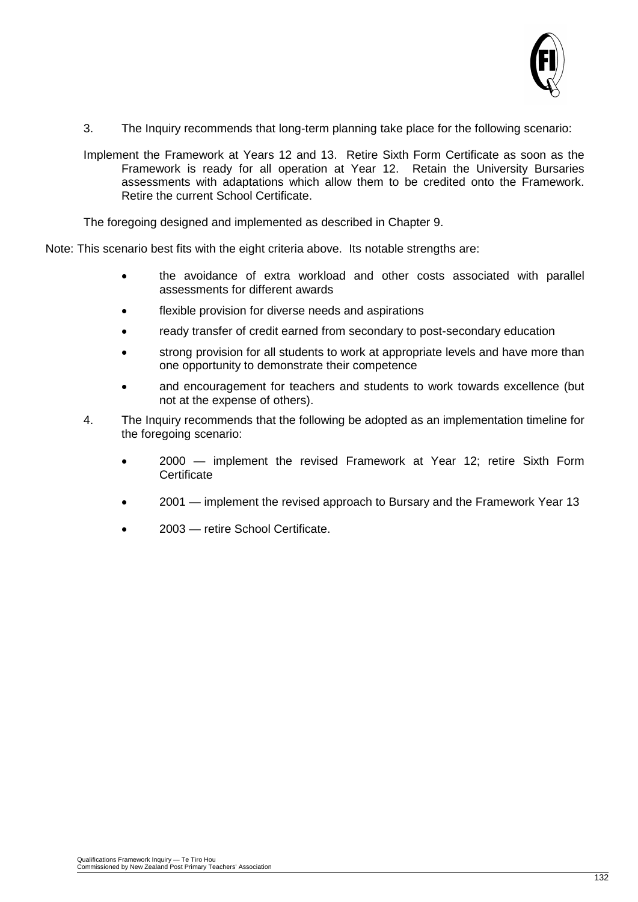

- 3. The Inquiry recommends that long-term planning take place for the following scenario:
- Implement the Framework at Years 12 and 13. Retire Sixth Form Certificate as soon as the Framework is ready for all operation at Year 12. Retain the University Bursaries assessments with adaptations which allow them to be credited onto the Framework. Retire the current School Certificate.

The foregoing designed and implemented as described in Chapter 9.

Note: This scenario best fits with the eight criteria above. Its notable strengths are:

- the avoidance of extra workload and other costs associated with parallel assessments for different awards
- flexible provision for diverse needs and aspirations
- ready transfer of credit earned from secondary to post-secondary education
- strong provision for all students to work at appropriate levels and have more than one opportunity to demonstrate their competence
- and encouragement for teachers and students to work towards excellence (but not at the expense of others).
- 4. The Inquiry recommends that the following be adopted as an implementation timeline for the foregoing scenario:
	- 2000 implement the revised Framework at Year 12; retire Sixth Form **Certificate**
	- 2001 implement the revised approach to Bursary and the Framework Year 13
	- 2003 retire School Certificate.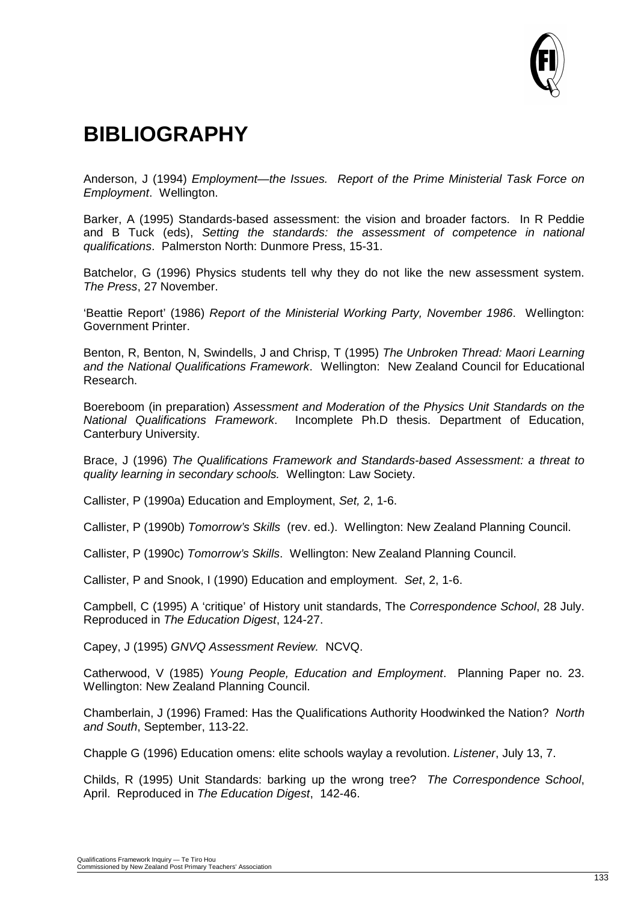

### **BIBLIOGRAPHY**

Anderson, J (1994) *Employment—the Issues. Report of the Prime Ministerial Task Force on Employment*. Wellington.

Barker, A (1995) Standards-based assessment: the vision and broader factors. In R Peddie and B Tuck (eds), *Setting the standards: the assessment of competence in national qualifications*. Palmerston North: Dunmore Press, 15-31.

Batchelor, G (1996) Physics students tell why they do not like the new assessment system. *The Press*, 27 November.

'Beattie Report' (1986) *Report of the Ministerial Working Party, November 1986*. Wellington: Government Printer.

Benton, R, Benton, N, Swindells, J and Chrisp, T (1995) *The Unbroken Thread: Maori Learning and the National Qualifications Framework*. Wellington: New Zealand Council for Educational Research.

Boereboom (in preparation) *Assessment and Moderation of the Physics Unit Standards on the National Qualifications Framework*. Incomplete Ph.D thesis. Department of Education, Canterbury University.

Brace, J (1996) *The Qualifications Framework and Standards-based Assessment: a threat to quality learning in secondary schools.* Wellington: Law Society.

Callister, P (1990a) Education and Employment, *Set,* 2, 1-6.

Callister, P (1990b) *Tomorrow's Skills* (rev. ed.). Wellington: New Zealand Planning Council.

Callister, P (1990c) *Tomorrow's Skills*. Wellington: New Zealand Planning Council.

Callister, P and Snook, I (1990) Education and employment. *Set*, 2, 1-6.

Campbell, C (1995) A 'critique' of History unit standards, The *Correspondence School*, 28 July. Reproduced in *The Education Digest*, 124-27.

Capey, J (1995) *GNVQ Assessment Review.* NCVQ.

Catherwood, V (1985) *Young People, Education and Employment*. Planning Paper no. 23. Wellington: New Zealand Planning Council.

Chamberlain, J (1996) Framed: Has the Qualifications Authority Hoodwinked the Nation? *North and South*, September, 113-22.

Chapple G (1996) Education omens: elite schools waylay a revolution. *Listener*, July 13, 7.

Childs, R (1995) Unit Standards: barking up the wrong tree? *The Correspondence School*, April. Reproduced in *The Education Digest*, 142-46.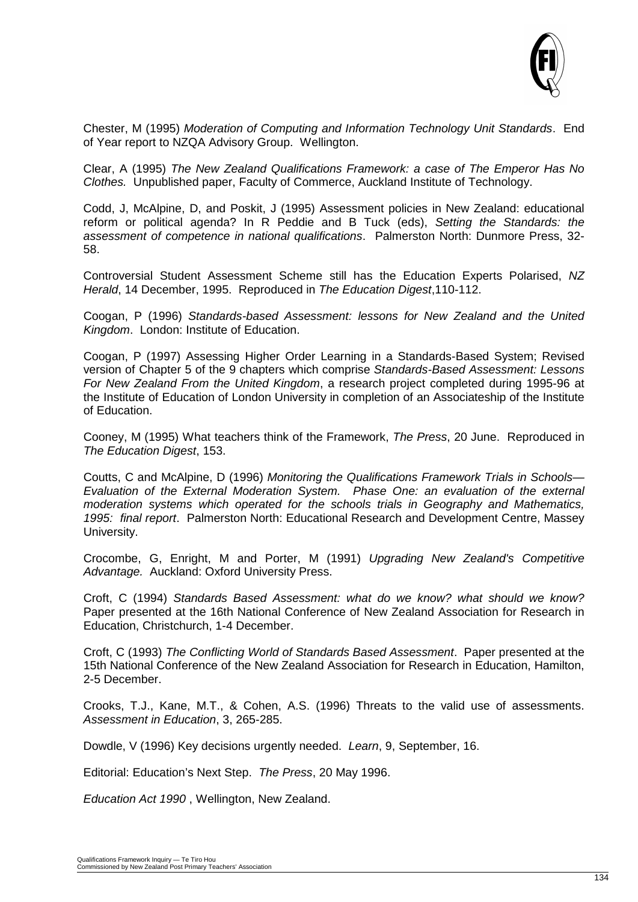

Chester, M (1995) *Moderation of Computing and Information Technology Unit Standards*. End of Year report to NZQA Advisory Group. Wellington.

Clear, A (1995) *The New Zealand Qualifications Framework: a case of The Emperor Has No Clothes.* Unpublished paper, Faculty of Commerce, Auckland Institute of Technology.

Codd, J, McAlpine, D, and Poskit, J (1995) Assessment policies in New Zealand: educational reform or political agenda? In R Peddie and B Tuck (eds), *Setting the Standards: the assessment of competence in national qualifications*. Palmerston North: Dunmore Press, 32- 58.

Controversial Student Assessment Scheme still has the Education Experts Polarised, *NZ Herald*, 14 December, 1995. Reproduced in *The Education Digest*,110-112.

Coogan, P (1996) *Standards-based Assessment: lessons for New Zealand and the United Kingdom*. London: Institute of Education.

Coogan, P (1997) Assessing Higher Order Learning in a Standards-Based System; Revised version of Chapter 5 of the 9 chapters which comprise *Standards-Based Assessment: Lessons For New Zealand From the United Kingdom*, a research project completed during 1995-96 at the Institute of Education of London University in completion of an Associateship of the Institute of Education.

Cooney, M (1995) What teachers think of the Framework, *The Press*, 20 June. Reproduced in *The Education Digest*, 153.

Coutts, C and McAlpine, D (1996) *Monitoring the Qualifications Framework Trials in Schools— Evaluation of the External Moderation System. Phase One: an evaluation of the external moderation systems which operated for the schools trials in Geography and Mathematics, 1995: final report*. Palmerston North: Educational Research and Development Centre, Massey University.

Crocombe, G, Enright, M and Porter, M (1991) *Upgrading New Zealand's Competitive Advantage.* Auckland: Oxford University Press.

Croft, C (1994) *Standards Based Assessment: what do we know? what should we know?* Paper presented at the 16th National Conference of New Zealand Association for Research in Education, Christchurch, 1-4 December.

Croft, C (1993) *The Conflicting World of Standards Based Assessment*. Paper presented at the 15th National Conference of the New Zealand Association for Research in Education, Hamilton, 2-5 December.

Crooks, T.J., Kane, M.T., & Cohen, A.S. (1996) Threats to the valid use of assessments. *Assessment in Education*, 3, 265-285.

Dowdle, V (1996) Key decisions urgently needed. *Learn*, 9, September, 16.

Editorial: Education's Next Step. *The Press*, 20 May 1996.

*Education Act 1990* , Wellington, New Zealand.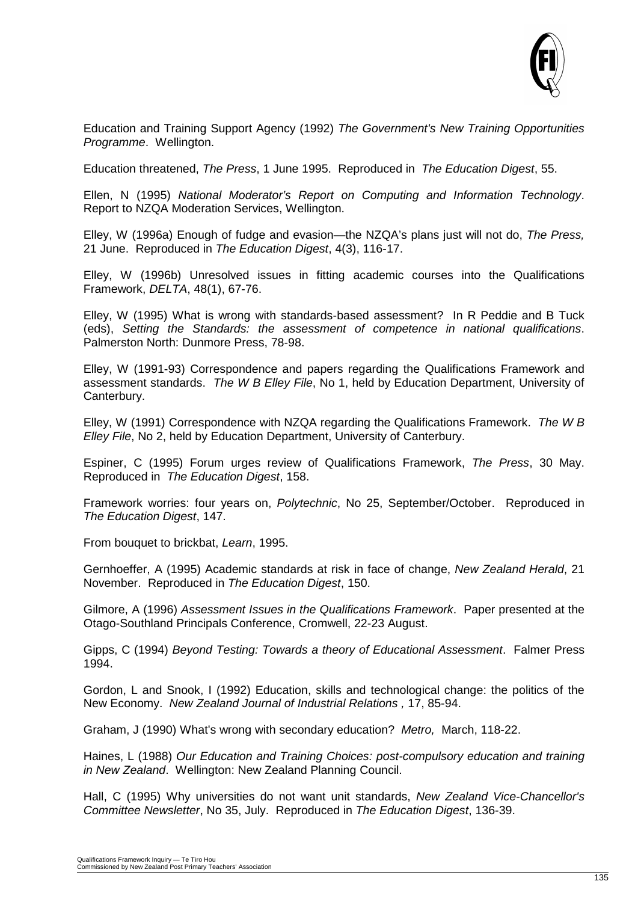

Education and Training Support Agency (1992) *The Government's New Training Opportunities Programme*. Wellington.

Education threatened, *The Press*, 1 June 1995. Reproduced in *The Education Digest*, 55.

Ellen, N (1995) *National Moderator's Report on Computing and Information Technology*. Report to NZQA Moderation Services, Wellington.

Elley, W (1996a) Enough of fudge and evasion—the NZQA's plans just will not do, *The Press,* 21 June. Reproduced in *The Education Digest*, 4(3), 116-17.

Elley, W (1996b) Unresolved issues in fitting academic courses into the Qualifications Framework, *DELTA*, 48(1), 67-76.

Elley, W (1995) What is wrong with standards-based assessment? In R Peddie and B Tuck (eds), *Setting the Standards: the assessment of competence in national qualifications*. Palmerston North: Dunmore Press, 78-98.

Elley, W (1991-93) Correspondence and papers regarding the Qualifications Framework and assessment standards. *The W B Elley File*, No 1, held by Education Department, University of Canterbury.

Elley, W (1991) Correspondence with NZQA regarding the Qualifications Framework. *The W B Elley File*, No 2, held by Education Department, University of Canterbury.

Espiner, C (1995) Forum urges review of Qualifications Framework, *The Press*, 30 May. Reproduced in *The Education Digest*, 158.

Framework worries: four years on, *Polytechnic*, No 25, September/October. Reproduced in *The Education Digest*, 147.

From bouquet to brickbat, *Learn*, 1995.

Gernhoeffer, A (1995) Academic standards at risk in face of change, *New Zealand Herald*, 21 November. Reproduced in *The Education Digest*, 150.

Gilmore, A (1996) *Assessment Issues in the Qualifications Framework*. Paper presented at the Otago-Southland Principals Conference, Cromwell, 22-23 August.

Gipps, C (1994) *Beyond Testing: Towards a theory of Educational Assessment*. Falmer Press 1994.

Gordon, L and Snook, I (1992) Education, skills and technological change: the politics of the New Economy. *New Zealand Journal of Industrial Relations ,* 17, 85-94.

Graham, J (1990) What's wrong with secondary education? *Metro,* March, 118-22.

Haines, L (1988) *Our Education and Training Choices: post-compulsory education and training in New Zealand*. Wellington: New Zealand Planning Council.

Hall, C (1995) Why universities do not want unit standards, *New Zealand Vice-Chancellor's Committee Newsletter*, No 35, July. Reproduced in *The Education Digest*, 136-39.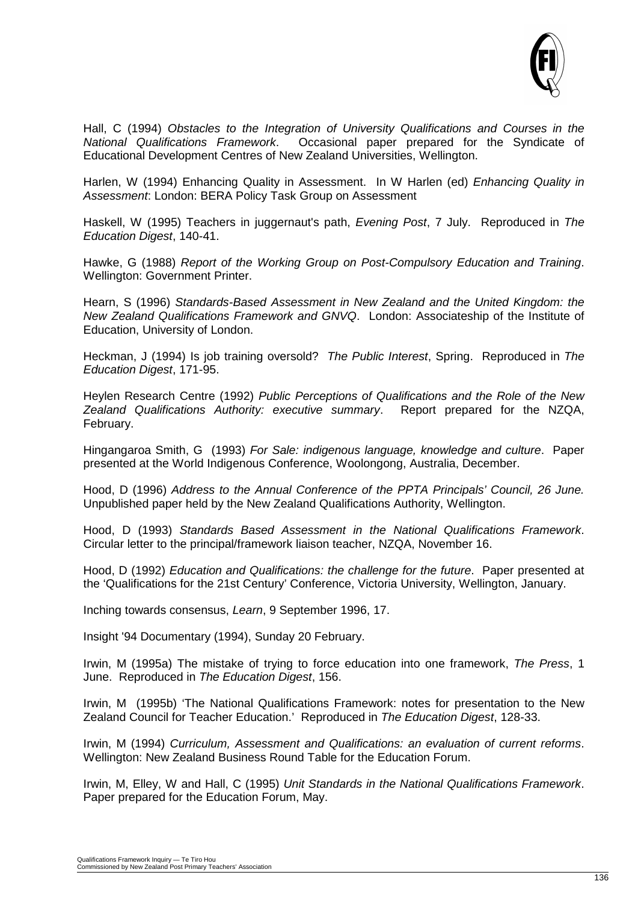

Hall, C (1994) *Obstacles to the Integration of University Qualifications and Courses in the National Qualifications Framework*. Occasional paper prepared for the Syndicate of Educational Development Centres of New Zealand Universities, Wellington.

Harlen, W (1994) Enhancing Quality in Assessment. In W Harlen (ed) *Enhancing Quality in Assessment*: London: BERA Policy Task Group on Assessment

Haskell, W (1995) Teachers in juggernaut's path, *Evening Post*, 7 July. Reproduced in *The Education Digest*, 140-41.

Hawke, G (1988) *Report of the Working Group on Post-Compulsory Education and Training*. Wellington: Government Printer.

Hearn, S (1996) *Standards-Based Assessment in New Zealand and the United Kingdom: the New Zealand Qualifications Framework and GNVQ*. London: Associateship of the Institute of Education, University of London.

Heckman, J (1994) Is job training oversold? *The Public Interest*, Spring. Reproduced in *The Education Digest*, 171-95.

Heylen Research Centre (1992) *Public Perceptions of Qualifications and the Role of the New Zealand Qualifications Authority: executive summary*. Report prepared for the NZQA, February.

Hingangaroa Smith, G (1993) *For Sale: indigenous language, knowledge and culture*. Paper presented at the World Indigenous Conference, Woolongong, Australia, December.

Hood, D (1996) *Address to the Annual Conference of the PPTA Principals' Council, 26 June.*  Unpublished paper held by the New Zealand Qualifications Authority, Wellington.

Hood, D (1993) *Standards Based Assessment in the National Qualifications Framework*. Circular letter to the principal/framework liaison teacher, NZQA, November 16.

Hood, D (1992) *Education and Qualifications: the challenge for the future*. Paper presented at the 'Qualifications for the 21st Century' Conference, Victoria University, Wellington, January.

Inching towards consensus, *Learn*, 9 September 1996, 17.

Insight '94 Documentary (1994), Sunday 20 February.

Irwin, M (1995a) The mistake of trying to force education into one framework, *The Press*, 1 June. Reproduced in *The Education Digest*, 156.

Irwin, M (1995b) 'The National Qualifications Framework: notes for presentation to the New Zealand Council for Teacher Education.' Reproduced in *The Education Digest*, 128-33.

Irwin, M (1994) *Curriculum, Assessment and Qualifications: an evaluation of current reforms*. Wellington: New Zealand Business Round Table for the Education Forum.

Irwin, M, Elley, W and Hall, C (1995) *Unit Standards in the National Qualifications Framework*. Paper prepared for the Education Forum, May.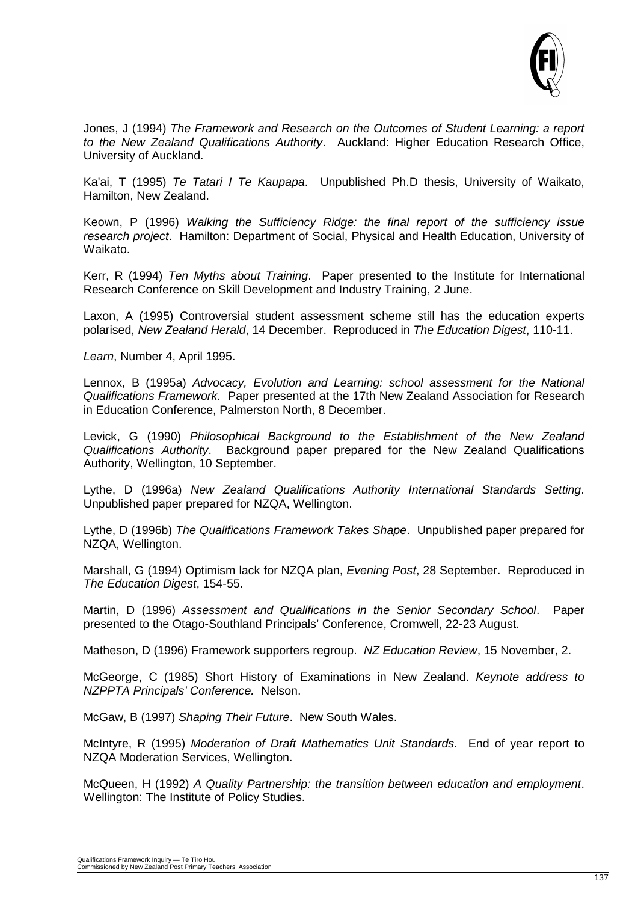

Jones, J (1994) *The Framework and Research on the Outcomes of Student Learning: a report to the New Zealand Qualifications Authority*. Auckland: Higher Education Research Office, University of Auckland.

Ka'ai, T (1995) *Te Tatari I Te Kaupapa*. Unpublished Ph.D thesis, University of Waikato, Hamilton, New Zealand.

Keown, P (1996) *Walking the Sufficiency Ridge: the final report of the sufficiency issue research project*. Hamilton: Department of Social, Physical and Health Education, University of Waikato.

Kerr, R (1994) *Ten Myths about Training*. Paper presented to the Institute for International Research Conference on Skill Development and Industry Training, 2 June.

Laxon, A (1995) Controversial student assessment scheme still has the education experts polarised, *New Zealand Herald*, 14 December. Reproduced in *The Education Digest*, 110-11.

*Learn*, Number 4, April 1995.

Lennox, B (1995a) *Advocacy, Evolution and Learning: school assessment for the National Qualifications Framework*. Paper presented at the 17th New Zealand Association for Research in Education Conference, Palmerston North, 8 December.

Levick, G (1990) *Philosophical Background to the Establishment of the New Zealand Qualifications Authority*. Background paper prepared for the New Zealand Qualifications Authority, Wellington, 10 September.

Lythe, D (1996a) *New Zealand Qualifications Authority International Standards Setting*. Unpublished paper prepared for NZQA, Wellington.

Lythe, D (1996b) *The Qualifications Framework Takes Shape*. Unpublished paper prepared for NZQA, Wellington.

Marshall, G (1994) Optimism lack for NZQA plan, *Evening Post*, 28 September. Reproduced in *The Education Digest*, 154-55.

Martin, D (1996) *Assessment and Qualifications in the Senior Secondary School*. Paper presented to the Otago-Southland Principals' Conference, Cromwell, 22-23 August.

Matheson, D (1996) Framework supporters regroup. *NZ Education Review*, 15 November, 2.

McGeorge, C (1985) Short History of Examinations in New Zealand. *Keynote address to NZPPTA Principals' Conference.* Nelson.

McGaw, B (1997) *Shaping Their Future*. New South Wales.

McIntyre, R (1995) *Moderation of Draft Mathematics Unit Standards*. End of year report to NZQA Moderation Services, Wellington.

McQueen, H (1992) *A Quality Partnership: the transition between education and employment*. Wellington: The Institute of Policy Studies.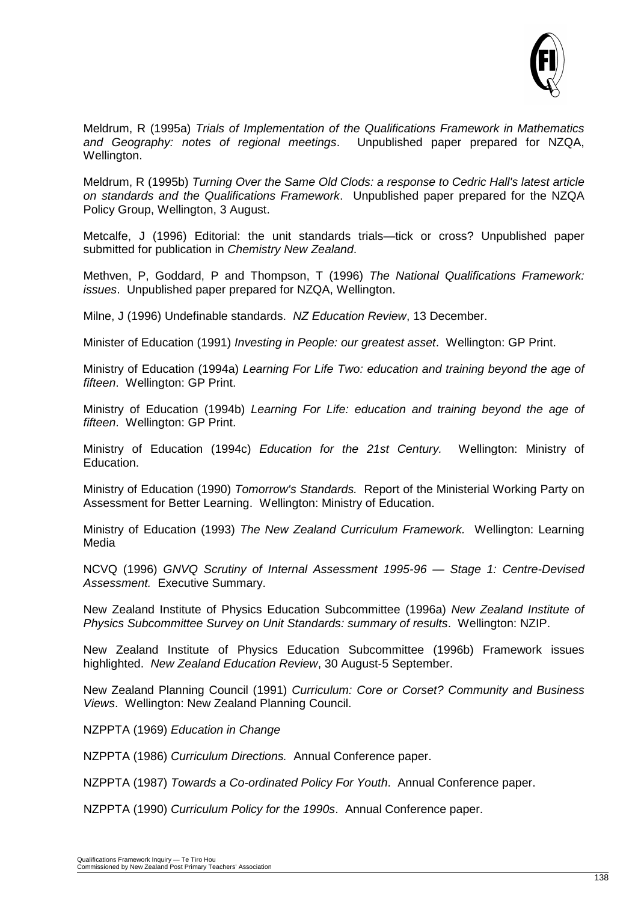

Meldrum, R (1995a) *Trials of Implementation of the Qualifications Framework in Mathematics and Geography: notes of regional meetings*. Unpublished paper prepared for NZQA, Wellington.

Meldrum, R (1995b) *Turning Over the Same Old Clods: a response to Cedric Hall's latest article on standards and the Qualifications Framework*. Unpublished paper prepared for the NZQA Policy Group, Wellington, 3 August.

Metcalfe, J (1996) Editorial: the unit standards trials—tick or cross? Unpublished paper submitted for publication in *Chemistry New Zealand*.

Methven, P, Goddard, P and Thompson, T (1996) *The National Qualifications Framework: issues*. Unpublished paper prepared for NZQA, Wellington.

Milne, J (1996) Undefinable standards. *NZ Education Review*, 13 December.

Minister of Education (1991) *Investing in People: our greatest asset*. Wellington: GP Print.

Ministry of Education (1994a) *Learning For Life Two: education and training beyond the age of fifteen*. Wellington: GP Print.

Ministry of Education (1994b) *Learning For Life: education and training beyond the age of fifteen*. Wellington: GP Print.

Ministry of Education (1994c) *Education for the 21st Century.* Wellington: Ministry of Education.

Ministry of Education (1990) *Tomorrow's Standards.* Report of the Ministerial Working Party on Assessment for Better Learning. Wellington: Ministry of Education.

Ministry of Education (1993) *The New Zealand Curriculum Framework.* Wellington: Learning Media

NCVQ (1996) *GNVQ Scrutiny of Internal Assessment 1995-96 — Stage 1: Centre-Devised Assessment.* Executive Summary.

New Zealand Institute of Physics Education Subcommittee (1996a) *New Zealand Institute of Physics Subcommittee Survey on Unit Standards: summary of results*. Wellington: NZIP.

New Zealand Institute of Physics Education Subcommittee (1996b) Framework issues highlighted. *New Zealand Education Review*, 30 August-5 September.

New Zealand Planning Council (1991) *Curriculum: Core or Corset? Community and Business Views*. Wellington: New Zealand Planning Council.

NZPPTA (1969) *Education in Change*

NZPPTA (1986) *Curriculum Directions.* Annual Conference paper.

NZPPTA (1987) *Towards a Co-ordinated Policy For Youth*. Annual Conference paper.

NZPPTA (1990) *Curriculum Policy for the 1990s*. Annual Conference paper.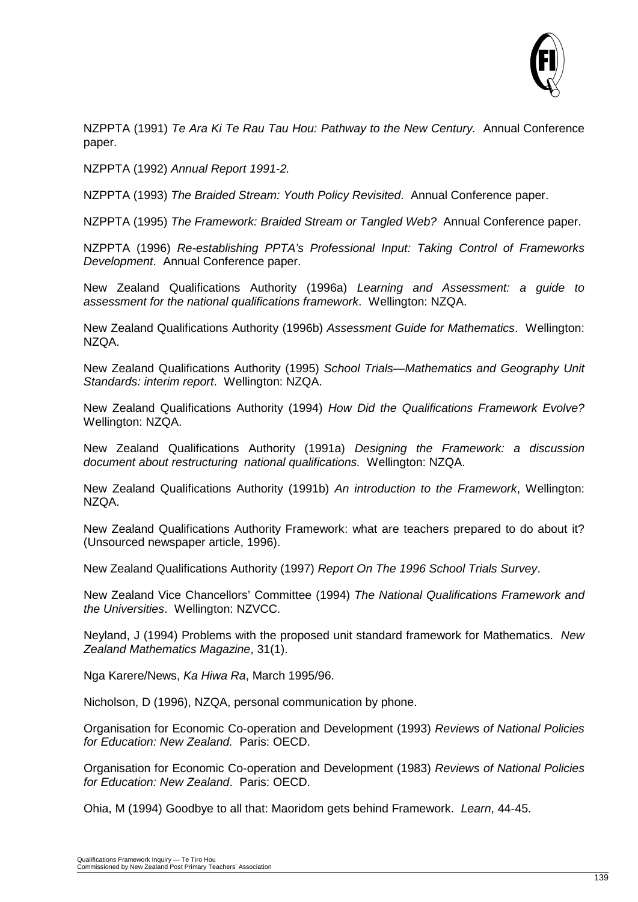

NZPPTA (1991) *Te Ara Ki Te Rau Tau Hou: Pathway to the New Century.* Annual Conference paper.

NZPPTA (1992) *Annual Report 1991-2.*

NZPPTA (1993) *The Braided Stream: Youth Policy Revisited*. Annual Conference paper.

NZPPTA (1995) *The Framework: Braided Stream or Tangled Web?* Annual Conference paper.

NZPPTA (1996) *Re-establishing PPTA's Professional Input: Taking Control of Frameworks Development*. Annual Conference paper.

New Zealand Qualifications Authority (1996a) *Learning and Assessment: a guide to assessment for the national qualifications framework*. Wellington: NZQA.

New Zealand Qualifications Authority (1996b) *Assessment Guide for Mathematics*. Wellington: NZQA.

New Zealand Qualifications Authority (1995) *School Trials—Mathematics and Geography Unit Standards: interim report*. Wellington: NZQA.

New Zealand Qualifications Authority (1994) *How Did the Qualifications Framework Evolve?* Wellington: NZQA.

New Zealand Qualifications Authority (1991a) *Designing the Framework: a discussion document about restructuring national qualifications.* Wellington: NZQA.

New Zealand Qualifications Authority (1991b) *An introduction to the Framework*, Wellington: NZQA.

New Zealand Qualifications Authority Framework: what are teachers prepared to do about it? (Unsourced newspaper article, 1996).

New Zealand Qualifications Authority (1997) *Report On The 1996 School Trials Survey*.

New Zealand Vice Chancellors' Committee (1994) *The National Qualifications Framework and the Universities*. Wellington: NZVCC.

Neyland, J (1994) Problems with the proposed unit standard framework for Mathematics. *New Zealand Mathematics Magazine*, 31(1).

Nga Karere/News, *Ka Hiwa Ra*, March 1995/96.

Nicholson, D (1996), NZQA, personal communication by phone.

Organisation for Economic Co-operation and Development (1993) *Reviews of National Policies for Education: New Zealand.* Paris: OECD.

Organisation for Economic Co-operation and Development (1983) *Reviews of National Policies for Education: New Zealand*. Paris: OECD.

Ohia, M (1994) Goodbye to all that: Maoridom gets behind Framework. *Learn*, 44-45.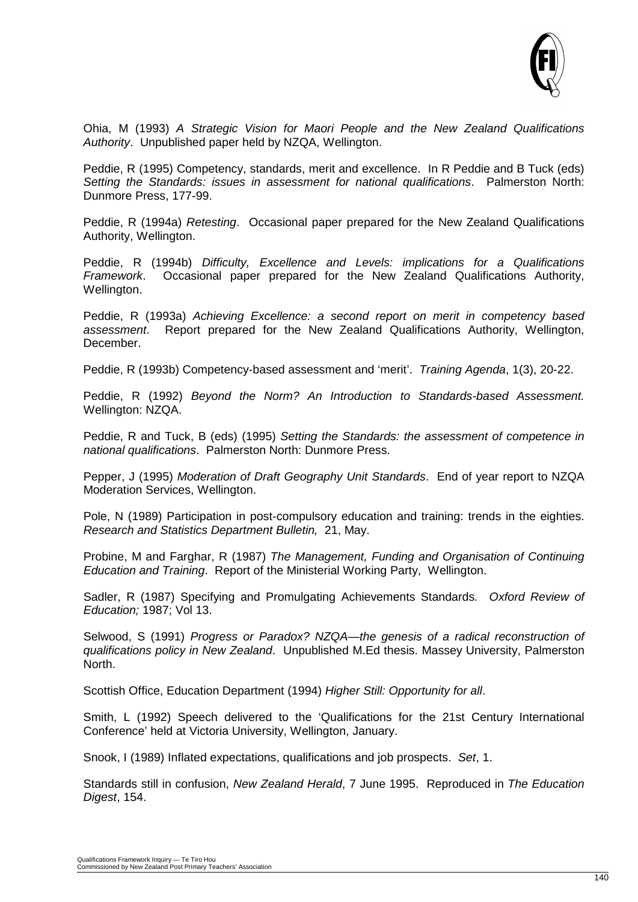

Ohia, M (1993) *A Strategic Vision for Maori People and the New Zealand Qualifications Authority*. Unpublished paper held by NZQA, Wellington.

Peddie, R (1995) Competency, standards, merit and excellence. In R Peddie and B Tuck (eds) *Setting the Standards: issues in assessment for national qualifications*. Palmerston North: Dunmore Press, 177-99.

Peddie, R (1994a) *Retesting*. Occasional paper prepared for the New Zealand Qualifications Authority, Wellington.

Peddie, R (1994b) *Difficulty, Excellence and Levels: implications for a Qualifications Framework*. Occasional paper prepared for the New Zealand Qualifications Authority, Wellington.

Peddie, R (1993a) *Achieving Excellence: a second report on merit in competency based assessment*. Report prepared for the New Zealand Qualifications Authority, Wellington, December.

Peddie, R (1993b) Competency-based assessment and 'merit'. *Training Agenda*, 1(3), 20-22.

Peddie, R (1992) *Beyond the Norm? An Introduction to Standards-based Assessment.*  Wellington: NZQA.

Peddie, R and Tuck, B (eds) (1995) *Setting the Standards: the assessment of competence in national qualifications*. Palmerston North: Dunmore Press.

Pepper, J (1995) *Moderation of Draft Geography Unit Standards*. End of year report to NZQA Moderation Services, Wellington.

Pole, N (1989) Participation in post-compulsory education and training: trends in the eighties. *Research and Statistics Department Bulletin,* 21, May.

Probine, M and Farghar, R (1987) *The Management, Funding and Organisation of Continuing Education and Training*. Report of the Ministerial Working Party, Wellington.

Sadler, R (1987) Specifying and Promulgating Achievements Standards*. Oxford Review of Education;* 1987; Vol 13.

Selwood, S (1991) *Progress or Paradox? NZQA—the genesis of a radical reconstruction of qualifications policy in New Zealand*. Unpublished M.Ed thesis. Massey University, Palmerston North.

Scottish Office, Education Department (1994) *Higher Still: Opportunity for all*.

Smith, L (1992) Speech delivered to the 'Qualifications for the 21st Century International Conference' held at Victoria University, Wellington, January.

Snook, I (1989) Inflated expectations, qualifications and job prospects. *Set*, 1.

Standards still in confusion, *New Zealand Herald*, 7 June 1995. Reproduced in *The Education Digest*, 154.